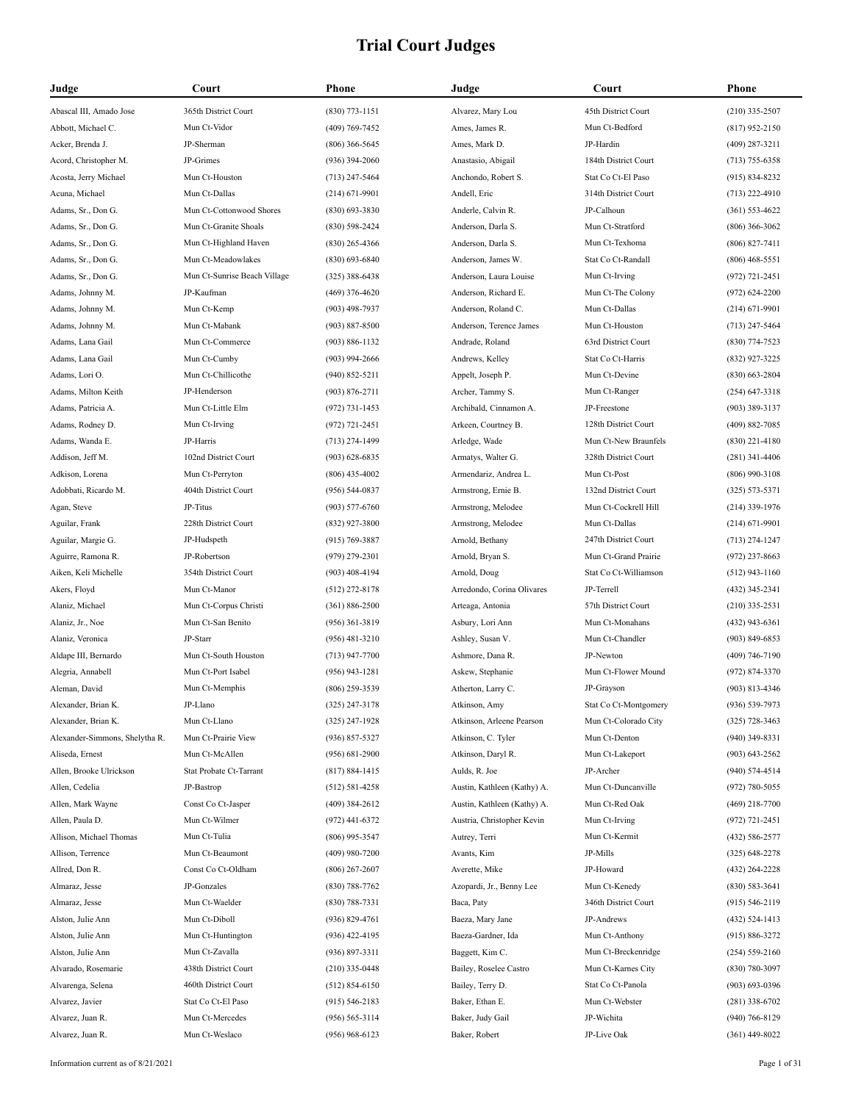| Judge                          | Court                        | <b>Phone</b>       | Judge                       | Court                 | Phone              |
|--------------------------------|------------------------------|--------------------|-----------------------------|-----------------------|--------------------|
| Abascal III, Amado Jose        | 365th District Court         | $(830)$ 773-1151   | Alvarez, Mary Lou           | 45th District Court   | $(210)$ 335-2507   |
| Abbott, Michael C.             | Mun Ct-Vidor                 | $(409)$ 769-7452   | Ames, James R.              | Mun Ct-Bedford        | $(817)$ 952-2150   |
| Acker, Brenda J.               | JP-Sherman                   | $(806)$ 366-5645   | Ames, Mark D.               | JP-Hardin             | $(409)$ 287-3211   |
| Acord, Christopher M.          | JP-Grimes                    | $(936)$ 394-2060   | Anastasio, Abigail          | 184th District Court  | $(713) 755 - 6358$ |
| Acosta, Jerry Michael          | Mun Ct-Houston               | $(713)$ 247-5464   | Anchondo, Robert S.         | Stat Co Ct-El Paso    | $(915) 834 - 8232$ |
| Acuna, Michael                 | Mun Ct-Dallas                | $(214) 671 - 9901$ | Andell, Eric                | 314th District Court  | $(713)$ 222-4910   |
| Adams, Sr., Don G.             | Mun Ct-Cottonwood Shores     | $(830)$ 693-3830   | Anderle, Calvin R.          | JP-Calhoun            | $(361) 553 - 4622$ |
| Adams, Sr., Don G.             | Mun Ct-Granite Shoals        | $(830)$ 598-2424   | Anderson, Darla S.          | Mun Ct-Stratford      | $(806)$ 366-3062   |
| Adams, Sr., Don G.             | Mun Ct-Highland Haven        | $(830)$ 265-4366   | Anderson, Darla S.          | Mun Ct-Texhoma        | $(806) 827 - 7411$ |
| Adams, Sr., Don G.             | Mun Ct-Meadowlakes           | $(830)$ 693-6840   | Anderson, James W.          | Stat Co Ct-Randall    | $(806)$ 468-5551   |
| Adams, Sr., Don G.             | Mun Ct-Sunrise Beach Village | $(325)$ 388-6438   | Anderson, Laura Louise      | Mun Ct-Irving         | $(972) 721 - 2451$ |
| Adams, Johnny M.               | JP-Kaufman                   | $(469)$ 376-4620   | Anderson, Richard E.        | Mun Ct-The Colony     | $(972) 624 - 2200$ |
| Adams, Johnny M.               | Mun Ct-Kemp                  | $(903)$ 498-7937   | Anderson, Roland C.         | Mun Ct-Dallas         | $(214) 671 - 9901$ |
| Adams, Johnny M.               | Mun Ct-Mabank                | $(903) 887 - 8500$ | Anderson, Terence James     | Mun Ct-Houston        | $(713)$ 247-5464   |
| Adams, Lana Gail               | Mun Ct-Commerce              | $(903) 886 - 1132$ | Andrade, Roland             | 63rd District Court   | $(830)$ 774-7523   |
| Adams, Lana Gail               | Mun Ct-Cumby                 | $(903)$ 994-2666   | Andrews, Kelley             | Stat Co Ct-Harris     | (832) 927-3225     |
| Adams, Lori O.                 | Mun Ct-Chillicothe           | $(940) 852 - 5211$ | Appelt, Joseph P.           | Mun Ct-Devine         | $(830)$ 663-2804   |
| Adams, Milton Keith            | JP-Henderson                 | $(903) 876 - 2711$ | Archer, Tammy S.            | Mun Ct-Ranger         | $(254)$ 647-3318   |
| Adams, Patricia A.             | Mun Ct-Little Elm            | $(972) 731 - 1453$ | Archibald, Cinnamon A.      | JP-Freestone          | $(903)$ 389-3137   |
| Adams, Rodney D.               | Mun Ct-Irving                | $(972) 721 - 2451$ | Arkeen, Courtney B.         | 128th District Court  | $(409) 882 - 7085$ |
| Adams, Wanda E.                | JP-Harris                    | $(713)$ 274-1499   | Arledge, Wade               | Mun Ct-New Braunfels  | $(830)$ 221-4180   |
| Addison, Jeff M.               | 102nd District Court         | $(903) 628 - 6835$ | Armatys, Walter G.          | 328th District Court  | $(281)$ 341-4406   |
| Adkison, Lorena                | Mun Ct-Perryton              | $(806)$ 435-4002   | Armendariz, Andrea L.       | Mun Ct-Post           | $(806)$ 990-3108   |
| Adobbati, Ricardo M.           | 404th District Court         | $(956) 544-0837$   | Armstrong, Ernie B.         | 132nd District Court  | $(325) 573 - 5371$ |
| Agan, Steve                    | JP-Titus                     | $(903) 577 - 6760$ | Armstrong, Melodee          | Mun Ct-Cockrell Hill  | $(214)$ 339-1976   |
| Aguilar, Frank                 | 228th District Court         | $(832)$ 927-3800   | Armstrong, Melodee          | Mun Ct-Dallas         | $(214) 671 - 9901$ |
| Aguilar, Margie G.             | JP-Hudspeth                  | $(915) 769 - 3887$ | Arnold, Bethany             | 247th District Court  | $(713)$ 274-1247   |
| Aguirre, Ramona R.             | JP-Robertson                 | $(979)$ 279-2301   | Arnold, Bryan S.            | Mun Ct-Grand Prairie  | $(972)$ 237-8663   |
| Aiken, Keli Michelle           | 354th District Court         | $(903)$ 408-4194   | Arnold, Doug                | Stat Co Ct-Williamson | $(512)$ 943-1160   |
| Akers, Floyd                   | Mun Ct-Manor                 | $(512)$ 272-8178   | Arredondo, Corina Olivares  | JP-Terrell            | (432) 345-2341     |
| Alaniz, Michael                | Mun Ct-Corpus Christi        | $(361) 886 - 2500$ | Arteaga, Antonia            | 57th District Court   | $(210)$ 335-2531   |
| Alaniz, Jr., Noe               | Mun Ct-San Benito            | $(956)$ 361-3819   | Asbury, Lori Ann            | Mun Ct-Monahans       | $(432)$ 943-6361   |
| Alaniz, Veronica               | JP-Starr                     | $(956)$ 481-3210   | Ashley, Susan V.            | Mun Ct-Chandler       | $(903) 849 - 6853$ |
| Aldape III, Bernardo           | Mun Ct-South Houston         | $(713)$ 947-7700   | Ashmore, Dana R.            | JP-Newton             | $(409) 746 - 7190$ |
| Alegria, Annabell              | Mun Ct-Port Isabel           | $(956)$ 943-1281   | Askew, Stephanie            | Mun Ct-Flower Mound   | (972) 874-3370     |
| Aleman, David                  | Mun Ct-Memphis               | (806) 259-3539     | Atherton, Larry C.          | JP-Grayson            | $(903) 813 - 4346$ |
| Alexander, Brian K.            | JP-Llano                     | (325) 247-3178     | Atkinson, Amy               | Stat Co Ct-Montgomery | (936) 539-7973     |
| Alexander, Brian K.            | Mun Ct-Llano                 | $(325)$ 247-1928   | Atkinson, Arleene Pearson   | Mun Ct-Colorado City  | $(325)$ 728-3463   |
| Alexander-Simmons, Shelytha R. | Mun Ct-Prairie View          | $(936) 857 - 5327$ | Atkinson, C. Tyler          | Mun Ct-Denton         | $(940)$ 349-8331   |
| Aliseda, Ernest                | Mun Ct-McAllen               | $(956) 681 - 2900$ | Atkinson, Daryl R.          | Mun Ct-Lakeport       | $(903) 643 - 2562$ |
| Allen, Brooke Ulrickson        | Stat Probate Ct-Tarrant      | $(817) 884 - 1415$ | Aulds, R. Joe               | JP-Archer             | (940) 574-4514     |
| Allen, Cedelia                 | JP-Bastrop                   | $(512) 581 - 4258$ | Austin, Kathleen (Kathy) A. | Mun Ct-Duncanville    | $(972) 780 - 5055$ |
| Allen, Mark Wayne              | Const Co Ct-Jasper           | $(409)$ 384-2612   | Austin, Kathleen (Kathy) A. | Mun Ct-Red Oak        | (469) 218-7700     |
| Allen, Paula D.                | Mun Ct-Wilmer                | $(972)$ 441-6372   | Austria, Christopher Kevin  | Mun Ct-Irving         | (972) 721-2451     |
| Allison, Michael Thomas        | Mun Ct-Tulia                 | $(806)$ 995-3547   | Autrey, Terri               | Mun Ct-Kermit         | (432) 586-2577     |
| Allison, Terrence              | Mun Ct-Beaumont              | $(409)$ 980-7200   | Avants, Kim                 | JP-Mills              | $(325)$ 648-2278   |
| Allred, Don R.                 | Const Co Ct-Oldham           |                    | Averette, Mike              | JP-Howard             |                    |
| Almaraz, Jesse                 | JP-Gonzales                  | $(806)$ 267-2607   |                             | Mun Ct-Kenedy         | (432) 264-2228     |
|                                |                              | $(830) 788 - 7762$ | Azopardi, Jr., Benny Lee    |                       | $(830) 583 - 3641$ |
| Almaraz, Jesse                 | Mun Ct-Waelder               | $(830) 788 - 7331$ | Baca, Paty                  | 346th District Court  | $(915) 546 - 2119$ |
| Alston, Julie Ann              | Mun Ct-Diboll                | $(936) 829 - 4761$ | Baeza, Mary Jane            | JP-Andrews            | (432) 524-1413     |
| Alston, Julie Ann              | Mun Ct-Huntington            | $(936)$ 422-4195   | Baeza-Gardner, Ida          | Mun Ct-Anthony        | $(915) 886 - 3272$ |
| Alston, Julie Ann              | Mun Ct-Zavalla               | $(936) 897 - 3311$ | Baggett, Kim C.             | Mun Ct-Breckenridge   | $(254) 559 - 2160$ |
| Alvarado, Rosemarie            | 438th District Court         | $(210)$ 335-0448   | Bailey, Roselee Castro      | Mun Ct-Karnes City    | $(830) 780 - 3097$ |
| Alvarenga, Selena              | 460th District Court         | $(512) 854 - 6150$ | Bailey, Terry D.            | Stat Co Ct-Panola     | $(903) 693 - 0396$ |
| Alvarez, Javier                | Stat Co Ct-El Paso           | $(915) 546 - 2183$ | Baker, Ethan E.             | Mun Ct-Webster        | $(281)$ 338-6702   |
| Alvarez, Juan R.               | Mun Ct-Mercedes              | $(956) 565 - 3114$ | Baker, Judy Gail            | JP-Wichita            | $(940) 766 - 8129$ |
| Alvarez, Juan R.               | Mun Ct-Weslaco               | $(956)$ 968-6123   | Baker, Robert               | JP-Live Oak           | $(361)$ 449-8022   |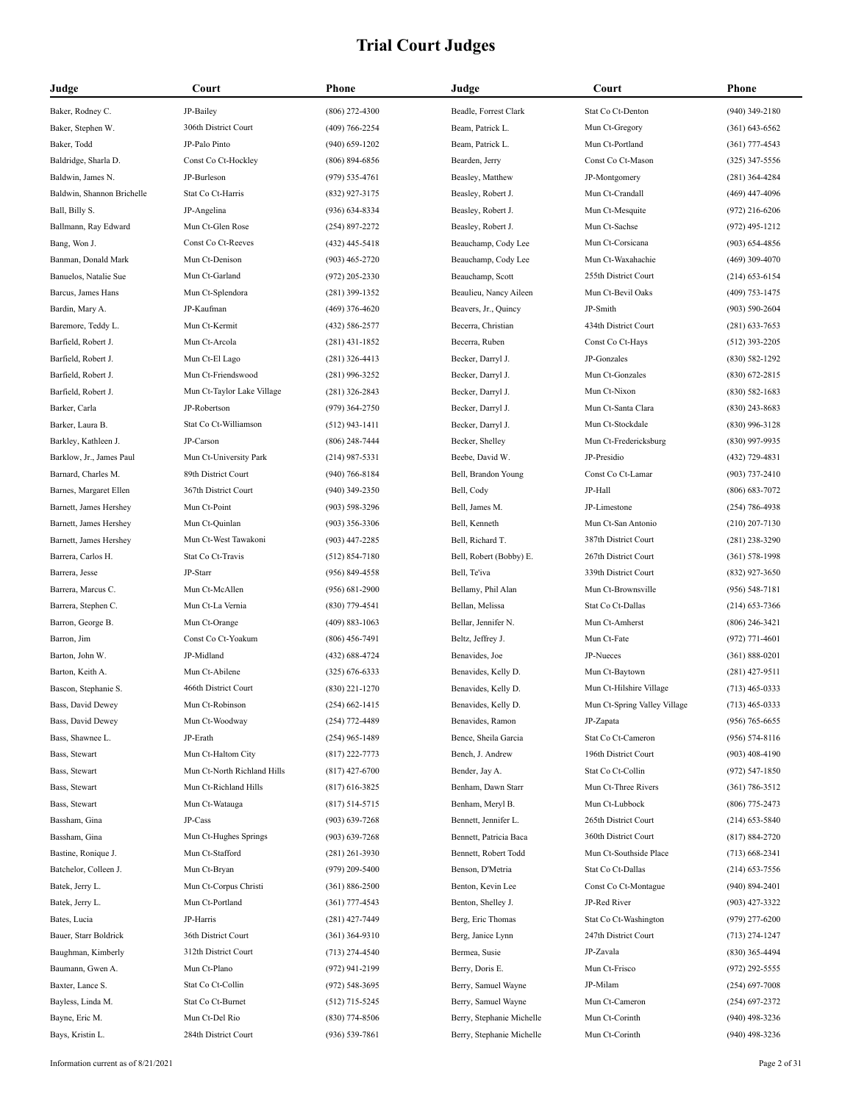| Judge                      | Court                       | Phone              | Judge                     | Court                        | Phone              |
|----------------------------|-----------------------------|--------------------|---------------------------|------------------------------|--------------------|
| Baker, Rodney C.           | JP-Bailey                   | $(806)$ 272-4300   | Beadle, Forrest Clark     | Stat Co Ct-Denton            | $(940)$ 349-2180   |
| Baker, Stephen W.          | 306th District Court        | $(409) 766 - 2254$ | Beam, Patrick L.          | Mun Ct-Gregory               | $(361) 643 - 6562$ |
| Baker, Todd                | JP-Palo Pinto               | $(940)$ 659-1202   | Beam, Patrick L.          | Mun Ct-Portland              | $(361)$ 777-4543   |
| Baldridge, Sharla D.       | Const Co Ct-Hockley         | $(806) 894 - 6856$ | Bearden, Jerry            | Const Co Ct-Mason            | $(325)$ 347-5556   |
| Baldwin, James N.          | JP-Burleson                 | $(979) 535 - 4761$ | Beasley, Matthew          | JP-Montgomery                | $(281)$ 364-4284   |
| Baldwin, Shannon Brichelle | Stat Co Ct-Harris           | (832) 927-3175     | Beasley, Robert J.        | Mun Ct-Crandall              | $(469)$ 447-4096   |
| Ball, Billy S.             | JP-Angelina                 | $(936) 634 - 8334$ | Beasley, Robert J.        | Mun Ct-Mesquite              | $(972)$ 216-6206   |
| Ballmann, Ray Edward       | Mun Ct-Glen Rose            | $(254)$ 897-2272   | Beasley, Robert J.        | Mun Ct-Sachse                | $(972)$ 495-1212   |
| Bang, Won J.               | Const Co Ct-Reeves          | $(432)$ 445-5418   | Beauchamp, Cody Lee       | Mun Ct-Corsicana             | $(903) 654 - 4856$ |
| Banman, Donald Mark        | Mun Ct-Denison              | $(903)$ 465-2720   | Beauchamp, Cody Lee       | Mun Ct-Waxahachie            | $(469)$ 309-4070   |
| Banuelos, Natalie Sue      | Mun Ct-Garland              | $(972)$ 205-2330   | Beauchamp, Scott          | 255th District Court         | $(214)$ 653-6154   |
| Barcus, James Hans         | Mun Ct-Splendora            | $(281)$ 399-1352   | Beaulieu, Nancy Aileen    | Mun Ct-Bevil Oaks            | $(409)$ 753-1475   |
| Bardin, Mary A.            | JP-Kaufman                  | $(469)$ 376-4620   | Beavers, Jr., Quincy      | JP-Smith                     | $(903) 590 - 2604$ |
| Baremore, Teddy L.         | Mun Ct-Kermit               | (432) 586-2577     | Becerra, Christian        | 434th District Court         | $(281)$ 633-7653   |
| Barfield, Robert J.        | Mun Ct-Arcola               | $(281)$ 431-1852   | Becerra, Ruben            | Const Co Ct-Hays             | $(512)$ 393-2205   |
| Barfield, Robert J.        | Mun Ct-El Lago              | $(281)$ 326-4413   | Becker, Darryl J.         | JP-Gonzales                  | $(830) 582 - 1292$ |
| Barfield, Robert J.        | Mun Ct-Friendswood          | $(281)$ 996-3252   | Becker, Darryl J.         | Mun Ct-Gonzales              | $(830)$ 672-2815   |
| Barfield, Robert J.        | Mun Ct-Taylor Lake Village  | $(281)$ 326-2843   | Becker, Darryl J.         | Mun Ct-Nixon                 | $(830) 582 - 1683$ |
| Barker, Carla              | JP-Robertson                | $(979)$ 364-2750   | Becker, Darryl J.         | Mun Ct-Santa Clara           | $(830)$ 243-8683   |
| Barker, Laura B.           | Stat Co Ct-Williamson       | $(512)$ 943-1411   | Becker, Darryl J.         | Mun Ct-Stockdale             | $(830)$ 996-3128   |
| Barkley, Kathleen J.       | JP-Carson                   | $(806)$ 248-7444   | Becker, Shelley           | Mun Ct-Fredericksburg        | $(830)$ 997-9935   |
| Barklow, Jr., James Paul   | Mun Ct-University Park      | $(214)$ 987-5331   | Beebe, David W.           | JP-Presidio                  | (432) 729-4831     |
| Barnard, Charles M.        | 89th District Court         | $(940)$ 766-8184   | Bell, Brandon Young       | Const Co Ct-Lamar            | $(903) 737 - 2410$ |
| Barnes, Margaret Ellen     | 367th District Court        | $(940)$ 349-2350   | Bell, Cody                | JP-Hall                      | $(806) 683 - 7072$ |
| Barnett, James Hershey     | Mun Ct-Point                | $(903) 598 - 3296$ | Bell, James M.            | JP-Limestone                 | $(254) 786 - 4938$ |
| Barnett, James Hershey     | Mun Ct-Quinlan              | $(903)$ 356-3306   | Bell, Kenneth             | Mun Ct-San Antonio           | $(210)$ 207-7130   |
| Barnett, James Hershey     | Mun Ct-West Tawakoni        | $(903)$ 447-2285   | Bell, Richard T.          | 387th District Court         | $(281)$ 238-3290   |
| Barrera, Carlos H.         | Stat Co Ct-Travis           | $(512) 854 - 7180$ | Bell, Robert (Bobby) E.   | 267th District Court         | $(361) 578 - 1998$ |
| Barrera, Jesse             | JP-Starr                    | $(956) 849 - 4558$ | Bell, Te'iva              | 339th District Court         | $(832)$ 927-3650   |
| Barrera, Marcus C.         | Mun Ct-McAllen              | $(956) 681 - 2900$ | Bellamy, Phil Alan        | Mun Ct-Brownsville           | $(956) 548 - 7181$ |
| Barrera, Stephen C.        | Mun Ct-La Vernia            | $(830)$ 779-4541   | Bellan, Melissa           | Stat Co Ct-Dallas            | $(214)$ 653-7366   |
| Barron, George B.          | Mun Ct-Orange               | $(409) 883 - 1063$ | Bellar, Jennifer N.       | Mun Ct-Amherst               | $(806)$ 246-3421   |
| Barron, Jim                | Const Co Ct-Yoakum          | $(806)$ 456-7491   | Beltz, Jeffrey J.         | Mun Ct-Fate                  | $(972)$ 771-4601   |
| Barton, John W.            | JP-Midland                  | $(432) 688 - 4724$ | Benavides, Joe            | JP-Nueces                    | $(361) 888 - 0201$ |
| Barton, Keith A.           | Mun Ct-Abilene              | $(325) 676 - 6333$ | Benavides, Kelly D.       | Mun Ct-Baytown               | $(281)$ 427-9511   |
| Bascon, Stephanie S.       | 466th District Court        | $(830)$ 221-1270   | Benavides, Kelly D.       | Mun Ct-Hilshire Village      | $(713)$ 465-0333   |
| Bass, David Dewey          | Mun Ct-Robinson             | $(254) 662 - 1415$ | Benavides, Kelly D.       | Mun Ct-Spring Valley Village | $(713)$ 465-0333   |
| Bass, David Dewey          | Mun Ct-Woodway              | (254) 772-4489     | Benavides, Ramon          | JP-Zapata                    | $(956) 765 - 6655$ |
| Bass, Shawnee L.           | JP-Erath                    | $(254)$ 965-1489   | Bence, Sheila Garcia      | Stat Co Ct-Cameron           | $(956) 574 - 8116$ |
| Bass, Stewart              | Mun Ct-Haltom City          | $(817)$ 222-7773   | Bench, J. Andrew          | 196th District Court         | $(903)$ 408-4190   |
| Bass, Stewart              | Mun Ct-North Richland Hills | $(817)$ 427-6700   | Bender, Jay A.            | Stat Co Ct-Collin            | $(972) 547 - 1850$ |
| Bass, Stewart              | Mun Ct-Richland Hills       | $(817)$ 616-3825   | Benham, Dawn Starr        | Mun Ct-Three Rivers          | $(361) 786 - 3512$ |
| Bass, Stewart              | Mun Ct-Watauga              | $(817) 514 - 5715$ | Benham, Meryl B.          | Mun Ct-Lubbock               | $(806)$ 775-2473   |
| Bassham, Gina              | JP-Cass                     | $(903) 639 - 7268$ | Bennett, Jennifer L.      | 265th District Court         | $(214)$ 653-5840   |
| Bassham, Gina              | Mun Ct-Hughes Springs       | $(903) 639 - 7268$ | Bennett, Patricia Baca    | 360th District Court         | $(817) 884 - 2720$ |
| Bastine, Ronique J.        | Mun Ct-Stafford             | $(281)$ 261-3930   | Bennett, Robert Todd      | Mun Ct-Southside Place       | $(713) 668 - 2341$ |
| Batchelor, Colleen J.      | Mun Ct-Bryan                | $(979)$ 209-5400   | Benson, D'Metria          | Stat Co Ct-Dallas            | $(214)$ 653-7556   |
| Batek, Jerry L.            | Mun Ct-Corpus Christi       | $(361) 886 - 2500$ | Benton, Kevin Lee         | Const Co Ct-Montague         | $(940) 894 - 2401$ |
| Batek, Jerry L.            | Mun Ct-Portland             | $(361)$ 777-4543   | Benton, Shelley J.        | JP-Red River                 | $(903)$ 427-3322   |
| Bates, Lucia               | JP-Harris                   | $(281)$ 427-7449   | Berg, Eric Thomas         | Stat Co Ct-Washington        | $(979)$ 277-6200   |
| Bauer, Starr Boldrick      | 36th District Court         | $(361)$ 364-9310   | Berg, Janice Lynn         | 247th District Court         | $(713)$ 274-1247   |
| Baughman, Kimberly         | 312th District Court        | $(713)$ 274-4540   | Bermea, Susie             | JP-Zavala                    | $(830)$ 365-4494   |
| Baumann, Gwen A.           | Mun Ct-Plano                | $(972)$ 941-2199   | Berry, Doris E.           | Mun Ct-Frisco                | $(972)$ 292-5555   |
| Baxter, Lance S.           | Stat Co Ct-Collin           | $(972) 548 - 3695$ | Berry, Samuel Wayne       | JP-Milam                     | $(254) 697 - 7008$ |
| Bayless, Linda M.          | Stat Co Ct-Burnet           | $(512)$ 715-5245   | Berry, Samuel Wayne       | Mun Ct-Cameron               | $(254)$ 697-2372   |
| Bayne, Eric M.             | Mun Ct-Del Rio              | $(830)$ 774-8506   | Berry, Stephanie Michelle | Mun Ct-Corinth               | $(940)$ 498-3236   |
| Bays, Kristin L.           | 284th District Court        | $(936) 539 - 7861$ | Berry, Stephanie Michelle | Mun Ct-Corinth               | $(940)$ 498-3236   |
|                            |                             |                    |                           |                              |                    |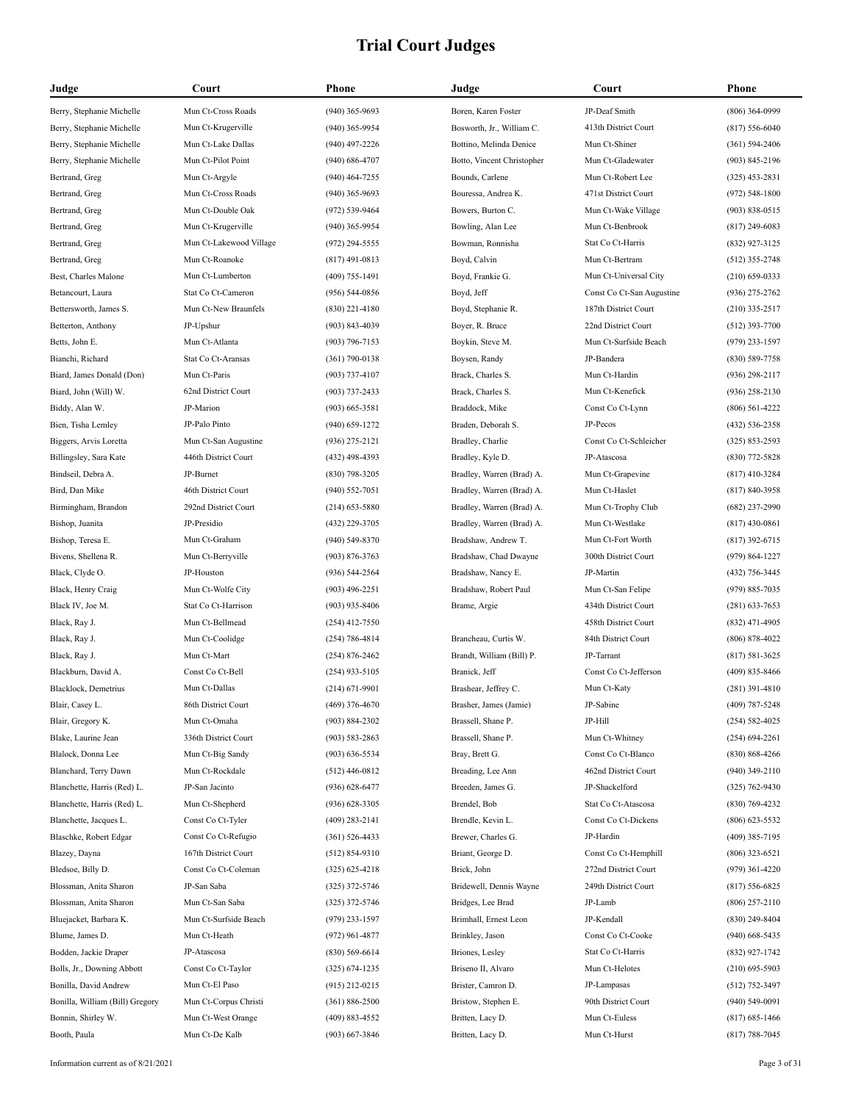| Judge                           | Court                   | Phone              | Judge                      | Court                     | Phone              |
|---------------------------------|-------------------------|--------------------|----------------------------|---------------------------|--------------------|
| Berry, Stephanie Michelle       | Mun Ct-Cross Roads      | $(940)$ 365-9693   | Boren, Karen Foster        | JP-Deaf Smith             | $(806)$ 364-0999   |
| Berry, Stephanie Michelle       | Mun Ct-Krugerville      | $(940)$ 365-9954   | Bosworth, Jr., William C.  | 413th District Court      | $(817) 556 - 6040$ |
| Berry, Stephanie Michelle       | Mun Ct-Lake Dallas      | $(940)$ 497-2226   | Bottino, Melinda Denice    | Mun Ct-Shiner             | $(361) 594 - 2406$ |
| Berry, Stephanie Michelle       | Mun Ct-Pilot Point      | $(940) 686 - 4707$ | Botto, Vincent Christopher | Mun Ct-Gladewater         | (903) 845-2196     |
| Bertrand, Greg                  | Mun Ct-Argyle           | $(940)$ 464-7255   | Bounds, Carlene            | Mun Ct-Robert Lee         | (325) 453-2831     |
| Bertrand, Greg                  | Mun Ct-Cross Roads      | $(940)$ 365-9693   | Bouressa, Andrea K.        | 471st District Court      | $(972) 548 - 1800$ |
| Bertrand, Greg                  | Mun Ct-Double Oak       | (972) 539-9464     | Bowers, Burton C.          | Mun Ct-Wake Village       | $(903) 838 - 0515$ |
| Bertrand, Greg                  | Mun Ct-Krugerville      | $(940)$ 365-9954   | Bowling, Alan Lee          | Mun Ct-Benbrook           | $(817)$ 249-6083   |
| Bertrand, Greg                  | Mun Ct-Lakewood Village | $(972)$ 294-5555   | Bowman, Ronnisha           | Stat Co Ct-Harris         | (832) 927-3125     |
| Bertrand, Greg                  | Mun Ct-Roanoke          | $(817)$ 491-0813   | Boyd, Calvin               | Mun Ct-Bertram            | $(512)$ 355-2748   |
| Best, Charles Malone            | Mun Ct-Lumberton        | $(409)$ 755-1491   | Boyd, Frankie G.           | Mun Ct-Universal City     | $(210)$ 659-0333   |
| Betancourt, Laura               | Stat Co Ct-Cameron      | $(956) 544-0856$   | Boyd, Jeff                 | Const Co Ct-San Augustine | $(936)$ 275-2762   |
| Bettersworth, James S.          | Mun Ct-New Braunfels    | $(830)$ 221-4180   | Boyd, Stephanie R.         | 187th District Court      | $(210)$ 335-2517   |
| Betterton, Anthony              | JP-Upshur               | $(903) 843 - 4039$ | Boyer, R. Bruce            | 22nd District Court       | $(512)$ 393-7700   |
| Betts, John E.                  | Mun Ct-Atlanta          | $(903)$ 796-7153   | Boykin, Steve M.           | Mun Ct-Surfside Beach     | $(979)$ 233-1597   |
| Bianchi, Richard                | Stat Co Ct-Aransas      | $(361)$ 790-0138   | Boysen, Randy              | JP-Bandera                | (830) 589-7758     |
| Biard, James Donald (Don)       | Mun Ct-Paris            | $(903)$ 737-4107   | Brack, Charles S.          | Mun Ct-Hardin             | $(936)$ 298-2117   |
| Biard, John (Will) W.           | 62nd District Court     | $(903)$ 737-2433   | Brack, Charles S.          | Mun Ct-Kenefick           | $(936)$ 258-2130   |
| Biddy, Alan W.                  | JP-Marion               | $(903) 665 - 3581$ | Braddock, Mike             | Const Co Ct-Lynn          | $(806) 561 - 4222$ |
| Bien, Tisha Lemley              | JP-Palo Pinto           | $(940)$ 659-1272   | Braden, Deborah S.         | JP-Pecos                  | (432) 536-2358     |
| Biggers, Arvis Loretta          | Mun Ct-San Augustine    | $(936)$ 275-2121   | Bradley, Charlie           | Const Co Ct-Schleicher    | $(325) 853 - 2593$ |
| Billingsley, Sara Kate          | 446th District Court    | $(432)$ 498-4393   | Bradley, Kyle D.           | JP-Atascosa               | (830) 772-5828     |
| Bindseil. Debra A.              | JP-Burnet               | $(830)$ 798-3205   | Bradley, Warren (Brad) A.  | Mun Ct-Grapevine          | $(817)$ 410-3284   |
| Bird, Dan Mike                  | 46th District Court     | $(940) 552 - 7051$ | Bradley, Warren (Brad) A.  | Mun Ct-Haslet             | $(817) 840 - 3958$ |
| Birmingham, Brandon             | 292nd District Court    | $(214)$ 653-5880   | Bradley, Warren (Brad) A.  | Mun Ct-Trophy Club        | (682) 237-2990     |
|                                 | JP-Presidio             | (432) 229-3705     | Bradley, Warren (Brad) A.  | Mun Ct-Westlake           | $(817)$ 430-0861   |
| Bishop, Juanita                 | Mun Ct-Graham           |                    |                            | Mun Ct-Fort Worth         |                    |
| Bishop, Teresa E.               |                         | $(940)$ 549-8370   | Bradshaw, Andrew T.        |                           | $(817)$ 392-6715   |
| Bivens, Shellena R.             | Mun Ct-Berryville       | $(903) 876 - 3763$ | Bradshaw, Chad Dwayne      | 300th District Court      | $(979) 864 - 1227$ |
| Black, Clyde O.                 | JP-Houston              | $(936) 544 - 2564$ | Bradshaw, Nancy E.         | JP-Martin                 | (432) 756-3445     |
| Black, Henry Craig              | Mun Ct-Wolfe City       | $(903)$ 496-2251   | Bradshaw, Robert Paul      | Mun Ct-San Felipe         | $(979) 885 - 7035$ |
| Black IV, Joe M.                | Stat Co Ct-Harrison     | $(903)$ 935-8406   | Brame, Argie               | 434th District Court      | $(281)$ 633-7653   |
| Black, Ray J.                   | Mun Ct-Bellmead         | $(254)$ 412-7550   |                            | 458th District Court      | $(832)$ 471-4905   |
| Black, Ray J.                   | Mun Ct-Coolidge         | $(254) 786 - 4814$ | Brancheau, Curtis W.       | 84th District Court       | $(806) 878 - 4022$ |
| Black, Ray J.                   | Mun Ct-Mart             | $(254) 876 - 2462$ | Brandt, William (Bill) P.  | JP-Tarrant                | $(817) 581 - 3625$ |
| Blackburn, David A.             | Const Co Ct-Bell        | $(254)$ 933-5105   | Branick, Jeff              | Const Co Ct-Jefferson     | $(409)$ 835-8466   |
| Blacklock, Demetrius            | Mun Ct-Dallas           | $(214) 671 - 9901$ | Brashear, Jeffrey C.       | Mun Ct-Katy               | $(281)$ 391-4810   |
| Blair, Casey L.                 | 86th District Court     | $(469)$ 376-4670   | Brasher, James (Jamie)     | JP-Sabine                 | (409) 787-5248     |
| Blair, Gregory K.               | Mun Ct-Omaha            | $(903) 884 - 2302$ | Brassell, Shane P.         | JP-Hill                   | $(254) 582 - 4025$ |
| Blake, Laurine Jean             | 336th District Court    | $(903) 583 - 2863$ | Brassell, Shane P.         | Mun Ct-Whitney            | $(254) 694 - 2261$ |
| Blalock, Donna Lee              | Mun Ct-Big Sandy        | $(903) 636 - 5534$ | Bray, Brett G.             | Const Co Ct-Blanco        | $(830) 868 - 4266$ |
| Blanchard, Terry Dawn           | Mun Ct-Rockdale         | $(512)$ 446-0812   | Breading, Lee Ann          | 462nd District Court      | $(940)$ 349-2110   |
| Blanchette, Harris (Red) L.     | JP-San Jacinto          | $(936) 628 - 6477$ | Breeden, James G.          | JP-Shackelford            | $(325) 762 - 9430$ |
| Blanchette, Harris (Red) L.     | Mun Ct-Shepherd         | $(936)$ 628-3305   | Brendel, Bob               | Stat Co Ct-Atascosa       | $(830) 769 - 4232$ |
| Blanchette, Jacques L.          | Const Co Ct-Tyler       | $(409)$ 283-2141   | Brendle, Kevin L.          | Const Co Ct-Dickens       | $(806)$ 623-5532   |
| Blaschke, Robert Edgar          | Const Co Ct-Refugio     | $(361) 526 - 4433$ | Brewer, Charles G.         | JP-Hardin                 | $(409)$ 385-7195   |
| Blazey, Dayna                   | 167th District Court    | $(512) 854-9310$   | Briant, George D.          | Const Co Ct-Hemphill      | $(806)$ 323-6521   |
| Bledsoe, Billy D.               | Const Co Ct-Coleman     | $(325)$ 625-4218   | Brick, John                | 272nd District Court      | $(979)$ 361-4220   |
| Blossman, Anita Sharon          | JP-San Saba             | $(325)$ 372-5746   | Bridewell, Dennis Wayne    | 249th District Court      | $(817) 556 - 6825$ |
| Blossman, Anita Sharon          | Mun Ct-San Saba         | $(325)$ 372-5746   | Bridges, Lee Brad          | JP-Lamb                   | $(806)$ 257-2110   |
| Bluejacket, Barbara K.          | Mun Ct-Surfside Beach   | $(979)$ 233-1597   | Brimhall, Ernest Leon      | JP-Kendall                | $(830)$ 249-8404   |
| Blume, James D.                 | Mun Ct-Heath            | $(972)$ 961-4877   | Brinkley, Jason            | Const Co Ct-Cooke         | $(940)$ 668-5435   |
| Bodden, Jackie Draper           | JP-Atascosa             | $(830)$ 569-6614   | Briones, Lesley            | Stat Co Ct-Harris         | (832) 927-1742     |
| Bolls, Jr., Downing Abbott      | Const Co Ct-Taylor      | $(325) 674 - 1235$ | Briseno II, Alvaro         | Mun Ct-Helotes            | $(210)$ 695-5903   |
| Bonilla, David Andrew           | Mun Ct-El Paso          | $(915)$ 212-0215   | Brister, Camron D.         | JP-Lampasas               | (512) 752-3497     |
| Bonilla, William (Bill) Gregory | Mun Ct-Corpus Christi   | $(361) 886 - 2500$ | Bristow, Stephen E.        | 90th District Court       | $(940) 549 - 0091$ |
| Bonnin, Shirley W.              | Mun Ct-West Orange      | $(409) 883 - 4552$ | Britten, Lacy D.           | Mun Ct-Euless             | (817) 685-1466     |
| Booth, Paula                    | Mun Ct-De Kalb          | $(903) 667 - 3846$ | Britten, Lacy D.           | Mun Ct-Hurst              | $(817) 788 - 7045$ |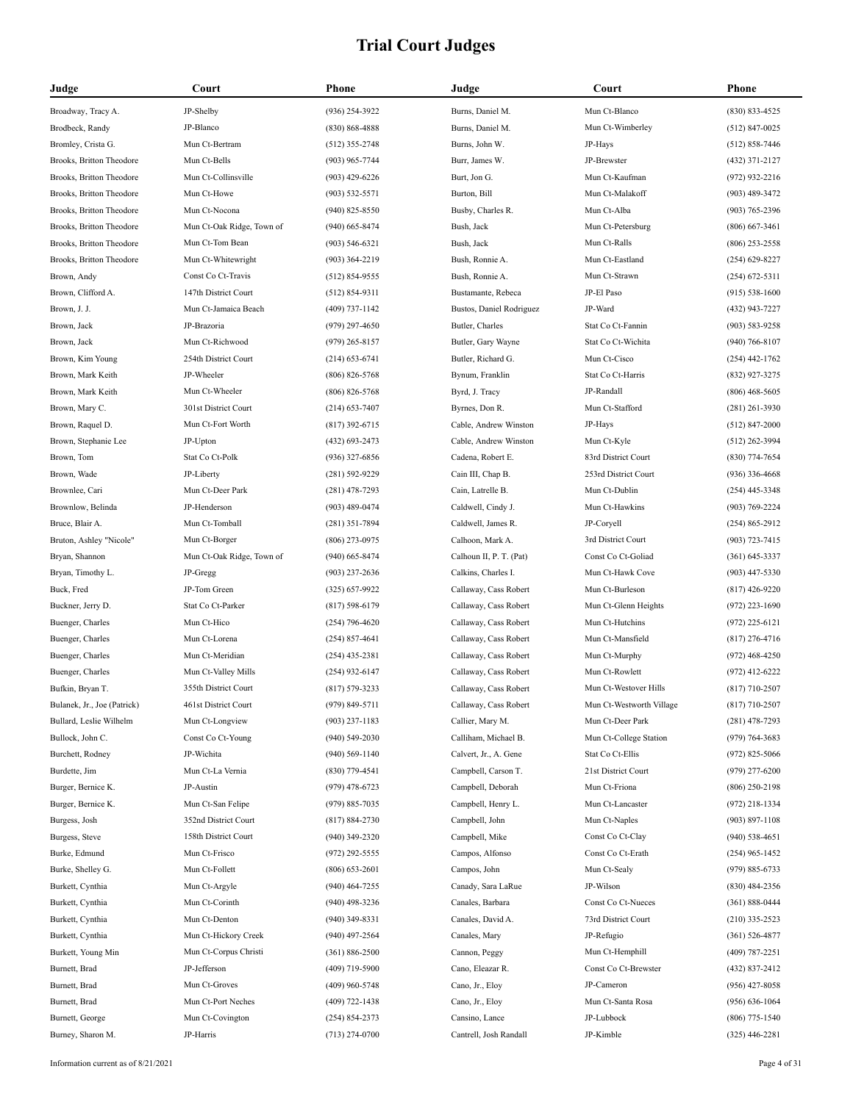| Judge                       | Court                     | Phone              | Judge                    | Court                    | Phone              |
|-----------------------------|---------------------------|--------------------|--------------------------|--------------------------|--------------------|
| Broadway, Tracy A.          | JP-Shelby                 | $(936)$ 254-3922   | Burns, Daniel M.         | Mun Ct-Blanco            | $(830) 833 - 4525$ |
| Brodbeck, Randy             | JP-Blanco                 | $(830) 868 - 4888$ | Burns, Daniel M.         | Mun Ct-Wimberley         | $(512)$ 847-0025   |
| Bromley, Crista G.          | Mun Ct-Bertram            | $(512)$ 355-2748   | Burns, John W.           | JP-Hays                  | $(512) 858 - 7446$ |
| Brooks, Britton Theodore    | Mun Ct-Bells              | (903) 965-7744     | Burr, James W.           | JP-Brewster              | $(432)$ 371-2127   |
| Brooks, Britton Theodore    | Mun Ct-Collinsville       | $(903)$ 429-6226   | Burt, Jon G.             | Mun Ct-Kaufman           | (972) 932-2216     |
| Brooks, Britton Theodore    | Mun Ct-Howe               | $(903) 532 - 5571$ | Burton, Bill             | Mun Ct-Malakoff          | $(903)$ 489-3472   |
| Brooks, Britton Theodore    | Mun Ct-Nocona             | $(940)$ 825-8550   | Busby, Charles R.        | Mun Ct-Alba              | $(903) 765 - 2396$ |
| Brooks, Britton Theodore    | Mun Ct-Oak Ridge, Town of | $(940)$ 665-8474   | Bush, Jack               | Mun Ct-Petersburg        | $(806)$ 667-3461   |
| Brooks, Britton Theodore    | Mun Ct-Tom Bean           | $(903) 546 - 6321$ | Bush, Jack               | Mun Ct-Ralls             | $(806)$ 253-2558   |
| Brooks, Britton Theodore    | Mun Ct-Whitewright        | $(903)$ 364-2219   | Bush, Ronnie A.          | Mun Ct-Eastland          | $(254)$ 629-8227   |
| Brown, Andy                 | Const Co Ct-Travis        | $(512) 854 - 9555$ | Bush, Ronnie A.          | Mun Ct-Strawn            | $(254)$ 672-5311   |
| Brown, Clifford A.          | 147th District Court      | $(512) 854-9311$   | Bustamante, Rebeca       | JP-El Paso               | $(915) 538-1600$   |
| Brown, J. J.                | Mun Ct-Jamaica Beach      | $(409)$ 737-1142   | Bustos, Daniel Rodriguez | JP-Ward                  | (432) 943-7227     |
| Brown, Jack                 | JP-Brazoria               | $(979)$ 297-4650   | Butler, Charles          | Stat Co Ct-Fannin        | $(903) 583 - 9258$ |
| Brown, Jack                 | Mun Ct-Richwood           | $(979)$ 265-8157   | Butler, Gary Wayne       | Stat Co Ct-Wichita       | $(940)$ 766-8107   |
| Brown, Kim Young            | 254th District Court      | $(214)$ 653-6741   | Butler, Richard G.       | Mun Ct-Cisco             | $(254)$ 442-1762   |
| Brown, Mark Keith           | JP-Wheeler                | $(806) 826 - 5768$ | Bynum, Franklin          | Stat Co Ct-Harris        | (832) 927-3275     |
| Brown, Mark Keith           | Mun Ct-Wheeler            | $(806) 826 - 5768$ | Byrd, J. Tracy           | JP-Randall               | $(806)$ 468-5605   |
| Brown, Mary C.              | 301st District Court      | $(214)$ 653-7407   | Byrnes, Don R.           | Mun Ct-Stafford          | $(281)$ 261-3930   |
| Brown, Raquel D.            | Mun Ct-Fort Worth         | $(817)$ 392-6715   | Cable, Andrew Winston    | JP-Hays                  | $(512)$ 847-2000   |
| Brown, Stephanie Lee        | JP-Upton                  | $(432)$ 693-2473   | Cable, Andrew Winston    | Mun Ct-Kyle              | $(512)$ 262-3994   |
| Brown, Tom                  | Stat Co Ct-Polk           | $(936)$ 327-6856   | Cadena, Robert E.        | 83rd District Court      | $(830)$ 774-7654   |
| Brown, Wade                 | JP-Liberty                | $(281) 592 - 9229$ | Cain III, Chap B.        | 253rd District Court     | $(936)$ 336-4668   |
| Brownlee, Cari              | Mun Ct-Deer Park          | $(281)$ 478-7293   | Cain, Latrelle B.        | Mun Ct-Dublin            | $(254)$ 445-3348   |
| Brownlow, Belinda           | JP-Henderson              | $(903)$ 489-0474   | Caldwell, Cindy J.       | Mun Ct-Hawkins           | $(903) 769 - 2224$ |
| Bruce, Blair A.             | Mun Ct-Tomball            | $(281)$ 351-7894   | Caldwell, James R.       | JP-Coryell               | $(254) 865 - 2912$ |
| Bruton, Ashley "Nicole"     | Mun Ct-Borger             | $(806)$ 273-0975   | Calhoon, Mark A.         | 3rd District Court       | $(903) 723 - 7415$ |
| Bryan, Shannon              | Mun Ct-Oak Ridge, Town of | $(940)$ 665-8474   | Calhoun II, P. T. (Pat)  | Const Co Ct-Goliad       | $(361) 645 - 3337$ |
| Bryan, Timothy L.           | JP-Gregg                  | $(903)$ 237-2636   | Calkins, Charles I.      | Mun Ct-Hawk Cove         | $(903)$ 447-5330   |
| Buck, Fred                  | JP-Tom Green              | $(325)$ 657-9922   | Callaway, Cass Robert    | Mun Ct-Burleson          | $(817)$ 426-9220   |
| Buckner, Jerry D.           | Stat Co Ct-Parker         | $(817) 598 - 6179$ | Callaway, Cass Robert    | Mun Ct-Glenn Heights     | $(972)$ 223-1690   |
| Buenger, Charles            | Mun Ct-Hico               | $(254)$ 796-4620   | Callaway, Cass Robert    | Mun Ct-Hutchins          | $(972)$ 225-6121   |
| Buenger, Charles            | Mun Ct-Lorena             | $(254)$ 857-4641   | Callaway, Cass Robert    | Mun Ct-Mansfield         | $(817)$ 276-4716   |
| Buenger, Charles            | Mun Ct-Meridian           | $(254)$ 435-2381   | Callaway, Cass Robert    | Mun Ct-Murphy            | $(972)$ 468-4250   |
| Buenger, Charles            | Mun Ct-Valley Mills       | $(254)$ 932-6147   | Callaway, Cass Robert    | Mun Ct-Rowlett           | $(972)$ 412-6222   |
| Bufkin, Bryan T.            | 355th District Court      | $(817) 579 - 3233$ | Callaway, Cass Robert    | Mun Ct-Westover Hills    | $(817)$ 710-2507   |
| Bulanek, Jr., Joe (Patrick) | 461st District Court      | $(979) 849 - 5711$ | Callaway, Cass Robert    | Mun Ct-Westworth Village | $(817)$ 710-2507   |
| Bullard, Leslie Wilhelm     | Mun Ct-Longview           | $(903)$ 237-1183   | Callier, Mary M.         | Mun Ct-Deer Park         | $(281)$ 478-7293   |
| Bullock, John C.            | Const Co Ct-Young         | $(940) 549 - 2030$ | Calliham, Michael B.     | Mun Ct-College Station   | $(979) 764 - 3683$ |
| Burchett, Rodney            | JP-Wichita                | $(940)$ 569-1140   | Calvert, Jr., A. Gene    | Stat Co Ct-Ellis         | $(972)$ 825-5066   |
| Burdette, Jim               | Mun Ct-La Vernia          | $(830)$ 779-4541   | Campbell, Carson T.      | 21st District Court      | $(979)$ 277-6200   |
| Burger, Bernice K.          | JP-Austin                 | $(979)$ 478-6723   | Campbell, Deborah        | Mun Ct-Friona            | $(806)$ 250-2198   |
| Burger, Bernice K.          | Mun Ct-San Felipe         | $(979) 885 - 7035$ | Campbell, Henry L.       | Mun Ct-Lancaster         | $(972)$ 218-1334   |
| Burgess, Josh               | 352nd District Court      | $(817) 884 - 2730$ | Campbell, John           | Mun Ct-Naples            | $(903) 897 - 1108$ |
| Burgess, Steve              | 158th District Court      | $(940)$ 349-2320   | Campbell, Mike           | Const Co Ct-Clay         | $(940)$ 538-4651   |
| Burke, Edmund               | Mun Ct-Frisco             | $(972)$ 292-5555   | Campos, Alfonso          | Const Co Ct-Erath        | $(254)$ 965-1452   |
| Burke, Shelley G.           | Mun Ct-Follett            | $(806) 653 - 2601$ | Campos, John             | Mun Ct-Sealy             | $(979) 885 - 6733$ |
| Burkett, Cynthia            | Mun Ct-Argyle             | $(940)$ 464-7255   | Canady, Sara LaRue       | JP-Wilson                | $(830)$ 484-2356   |
| Burkett, Cynthia            | Mun Ct-Corinth            | $(940)$ 498-3236   | Canales, Barbara         | Const Co Ct-Nueces       | $(361) 888 - 0444$ |
| Burkett, Cynthia            | Mun Ct-Denton             | $(940)$ 349-8331   | Canales, David A.        | 73rd District Court      | $(210)$ 335-2523   |
| Burkett, Cynthia            | Mun Ct-Hickory Creek      | $(940)$ 497-2564   | Canales, Mary            | JP-Refugio               | $(361) 526 - 4877$ |
| Burkett, Young Min          | Mun Ct-Corpus Christi     | $(361) 886 - 2500$ | Cannon, Peggy            | Mun Ct-Hemphill          | $(409)$ 787-2251   |
| Burnett, Brad               | JP-Jefferson              | $(409)$ 719-5900   | Cano, Eleazar R.         | Const Co Ct-Brewster     | (432) 837-2412     |
| Burnett, Brad               | Mun Ct-Groves             | $(409)$ 960-5748   | Cano, Jr., Eloy          | JP-Cameron               | $(956)$ 427-8058   |
| Burnett, Brad               | Mun Ct-Port Neches        | $(409)$ 722-1438   | Cano, Jr., Eloy          | Mun Ct-Santa Rosa        | $(956) 636 - 1064$ |
| Burnett, George             | Mun Ct-Covington          | $(254) 854 - 2373$ | Cansino, Lance           | JP-Lubbock               | $(806)$ 775-1540   |
| Burney, Sharon M.           | JP-Harris                 | $(713)$ 274-0700   | Cantrell, Josh Randall   | JP-Kimble                | $(325)$ 446-2281   |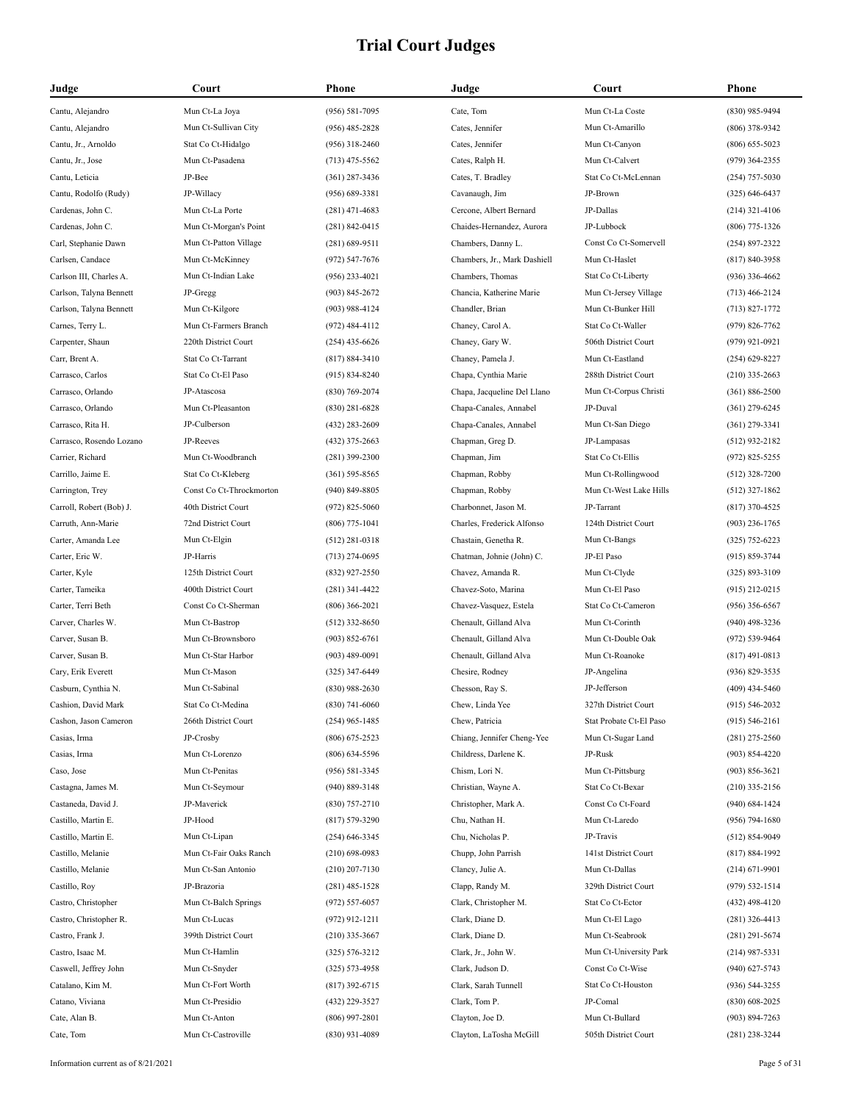| Judge                                    | Court                    | Phone                                | Judge                              | Court                      | Phone              |
|------------------------------------------|--------------------------|--------------------------------------|------------------------------------|----------------------------|--------------------|
| Cantu, Alejandro                         | Mun Ct-La Joya           | $(956) 581 - 7095$                   | Cate, Tom                          | Mun Ct-La Coste            | (830) 985-9494     |
| Cantu, Alejandro                         | Mun Ct-Sullivan City     | $(956)$ 485-2828                     | Cates, Jennifer                    | Mun Ct-Amarillo            | $(806)$ 378-9342   |
| Cantu, Jr., Arnoldo                      | Stat Co Ct-Hidalgo       | $(956)$ 318-2460                     | Cates, Jennifer                    | Mun Ct-Canyon              | $(806)$ 655-5023   |
| Cantu, Jr., Jose                         | Mun Ct-Pasadena          | $(713)$ 475-5562                     | Cates, Ralph H.                    | Mun Ct-Calvert             | $(979)$ 364-2355   |
| Cantu, Leticia                           | JP-Bee                   | $(361)$ 287-3436                     | Cates, T. Bradley                  | Stat Co Ct-McLennan        | $(254)$ 757-5030   |
| Cantu, Rodolfo (Rudy)                    | JP-Willacy               | $(956) 689 - 3381$                   | Cavanaugh, Jim                     | JP-Brown                   | $(325) 646 - 6437$ |
| Cardenas, John C.                        | Mun Ct-La Porte          | $(281)$ 471-4683                     | Cercone, Albert Bernard            | JP-Dallas                  | $(214)$ 321-4106   |
| Cardenas, John C.                        | Mun Ct-Morgan's Point    | $(281) 842 - 0415$                   | Chaides-Hernandez, Aurora          | JP-Lubbock                 | $(806)$ 775-1326   |
| Carl, Stephanie Dawn                     | Mun Ct-Patton Village    | $(281) 689 - 9511$                   | Chambers, Danny L.                 | Const Co Ct-Somervell      | $(254) 897 - 2322$ |
| Carlsen, Candace                         | Mun Ct-McKinney          | $(972) 547 - 7676$                   | Chambers, Jr., Mark Dashiell       | Mun Ct-Haslet              | $(817) 840 - 3958$ |
| Carlson III, Charles A.                  | Mun Ct-Indian Lake       | $(956)$ 233-4021                     | Chambers, Thomas                   | Stat Co Ct-Liberty         | $(936)$ 336-4662   |
| Carlson, Talyna Bennett                  | JP-Gregg                 | $(903) 845 - 2672$                   | Chancia, Katherine Marie           | Mun Ct-Jersey Village      | $(713)$ 466-2124   |
| Carlson, Talyna Bennett                  | Mun Ct-Kilgore           | $(903)$ 988-4124                     | Chandler, Brian                    | Mun Ct-Bunker Hill         | $(713) 827 - 1772$ |
| Carnes, Terry L.                         | Mun Ct-Farmers Branch    | $(972)$ 484-4112                     | Chaney, Carol A.                   | Stat Co Ct-Waller          | $(979)$ 826-7762   |
| Carpenter, Shaun                         | 220th District Court     | $(254)$ 435-6626                     | Chaney, Gary W.                    | 506th District Court       | $(979)$ 921-0921   |
| Carr, Brent A.                           | Stat Co Ct-Tarrant       | $(817) 884 - 3410$                   | Chaney, Pamela J.                  | Mun Ct-Eastland            | $(254)$ 629-8227   |
| Carrasco, Carlos                         | Stat Co Ct-El Paso       | $(915) 834 - 8240$                   | Chapa, Cynthia Marie               | 288th District Court       | $(210)$ 335-2663   |
| Carrasco, Orlando                        | JP-Atascosa              | $(830)$ 769-2074                     | Chapa, Jacqueline Del Llano        | Mun Ct-Corpus Christi      | $(361) 886 - 2500$ |
| Carrasco, Orlando                        | Mun Ct-Pleasanton        | $(830)$ 281-6828                     | Chapa-Canales, Annabel             | JP-Duval                   | $(361)$ 279-6245   |
| Carrasco, Rita H.                        | JP-Culberson             | $(432)$ 283-2609                     | Chapa-Canales, Annabel             | Mun Ct-San Diego           | $(361)$ 279-3341   |
| Carrasco, Rosendo Lozano                 | JP-Reeves                | $(432)$ 375-2663                     | Chapman, Greg D.                   | JP-Lampasas                | $(512)$ 932-2182   |
| Carrier, Richard                         | Mun Ct-Woodbranch        | $(281)$ 399-2300                     | Chapman, Jim                       | Stat Co Ct-Ellis           | $(972)$ 825-5255   |
| Carrillo, Jaime E.                       | Stat Co Ct-Kleberg       | $(361) 595 - 8565$                   | Chapman, Robby                     | Mun Ct-Rollingwood         | $(512)$ 328-7200   |
| Carrington, Trey                         | Const Co Ct-Throckmorton | $(940)$ 849-8805                     | Chapman, Robby                     | Mun Ct-West Lake Hills     | $(512)$ 327-1862   |
| Carroll, Robert (Bob) J.                 | 40th District Court      | $(972)$ 825-5060                     | Charbonnet, Jason M.               | JP-Tarrant                 | $(817)$ 370-4525   |
| Carruth, Ann-Marie                       | 72nd District Court      | $(806)$ 775-1041                     | Charles, Frederick Alfonso         | 124th District Court       | $(903)$ 236-1765   |
| Carter, Amanda Lee                       | Mun Ct-Elgin             | $(512)$ 281-0318                     | Chastain, Genetha R.               | Mun Ct-Bangs               | $(325)$ 752-6223   |
| Carter, Eric W.                          | JP-Harris                | $(713)$ 274-0695                     | Chatman, Johnie (John) C.          | JP-El Paso                 | $(915) 859 - 3744$ |
| Carter, Kyle                             | 125th District Court     | $(832)$ 927-2550                     | Chavez, Amanda R.                  | Mun Ct-Clyde               | $(325) 893 - 3109$ |
| Carter, Tameika                          | 400th District Court     | $(281)$ 341-4422                     | Chavez-Soto, Marina                | Mun Ct-El Paso             | $(915)$ 212-0215   |
| Carter, Terri Beth                       | Const Co Ct-Sherman      | $(806)$ 366-2021                     | Chavez-Vasquez, Estela             | Stat Co Ct-Cameron         | $(956)$ 356-6567   |
| Carver, Charles W.                       | Mun Ct-Bastrop           | $(512)$ 332-8650                     | Chenault, Gilland Alva             | Mun Ct-Corinth             | $(940)$ 498-3236   |
| Carver, Susan B.                         | Mun Ct-Brownsboro        | $(903) 852 - 6761$                   | Chenault, Gilland Alva             | Mun Ct-Double Oak          | $(972) 539 - 9464$ |
| Carver, Susan B.                         | Mun Ct-Star Harbor       | $(903)$ 489-0091                     | Chenault, Gilland Alva             | Mun Ct-Roanoke             | $(817)$ 491-0813   |
| Cary, Erik Everett                       | Mun Ct-Mason             | $(325)$ 347-6449                     | Chesire, Rodney                    | JP-Angelina                | $(936)$ 829-3535   |
| Casburn, Cynthia N.                      | Mun Ct-Sabinal           | $(830)$ 988-2630                     | Chesson, Ray S.                    | JP-Jefferson               | $(409)$ 434-5460   |
| Cashion, David Mark                      | Stat Co Ct-Medina        | $(830)$ 741-6060                     | Chew, Linda Yee                    | 327th District Court       | $(915) 546 - 2032$ |
| Cashon, Jason Cameron                    | 266th District Court     | $(254)$ 965-1485                     | Chew, Patricia                     | Stat Probate Ct-El Paso    | $(915) 546 - 2161$ |
| Casias, Irma                             | JP-Crosby                | $(806)$ 675-2523                     | Chiang, Jennifer Cheng-Yee         | Mun Ct-Sugar Land          | $(281)$ 275-2560   |
| Casias, Irma                             | Mun Ct-Lorenzo           | $(806)$ 634-5596                     | Childress, Darlene K.              | JP-Rusk                    | $(903) 854 - 4220$ |
| Caso, Jose                               | Mun Ct-Penitas           | $(956) 581 - 3345$                   | Chism, Lori N.                     | Mun Ct-Pittsburg           | $(903) 856 - 3621$ |
| Castagna, James M.                       | Mun Ct-Seymour           | $(940) 889 - 3148$                   | Christian, Wayne A.                | Stat Co Ct-Bexar           | $(210)$ 335-2156   |
| Castaneda, David J.                      | JP-Maverick              | $(830)$ 757-2710                     | Christopher, Mark A.               | Const Co Ct-Foard          | $(940) 684 - 1424$ |
|                                          | JP-Hood                  |                                      |                                    |                            |                    |
| Castillo, Martin E.                      | Mun Ct-Lipan             | $(817) 579 - 3290$                   | Chu, Nathan H.<br>Chu, Nicholas P. | Mun Ct-Laredo<br>JP-Travis | $(956) 794 - 1680$ |
| Castillo, Martin E.<br>Castillo, Melanie | Mun Ct-Fair Oaks Ranch   | $(254)$ 646-3345<br>$(210)$ 698-0983 |                                    | 141st District Court       | $(512) 854-9049$   |
|                                          | Mun Ct-San Antonio       | $(210)$ 207-7130                     | Chupp, John Parrish                | Mun Ct-Dallas              | $(817) 884 - 1992$ |
| Castillo, Melanie                        |                          |                                      | Clancy, Julie A.                   |                            | $(214) 671 - 9901$ |
| Castillo, Roy                            | JP-Brazoria              | $(281)$ 485-1528                     | Clapp, Randy M.                    | 329th District Court       | (979) 532-1514     |
| Castro, Christopher                      | Mun Ct-Balch Springs     | $(972) 557 - 6057$                   | Clark, Christopher M.              | Stat Co Ct-Ector           | $(432)$ 498-4120   |
| Castro, Christopher R.                   | Mun Ct-Lucas             | $(972)$ 912-1211                     | Clark, Diane D.                    | Mun Ct-El Lago             | $(281)$ 326-4413   |
| Castro, Frank J.                         | 399th District Court     | $(210)$ 335-3667                     | Clark, Diane D.                    | Mun Ct-Seabrook            | $(281)$ 291-5674   |
| Castro, Isaac M.                         | Mun Ct-Hamlin            | $(325) 576 - 3212$                   | Clark, Jr., John W.                | Mun Ct-University Park     | $(214)$ 987-5331   |
| Caswell, Jeffrey John                    | Mun Ct-Snyder            | $(325) 573 - 4958$                   | Clark, Judson D.                   | Const Co Ct-Wise           | $(940)$ 627-5743   |
| Catalano, Kim M.                         | Mun Ct-Fort Worth        | $(817)$ 392-6715                     | Clark, Sarah Tunnell               | Stat Co Ct-Houston         | $(936) 544 - 3255$ |
| Catano, Viviana                          | Mun Ct-Presidio          | (432) 229-3527                       | Clark, Tom P.                      | JP-Comal                   | $(830)$ 608-2025   |
| Cate, Alan B.                            | Mun Ct-Anton             | $(806)$ 997-2801                     | Clayton, Joe D.                    | Mun Ct-Bullard             | $(903) 894 - 7263$ |
| Cate, Tom                                | Mun Ct-Castroville       | $(830)$ 931-4089                     | Clayton, LaTosha McGill            | 505th District Court       | $(281)$ 238-3244   |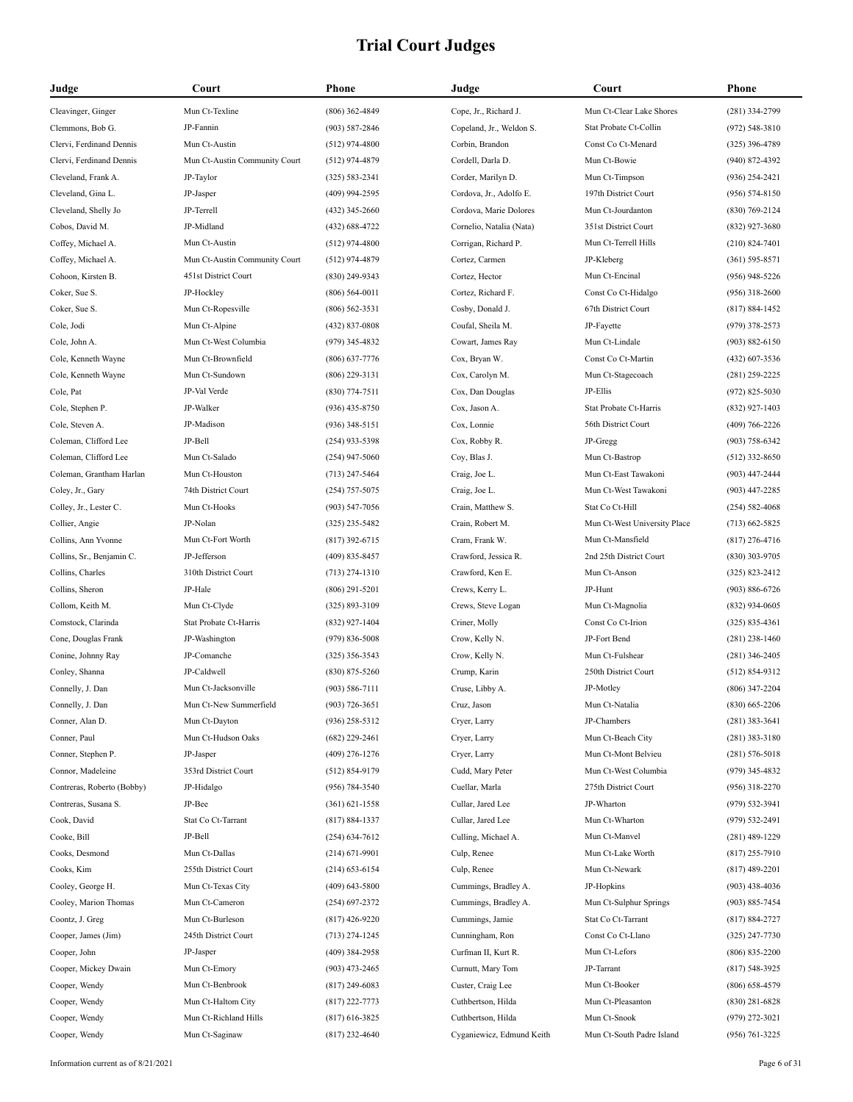| Judge                      | Court                         | Phone              | Judge                     | Court                        | <b>Phone</b>       |
|----------------------------|-------------------------------|--------------------|---------------------------|------------------------------|--------------------|
| Cleavinger, Ginger         | Mun Ct-Texline                | $(806)$ 362-4849   | Cope, Jr., Richard J.     | Mun Ct-Clear Lake Shores     | (281) 334-2799     |
| Clemmons, Bob G.           | JP-Fannin                     | $(903) 587 - 2846$ | Copeland, Jr., Weldon S.  | Stat Probate Ct-Collin       | $(972) 548 - 3810$ |
| Clervi, Ferdinand Dennis   | Mun Ct-Austin                 | $(512)$ 974-4800   | Corbin, Brandon           | Const Co Ct-Menard           | $(325)$ 396-4789   |
| Clervi, Ferdinand Dennis   | Mun Ct-Austin Community Court | $(512)$ 974-4879   | Cordell, Darla D.         | Mun Ct-Bowie                 | $(940)$ 872-4392   |
| Cleveland, Frank A.        | JP-Taylor                     | $(325) 583 - 2341$ | Corder, Marilyn D.        | Mun Ct-Timpson               | $(936)$ 254-2421   |
| Cleveland, Gina L.         | JP-Jasper                     | (409) 994-2595     | Cordova, Jr., Adolfo E.   | 197th District Court         | $(956) 574 - 8150$ |
| Cleveland, Shelly Jo       | JP-Terrell                    | $(432)$ 345-2660   | Cordova, Marie Dolores    | Mun Ct-Jourdanton            | $(830)$ 769-2124   |
| Cobos, David M.            | JP-Midland                    | (432) 688-4722     | Cornelio, Natalia (Nata)  | 351st District Court         | $(832)$ 927-3680   |
| Coffey, Michael A.         | Mun Ct-Austin                 | $(512)$ 974-4800   | Corrigan, Richard P.      | Mun Ct-Terrell Hills         | $(210) 824 - 7401$ |
| Coffey, Michael A.         | Mun Ct-Austin Community Court | $(512)$ 974-4879   | Cortez, Carmen            | JP-Kleberg                   | $(361) 595 - 8571$ |
| Cohoon, Kirsten B.         | 451st District Court          | (830) 249-9343     | Cortez, Hector            | Mun Ct-Encinal               | $(956)$ 948-5226   |
| Coker, Sue S.              | JP-Hockley                    | $(806) 564 - 0011$ | Cortez, Richard F.        | Const Co Ct-Hidalgo          | $(956)$ 318-2600   |
| Coker, Sue S.              | Mun Ct-Ropesville             | $(806) 562 - 3531$ | Cosby, Donald J.          | 67th District Court          | $(817) 884 - 1452$ |
| Cole, Jodi                 | Mun Ct-Alpine                 | (432) 837-0808     | Coufal, Sheila M.         | JP-Fayette                   | $(979)$ 378-2573   |
| Cole, John A.              | Mun Ct-West Columbia          | $(979)$ 345-4832   | Cowart, James Ray         | Mun Ct-Lindale               | $(903) 882 - 6150$ |
| Cole, Kenneth Wayne        | Mun Ct-Brownfield             | $(806)$ 637-7776   | Cox, Bryan W.             | Const Co Ct-Martin           | $(432)$ 607-3536   |
| Cole, Kenneth Wayne        | Mun Ct-Sundown                | $(806)$ 229-3131   | Cox, Carolyn M.           | Mun Ct-Stagecoach            | $(281)$ 259-2225   |
| Cole, Pat                  | JP-Val Verde                  | $(830)$ 774-7511   | Cox, Dan Douglas          | JP-Ellis                     | $(972)$ 825-5030   |
| Cole, Stephen P.           | JP-Walker                     | $(936)$ 435-8750   | Cox, Jason A.             | Stat Probate Ct-Harris       | $(832)$ 927-1403   |
| Cole, Steven A.            | JP-Madison                    | $(936)$ 348-5151   | Cox, Lonnie               | 56th District Court          | $(409) 766 - 2226$ |
| Coleman, Clifford Lee      | JP-Bell                       | (254) 933-5398     | Cox, Robby R.             | JP-Gregg                     | $(903) 758 - 6342$ |
| Coleman, Clifford Lee      | Mun Ct-Salado                 | $(254)$ 947-5060   | Coy, Blas J.              | Mun Ct-Bastrop               | $(512)$ 332-8650   |
| Coleman, Grantham Harlan   | Mun Ct-Houston                | $(713)$ 247-5464   | Craig, Joe L.             | Mun Ct-East Tawakoni         | $(903)$ 447-2444   |
| Coley, Jr., Gary           | 74th District Court           | $(254)$ 757-5075   | Craig, Joe L.             | Mun Ct-West Tawakoni         | $(903)$ 447-2285   |
| Colley, Jr., Lester C.     | Mun Ct-Hooks                  | (903) 547-7056     | Crain, Matthew S.         | Stat Co Ct-Hill              | $(254) 582 - 4068$ |
| Collier, Angie             | JP-Nolan                      | $(325)$ 235-5482   | Crain, Robert M.          | Mun Ct-West University Place | $(713) 662 - 5825$ |
| Collins, Ann Yvonne        | Mun Ct-Fort Worth             | $(817)$ 392-6715   | Cram, Frank W.            | Mun Ct-Mansfield             | $(817)$ 276-4716   |
| Collins, Sr., Benjamin C.  | JP-Jefferson                  | $(409)$ 835-8457   | Crawford, Jessica R.      | 2nd 25th District Court      | $(830)$ 303-9705   |
| Collins, Charles           | 310th District Court          | $(713)$ 274-1310   | Crawford, Ken E.          | Mun Ct-Anson                 | $(325) 823 - 2412$ |
| Collins, Sheron            | JP-Hale                       | $(806)$ 291-5201   | Crews, Kerry L.           | JP-Hunt                      | $(903) 886 - 6726$ |
| Collom, Keith M.           | Mun Ct-Clyde                  | $(325) 893 - 3109$ | Crews, Steve Logan        | Mun Ct-Magnolia              | $(832)$ 934-0605   |
| Comstock, Clarinda         | Stat Probate Ct-Harris        | $(832)$ 927-1404   | Criner, Molly             | Const Co Ct-Irion            | $(325) 835 - 4361$ |
| Cone, Douglas Frank        | JP-Washington                 | $(979) 836 - 5008$ | Crow, Kelly N.            | JP-Fort Bend                 | $(281)$ 238-1460   |
| Conine, Johnny Ray         | JP-Comanche                   | $(325)$ 356-3543   | Crow, Kelly N.            | Mun Ct-Fulshear              | $(281)$ 346-2405   |
| Conley, Shanna             | JP-Caldwell                   | $(830)$ 875-5260   | Crump, Karin              | 250th District Court         | $(512) 854-9312$   |
| Connelly, J. Dan           | Mun Ct-Jacksonville           | $(903) 586 - 7111$ | Cruse, Libby A.           | JP-Motley                    | $(806)$ 347-2204   |
| Connelly, J. Dan           | Mun Ct-New Summerfield        | $(903) 726 - 3651$ | Cruz, Jason               | Mun Ct-Natalia               | $(830)$ 665-2206   |
| Conner, Alan D.            | Mun Ct-Dayton                 | $(936)$ 258-5312   | Cryer, Larry              | JP-Chambers                  | $(281)$ 383-3641   |
| Conner, Paul               | Mun Ct-Hudson Oaks            | $(682)$ 229-2461   | Cryer, Larry              | Mun Ct-Beach City            | $(281)$ 383-3180   |
| Conner, Stephen P.         | JP-Jasper                     | $(409)$ 276-1276   | Cryer, Larry              | Mun Ct-Mont Belvieu          | $(281) 576 - 5018$ |
| Connor, Madeleine          | 353rd District Court          | $(512) 854 - 9179$ | Cudd, Mary Peter          | Mun Ct-West Columbia         | $(979)$ 345-4832   |
| Contreras, Roberto (Bobby) | JP-Hidalgo                    | (956) 784-3540     | Cuellar, Marla            | 275th District Court         | $(956)$ 318-2270   |
| Contreras, Susana S.       | JP-Bee                        | $(361) 621 - 1558$ | Cullar, Jared Lee         | JP-Wharton                   | $(979) 532 - 3941$ |
| Cook, David                | Stat Co Ct-Tarrant            | $(817) 884 - 1337$ | Cullar, Jared Lee         | Mun Ct-Wharton               | (979) 532-2491     |
| Cooke, Bill                | JP-Bell                       | $(254) 634 - 7612$ | Culling, Michael A.       | Mun Ct-Manvel                | $(281)$ 489-1229   |
| Cooks, Desmond             | Mun Ct-Dallas                 | $(214) 671 - 9901$ | Culp, Renee               | Mun Ct-Lake Worth            | $(817)$ 255-7910   |
| Cooks, Kim                 | 255th District Court          | $(214) 653 - 6154$ | Culp, Renee               | Mun Ct-Newark                | $(817)$ 489-2201   |
| Cooley, George H.          | Mun Ct-Texas City             | $(409)$ 643-5800   | Cummings, Bradley A.      | JP-Hopkins                   | $(903)$ 438-4036   |
| Cooley, Marion Thomas      | Mun Ct-Cameron                | $(254)$ 697-2372   | Cummings, Bradley A.      | Mun Ct-Sulphur Springs       | $(903) 885 - 7454$ |
| Coontz, J. Greg            | Mun Ct-Burleson               | $(817)$ 426-9220   | Cummings, Jamie           | Stat Co Ct-Tarrant           | $(817) 884 - 2727$ |
| Cooper, James (Jim)        | 245th District Court          | $(713)$ 274-1245   | Cunningham, Ron           | Const Co Ct-Llano            | $(325)$ 247-7730   |
| Cooper, John               | JP-Jasper                     | (409) 384-2958     | Curfman II, Kurt R.       | Mun Ct-Lefors                | $(806) 835 - 2200$ |
| Cooper, Mickey Dwain       | Mun Ct-Emory                  | $(903)$ 473-2465   | Curnutt, Mary Tom         | JP-Tarrant                   | $(817) 548 - 3925$ |
| Cooper, Wendy              | Mun Ct-Benbrook               | $(817)$ 249-6083   | Custer, Craig Lee         | Mun Ct-Booker                | $(806)$ 658-4579   |
| Cooper, Wendy              | Mun Ct-Haltom City            | $(817)$ 222-7773   | Cuthbertson, Hilda        | Mun Ct-Pleasanton            | $(830)$ 281-6828   |
| Cooper, Wendy              | Mun Ct-Richland Hills         | $(817)$ 616-3825   | Cuthbertson, Hilda        | Mun Ct-Snook                 | $(979)$ 272-3021   |
| Cooper, Wendy              | Mun Ct-Saginaw                | $(817)$ 232-4640   | Cyganiewicz, Edmund Keith | Mun Ct-South Padre Island    | $(956) 761 - 3225$ |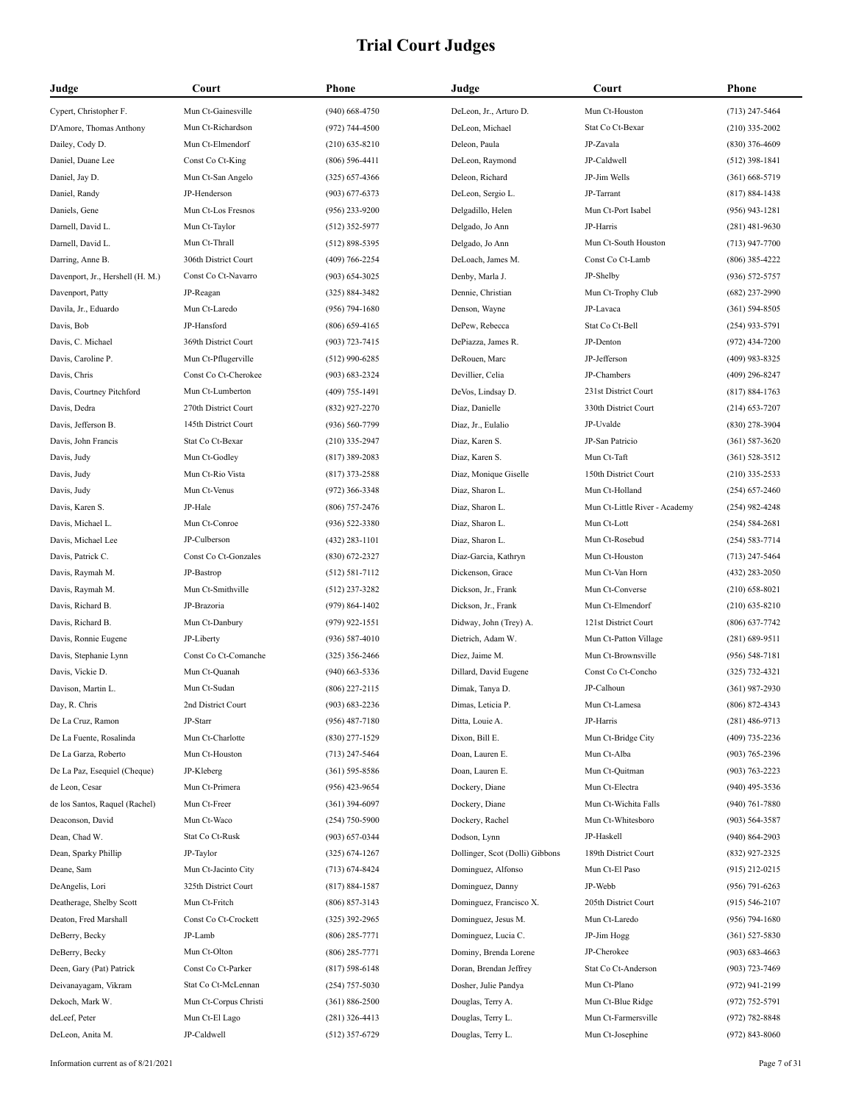| Judge                            | Court                 | Phone              | Judge                           | Court                         | <b>Phone</b>       |
|----------------------------------|-----------------------|--------------------|---------------------------------|-------------------------------|--------------------|
| Cypert, Christopher F.           | Mun Ct-Gainesville    | $(940)$ 668-4750   | DeLeon, Jr., Arturo D.          | Mun Ct-Houston                | $(713)$ 247-5464   |
| D'Amore, Thomas Anthony          | Mun Ct-Richardson     | $(972) 744 - 4500$ | DeLeon, Michael                 | Stat Co Ct-Bexar              | $(210)$ 335-2002   |
| Dailey, Cody D.                  | Mun Ct-Elmendorf      | $(210)$ 635-8210   | Deleon, Paula                   | JP-Zavala                     | $(830)$ 376-4609   |
| Daniel, Duane Lee                | Const Co Ct-King      | $(806)$ 596-4411   | DeLeon, Raymond                 | JP-Caldwell                   | $(512)$ 398-1841   |
| Daniel, Jay D.                   | Mun Ct-San Angelo     | $(325) 657 - 4366$ | Deleon, Richard                 | JP-Jim Wells                  | $(361)$ 668-5719   |
| Daniel, Randy                    | JP-Henderson          | $(903) 677 - 6373$ | DeLeon, Sergio L.               | JP-Tarrant                    | $(817) 884 - 1438$ |
| Daniels, Gene                    | Mun Ct-Los Fresnos    | $(956)$ 233-9200   | Delgadillo, Helen               | Mun Ct-Port Isabel            | $(956)$ 943-1281   |
| Darnell, David L.                | Mun Ct-Taylor         | $(512)$ 352-5977   | Delgado, Jo Ann                 | JP-Harris                     | $(281)$ 481-9630   |
| Darnell, David L.                | Mun Ct-Thrall         | $(512) 898 - 5395$ | Delgado, Jo Ann                 | Mun Ct-South Houston          | $(713)$ 947-7700   |
| Darring, Anne B.                 | 306th District Court  | $(409) 766 - 2254$ | DeLoach, James M.               | Const Co Ct-Lamb              | $(806)$ 385-4222   |
| Davenport, Jr., Hershell (H. M.) | Const Co Ct-Navarro   | $(903) 654 - 3025$ | Denby, Marla J.                 | JP-Shelby                     | $(936) 572 - 5757$ |
| Davenport, Patty                 | JP-Reagan             | $(325) 884 - 3482$ | Dennie, Christian               | Mun Ct-Trophy Club            | $(682)$ 237-2990   |
| Davila, Jr., Eduardo             | Mun Ct-Laredo         | $(956) 794 - 1680$ | Denson, Wayne                   | JP-Lavaca                     | $(361) 594 - 8505$ |
| Davis, Bob                       | JP-Hansford           | $(806) 659 - 4165$ | DePew, Rebecca                  | Stat Co Ct-Bell               | $(254)$ 933-5791   |
| Davis, C. Michael                | 369th District Court  | $(903) 723 - 7415$ | DePiazza, James R.              | JP-Denton                     | $(972)$ 434-7200   |
| Davis, Caroline P.               | Mun Ct-Pflugerville   | $(512)$ 990-6285   | DeRouen, Marc                   | JP-Jefferson                  | $(409)$ 983-8325   |
| Davis, Chris                     | Const Co Ct-Cherokee  | $(903) 683 - 2324$ | Devillier, Celia                | JP-Chambers                   | $(409)$ 296-8247   |
| Davis, Courtney Pitchford        | Mun Ct-Lumberton      | $(409)$ 755-1491   | DeVos, Lindsay D.               | 231st District Court          | $(817) 884 - 1763$ |
| Davis, Dedra                     | 270th District Court  | (832) 927-2270     | Diaz, Danielle                  | 330th District Court          | $(214)$ 653-7207   |
| Davis, Jefferson B.              | 145th District Court  | $(936) 560 - 7799$ | Diaz, Jr., Eulalio              | JP-Uvalde                     | $(830)$ 278-3904   |
| Davis, John Francis              | Stat Co Ct-Bexar      | $(210)$ 335-2947   | Diaz, Karen S.                  | JP-San Patricio               | $(361) 587 - 3620$ |
| Davis, Judy                      | Mun Ct-Godley         | $(817)$ 389-2083   | Diaz, Karen S.                  | Mun Ct-Taft                   | $(361) 528 - 3512$ |
| Davis, Judy                      | Mun Ct-Rio Vista      | $(817)$ 373-2588   | Diaz, Monique Giselle           | 150th District Court          | $(210)$ 335-2533   |
| Davis, Judy                      | Mun Ct-Venus          | $(972)$ 366-3348   | Diaz, Sharon L.                 | Mun Ct-Holland                | $(254)$ 657-2460   |
| Davis, Karen S.                  | JP-Hale               | $(806)$ 757-2476   | Diaz, Sharon L.                 | Mun Ct-Little River - Academy | $(254)$ 982-4248   |
| Davis, Michael L.                | Mun Ct-Conroe         | $(936) 522 - 3380$ | Diaz, Sharon L.                 | Mun Ct-Lott                   | $(254) 584 - 2681$ |
| Davis, Michael Lee               | JP-Culberson          | $(432)$ 283-1101   | Diaz, Sharon L.                 | Mun Ct-Rosebud                | $(254) 583 - 7714$ |
| Davis, Patrick C.                | Const Co Ct-Gonzales  | $(830)$ 672-2327   | Diaz-Garcia, Kathryn            | Mun Ct-Houston                | $(713)$ 247-5464   |
| Davis, Raymah M.                 | JP-Bastrop            | $(512) 581 - 7112$ | Dickenson, Grace                | Mun Ct-Van Horn               | $(432)$ 283-2050   |
| Davis, Raymah M.                 | Mun Ct-Smithville     | $(512)$ 237-3282   | Dickson, Jr., Frank             | Mun Ct-Converse               | $(210)$ 658-8021   |
| Davis, Richard B.                | JP-Brazoria           | $(979) 864 - 1402$ | Dickson, Jr., Frank             | Mun Ct-Elmendorf              | $(210)$ 635-8210   |
| Davis, Richard B.                | Mun Ct-Danbury        | $(979)$ 922-1551   | Didway, John (Trey) A.          | 121st District Court          | $(806)$ 637-7742   |
| Davis, Ronnie Eugene             | JP-Liberty            | $(936) 587 - 4010$ | Dietrich, Adam W.               | Mun Ct-Patton Village         | $(281)$ 689-9511   |
| Davis, Stephanie Lynn            | Const Co Ct-Comanche  | $(325)$ 356-2466   | Diez, Jaime M.                  | Mun Ct-Brownsville            | $(956) 548 - 7181$ |
| Davis, Vickie D.                 | Mun Ct-Quanah         | $(940)$ 663-5336   | Dillard, David Eugene           | Const Co Ct-Concho            | $(325) 732 - 4321$ |
| Davison, Martin L.               | Mun Ct-Sudan          | $(806)$ 227-2115   | Dimak, Tanya D.                 | JP-Calhoun                    | $(361)$ 987-2930   |
| Day, R. Chris                    | 2nd District Court    | $(903) 683 - 2236$ | Dimas, Leticia P.               | Mun Ct-Lamesa                 | $(806)$ 872-4343   |
| De La Cruz, Ramon                | JP-Starr              | $(956)$ 487-7180   | Ditta, Louie A.                 | JP-Harris                     | $(281)$ 486-9713   |
| De La Fuente, Rosalinda          | Mun Ct-Charlotte      | $(830)$ 277-1529   | Dixon, Bill E.                  | Mun Ct-Bridge City            | $(409)$ 735-2236   |
| De La Garza, Roberto             | Mun Ct-Houston        | $(713)$ 247-5464   | Doan, Lauren E.                 | Mun Ct-Alba                   | $(903) 765 - 2396$ |
| De La Paz, Esequiel (Cheque)     | JP-Kleberg            | $(361) 595 - 8586$ | Doan, Lauren E.                 | Mun Ct-Quitman                | $(903) 763 - 2223$ |
| de Leon, Cesar                   | Mun Ct-Primera        | $(956)$ 423-9654   | Dockery, Diane                  | Mun Ct-Electra                | $(940)$ 495-3536   |
| de los Santos, Raquel (Rachel)   | Mun Ct-Freer          | $(361)$ 394-6097   | Dockery, Diane                  | Mun Ct-Wichita Falls          | $(940) 761 - 7880$ |
| Deaconson, David                 | Mun Ct-Waco           | $(254)$ 750-5900   | Dockery, Rachel                 | Mun Ct-Whitesboro             | $(903) 564 - 3587$ |
| Dean, Chad W.                    | Stat Co Ct-Rusk       | $(903) 657 - 0344$ | Dodson, Lynn                    | JP-Haskell                    | $(940) 864 - 2903$ |
| Dean, Sparky Phillip             | JP-Taylor             | $(325) 674 - 1267$ | Dollinger, Scot (Dolli) Gibbons | 189th District Court          | (832) 927-2325     |
| Deane, Sam                       | Mun Ct-Jacinto City   | $(713) 674 - 8424$ | Dominguez, Alfonso              | Mun Ct-El Paso                | $(915)$ 212-0215   |
| DeAngelis, Lori                  | 325th District Court  | $(817) 884 - 1587$ | Dominguez, Danny                | JP-Webb                       | $(956) 791 - 6263$ |
| Deatherage, Shelby Scott         | Mun Ct-Fritch         | $(806) 857 - 3143$ | Dominguez, Francisco X.         | 205th District Court          | $(915) 546 - 2107$ |
| Deaton, Fred Marshall            | Const Co Ct-Crockett  | $(325)$ 392-2965   | Dominguez, Jesus M.             | Mun Ct-Laredo                 | $(956) 794 - 1680$ |
| DeBerry, Becky                   | JP-Lamb               | $(806)$ 285-7771   | Dominguez, Lucia C.             | JP-Jim Hogg                   | $(361)$ 527-5830   |
| DeBerry, Becky                   | Mun Ct-Olton          | $(806)$ 285-7771   | Dominy, Brenda Lorene           | JP-Cherokee                   | $(903) 683 - 4663$ |
| Deen, Gary (Pat) Patrick         | Const Co Ct-Parker    | $(817) 598 - 6148$ | Doran, Brendan Jeffrey          | Stat Co Ct-Anderson           | $(903) 723 - 7469$ |
| Deivanayagam, Vikram             | Stat Co Ct-McLennan   | $(254)$ 757-5030   | Dosher, Julie Pandya            | Mun Ct-Plano                  | $(972)$ 941-2199   |
| Dekoch, Mark W.                  | Mun Ct-Corpus Christi | $(361) 886 - 2500$ | Douglas, Terry A.               | Mun Ct-Blue Ridge             | $(972) 752 - 5791$ |
| deLeef, Peter                    | Mun Ct-El Lago        | $(281)$ 326-4413   | Douglas, Terry L.               | Mun Ct-Farmersville           | $(972) 782 - 8848$ |
| DeLeon, Anita M.                 | JP-Caldwell           | $(512)$ 357-6729   | Douglas, Terry L.               | Mun Ct-Josephine              | $(972) 843 - 8060$ |
|                                  |                       |                    |                                 |                               |                    |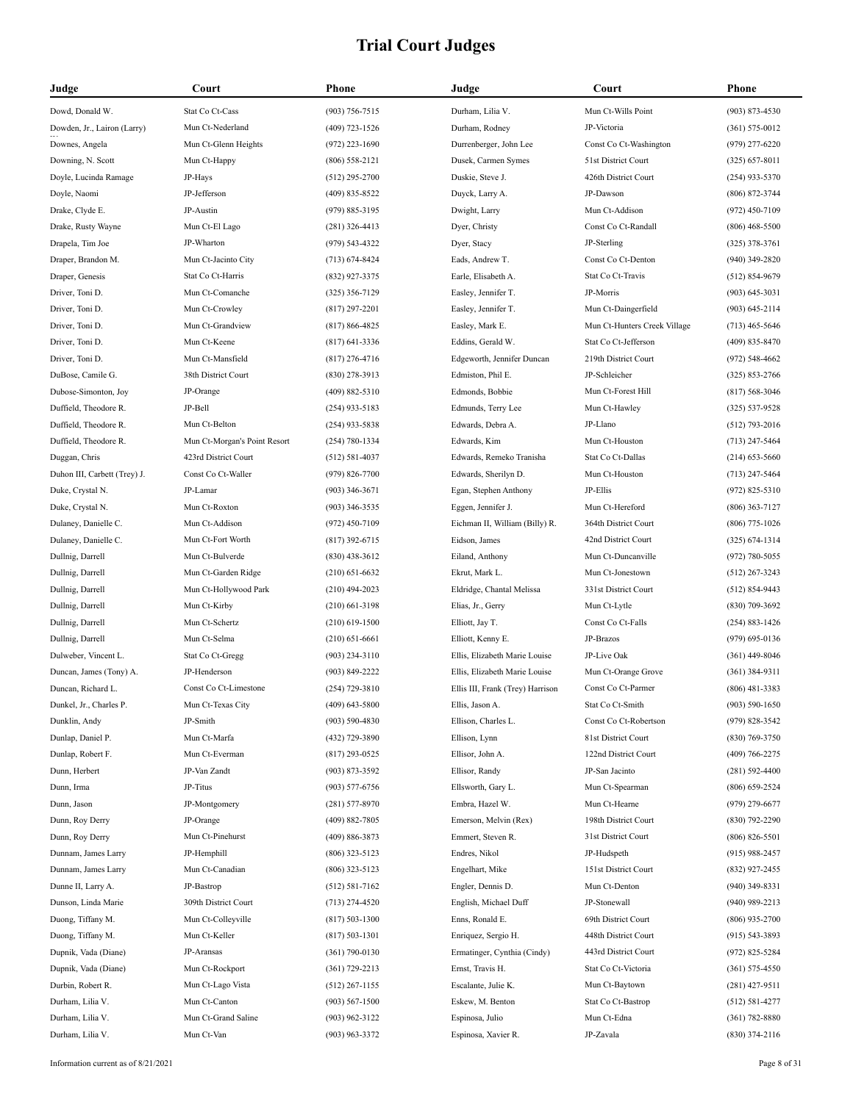| Judge                        | Court                        | Phone              | Judge                            | Court                        | <b>Phone</b>       |
|------------------------------|------------------------------|--------------------|----------------------------------|------------------------------|--------------------|
| Dowd, Donald W.              | Stat Co Ct-Cass              | $(903) 756 - 7515$ | Durham, Lilia V.                 | Mun Ct-Wills Point           | $(903) 873 - 4530$ |
| Dowden, Jr., Lairon (Larry)  | Mun Ct-Nederland             | (409) 723-1526     | Durham, Rodney                   | JP-Victoria                  | $(361) 575 - 0012$ |
| Downes, Angela               | Mun Ct-Glenn Heights         | $(972)$ 223-1690   | Durrenberger, John Lee           | Const Co Ct-Washington       | $(979)$ 277-6220   |
| Downing, N. Scott            | Mun Ct-Happy                 | $(806)$ 558-2121   | Dusek, Carmen Symes              | 51st District Court          | $(325) 657 - 8011$ |
| Doyle, Lucinda Ramage        | JP-Hays                      | $(512)$ 295-2700   | Duskie, Steve J.                 | 426th District Court         | $(254)$ 933-5370   |
| Doyle, Naomi                 | JP-Jefferson                 | $(409) 835 - 8522$ | Duyck, Larry A.                  | JP-Dawson                    | $(806)$ 872-3744   |
| Drake, Clyde E.              | JP-Austin                    | $(979) 885 - 3195$ | Dwight, Larry                    | Mun Ct-Addison               | $(972)$ 450-7109   |
| Drake, Rusty Wayne           | Mun Ct-El Lago               | $(281)$ 326-4413   | Dyer, Christy                    | Const Co Ct-Randall          | $(806)$ 468-5500   |
| Drapela, Tim Joe             | JP-Wharton                   | (979) 543-4322     | Dyer, Stacy                      | JP-Sterling                  | $(325)$ 378-3761   |
| Draper, Brandon M.           | Mun Ct-Jacinto City          | $(713) 674 - 8424$ | Eads, Andrew T.                  | Const Co Ct-Denton           | $(940)$ 349-2820   |
| Draper, Genesis              | Stat Co Ct-Harris            | (832) 927-3375     | Earle, Elisabeth A.              | Stat Co Ct-Travis            | $(512) 854-9679$   |
| Driver, Toni D.              | Mun Ct-Comanche              | $(325)$ 356-7129   | Easley, Jennifer T.              | JP-Morris                    | $(903) 645 - 3031$ |
| Driver, Toni D.              | Mun Ct-Crowley               | $(817)$ 297-2201   | Easley, Jennifer T.              | Mun Ct-Daingerfield          | $(903) 645 - 2114$ |
| Driver, Toni D.              | Mun Ct-Grandview             | $(817) 866 - 4825$ | Easley, Mark E.                  | Mun Ct-Hunters Creek Village | $(713)$ 465-5646   |
| Driver, Toni D.              | Mun Ct-Keene                 | $(817)$ 641-3336   | Eddins, Gerald W.                | Stat Co Ct-Jefferson         | $(409)$ 835-8470   |
| Driver, Toni D.              | Mun Ct-Mansfield             | $(817)$ 276-4716   | Edgeworth, Jennifer Duncan       | 219th District Court         | $(972) 548 - 4662$ |
| DuBose, Camile G.            | 38th District Court          | $(830)$ 278-3913   | Edmiston, Phil E.                | JP-Schleicher                | $(325) 853 - 2766$ |
| Dubose-Simonton, Joy         | JP-Orange                    | $(409) 882 - 5310$ | Edmonds, Bobbie                  | Mun Ct-Forest Hill           | $(817) 568 - 3046$ |
| Duffield, Theodore R.        | JP-Bell                      | $(254)$ 933-5183   | Edmunds, Terry Lee               | Mun Ct-Hawley                | $(325) 537 - 9528$ |
| Duffield, Theodore R.        | Mun Ct-Belton                | $(254)$ 933-5838   | Edwards, Debra A.                | JP-Llano                     | $(512)$ 793-2016   |
| Duffield, Theodore R.        | Mun Ct-Morgan's Point Resort | $(254) 780 - 1334$ | Edwards, Kim                     | Mun Ct-Houston               | $(713)$ 247-5464   |
| Duggan, Chris                | 423rd District Court         | $(512) 581 - 4037$ | Edwards, Remeko Tranisha         | Stat Co Ct-Dallas            | $(214)$ 653-5660   |
| Duhon III, Carbett (Trey) J. | Const Co Ct-Waller           | $(979) 826 - 7700$ | Edwards, Sherilyn D.             | Mun Ct-Houston               | $(713)$ 247-5464   |
| Duke, Crystal N.             | JP-Lamar                     | $(903)$ 346-3671   | Egan, Stephen Anthony            | JP-Ellis                     | $(972) 825 - 5310$ |
| Duke, Crystal N.             | Mun Ct-Roxton                | $(903)$ 346-3535   | Eggen, Jennifer J.               | Mun Ct-Hereford              | $(806)$ 363-7127   |
| Dulaney, Danielle C.         | Mun Ct-Addison               | $(972)$ 450-7109   | Eichman II, William (Billy) R.   | 364th District Court         | $(806)$ 775-1026   |
| Dulaney, Danielle C.         | Mun Ct-Fort Worth            | $(817)$ 392-6715   | Eidson, James                    | 42nd District Court          | $(325) 674 - 1314$ |
| Dullnig, Darrell             | Mun Ct-Bulverde              | $(830)$ 438-3612   | Eiland, Anthony                  | Mun Ct-Duncanville           | $(972) 780 - 5055$ |
| Dullnig, Darrell             | Mun Ct-Garden Ridge          | $(210)$ 651-6632   | Ekrut, Mark L.                   | Mun Ct-Jonestown             | $(512)$ 267-3243   |
| Dullnig, Darrell             | Mun Ct-Hollywood Park        | $(210)$ 494-2023   | Eldridge, Chantal Melissa        | 331st District Court         | $(512) 854-9443$   |
| Dullnig, Darrell             | Mun Ct-Kirby                 | $(210)$ 661-3198   | Elias, Jr., Gerry                | Mun Ct-Lytle                 | $(830)$ 709-3692   |
| Dullnig, Darrell             | Mun Ct-Schertz               | $(210)$ 619-1500   | Elliott, Jay T.                  | Const Co Ct-Falls            | $(254) 883 - 1426$ |
| Dullnig, Darrell             | Mun Ct-Selma                 | $(210) 651 - 6661$ | Elliott, Kenny E.                | JP-Brazos                    | $(979)$ 695-0136   |
| Dulweber, Vincent L.         | Stat Co Ct-Gregg             | $(903)$ 234-3110   | Ellis, Elizabeth Marie Louise    | JP-Live Oak                  | $(361)$ 449-8046   |
| Duncan, James (Tony) A.      | JP-Henderson                 | (903) 849-2222     | Ellis, Elizabeth Marie Louise    | Mun Ct-Orange Grove          | $(361)$ 384-9311   |
| Duncan, Richard L.           | Const Co Ct-Limestone        | $(254) 729 - 3810$ | Ellis III, Frank (Trey) Harrison | Const Co Ct-Parmer           | $(806)$ 481-3383   |
| Dunkel, Jr., Charles P.      | Mun Ct-Texas City            | $(409)$ 643-5800   | Ellis, Jason A.                  | Stat Co Ct-Smith             | $(903) 590 - 1650$ |
| Dunklin, Andy                | JP-Smith                     | $(903) 590 - 4830$ | Ellison, Charles L.              | Const Co Ct-Robertson        | $(979) 828 - 3542$ |
| Dunlap, Daniel P.            | Mun Ct-Marfa                 | (432) 729-3890     | Ellison, Lynn                    | 81st District Court          | (830) 769-3750     |
| Dunlap, Robert F.            | Mun Ct-Everman               | $(817)$ 293-0525   | Ellisor, John A.                 | 122nd District Court         | $(409) 766 - 2275$ |
| Dunn, Herbert                | JP-Van Zandt                 | (903) 873-3592     | Ellisor, Randy                   | JP-San Jacinto               | $(281) 592 - 4400$ |
| Dunn, Irma                   | JP-Titus                     | $(903) 577 - 6756$ | Ellsworth, Gary L.               | Mun Ct-Spearman              | $(806)$ 659-2524   |
| Dunn, Jason                  | JP-Montgomery                | $(281) 577 - 8970$ | Embra, Hazel W.                  | Mun Ct-Hearne                | $(979)$ 279-6677   |
| Dunn, Roy Derry              | JP-Orange                    | $(409) 882 - 7805$ | Emerson, Melvin (Rex)            | 198th District Court         | $(830)$ 792-2290   |
| Dunn, Roy Derry              | Mun Ct-Pinehurst             | $(409) 886 - 3873$ | Emmert, Steven R.                | 31st District Court          | $(806) 826 - 5501$ |
| Dunnam, James Larry          | JP-Hemphill                  | $(806)$ 323-5123   | Endres, Nikol                    | JP-Hudspeth                  | $(915)$ 988-2457   |
| Dunnam, James Larry          | Mun Ct-Canadian              | $(806)$ 323-5123   | Engelhart, Mike                  | 151st District Court         | (832) 927-2455     |
| Dunne II, Larry A.           | JP-Bastrop                   | $(512) 581 - 7162$ | Engler, Dennis D.                | Mun Ct-Denton                | $(940)$ 349-8331   |
| Dunson, Linda Marie          | 309th District Court         | $(713)$ 274-4520   | English, Michael Duff            | JP-Stonewall                 | $(940)$ 989-2213   |
| Duong, Tiffany M.            | Mun Ct-Colleyville           | $(817) 503 - 1300$ | Enns, Ronald E.                  | 69th District Court          | $(806)$ 935-2700   |
| Duong, Tiffany M.            | Mun Ct-Keller                | $(817) 503 - 1301$ | Enriquez, Sergio H.              | 448th District Court         | $(915) 543 - 3893$ |
| Dupnik, Vada (Diane)         | JP-Aransas                   | $(361) 790 - 0130$ | Ermatinger, Cynthia (Cindy)      | 443rd District Court         | $(972) 825 - 5284$ |
| Dupnik, Vada (Diane)         | Mun Ct-Rockport              | $(361) 729 - 2213$ | Ernst, Travis H.                 | Stat Co Ct-Victoria          | $(361) 575 - 4550$ |
| Durbin, Robert R.            | Mun Ct-Lago Vista            | $(512)$ 267-1155   | Escalante, Julie K.              | Mun Ct-Baytown               | $(281)$ 427-9511   |
| Durham, Lilia V.             | Mun Ct-Canton                | $(903) 567 - 1500$ | Eskew, M. Benton                 | Stat Co Ct-Bastrop           | $(512) 581 - 4277$ |
| Durham, Lilia V.             | Mun Ct-Grand Saline          | $(903)$ 962-3122   | Espinosa, Julio                  | Mun Ct-Edna                  | $(361) 782 - 8880$ |
| Durham, Lilia V.             | Mun Ct-Van                   | $(903)$ 963-3372   | Espinosa, Xavier R.              | JP-Zavala                    | $(830)$ 374-2116   |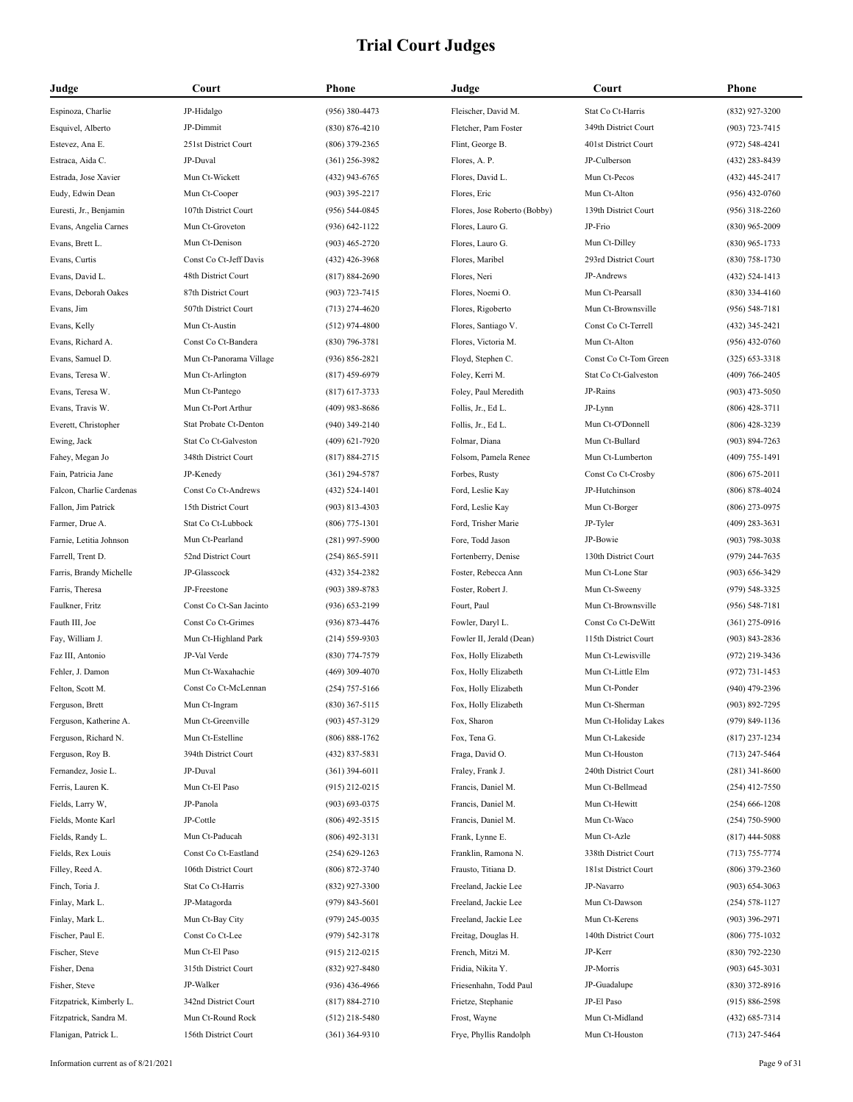| Judge                    | Court                   | Phone              | Judge                        | Court                 | <b>Phone</b>       |
|--------------------------|-------------------------|--------------------|------------------------------|-----------------------|--------------------|
| Espinoza, Charlie        | JP-Hidalgo              | $(956)$ 380-4473   | Fleischer, David M.          | Stat Co Ct-Harris     | (832) 927-3200     |
| Esquivel, Alberto        | JP-Dimmit               | $(830) 876 - 4210$ | Fletcher, Pam Foster         | 349th District Court  | $(903) 723 - 7415$ |
| Estevez, Ana E.          | 251st District Court    | $(806)$ 379-2365   | Flint, George B.             | 401st District Court  | $(972) 548 - 4241$ |
| Estraca, Aida C.         | JP-Duval                | $(361)$ 256-3982   | Flores, A. P.                | JP-Culberson          | (432) 283-8439     |
| Estrada, Jose Xavier     | Mun Ct-Wickett          | (432) 943-6765     | Flores, David L.             | Mun Ct-Pecos          | $(432)$ 445-2417   |
| Eudy, Edwin Dean         | Mun Ct-Cooper           | $(903)$ 395-2217   | Flores, Eric                 | Mun Ct-Alton          | $(956)$ 432-0760   |
| Euresti, Jr., Benjamin   | 107th District Court    | $(956) 544 - 0845$ | Flores, Jose Roberto (Bobby) | 139th District Court  | $(956)$ 318-2260   |
| Evans, Angelia Carnes    | Mun Ct-Groveton         | $(936) 642 - 1122$ | Flores, Lauro G.             | JP-Frio               | $(830)$ 965-2009   |
| Evans, Brett L.          | Mun Ct-Denison          | $(903)$ 465-2720   | Flores, Lauro G.             | Mun Ct-Dilley         | $(830)$ 965-1733   |
| Evans, Curtis            | Const Co Ct-Jeff Davis  | $(432)$ 426-3968   | Flores, Maribel              | 293rd District Court  | $(830)$ 758-1730   |
| Evans, David L.          | 48th District Court     | $(817) 884 - 2690$ | Flores, Neri                 | JP-Andrews            | $(432)$ 524-1413   |
| Evans, Deborah Oakes     | 87th District Court     | $(903) 723 - 7415$ | Flores, Noemi O.             | Mun Ct-Pearsall       | $(830)$ 334-4160   |
| Evans, Jim               | 507th District Court    | $(713)$ 274-4620   | Flores, Rigoberto            | Mun Ct-Brownsville    | $(956) 548 - 7181$ |
| Evans, Kelly             | Mun Ct-Austin           | $(512)$ 974-4800   | Flores, Santiago V.          | Const Co Ct-Terrell   | $(432)$ 345-2421   |
| Evans, Richard A.        | Const Co Ct-Bandera     | $(830)$ 796-3781   | Flores, Victoria M.          | Mun Ct-Alton          | $(956)$ 432-0760   |
| Evans, Samuel D.         | Mun Ct-Panorama Village | $(936) 856 - 2821$ | Floyd, Stephen C.            | Const Co Ct-Tom Green | $(325) 653 - 3318$ |
| Evans, Teresa W.         | Mun Ct-Arlington        | $(817)$ 459-6979   | Foley, Kerri M.              | Stat Co Ct-Galveston  | $(409)$ 766-2405   |
| Evans, Teresa W.         | Mun Ct-Pantego          | $(817)$ 617-3733   | Foley, Paul Meredith         | JP-Rains              | $(903)$ 473-5050   |
| Evans, Travis W.         | Mun Ct-Port Arthur      | (409) 983-8686     | Follis, Jr., Ed L.           | JP-Lynn               | $(806)$ 428-3711   |
| Everett, Christopher     | Stat Probate Ct-Denton  | $(940)$ 349-2140   | Follis, Jr., Ed L.           | Mun Ct-O'Donnell      | $(806)$ 428-3239   |
| Ewing, Jack              | Stat Co Ct-Galveston    | $(409) 621 - 7920$ | Folmar, Diana                | Mun Ct-Bullard        | $(903) 894 - 7263$ |
| Fahey, Megan Jo          | 348th District Court    | $(817) 884 - 2715$ | Folsom, Pamela Renee         | Mun Ct-Lumberton      | $(409)$ 755-1491   |
| Fain, Patricia Jane      | JP-Kenedy               | $(361)$ 294-5787   | Forbes, Rusty                | Const Co Ct-Crosby    | $(806) 675 - 2011$ |
| Falcon, Charlie Cardenas | Const Co Ct-Andrews     | $(432) 524 - 1401$ | Ford, Leslie Kay             | JP-Hutchinson         | $(806) 878 - 4024$ |
| Fallon, Jim Patrick      | 15th District Court     | $(903) 813 - 4303$ | Ford, Leslie Kay             | Mun Ct-Borger         | $(806)$ 273-0975   |
| Farmer, Drue A.          | Stat Co Ct-Lubbock      | $(806)$ 775-1301   | Ford, Trisher Marie          | JP-Tyler              | $(409)$ 283-3631   |
| Farnie, Letitia Johnson  | Mun Ct-Pearland         | $(281)$ 997-5900   | Fore, Todd Jason             | JP-Bowie              | $(903) 798 - 3038$ |
| Farrell, Trent D.        | 52nd District Court     | $(254) 865 - 5911$ | Fortenberry, Denise          | 130th District Court  | $(979)$ 244-7635   |
| Farris, Brandy Michelle  | JP-Glasscock            | (432) 354-2382     | Foster, Rebecca Ann          | Mun Ct-Lone Star      | $(903) 656 - 3429$ |
| Farris, Theresa          | JP-Freestone            | $(903)$ 389-8783   | Foster, Robert J.            | Mun Ct-Sweeny         | (979) 548-3325     |
| Faulkner, Fritz          | Const Co Ct-San Jacinto | $(936) 653 - 2199$ | Fourt, Paul                  | Mun Ct-Brownsville    | $(956) 548 - 7181$ |
| Fauth III, Joe           | Const Co Ct-Grimes      | $(936) 873 - 4476$ | Fowler, Daryl L.             | Const Co Ct-DeWitt    | $(361)$ 275-0916   |
| Fay, William J.          | Mun Ct-Highland Park    | $(214) 559 - 9303$ | Fowler II, Jerald (Dean)     | 115th District Court  | $(903)$ 843-2836   |
| Faz III, Antonio         | JP-Val Verde            | (830) 774-7579     | Fox, Holly Elizabeth         | Mun Ct-Lewisville     | $(972)$ 219-3436   |
| Fehler, J. Damon         | Mun Ct-Waxahachie       | $(469)$ 309-4070   | Fox, Holly Elizabeth         | Mun Ct-Little Elm     | $(972) 731 - 1453$ |
| Felton, Scott M.         | Const Co Ct-McLennan    | $(254)$ 757-5166   | Fox, Holly Elizabeth         | Mun Ct-Ponder         | $(940)$ 479-2396   |
| Ferguson, Brett          | Mun Ct-Ingram           | $(830)$ 367-5115   | Fox, Holly Elizabeth         | Mun Ct-Sherman        | (903) 892-7295     |
| Ferguson, Katherine A.   | Mun Ct-Greenville       | $(903)$ 457-3129   | Fox, Sharon                  | Mun Ct-Holiday Lakes  | (979) 849-1136     |
| Ferguson, Richard N.     | Mun Ct-Estelline        | $(806) 888 - 1762$ | Fox, Tena G.                 | Mun Ct-Lakeside       | $(817)$ 237-1234   |
| Ferguson, Roy B.         | 394th District Court    | $(432) 837 - 5831$ | Fraga, David O.              | Mun Ct-Houston        | $(713)$ 247-5464   |
| Fernandez, Josie L.      | JP-Duval                | $(361)$ 394-6011   | Fraley, Frank J.             | 240th District Court  | $(281)$ 341-8600   |
| Ferris, Lauren K.        | Mun Ct-El Paso          | $(915)$ 212-0215   | Francis, Daniel M.           | Mun Ct-Bellmead       | $(254)$ 412-7550   |
| Fields, Larry W,         | JP-Panola               | $(903) 693 - 0375$ | Francis, Daniel M.           | Mun Ct-Hewitt         | $(254)$ 666-1208   |
| Fields, Monte Karl       | JP-Cottle               | $(806)$ 492-3515   | Francis, Daniel M.           | Mun Ct-Waco           | $(254)$ 750-5900   |
| Fields, Randy L.         | Mun Ct-Paducah          | $(806)$ 492-3131   | Frank, Lynne E.              | Mun Ct-Azle           | $(817)$ 444-5088   |
| Fields, Rex Louis        | Const Co Ct-Eastland    | $(254) 629 - 1263$ | Franklin, Ramona N.          | 338th District Court  | $(713) 755 - 7774$ |
| Filley, Reed A.          | 106th District Court    | $(806) 872 - 3740$ | Frausto, Titiana D.          | 181st District Court  | $(806)$ 379-2360   |
| Finch, Toria J.          | Stat Co Ct-Harris       | $(832)$ 927-3300   | Freeland, Jackie Lee         | JP-Navarro            | $(903) 654 - 3063$ |
| Finlay, Mark L.          | JP-Matagorda            | $(979)$ 843-5601   | Freeland, Jackie Lee         | Mun Ct-Dawson         | $(254) 578 - 1127$ |
| Finlay, Mark L.          | Mun Ct-Bay City         | $(979)$ 245-0035   | Freeland, Jackie Lee         | Mun Ct-Kerens         | $(903)$ 396-2971   |
| Fischer, Paul E.         | Const Co Ct-Lee         | (979) 542-3178     | Freitag, Douglas H.          | 140th District Court  | $(806)$ 775-1032   |
| Fischer, Steve           | Mun Ct-El Paso          | $(915)$ 212-0215   | French, Mitzi M.             | JP-Kerr               | $(830)$ 792-2230   |
| Fisher, Dena             | 315th District Court    | (832) 927-8480     | Fridia, Nikita Y.            | JP-Morris             | $(903) 645 - 3031$ |
| Fisher, Steve            | JP-Walker               | $(936)$ 436-4966   | Friesenhahn, Todd Paul       | JP-Guadalupe          | $(830)$ 372-8916   |
| Fitzpatrick, Kimberly L. | 342nd District Court    | $(817) 884 - 2710$ | Frietze, Stephanie           | JP-El Paso            | $(915) 886 - 2598$ |
| Fitzpatrick, Sandra M.   | Mun Ct-Round Rock       | $(512)$ 218-5480   | Frost, Wayne                 | Mun Ct-Midland        | $(432) 685 - 7314$ |
| Flanigan, Patrick L.     | 156th District Court    | $(361)$ 364-9310   | Frye, Phyllis Randolph       | Mun Ct-Houston        | $(713)$ 247-5464   |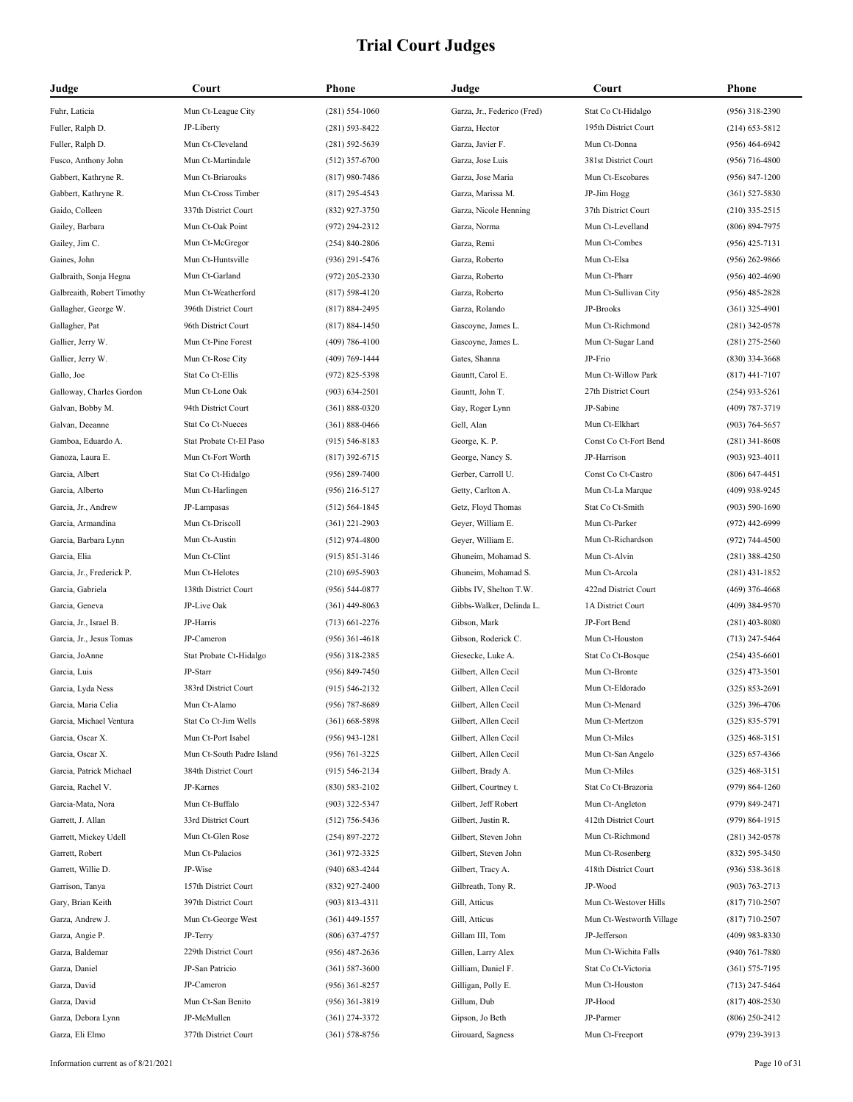| Judge                      | Court                     | Phone              | Judge                       | Court                    | Phone              |
|----------------------------|---------------------------|--------------------|-----------------------------|--------------------------|--------------------|
| Fuhr, Laticia              | Mun Ct-League City        | $(281) 554 - 1060$ | Garza, Jr., Federico (Fred) | Stat Co Ct-Hidalgo       | (956) 318-2390     |
| Fuller, Ralph D.           | JP-Liberty                | $(281) 593 - 8422$ | Garza, Hector               | 195th District Court     | $(214)$ 653-5812   |
| Fuller, Ralph D.           | Mun Ct-Cleveland          | $(281) 592 - 5639$ | Garza, Javier F.            | Mun Ct-Donna             | $(956)$ 464-6942   |
| Fusco, Anthony John        | Mun Ct-Martindale         | $(512)$ 357-6700   | Garza, Jose Luis            | 381st District Court     | (956) 716-4800     |
| Gabbert, Kathryne R.       | Mun Ct-Briaroaks          | $(817)$ 980-7486   | Garza, Jose Maria           | Mun Ct-Escobares         | $(956) 847 - 1200$ |
| Gabbert, Kathryne R.       | Mun Ct-Cross Timber       | $(817)$ 295-4543   | Garza, Marissa M.           | JP-Jim Hogg              | $(361) 527 - 5830$ |
| Gaido, Colleen             | 337th District Court      | $(832)$ 927-3750   | Garza, Nicole Henning       | 37th District Court      | $(210)$ 335-2515   |
| Gailey, Barbara            | Mun Ct-Oak Point          | $(972)$ 294-2312   | Garza, Norma                | Mun Ct-Levelland         | $(806) 894 - 7975$ |
| Gailey, Jim C.             | Mun Ct-McGregor           | $(254) 840 - 2806$ | Garza, Remi                 | Mun Ct-Combes            | $(956)$ 425-7131   |
| Gaines, John               | Mun Ct-Huntsville         | $(936)$ 291-5476   | Garza, Roberto              | Mun Ct-Elsa              | $(956)$ 262-9866   |
| Galbraith, Sonja Hegna     | Mun Ct-Garland            | $(972)$ 205-2330   | Garza, Roberto              | Mun Ct-Pharr             | $(956)$ 402-4690   |
| Galbreaith, Robert Timothy | Mun Ct-Weatherford        | $(817) 598 - 4120$ | Garza, Roberto              | Mun Ct-Sullivan City     | $(956)$ 485-2828   |
| Gallagher, George W.       | 396th District Court      | $(817) 884 - 2495$ | Garza, Rolando              | JP-Brooks                | $(361)$ 325-4901   |
| Gallagher, Pat             | 96th District Court       | $(817) 884 - 1450$ | Gascoyne, James L.          | Mun Ct-Richmond          | $(281)$ 342-0578   |
| Gallier, Jerry W.          | Mun Ct-Pine Forest        | $(409) 786 - 4100$ | Gascoyne, James L.          | Mun Ct-Sugar Land        | $(281)$ 275-2560   |
| Gallier, Jerry W.          | Mun Ct-Rose City          | $(409) 769 - 1444$ | Gates, Shanna               | JP-Frio                  | $(830)$ 334-3668   |
| Gallo, Joe                 | Stat Co Ct-Ellis          | $(972) 825 - 5398$ | Gauntt, Carol E.            | Mun Ct-Willow Park       | $(817)$ 441-7107   |
| Galloway, Charles Gordon   | Mun Ct-Lone Oak           | $(903) 634 - 2501$ | Gauntt, John T.             | 27th District Court      | $(254)$ 933-5261   |
| Galvan, Bobby M.           | 94th District Court       | $(361) 888 - 0320$ | Gay, Roger Lynn             | JP-Sabine                | (409) 787-3719     |
| Galvan, Deeanne            | Stat Co Ct-Nueces         | $(361) 888 - 0466$ | Gell, Alan                  | Mun Ct-Elkhart           | $(903) 764 - 5657$ |
| Gamboa, Eduardo A.         | Stat Probate Ct-El Paso   | $(915) 546 - 8183$ | George, K. P.               | Const Co Ct-Fort Bend    | $(281)$ 341-8608   |
| Ganoza, Laura E.           | Mun Ct-Fort Worth         | $(817)$ 392-6715   | George, Nancy S.            | JP-Harrison              | $(903)$ 923-4011   |
| Garcia, Albert             | Stat Co Ct-Hidalgo        | $(956)$ 289-7400   | Gerber, Carroll U.          | Const Co Ct-Castro       | $(806)$ 647-4451   |
| Garcia, Alberto            | Mun Ct-Harlingen          | $(956)$ 216-5127   | Getty, Carlton A.           | Mun Ct-La Marque         | $(409)$ 938-9245   |
| Garcia, Jr., Andrew        | JP-Lampasas               | $(512) 564 - 1845$ | Getz, Floyd Thomas          | Stat Co Ct-Smith         | $(903) 590 - 1690$ |
| Garcia, Armandina          | Mun Ct-Driscoll           | $(361)$ 221-2903   | Geyer, William E.           | Mun Ct-Parker            | $(972)$ 442-6999   |
| Garcia, Barbara Lynn       | Mun Ct-Austin             | $(512)$ 974-4800   | Geyer, William E.           | Mun Ct-Richardson        | $(972) 744 - 4500$ |
| Garcia, Elia               | Mun Ct-Clint              | $(915) 851 - 3146$ | Ghuneim, Mohamad S.         | Mun Ct-Alvin             | $(281)$ 388-4250   |
| Garcia, Jr., Frederick P.  | Mun Ct-Helotes            | $(210)$ 695-5903   | Ghuneim, Mohamad S.         | Mun Ct-Arcola            | $(281)$ 431-1852   |
| Garcia, Gabriela           | 138th District Court      | $(956) 544 - 0877$ | Gibbs IV, Shelton T.W.      | 422nd District Court     | $(469)$ 376-4668   |
| Garcia, Geneva             | JP-Live Oak               | $(361)$ 449-8063   | Gibbs-Walker, Delinda L.    | 1A District Court        | $(409)$ 384-9570   |
| Garcia, Jr., Israel B.     | JP-Harris                 | $(713)$ 661-2276   | Gibson, Mark                | JP-Fort Bend             | $(281)$ 403-8080   |
| Garcia, Jr., Jesus Tomas   | JP-Cameron                | $(956)$ 361-4618   | Gibson, Roderick C.         | Mun Ct-Houston           | $(713)$ 247-5464   |
| Garcia, JoAnne             | Stat Probate Ct-Hidalgo   | $(956)$ 318-2385   | Giesecke, Luke A.           | Stat Co Ct-Bosque        | $(254)$ 435-6601   |
| Garcia, Luis               | JP-Starr                  | (956) 849-7450     | Gilbert, Allen Cecil        | Mun Ct-Bronte            | $(325)$ 473-3501   |
| Garcia, Lyda Ness          | 383rd District Court      | $(915) 546 - 2132$ | Gilbert, Allen Cecil        | Mun Ct-Eldorado          | $(325) 853 - 2691$ |
| Garcia, Maria Celia        | Mun Ct-Alamo              | (956) 787-8689     | Gilbert, Allen Cecil        | Mun Ct-Menard            | $(325)$ 396-4706   |
| Garcia, Michael Ventura    | Stat Co Ct-Jim Wells      | $(361)$ 668-5898   | Gilbert, Allen Cecil        | Mun Ct-Mertzon           | $(325) 835 - 5791$ |
| Garcia, Oscar X.           | Mun Ct-Port Isabel        | $(956)$ 943-1281   | Gilbert, Allen Cecil        | Mun Ct-Miles             | $(325)$ 468-3151   |
| Garcia, Oscar X.           | Mun Ct-South Padre Island | $(956) 761 - 3225$ | Gilbert, Allen Cecil        | Mun Ct-San Angelo        | $(325) 657 - 4366$ |
| Garcia, Patrick Michael    | 384th District Court      | $(915) 546 - 2134$ | Gilbert, Brady A.           | Mun Ct-Miles             | $(325)$ 468-3151   |
| Garcia, Rachel V.          | JP-Karnes                 | $(830) 583 - 2102$ | Gilbert, Courtney t.        | Stat Co Ct-Brazoria      | $(979) 864 - 1260$ |
| Garcia-Mata, Nora          | Mun Ct-Buffalo            | $(903)$ 322-5347   | Gilbert, Jeff Robert        | Mun Ct-Angleton          | (979) 849-2471     |
| Garrett, J. Allan          | 33rd District Court       | $(512)$ 756-5436   | Gilbert, Justin R.          | 412th District Court     | $(979) 864 - 1915$ |
| Garrett, Mickey Udell      | Mun Ct-Glen Rose          | $(254)$ 897-2272   | Gilbert, Steven John        | Mun Ct-Richmond          | $(281)$ 342-0578   |
| Garrett, Robert            | Mun Ct-Palacios           | $(361)$ 972-3325   | Gilbert, Steven John        | Mun Ct-Rosenberg         | $(832) 595 - 3450$ |
| Garrett, Willie D.         | JP-Wise                   | $(940) 683 - 4244$ | Gilbert, Tracy A.           | 418th District Court     | $(936) 538 - 3618$ |
| Garrison, Tanya            | 157th District Court      | $(832)$ 927-2400   | Gilbreath, Tony R.          | JP-Wood                  | $(903) 763 - 2713$ |
| Gary, Brian Keith          | 397th District Court      | $(903) 813 - 4311$ | Gill, Atticus               | Mun Ct-Westover Hills    | $(817) 710 - 2507$ |
| Garza, Andrew J.           | Mun Ct-George West        | $(361)$ 449-1557   | Gill, Atticus               | Mun Ct-Westworth Village | $(817) 710 - 2507$ |
| Garza, Angie P.            | JP-Terry                  | $(806)$ 637-4757   | Gillam III, Tom             | JP-Jefferson             | $(409)$ 983-8330   |
| Garza, Baldemar            | 229th District Court      | $(956)$ 487-2636   | Gillen, Larry Alex          | Mun Ct-Wichita Falls     | $(940)$ 761-7880   |
| Garza, Daniel              | JP-San Patricio           | $(361) 587 - 3600$ | Gilliam, Daniel F.          | Stat Co Ct-Victoria      | $(361) 575 - 7195$ |
| Garza, David               | JP-Cameron                | $(956)$ 361-8257   | Gilligan, Polly E.          | Mun Ct-Houston           | $(713)$ 247-5464   |
| Garza, David               | Mun Ct-San Benito         | $(956)$ 361-3819   | Gillum, Dub                 | JP-Hood                  | $(817)$ 408-2530   |
| Garza, Debora Lynn         | JP-McMullen               | $(361)$ 274-3372   | Gipson, Jo Beth             | JP-Parmer                | $(806)$ 250-2412   |
| Garza, Eli Elmo            | 377th District Court      | $(361) 578 - 8756$ | Girouard, Sagness           | Mun Ct-Freeport          | (979) 239-3913     |
|                            |                           |                    |                             |                          |                    |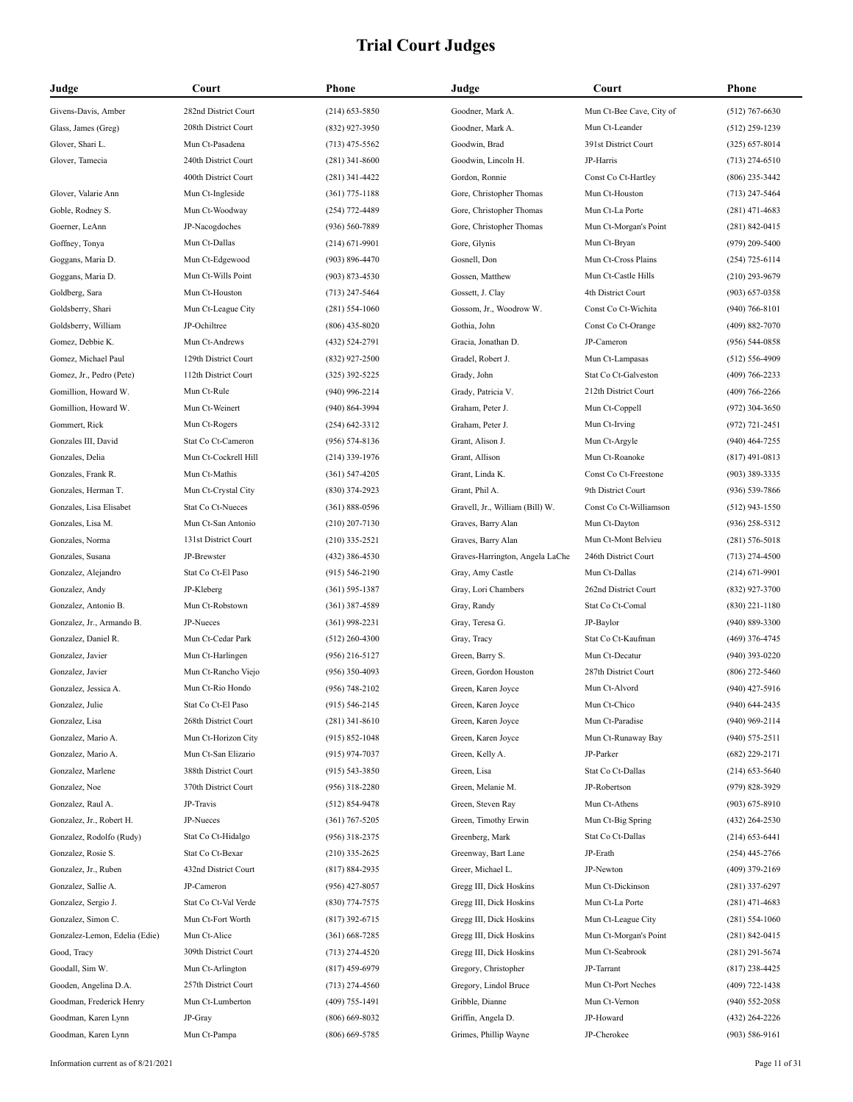| Judge                         | Court                        | Phone              | Judge                           | Court                    | Phone              |
|-------------------------------|------------------------------|--------------------|---------------------------------|--------------------------|--------------------|
| Givens-Davis, Amber           | 282nd District Court         | $(214)$ 653-5850   | Goodner, Mark A.                | Mun Ct-Bee Cave, City of | $(512)$ 767-6630   |
| Glass, James (Greg)           | 208th District Court         | $(832)$ 927-3950   | Goodner, Mark A.                | Mun Ct-Leander           | $(512)$ 259-1239   |
| Glover, Shari L.              | Mun Ct-Pasadena              | $(713)$ 475-5562   | Goodwin, Brad                   | 391st District Court     | $(325) 657 - 8014$ |
| Glover, Tamecia               | 240th District Court         | $(281)$ 341-8600   | Goodwin, Lincoln H.             | JP-Harris                | $(713)$ 274-6510   |
|                               | 400th District Court         | $(281)$ 341-4422   | Gordon, Ronnie                  | Const Co Ct-Hartley      | $(806)$ 235-3442   |
| Glover, Valarie Ann           | Mun Ct-Ingleside             | $(361)$ 775-1188   | Gore, Christopher Thomas        | Mun Ct-Houston           | $(713)$ 247-5464   |
| Goble, Rodney S.              | Mun Ct-Woodway               | $(254)$ 772-4489   | Gore, Christopher Thomas        | Mun Ct-La Porte          | $(281)$ 471-4683   |
| Goerner, LeAnn                | JP-Nacogdoches               | (936) 560-7889     | Gore, Christopher Thomas        | Mun Ct-Morgan's Point    | $(281) 842 - 0415$ |
| Goffney, Tonya                | Mun Ct-Dallas                | $(214) 671 - 9901$ | Gore, Glynis                    | Mun Ct-Bryan             | $(979)$ 209-5400   |
| Goggans, Maria D.             | Mun Ct-Edgewood              | $(903) 896 - 4470$ | Gosnell, Don                    | Mun Ct-Cross Plains      | $(254)$ 725-6114   |
| Goggans, Maria D.             | Mun Ct-Wills Point           | $(903) 873 - 4530$ | Gossen, Matthew                 | Mun Ct-Castle Hills      | $(210)$ 293-9679   |
| Goldberg, Sara                | Mun Ct-Houston               | $(713)$ 247-5464   | Gossett, J. Clay                | 4th District Court       | $(903) 657 - 0358$ |
| Goldsberry, Shari             | Mun Ct-League City           | $(281) 554 - 1060$ | Gossom, Jr., Woodrow W.         | Const Co Ct-Wichita      | $(940) 766 - 8101$ |
| Goldsberry, William           | JP-Ochiltree                 | $(806)$ 435-8020   | Gothia, John                    | Const Co Ct-Orange       | $(409) 882 - 7070$ |
| Gomez, Debbie K.              | Mun Ct-Andrews               | (432) 524-2791     | Gracia, Jonathan D.             | JP-Cameron               | $(956) 544 - 0858$ |
| Gomez, Michael Paul           | 129th District Court         | $(832)$ 927-2500   | Gradel, Robert J.               | Mun Ct-Lampasas          | $(512) 556 - 4909$ |
| Gomez, Jr., Pedro (Pete)      | 112th District Court         | $(325)$ 392-5225   | Grady, John                     | Stat Co Ct-Galveston     | $(409)$ 766-2233   |
| Gomillion, Howard W.          | Mun Ct-Rule                  | $(940)$ 996-2214   | Grady, Patricia V.              | 212th District Court     | $(409)$ 766-2266   |
| Gomillion, Howard W.          | Mun Ct-Weinert               | (940) 864-3994     | Graham, Peter J.                | Mun Ct-Coppell           | $(972)$ 304-3650   |
| Gommert, Rick                 | Mun Ct-Rogers                | $(254) 642 - 3312$ | Graham, Peter J.                | Mun Ct-Irving            | $(972) 721 - 2451$ |
| Gonzales III, David           | Stat Co Ct-Cameron           | $(956) 574 - 8136$ | Grant, Alison J.                | Mun Ct-Argyle            | $(940)$ 464-7255   |
| Gonzales, Delia               | Mun Ct-Cockrell Hill         | $(214)$ 339-1976   | Grant, Allison                  | Mun Ct-Roanoke           | $(817)$ 491-0813   |
| Gonzales, Frank R.            | Mun Ct-Mathis                | $(361) 547 - 4205$ | Grant, Linda K.                 | Const Co Ct-Freestone    | $(903)$ 389-3335   |
| Gonzales, Herman T.           | Mun Ct-Crystal City          | $(830)$ 374-2923   | Grant, Phil A.                  | 9th District Court       | $(936) 539 - 7866$ |
| Gonzales, Lisa Elisabet       | Stat Co Ct-Nueces            | $(361) 888 - 0596$ | Gravell, Jr., William (Bill) W. | Const Co Ct-Williamson   | $(512)$ 943-1550   |
| Gonzales, Lisa M.             | Mun Ct-San Antonio           | $(210)$ 207-7130   | Graves, Barry Alan              | Mun Ct-Dayton            | $(936)$ 258-5312   |
| Gonzales, Norma               | 131st District Court         | $(210)$ 335-2521   | Graves, Barry Alan              | Mun Ct-Mont Belvieu      | $(281) 576 - 5018$ |
| Gonzales, Susana              | JP-Brewster                  | $(432)$ 386-4530   | Graves-Harrington, Angela LaChe | 246th District Court     | $(713)$ 274-4500   |
| Gonzalez, Alejandro           | Stat Co Ct-El Paso           | $(915) 546 - 2190$ | Gray, Amy Castle                | Mun Ct-Dallas            |                    |
| Gonzalez, Andy                | JP-Kleberg                   |                    | Gray, Lori Chambers             | 262nd District Court     | $(214) 671 - 9901$ |
|                               |                              | $(361) 595 - 1387$ |                                 |                          | $(832)$ 927-3700   |
| Gonzalez, Antonio B.          | Mun Ct-Robstown<br>JP-Nueces | $(361)$ 387-4589   | Gray, Randy                     | Stat Co Ct-Comal         | $(830)$ 221-1180   |
| Gonzalez, Jr., Armando B.     |                              | $(361)$ 998-2231   | Gray, Teresa G.                 | JP-Baylor                | (940) 889-3300     |
| Gonzalez, Daniel R.           | Mun Ct-Cedar Park            | $(512)$ 260-4300   | Gray, Tracy                     | Stat Co Ct-Kaufman       | $(469)$ 376-4745   |
| Gonzalez, Javier              | Mun Ct-Harlingen             | $(956)$ 216-5127   | Green, Barry S.                 | Mun Ct-Decatur           | $(940)$ 393-0220   |
| Gonzalez, Javier              | Mun Ct-Rancho Viejo          | $(956)$ 350-4093   | Green, Gordon Houston           | 287th District Court     | $(806)$ 272-5460   |
| Gonzalez, Jessica A.          | Mun Ct-Rio Hondo             | $(956) 748 - 2102$ | Green, Karen Joyce              | Mun Ct-Alvord            | $(940)$ 427-5916   |
| Gonzalez, Julie               | Stat Co Ct-El Paso           | $(915) 546 - 2145$ | Green, Karen Joyce              | Mun Ct-Chico             | $(940)$ 644-2435   |
| Gonzalez, Lisa                | 268th District Court         | $(281)$ 341-8610   | Green, Karen Joyce              | Mun Ct-Paradise          | $(940)$ 969-2114   |
| Gonzalez, Mario A.            | Mun Ct-Horizon City          | $(915) 852 - 1048$ | Green, Karen Joyce              | Mun Ct-Runaway Bay       | $(940) 575 - 2511$ |
| Gonzalez, Mario A.            | Mun Ct-San Elizario          | $(915)$ 974-7037   | Green, Kelly A.                 | JP-Parker                | $(682)$ 229-2171   |
| Gonzalez, Marlene             | 388th District Court         | $(915) 543 - 3850$ | Green, Lisa                     | Stat Co Ct-Dallas        | $(214)$ 653-5640   |
| Gonzalez, Noe                 | 370th District Court         | $(956)$ 318-2280   | Green, Melanie M.               | JP-Robertson             | $(979)$ 828-3929   |
| Gonzalez, Raul A.             | JP-Travis                    | $(512) 854 - 9478$ | Green, Steven Ray               | Mun Ct-Athens            | $(903) 675 - 8910$ |
| Gonzalez, Jr., Robert H.      | JP-Nueces                    | $(361) 767 - 5205$ | Green, Timothy Erwin            | Mun Ct-Big Spring        | $(432)$ 264-2530   |
| Gonzalez, Rodolfo (Rudy)      | Stat Co Ct-Hidalgo           | $(956)$ 318-2375   | Greenberg, Mark                 | Stat Co Ct-Dallas        | $(214)$ 653-6441   |
| Gonzalez, Rosie S.            | Stat Co Ct-Bexar             | $(210)$ 335-2625   | Greenway, Bart Lane             | JP-Erath                 | $(254)$ 445-2766   |
| Gonzalez, Jr., Ruben          | 432nd District Court         | $(817) 884 - 2935$ | Greer, Michael L.               | JP-Newton                | $(409)$ 379-2169   |
| Gonzalez, Sallie A.           | JP-Cameron                   | $(956)$ 427-8057   | Gregg III, Dick Hoskins         | Mun Ct-Dickinson         | $(281)$ 337-6297   |
| Gonzalez, Sergio J.           | Stat Co Ct-Val Verde         | $(830)$ 774-7575   | Gregg III, Dick Hoskins         | Mun Ct-La Porte          | $(281)$ 471-4683   |
| Gonzalez, Simon C.            | Mun Ct-Fort Worth            | $(817)$ 392-6715   | Gregg III, Dick Hoskins         | Mun Ct-League City       | $(281) 554 - 1060$ |
| Gonzalez-Lemon, Edelia (Edie) | Mun Ct-Alice                 | $(361) 668 - 7285$ | Gregg III, Dick Hoskins         | Mun Ct-Morgan's Point    | $(281) 842 - 0415$ |
| Good, Tracy                   | 309th District Court         | $(713)$ 274-4520   | Gregg III, Dick Hoskins         | Mun Ct-Seabrook          | $(281)$ 291-5674   |
| Goodall, Sim W.               | Mun Ct-Arlington             | $(817)$ 459-6979   | Gregory, Christopher            | JP-Tarrant               | $(817)$ 238-4425   |
| Gooden, Angelina D.A.         | 257th District Court         | $(713)$ 274-4560   | Gregory, Lindol Bruce           | Mun Ct-Port Neches       | $(409)$ 722-1438   |
| Goodman, Frederick Henry      | Mun Ct-Lumberton             | $(409)$ 755-1491   | Gribble, Dianne                 | Mun Ct-Vernon            | $(940) 552 - 2058$ |
| Goodman, Karen Lynn           | JP-Gray                      | $(806)$ 669-8032   | Griffin, Angela D.              | JP-Howard                | $(432)$ 264-2226   |
| Goodman, Karen Lynn           | Mun Ct-Pampa                 | $(806)$ 669-5785   | Grimes, Phillip Wayne           | JP-Cherokee              | $(903) 586 - 9161$ |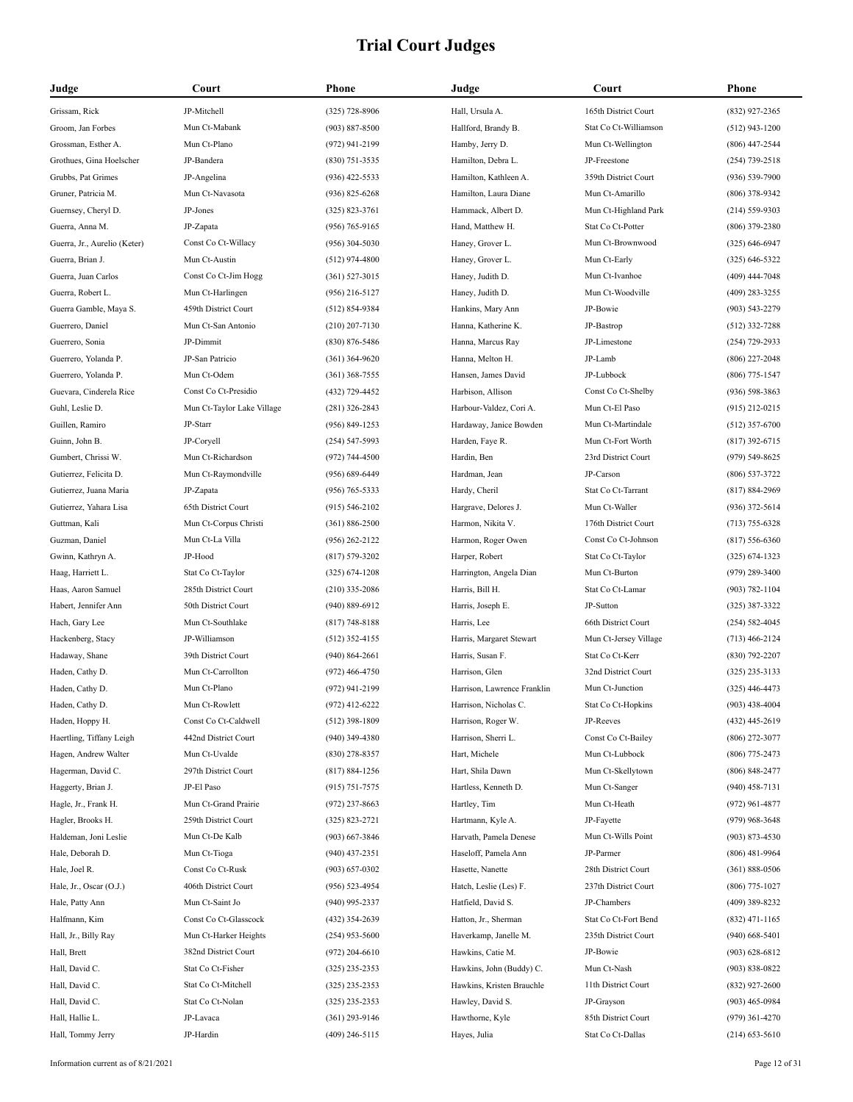| Judge                        | Court                      | Phone              | Judge                       | Court                 | Phone              |
|------------------------------|----------------------------|--------------------|-----------------------------|-----------------------|--------------------|
| Grissam, Rick                | JP-Mitchell                | $(325)$ 728-8906   | Hall, Ursula A.             | 165th District Court  | (832) 927-2365     |
| Groom, Jan Forbes            | Mun Ct-Mabank              | $(903) 887 - 8500$ | Hallford, Brandy B.         | Stat Co Ct-Williamson | $(512)$ 943-1200   |
| Grossman, Esther A.          | Mun Ct-Plano               | (972) 941-2199     | Hamby, Jerry D.             | Mun Ct-Wellington     | $(806)$ 447-2544   |
| Grothues, Gina Hoelscher     | JP-Bandera                 | $(830)$ 751-3535   | Hamilton, Debra L.          | JP-Freestone          | (254) 739-2518     |
| Grubbs, Pat Grimes           | JP-Angelina                | $(936)$ 422-5533   | Hamilton, Kathleen A.       | 359th District Court  | $(936) 539 - 7900$ |
| Gruner, Patricia M.          | Mun Ct-Navasota            | $(936)$ 825-6268   | Hamilton, Laura Diane       | Mun Ct-Amarillo       | $(806)$ 378-9342   |
| Guernsey, Cheryl D.          | JP-Jones                   | $(325) 823 - 3761$ | Hammack, Albert D.          | Mun Ct-Highland Park  | $(214) 559 - 9303$ |
| Guerra, Anna M.              | JP-Zapata                  | $(956) 765 - 9165$ | Hand, Matthew H.            | Stat Co Ct-Potter     | $(806)$ 379-2380   |
| Guerra, Jr., Aurelio (Keter) | Const Co Ct-Willacy        | $(956)$ 304-5030   | Haney, Grover L.            | Mun Ct-Brownwood      | $(325) 646 - 6947$ |
| Guerra, Brian J.             | Mun Ct-Austin              | $(512)$ 974-4800   | Haney, Grover L.            | Mun Ct-Early          | $(325) 646 - 5322$ |
| Guerra, Juan Carlos          | Const Co Ct-Jim Hogg       | $(361)$ 527-3015   | Haney, Judith D.            | Mun Ct-Ivanhoe        | (409) 444-7048     |
| Guerra, Robert L.            | Mun Ct-Harlingen           | $(956)$ 216-5127   | Haney, Judith D.            | Mun Ct-Woodville      | (409) 283-3255     |
| Guerra Gamble, Maya S.       | 459th District Court       | $(512) 854-9384$   | Hankins, Mary Ann           | JP-Bowie              | $(903) 543 - 2279$ |
| Guerrero, Daniel             | Mun Ct-San Antonio         | $(210)$ 207-7130   | Hanna, Katherine K.         | JP-Bastrop            | $(512)$ 332-7288   |
| Guerrero, Sonia              | JP-Dimmit                  | $(830) 876 - 5486$ | Hanna, Marcus Ray           | JP-Limestone          | $(254)$ 729-2933   |
| Guerrero, Yolanda P.         | JP-San Patricio            | $(361)$ 364-9620   | Hanna, Melton H.            | JP-Lamb               | $(806)$ 227-2048   |
| Guerrero, Yolanda P.         | Mun Ct-Odem                | $(361)$ 368-7555   | Hansen, James David         | JP-Lubbock            | $(806)$ 775-1547   |
| Guevara, Cinderela Rice      | Const Co Ct-Presidio       | (432) 729-4452     | Harbison, Allison           | Const Co Ct-Shelby    | $(936) 598 - 3863$ |
| Guhl, Leslie D.              | Mun Ct-Taylor Lake Village | $(281)$ 326-2843   | Harbour-Valdez, Cori A.     | Mun Ct-El Paso        | $(915)$ 212-0215   |
| Guillen, Ramiro              | JP-Starr                   | $(956) 849 - 1253$ | Hardaway, Janice Bowden     | Mun Ct-Martindale     | $(512)$ 357-6700   |
| Guinn, John B.               | JP-Coryell                 | $(254) 547 - 5993$ | Harden, Faye R.             | Mun Ct-Fort Worth     | $(817)$ 392-6715   |
| Gumbert, Chrissi W.          | Mun Ct-Richardson          | $(972) 744 - 4500$ | Hardin, Ben                 | 23rd District Court   | (979) 549-8625     |
| Gutierrez, Felicita D.       | Mun Ct-Raymondville        | $(956) 689 - 6449$ | Hardman, Jean               | JP-Carson             | $(806)$ 537-3722   |
| Gutierrez, Juana Maria       | JP-Zapata                  | $(956) 765 - 5333$ | Hardy, Cheril               | Stat Co Ct-Tarrant    | $(817) 884 - 2969$ |
| Gutierrez, Yahara Lisa       | 65th District Court        | $(915) 546 - 2102$ | Hargrave, Delores J.        | Mun Ct-Waller         | $(936)$ 372-5614   |
| Guttman, Kali                | Mun Ct-Corpus Christi      | $(361) 886 - 2500$ | Harmon, Nikita V.           | 176th District Court  | $(713) 755 - 6328$ |
| Guzman, Daniel               | Mun Ct-La Villa            | $(956)$ 262-2122   | Harmon, Roger Owen          | Const Co Ct-Johnson   | $(817) 556 - 6360$ |
| Gwinn, Kathryn A.            | JP-Hood                    | $(817) 579 - 3202$ | Harper, Robert              | Stat Co Ct-Taylor     | $(325) 674 - 1323$ |
| Haag, Harriett L.            | Stat Co Ct-Taylor          | $(325) 674 - 1208$ | Harrington, Angela Dian     | Mun Ct-Burton         | $(979)$ 289-3400   |
| Haas, Aaron Samuel           | 285th District Court       | $(210)$ 335-2086   | Harris, Bill H.             | Stat Co Ct-Lamar      | $(903) 782 - 1104$ |
| Habert, Jennifer Ann         | 50th District Court        | $(940) 889 - 6912$ | Harris, Joseph E.           | JP-Sutton             | (325) 387-3322     |
| Hach, Gary Lee               | Mun Ct-Southlake           | $(817) 748 - 8188$ | Harris, Lee                 | 66th District Court   | $(254) 582 - 4045$ |
| Hackenberg, Stacy            | JP-Williamson              | $(512)$ 352-4155   | Harris, Margaret Stewart    | Mun Ct-Jersey Village | $(713)$ 466-2124   |
| Hadaway, Shane               | 39th District Court        | $(940) 864 - 2661$ | Harris, Susan F.            | Stat Co Ct-Kerr       | $(830)$ 792-2207   |
| Haden, Cathy D.              | Mun Ct-Carrollton          | $(972)$ 466-4750   | Harrison, Glen              | 32nd District Court   | $(325)$ 235-3133   |
| Haden, Cathy D.              | Mun Ct-Plano               | $(972)$ 941-2199   | Harrison, Lawrence Franklin | Mun Ct-Junction       | $(325)$ 446-4473   |
| Haden, Cathy D.              | Mun Ct-Rowlett             | $(972)$ 412-6222   | Harrison, Nicholas C.       | Stat Co Ct-Hopkins    | $(903)$ 438-4004   |
| Haden, Hoppy H.              | Const Co Ct-Caldwell       | $(512)$ 398-1809   | Harrison, Roger W.          | JP-Reeves             | (432) 445-2619     |
| Haertling, Tiffany Leigh     | 442nd District Court       | $(940)$ 349-4380   | Harrison, Sherri L.         | Const Co Ct-Bailey    | $(806)$ 272-3077   |
| Hagen, Andrew Walter         | Mun Ct-Uvalde              | $(830)$ 278-8357   | Hart, Michele               | Mun Ct-Lubbock        | (806) 775-2473     |
| Hagerman, David C.           | 297th District Court       | $(817) 884 - 1256$ | Hart, Shila Dawn            | Mun Ct-Skellytown     | $(806)$ 848-2477   |
| Haggerty, Brian J.           | JP-El Paso                 | $(915) 751 - 7575$ | Hartless, Kenneth D.        | Mun Ct-Sanger         | $(940)$ 458-7131   |
| Hagle, Jr., Frank H.         | Mun Ct-Grand Prairie       | $(972)$ 237-8663   | Hartley, Tim                | Mun Ct-Heath          | $(972)$ 961-4877   |
| Hagler, Brooks H.            | 259th District Court       | $(325) 823 - 2721$ | Hartmann, Kyle A.           | JP-Fayette            | $(979)$ 968-3648   |
| Haldeman, Joni Leslie        | Mun Ct-De Kalb             | $(903)$ 667-3846   | Harvath, Pamela Denese      | Mun Ct-Wills Point    | $(903)$ 873-4530   |
| Hale, Deborah D.             | Mun Ct-Tioga               | $(940)$ 437-2351   | Haseloff, Pamela Ann        | JP-Parmer             | $(806)$ 481-9964   |
| Hale, Joel R.                | Const Co Ct-Rusk           | $(903) 657 - 0302$ | Hasette, Nanette            | 28th District Court   | $(361) 888 - 0506$ |
| Hale, Jr., Oscar (O.J.)      | 406th District Court       | $(956) 523 - 4954$ | Hatch, Leslie (Les) F.      | 237th District Court  | $(806)$ 775-1027   |
| Hale, Patty Ann              | Mun Ct-Saint Jo            | $(940)$ 995-2337   | Hatfield, David S.          | JP-Chambers           | (409) 389-8232     |
| Halfmann, Kim                | Const Co Ct-Glasscock      | $(432)$ 354-2639   | Hatton, Jr., Sherman        | Stat Co Ct-Fort Bend  | $(832)$ 471-1165   |
| Hall, Jr., Billy Ray         | Mun Ct-Harker Heights      | $(254)$ 953-5600   | Haverkamp, Janelle M.       | 235th District Court  | $(940)$ 668-5401   |
| Hall, Brett                  | 382nd District Court       | $(972)$ 204-6610   | Hawkins, Catie M.           | JP-Bowie              | $(903) 628 - 6812$ |
| Hall, David C.               | Stat Co Ct-Fisher          | $(325)$ 235-2353   | Hawkins, John (Buddy) C.    | Mun Ct-Nash           | $(903) 838 - 0822$ |
| Hall, David C.               | Stat Co Ct-Mitchell        | $(325)$ 235-2353   | Hawkins, Kristen Brauchle   | 11th District Court   | $(832)$ 927-2600   |
| Hall, David C.               | Stat Co Ct-Nolan           | $(325)$ 235-2353   | Hawley, David S.            | JP-Grayson            | $(903)$ 465-0984   |
| Hall, Hallie L.              | JP-Lavaca                  | $(361)$ 293-9146   | Hawthorne, Kyle             | 85th District Court   | $(979)$ 361-4270   |
| Hall, Tommy Jerry            | JP-Hardin                  | $(409)$ 246-5115   | Hayes, Julia                | Stat Co Ct-Dallas     | $(214)$ 653-5610   |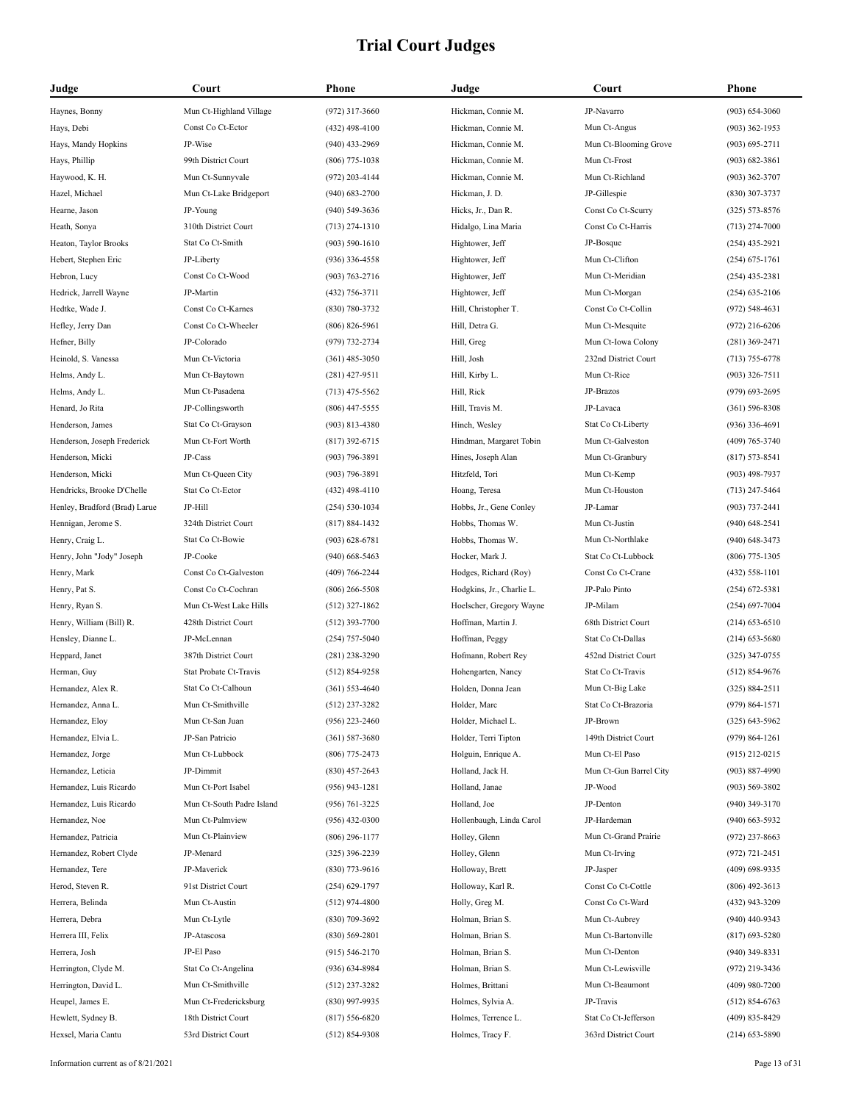| Judge                                          | Court                                   | Phone                                | Judge                                     | Court                  | Phone                                |
|------------------------------------------------|-----------------------------------------|--------------------------------------|-------------------------------------------|------------------------|--------------------------------------|
| Haynes, Bonny                                  | Mun Ct-Highland Village                 | $(972)$ 317-3660                     | Hickman, Connie M.                        | JP-Navarro             | $(903) 654 - 3060$                   |
| Hays, Debi                                     | Const Co Ct-Ector                       | $(432)$ 498-4100                     | Hickman, Connie M.                        | Mun Ct-Angus           | $(903)$ 362-1953                     |
| Hays, Mandy Hopkins                            | JP-Wise                                 | $(940)$ 433-2969                     | Hickman, Connie M.                        | Mun Ct-Blooming Grove  | $(903) 695 - 2711$                   |
| Hays, Phillip                                  | 99th District Court                     | $(806)$ 775-1038                     | Hickman, Connie M.                        | Mun Ct-Frost           | $(903) 682 - 3861$                   |
| Haywood, K. H.                                 | Mun Ct-Sunnyvale                        | $(972)$ 203-4144                     | Hickman, Connie M.                        | Mun Ct-Richland        | $(903)$ 362-3707                     |
| Hazel, Michael                                 | Mun Ct-Lake Bridgeport                  | $(940)$ 683-2700                     | Hickman, J. D.                            | JP-Gillespie           | (830) 307-3737                       |
| Hearne, Jason                                  | JP-Young                                | $(940)$ 549-3636                     | Hicks, Jr., Dan R.                        | Const Co Ct-Scurry     | $(325) 573 - 8576$                   |
| Heath, Sonya                                   | 310th District Court                    | $(713)$ 274-1310                     | Hidalgo, Lina Maria                       | Const Co Ct-Harris     | $(713)$ 274-7000                     |
| Heaton, Taylor Brooks                          | Stat Co Ct-Smith                        | $(903) 590 - 1610$                   | Hightower, Jeff                           | JP-Bosque              | $(254)$ 435-2921                     |
| Hebert, Stephen Eric                           | JP-Liberty                              | $(936)$ 336-4558                     | Hightower, Jeff                           | Mun Ct-Clifton         | $(254) 675 - 1761$                   |
| Hebron, Lucy                                   | Const Co Ct-Wood                        | $(903) 763 - 2716$                   | Hightower, Jeff                           | Mun Ct-Meridian        | $(254)$ 435-2381                     |
| Hedrick, Jarrell Wayne                         | JP-Martin                               | $(432)$ 756-3711                     | Hightower, Jeff                           | Mun Ct-Morgan          | $(254)$ 635-2106                     |
| Hedtke, Wade J.                                | Const Co Ct-Karnes                      | $(830) 780 - 3732$                   | Hill, Christopher T.                      | Const Co Ct-Collin     | $(972) 548 - 4631$                   |
| Hefley, Jerry Dan                              | Const Co Ct-Wheeler                     | $(806) 826 - 5961$                   | Hill, Detra G.                            | Mun Ct-Mesquite        | $(972)$ 216-6206                     |
| Hefner, Billy                                  | JP-Colorado                             | (979) 732-2734                       | Hill, Greg                                | Mun Ct-Iowa Colony     | $(281)$ 369-2471                     |
| Heinold, S. Vanessa                            | Mun Ct-Victoria                         | $(361)$ 485-3050                     | Hill, Josh                                | 232nd District Court   | $(713) 755 - 6778$                   |
| Helms, Andy L.                                 | Mun Ct-Baytown                          | $(281)$ 427-9511                     | Hill, Kirby L.                            | Mun Ct-Rice            | $(903)$ 326-7511                     |
| Helms, Andy L.                                 | Mun Ct-Pasadena                         | $(713)$ 475-5562                     | Hill, Rick                                | JP-Brazos              | (979) 693-2695                       |
| Henard, Jo Rita                                | JP-Collingsworth                        | $(806)$ 447-5555                     | Hill, Travis M.                           | JP-Lavaca              | $(361) 596 - 8308$                   |
| Henderson, James                               | Stat Co Ct-Grayson                      | $(903) 813 - 4380$                   | Hinch, Wesley                             | Stat Co Ct-Liberty     | $(936)$ 336-4691                     |
| Henderson, Joseph Frederick                    | Mun Ct-Fort Worth                       | $(817)$ 392-6715                     | Hindman, Margaret Tobin                   | Mun Ct-Galveston       | $(409) 765 - 3740$                   |
| Henderson, Micki                               | JP-Cass                                 | $(903) 796 - 3891$                   | Hines, Joseph Alan                        | Mun Ct-Granbury        | $(817) 573 - 8541$                   |
| Henderson, Micki                               | Mun Ct-Queen City                       | $(903) 796 - 3891$                   | Hitzfeld, Tori                            | Mun Ct-Kemp            | $(903)$ 498-7937                     |
| Hendricks, Brooke D'Chelle                     | Stat Co Ct-Ector                        | $(432)$ 498-4110                     | Hoang, Teresa                             | Mun Ct-Houston         | $(713)$ 247-5464                     |
| Henley, Bradford (Brad) Larue                  | JP-Hill                                 | $(254) 530-1034$                     | Hobbs, Jr., Gene Conley                   | JP-Lamar               | $(903) 737 - 2441$                   |
| Hennigan, Jerome S.                            | 324th District Court                    | $(817) 884 - 1432$                   | Hobbs, Thomas W.                          | Mun Ct-Justin          | $(940)$ 648-2541                     |
| Henry, Craig L.                                | Stat Co Ct-Bowie                        | $(903) 628 - 6781$                   | Hobbs, Thomas W.                          | Mun Ct-Northlake       | $(940)$ 648-3473                     |
| Henry, John "Jody" Joseph                      | JP-Cooke                                | $(940)$ 668-5463                     | Hocker, Mark J.                           | Stat Co Ct-Lubbock     | $(806)$ 775-1305                     |
|                                                | Const Co Ct-Galveston                   | $(409) 766 - 2244$                   | Hodges, Richard (Roy)                     | Const Co Ct-Crane      | $(432) 558 - 1101$                   |
| Henry, Mark<br>Henry, Pat S.                   | Const Co Ct-Cochran                     | $(806)$ 266-5508                     | Hodgkins, Jr., Charlie L.                 | JP-Palo Pinto          | $(254)$ 672-5381                     |
| Henry, Ryan S.                                 | Mun Ct-West Lake Hills                  | $(512)$ 327-1862                     | Hoelscher, Gregory Wayne                  | JP-Milam               | $(254) 697 - 7004$                   |
|                                                | 428th District Court                    |                                      | Hoffman, Martin J.                        | 68th District Court    |                                      |
| Henry, William (Bill) R.<br>Hensley, Dianne L. | JP-McLennan                             | $(512)$ 393-7700<br>$(254)$ 757-5040 | Hoffman, Peggy                            | Stat Co Ct-Dallas      | $(214)$ 653-6510<br>$(214)$ 653-5680 |
|                                                | 387th District Court                    | $(281)$ 238-3290                     |                                           | 452nd District Court   |                                      |
| Heppard, Janet<br>Herman, Guy                  | Stat Probate Ct-Travis                  |                                      | Hofmann, Robert Rey<br>Hohengarten, Nancy | Stat Co Ct-Travis      | $(325)$ 347-0755                     |
|                                                |                                         | $(512) 854 - 9258$                   |                                           |                        | $(512) 854 - 9676$                   |
| Hernandez, Alex R.                             | Stat Co Ct-Calhoun<br>Mun Ct-Smithville | $(361) 553 - 4640$                   | Holden, Donna Jean                        | Mun Ct-Big Lake        | $(325) 884 - 2511$                   |
| Hernandez, Anna L.                             |                                         | $(512)$ 237-3282                     | Holder, Marc                              | Stat Co Ct-Brazoria    | (979) 864-1571                       |
| Hernandez, Eloy                                | Mun Ct-San Juan                         | $(956)$ 223-2460                     | Holder, Michael L.                        | JP-Brown               | $(325) 643 - 5962$                   |
| Hernandez, Elvia L.                            | JP-San Patricio                         | $(361) 587 - 3680$                   | Holder, Terri Tipton                      | 149th District Court   | $(979) 864 - 1261$                   |
| Hernandez, Jorge                               | Mun Ct-Lubbock                          | $(806)$ 775-2473                     | Holguin, Enrique A.                       | Mun Ct-El Paso         | $(915)$ 212-0215                     |
| Hernandez, Leticia                             | JP-Dimmit                               | $(830)$ 457-2643                     | Holland, Jack H.                          | Mun Ct-Gun Barrel City | $(903) 887 - 4990$                   |
| Hernandez, Luis Ricardo                        | Mun Ct-Port Isabel                      | $(956)$ 943-1281                     | Holland, Janae                            | JP-Wood                | $(903) 569 - 3802$                   |
| Hernandez, Luis Ricardo                        | Mun Ct-South Padre Island               | $(956) 761 - 3225$                   | Holland, Joe                              | JP-Denton              | $(940)$ 349-3170                     |
| Hernandez, Noe                                 | Mun Ct-Palmview                         | $(956)$ 432-0300                     | Hollenbaugh, Linda Carol                  | JP-Hardeman            | $(940)$ 663-5932                     |
| Hernandez, Patricia                            | Mun Ct-Plainview                        | $(806)$ 296-1177                     | Holley, Glenn                             | Mun Ct-Grand Prairie   | $(972)$ 237-8663                     |
| Hernandez, Robert Clyde                        | JP-Menard                               | $(325)$ 396-2239                     | Holley, Glenn                             | Mun Ct-Irving          | (972) 721-2451                       |
| Hernandez, Tere                                | JP-Maverick                             | $(830)$ 773-9616                     | Holloway, Brett                           | JP-Jasper              | $(409)$ 698-9335                     |
| Herod, Steven R.                               | 91st District Court                     | $(254) 629 - 1797$                   | Holloway, Karl R.                         | Const Co Ct-Cottle     | $(806)$ 492-3613                     |
| Herrera, Belinda                               | Mun Ct-Austin                           | $(512)$ 974-4800                     | Holly, Greg M.                            | Const Co Ct-Ward       | (432) 943-3209                       |
| Herrera, Debra                                 | Mun Ct-Lytle                            | $(830)$ 709-3692                     | Holman, Brian S.                          | Mun Ct-Aubrey          | $(940)$ 440-9343                     |
| Herrera III, Felix                             | JP-Atascosa                             | $(830) 569 - 2801$                   | Holman, Brian S.                          | Mun Ct-Bartonville     | $(817) 693 - 5280$                   |
| Herrera, Josh                                  | JP-El Paso                              | $(915) 546 - 2170$                   | Holman, Brian S.                          | Mun Ct-Denton          | $(940)$ 349-8331                     |
| Herrington, Clyde M.                           | Stat Co Ct-Angelina                     | $(936) 634 - 8984$                   | Holman, Brian S.                          | Mun Ct-Lewisville      | (972) 219-3436                       |
| Herrington, David L.                           | Mun Ct-Smithville                       | $(512)$ 237-3282                     | Holmes, Brittani                          | Mun Ct-Beaumont        | $(409)$ 980-7200                     |
| Heupel, James E.                               | Mun Ct-Fredericksburg                   | $(830)$ 997-9935                     | Holmes, Sylvia A.                         | JP-Travis              | $(512) 854-6763$                     |
| Hewlett, Sydney B.                             | 18th District Court                     | $(817) 556 - 6820$                   | Holmes, Terrence L.                       | Stat Co Ct-Jefferson   | (409) 835-8429                       |
| Hexsel, Maria Cantu                            | 53rd District Court                     | $(512) 854-9308$                     | Holmes, Tracy F.                          | 363rd District Court   | $(214)$ 653-5890                     |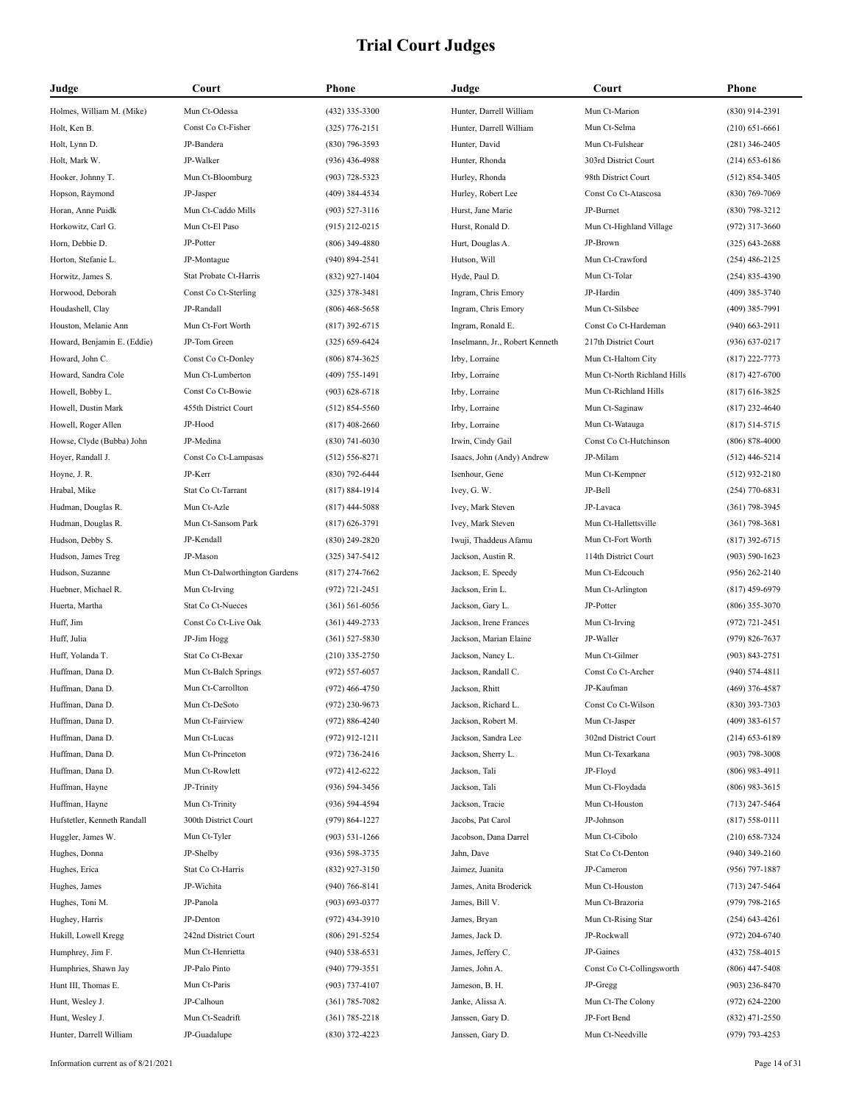| Judge                       | Court                         | Phone              | Judge                          | Court                       | <b>Phone</b>                             |
|-----------------------------|-------------------------------|--------------------|--------------------------------|-----------------------------|------------------------------------------|
| Holmes, William M. (Mike)   | Mun Ct-Odessa                 | $(432)$ 335-3300   | Hunter, Darrell William        | Mun Ct-Marion               | $(830)$ 914-2391                         |
| Holt, Ken B.                | Const Co Ct-Fisher            | $(325)$ 776-2151   | Hunter, Darrell William        | Mun Ct-Selma                | $(210) 651 - 6661$                       |
| Holt, Lynn D.               | JP-Bandera                    | $(830)$ 796-3593   | Hunter, David                  | Mun Ct-Fulshear             | $(281)$ 346-2405                         |
| Holt, Mark W.               | JP-Walker                     | $(936)$ 436-4988   | Hunter, Rhonda                 | 303rd District Court        | $(214)$ 653-6186                         |
| Hooker, Johnny T.           | Mun Ct-Bloomburg              | $(903) 728 - 5323$ | Hurley, Rhonda                 | 98th District Court         | $(512) 854 - 3405$                       |
| Hopson, Raymond             | JP-Jasper                     | $(409)$ 384-4534   | Hurley, Robert Lee             | Const Co Ct-Atascosa        | $(830)$ 769-7069                         |
| Horan, Anne Puidk           | Mun Ct-Caddo Mills            | $(903)$ 527-3116   | Hurst, Jane Marie              | JP-Burnet                   | $(830)$ 798-3212                         |
| Horkowitz, Carl G.          | Mun Ct-El Paso                | $(915)$ 212-0215   | Hurst, Ronald D.               | Mun Ct-Highland Village     | $(972)$ 317-3660                         |
| Horn, Debbie D.             | JP-Potter                     | $(806)$ 349-4880   | Hurt, Douglas A.               | JP-Brown                    | $(325)$ 643-2688                         |
| Horton, Stefanie L.         | JP-Montague                   | $(940) 894 - 2541$ | Hutson, Will                   | Mun Ct-Crawford             | $(254)$ 486-2125                         |
| Horwitz, James S.           | Stat Probate Ct-Harris        | $(832)$ 927-1404   | Hyde, Paul D.                  | Mun Ct-Tolar                | $(254)$ 835-4390                         |
| Horwood, Deborah            | Const Co Ct-Sterling          | $(325)$ 378-3481   | Ingram, Chris Emory            | JP-Hardin                   | $(409)$ 385-3740                         |
| Houdashell, Clay            | JP-Randall                    | $(806)$ 468-5658   | Ingram, Chris Emory            | Mun Ct-Silsbee              | $(409)$ 385-7991                         |
| Houston, Melanie Ann        | Mun Ct-Fort Worth             | $(817)$ 392-6715   | Ingram, Ronald E.              | Const Co Ct-Hardeman        | $(940)$ 663-2911                         |
| Howard, Benjamin E. (Eddie) | JP-Tom Green                  | $(325) 659 - 6424$ | Inselmann, Jr., Robert Kenneth | 217th District Court        | $(936) 637 - 0217$                       |
| Howard, John C.             | Const Co Ct-Donley            | $(806)$ 874-3625   | Irby, Lorraine                 | Mun Ct-Haltom City          | $(817)$ 222-7773                         |
| Howard, Sandra Cole         | Mun Ct-Lumberton              | $(409)$ 755-1491   | Irby, Lorraine                 | Mun Ct-North Richland Hills | $(817)$ 427-6700                         |
| Howell, Bobby L.            | Const Co Ct-Bowie             | $(903) 628 - 6718$ | Irby, Lorraine                 | Mun Ct-Richland Hills       | $(817)$ 616-3825                         |
| Howell, Dustin Mark         | 455th District Court          | $(512) 854 - 5560$ | Irby, Lorraine                 | Mun Ct-Saginaw              | $(817)$ 232-4640                         |
| Howell, Roger Allen         | JP-Hood                       | $(817)$ 408-2660   | Irby, Lorraine                 | Mun Ct-Watauga              | $(817) 514 - 5715$                       |
| Howse, Clyde (Bubba) John   | JP-Medina                     | $(830)$ 741-6030   | Irwin, Cindy Gail              | Const Co Ct-Hutchinson      | $(806)$ 878-4000                         |
| Hoyer, Randall J.           | Const Co Ct-Lampasas          | $(512) 556 - 8271$ | Isaacs, John (Andy) Andrew     | JP-Milam                    | $(512)$ 446-5214                         |
| Hoyne, J. R.                | JP-Kerr                       | $(830)$ 792-6444   | Isenhour, Gene                 | Mun Ct-Kempner              | $(512)$ 932-2180                         |
| Hrabal, Mike                | Stat Co Ct-Tarrant            | $(817) 884 - 1914$ | Ivey, G. W.                    | JP-Bell                     | $(254)$ 770-6831                         |
| Hudman, Douglas R.          | Mun Ct-Azle                   | $(817)$ 444-5088   | Ivey, Mark Steven              | JP-Lavaca                   | $(361)$ 798-3945                         |
| Hudman, Douglas R.          | Mun Ct-Sansom Park            | $(817) 626 - 3791$ | Ivey, Mark Steven              | Mun Ct-Hallettsville        | $(361)$ 798-3681                         |
| Hudson, Debby S.            | JP-Kendall                    | $(830)$ 249-2820   | Iwuji, Thaddeus Afamu          | Mun Ct-Fort Worth           | $(817)$ 392-6715                         |
| Hudson, James Treg          | JP-Mason                      | $(325)$ 347-5412   | Jackson, Austin R.             | 114th District Court        | $(903) 590 - 1623$                       |
| Hudson, Suzanne             | Mun Ct-Dalworthington Gardens | $(817)$ 274-7662   | Jackson, E. Speedy             | Mun Ct-Edcouch              | $(956)$ 262-2140                         |
| Huebner, Michael R.         | Mun Ct-Irving                 | $(972) 721 - 2451$ | Jackson, Erin L.               | Mun Ct-Arlington            | $(817)$ 459-6979                         |
| Huerta, Martha              | Stat Co Ct-Nueces             | $(361) 561 - 6056$ | Jackson, Gary L.               | JP-Potter                   | $(806)$ 355-3070                         |
| Huff, Jim                   | Const Co Ct-Live Oak          | $(361)$ 449-2733   | Jackson, Irene Frances         | Mun Ct-Irving               |                                          |
| Huff, Julia                 | JP-Jim Hogg                   | $(361) 527 - 5830$ | Jackson, Marian Elaine         | JP-Waller                   | $(972) 721 - 2451$<br>$(979) 826 - 7637$ |
| Huff, Yolanda T.            | Stat Co Ct-Bexar              |                    | Jackson, Nancy L.              | Mun Ct-Gilmer               |                                          |
| Huffman, Dana D.            |                               | $(210)$ 335-2750   |                                | Const Co Ct-Archer          | $(903) 843 - 2751$<br>$(940) 574 - 4811$ |
|                             | Mun Ct-Balch Springs          | $(972) 557 - 6057$ | Jackson, Randall C.            |                             |                                          |
| Huffman, Dana D.            | Mun Ct-Carrollton             | $(972)$ 466-4750   | Jackson, Rhitt                 | JP-Kaufman                  | $(469)$ 376-4587                         |
| Huffman, Dana D.            | Mun Ct-DeSoto                 | (972) 230-9673     | Jackson, Richard L.            | Const Co Ct-Wilson          | (830) 393-7303                           |
| Huffman, Dana D.            | Mun Ct-Fairview               | $(972) 886 - 4240$ | Jackson, Robert M.             | Mun Ct-Jasper               | $(409)$ 383-6157                         |
| Huffman, Dana D.            | Mun Ct-Lucas                  | $(972)$ 912-1211   | Jackson, Sandra Lee            | 302nd District Court        | $(214)$ 653-6189                         |
| Huffman, Dana D.            | Mun Ct-Princeton              | $(972) 736 - 2416$ | Jackson, Sherry L.             | Mun Ct-Texarkana            | $(903) 798 - 3008$                       |
| Huffman, Dana D.            | Mun Ct-Rowlett                | $(972)$ 412-6222   | Jackson, Tali                  | JP-Floyd                    | $(806)$ 983-4911                         |
| Huffman, Hayne              | JP-Trinity                    | $(936) 594 - 3456$ | Jackson, Tali                  | Mun Ct-Floydada             | $(806)$ 983-3615                         |
| Huffman, Hayne              | Mun Ct-Trinity                | $(936) 594 - 4594$ | Jackson, Tracie                | Mun Ct-Houston              | $(713)$ 247-5464                         |
| Hufstetler, Kenneth Randall | 300th District Court          | $(979) 864 - 1227$ | Jacobs, Pat Carol              | JP-Johnson                  | $(817) 558 - 0111$                       |
| Huggler, James W.           | Mun Ct-Tyler                  | $(903)$ 531-1266   | Jacobson, Dana Darrel          | Mun Ct-Cibolo               | $(210)$ 658-7324                         |
| Hughes, Donna               | JP-Shelby                     | $(936) 598 - 3735$ | Jahn, Dave                     | Stat Co Ct-Denton           | $(940)$ 349-2160                         |
| Hughes, Erica               | Stat Co Ct-Harris             | (832) 927-3150     | Jaimez, Juanita                | JP-Cameron                  | $(956)$ 797-1887                         |
| Hughes, James               | JP-Wichita                    | $(940) 766 - 8141$ | James, Anita Broderick         | Mun Ct-Houston              | $(713)$ 247-5464                         |
| Hughes, Toni M.             | JP-Panola                     | $(903) 693 - 0377$ | James, Bill V.                 | Mun Ct-Brazoria             | $(979)$ 798-2165                         |
| Hughey, Harris              | JP-Denton                     | $(972)$ 434-3910   | James, Bryan                   | Mun Ct-Rising Star          | $(254) 643 - 4261$                       |
| Hukill, Lowell Kregg        | 242nd District Court          | $(806)$ 291-5254   | James, Jack D.                 | JP-Rockwall                 | $(972)$ 204-6740                         |
| Humphrey, Jim F.            | Mun Ct-Henrietta              | $(940)$ 538-6531   | James, Jeffery C.              | JP-Gaines                   | $(432)$ 758-4015                         |
| Humphries, Shawn Jay        | JP-Palo Pinto                 | $(940)$ 779-3551   | James, John A.                 | Const Co Ct-Collingsworth   | $(806)$ 447-5408                         |
| Hunt III, Thomas E.         | Mun Ct-Paris                  | $(903)$ 737-4107   | Jameson, B. H.                 | JP-Gregg                    | $(903)$ 236-8470                         |
| Hunt, Wesley J.             | JP-Calhoun                    | $(361) 785 - 7082$ | Janke, Alissa A.               | Mun Ct-The Colony           | $(972)$ 624-2200                         |
| Hunt, Wesley J.             | Mun Ct-Seadrift               | $(361) 785 - 2218$ | Janssen, Gary D.               | JP-Fort Bend                | $(832)$ 471-2550                         |
| Hunter, Darrell William     | JP-Guadalupe                  | $(830)$ 372-4223   | Janssen, Gary D.               | Mun Ct-Needville            | $(979) 793 - 4253$                       |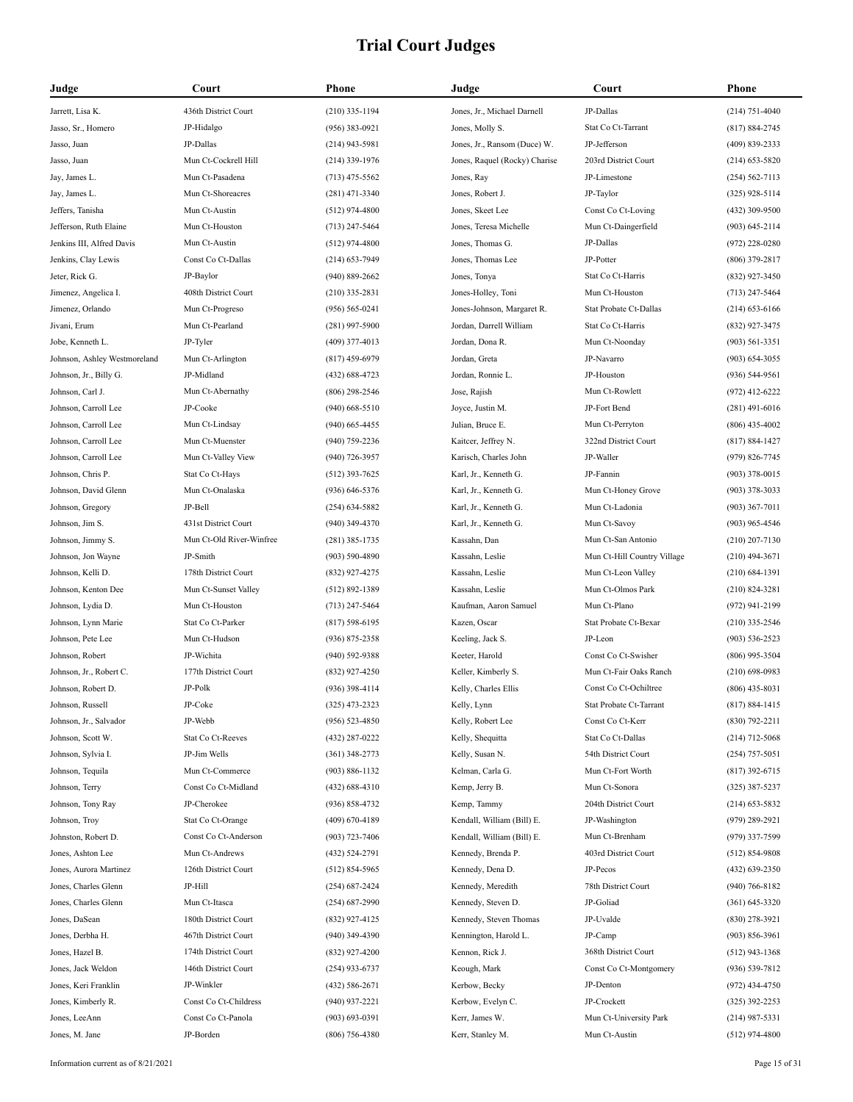| Judge                               | Court                    | Phone                                    | Judge                         | Court                       | Phone                            |
|-------------------------------------|--------------------------|------------------------------------------|-------------------------------|-----------------------------|----------------------------------|
| Jarrett, Lisa K.                    | 436th District Court     | $(210)$ 335-1194                         | Jones, Jr., Michael Darnell   | JP-Dallas                   | $(214) 751 - 4040$               |
| Jasso, Sr., Homero                  | JP-Hidalgo               | $(956)$ 383-0921                         | Jones, Molly S.               | Stat Co Ct-Tarrant          | (817) 884-2745                   |
| Jasso, Juan                         | JP-Dallas                | $(214)$ 943-5981                         | Jones, Jr., Ransom (Duce) W.  | JP-Jefferson                | (409) 839-2333                   |
| Jasso, Juan                         | Mun Ct-Cockrell Hill     | $(214)$ 339-1976                         | Jones, Raquel (Rocky) Charise | 203rd District Court        | $(214)$ 653-5820                 |
| Jay, James L.                       | Mun Ct-Pasadena          | $(713)$ 475-5562                         | Jones, Ray                    | JP-Limestone                | $(254) 562 - 7113$               |
| Jay, James L.                       | Mun Ct-Shoreacres        | $(281)$ 471-3340                         | Jones, Robert J.              | JP-Taylor                   | $(325)$ 928-5114                 |
| Jeffers, Tanisha                    | Mun Ct-Austin            | $(512)$ 974-4800                         | Jones, Skeet Lee              | Const Co Ct-Loving          | (432) 309-9500                   |
| Jefferson, Ruth Elaine              | Mun Ct-Houston           | $(713)$ 247-5464                         | Jones, Teresa Michelle        | Mun Ct-Daingerfield         | $(903) 645 - 2114$               |
| Jenkins III, Alfred Davis           | Mun Ct-Austin            | $(512)$ 974-4800                         | Jones, Thomas G.              | JP-Dallas                   | $(972)$ 228-0280                 |
| Jenkins, Clay Lewis                 | Const Co Ct-Dallas       | $(214) 653 - 7949$                       | Jones, Thomas Lee             | JP-Potter                   | (806) 379-2817                   |
| Jeter, Rick G.                      | JP-Baylor                | $(940) 889 - 2662$                       | Jones, Tonya                  | Stat Co Ct-Harris           | (832) 927-3450                   |
| Jimenez, Angelica I.                | 408th District Court     | $(210)$ 335-2831                         | Jones-Holley, Toni            | Mun Ct-Houston              | $(713)$ 247-5464                 |
| Jimenez, Orlando                    | Mun Ct-Progreso          | $(956) 565 - 0241$                       | Jones-Johnson, Margaret R.    | Stat Probate Ct-Dallas      | $(214) 653 - 6166$               |
| Jivani, Erum                        | Mun Ct-Pearland          | $(281)$ 997-5900                         | Jordan, Darrell William       | Stat Co Ct-Harris           | (832) 927-3475                   |
| Jobe, Kenneth L.                    | JP-Tyler                 | $(409)$ 377-4013                         | Jordan, Dona R.               | Mun Ct-Noonday              | $(903) 561 - 3351$               |
| Johnson, Ashley Westmoreland        | Mun Ct-Arlington         | $(817)$ 459-6979                         | Jordan, Greta                 | JP-Navarro                  | $(903) 654 - 3055$               |
| Johnson, Jr., Billy G.              | JP-Midland               | (432) 688-4723                           | Jordan, Ronnie L.             | JP-Houston                  | $(936) 544 - 9561$               |
| Johnson, Carl J.                    | Mun Ct-Abernathy         | $(806)$ 298-2546                         | Jose, Rajish                  | Mun Ct-Rowlett              | $(972)$ 412-6222                 |
| Johnson, Carroll Lee                | JP-Cooke                 | $(940)$ 668-5510                         | Joyce, Justin M.              | JP-Fort Bend                | $(281)$ 491-6016                 |
| Johnson, Carroll Lee                | Mun Ct-Lindsay           | $(940)$ 665-4455                         | Julian, Bruce E.              | Mun Ct-Perryton             | $(806)$ 435-4002                 |
| Johnson, Carroll Lee                | Mun Ct-Muenster          | (940) 759-2236                           | Kaitcer, Jeffrey N.           | 322nd District Court        | $(817) 884 - 1427$               |
| Johnson, Carroll Lee                | Mun Ct-Valley View       | $(940)$ 726-3957                         | Karisch, Charles John         | JP-Waller                   | (979) 826-7745                   |
| Johnson, Chris P.                   | Stat Co Ct-Hays          | $(512)$ 393-7625                         | Karl, Jr., Kenneth G.         | JP-Fannin                   | $(903)$ 378-0015                 |
| Johnson, David Glenn                | Mun Ct-Onalaska          | $(936) 646 - 5376$                       | Karl, Jr., Kenneth G.         | Mun Ct-Honey Grove          | $(903)$ 378-3033                 |
| Johnson, Gregory                    | JP-Bell                  | $(254) 634 - 5882$                       | Karl, Jr., Kenneth G.         | Mun Ct-Ladonia              | $(903)$ 367-7011                 |
| Johnson, Jim S.                     | 431st District Court     | $(940)$ 349-4370                         | Karl, Jr., Kenneth G.         | Mun Ct-Savoy                | $(903)$ 965-4546                 |
| Johnson, Jimmy S.                   | Mun Ct-Old River-Winfree | $(281)$ 385-1735                         | Kassahn, Dan                  | Mun Ct-San Antonio          | $(210)$ 207-7130                 |
| Johnson, Jon Wayne                  | JP-Smith                 | $(903) 590 - 4890$                       | Kassahn, Leslie               | Mun Ct-Hill Country Village | $(210)$ 494-3671                 |
| Johnson, Kelli D.                   | 178th District Court     | (832) 927-4275                           | Kassahn, Leslie               | Mun Ct-Leon Valley          | $(210) 684 - 1391$               |
| Johnson, Kenton Dee                 | Mun Ct-Sunset Valley     | $(512) 892 - 1389$                       | Kassahn, Leslie               | Mun Ct-Olmos Park           | $(210)$ 824-3281                 |
| Johnson, Lydia D.                   | Mun Ct-Houston           | $(713)$ 247-5464                         | Kaufman, Aaron Samuel         | Mun Ct-Plano                | (972) 941-2199                   |
| Johnson, Lynn Marie                 | Stat Co Ct-Parker        | $(817) 598 - 6195$                       | Kazen, Oscar                  | Stat Probate Ct-Bexar       | $(210)$ 335-2546                 |
| Johnson, Pete Lee                   | Mun Ct-Hudson            | $(936) 875 - 2358$                       | Keeling, Jack S.              | JP-Leon                     | $(903) 536 - 2523$               |
| Johnson, Robert                     | JP-Wichita               | $(940) 592 - 9388$                       | Keeter, Harold                | Const Co Ct-Swisher         | $(806)$ 995-3504                 |
| Johnson, Jr., Robert C.             | 177th District Court     | $(832)$ 927-4250                         | Keller, Kimberly S.           | Mun Ct-Fair Oaks Ranch      | $(210)$ 698-0983                 |
| Johnson, Robert D.                  | JP-Polk                  | $(936)$ 398-4114                         | Kelly, Charles Ellis          | Const Co Ct-Ochiltree       | $(806)$ 435-8031                 |
| Johnson, Russell                    | JP-Coke                  | $(325)$ 473-2323                         | Kelly, Lynn                   | Stat Probate Ct-Tarrant     | $(817) 884 - 1415$               |
| Johnson, Jr., Salvador              | JP-Webb                  | $(956) 523 - 4850$                       | Kelly, Robert Lee             | Const Co Ct-Kerr            | (830) 792-2211                   |
| Johnson, Scott W.                   | Stat Co Ct-Reeves        | (432) 287-0222                           | Kelly, Shequitta              | Stat Co Ct-Dallas           | $(214)$ 712-5068                 |
| Johnson, Sylvia I.                  | JP-Jim Wells             | $(361)$ 348-2773                         | Kelly, Susan N.               | 54th District Court         | $(254)$ 757-5051                 |
| Johnson, Tequila                    | Mun Ct-Commerce          | $(903) 886 - 1132$                       | Kelman, Carla G.              | Mun Ct-Fort Worth           | $(817)$ 392-6715                 |
|                                     | Const Co Ct-Midland      |                                          |                               | Mun Ct-Sonora               |                                  |
| Johnson, Terry<br>Johnson, Tony Ray | JP-Cherokee              | $(432) 688 - 4310$<br>$(936) 858 - 4732$ | Kemp, Jerry B.<br>Kemp, Tammy | 204th District Court        | $(325)$ 387-5237                 |
| Johnson, Troy                       |                          |                                          | Kendall, William (Bill) E.    | JP-Washington               | (214) 653-5832<br>(979) 289-2921 |
| Johnston, Robert D.                 | Stat Co Ct-Orange        | $(409) 670 - 4189$                       | Kendall, William (Bill) E.    |                             |                                  |
|                                     | Const Co Ct-Anderson     | $(903) 723 - 7406$                       |                               | Mun Ct-Brenham              | (979) 337-7599                   |
| Jones, Ashton Lee                   | Mun Ct-Andrews           | (432) 524-2791                           | Kennedy, Brenda P.            | 403rd District Court        | $(512) 854 - 9808$               |
| Jones, Aurora Martinez              | 126th District Court     | $(512) 854 - 5965$                       | Kennedy, Dena D.              | JP-Pecos                    | (432) 639-2350                   |
| Jones, Charles Glenn                | JP-Hill                  | $(254) 687 - 2424$                       | Kennedy, Meredith             | 78th District Court         | $(940) 766 - 8182$               |
| Jones, Charles Glenn                | Mun Ct-Itasca            | $(254) 687 - 2990$                       | Kennedy, Steven D.            | JP-Goliad                   | $(361) 645 - 3320$               |
| Jones, DaSean                       | 180th District Court     | (832) 927-4125                           | Kennedy, Steven Thomas        | JP-Uvalde                   | $(830)$ 278-3921                 |
| Jones, Derbha H.                    | 467th District Court     | $(940)$ 349-4390                         | Kennington, Harold L.         | JP-Camp                     | $(903) 856 - 3961$               |
| Jones, Hazel B.                     | 174th District Court     | $(832)$ 927-4200                         | Kennon, Rick J.               | 368th District Court        | $(512)$ 943-1368                 |
| Jones, Jack Weldon                  | 146th District Court     | $(254)$ 933-6737                         | Keough, Mark                  | Const Co Ct-Montgomery      | $(936) 539 - 7812$               |
| Jones, Keri Franklin                | JP-Winkler               | $(432) 586 - 2671$                       | Kerbow, Becky                 | JP-Denton                   | (972) 434-4750                   |
| Jones, Kimberly R.                  | Const Co Ct-Childress    | $(940)$ 937-2221                         | Kerbow, Evelyn C.             | JP-Crockett                 | $(325)$ 392-2253                 |
| Jones, LeeAnn                       | Const Co Ct-Panola       | $(903) 693 - 0391$                       | Kerr, James W.                | Mun Ct-University Park      | $(214)$ 987-5331                 |
| Jones, M. Jane                      | JP-Borden                | $(806)$ 756-4380                         | Kerr, Stanley M.              | Mun Ct-Austin               | $(512)$ 974-4800                 |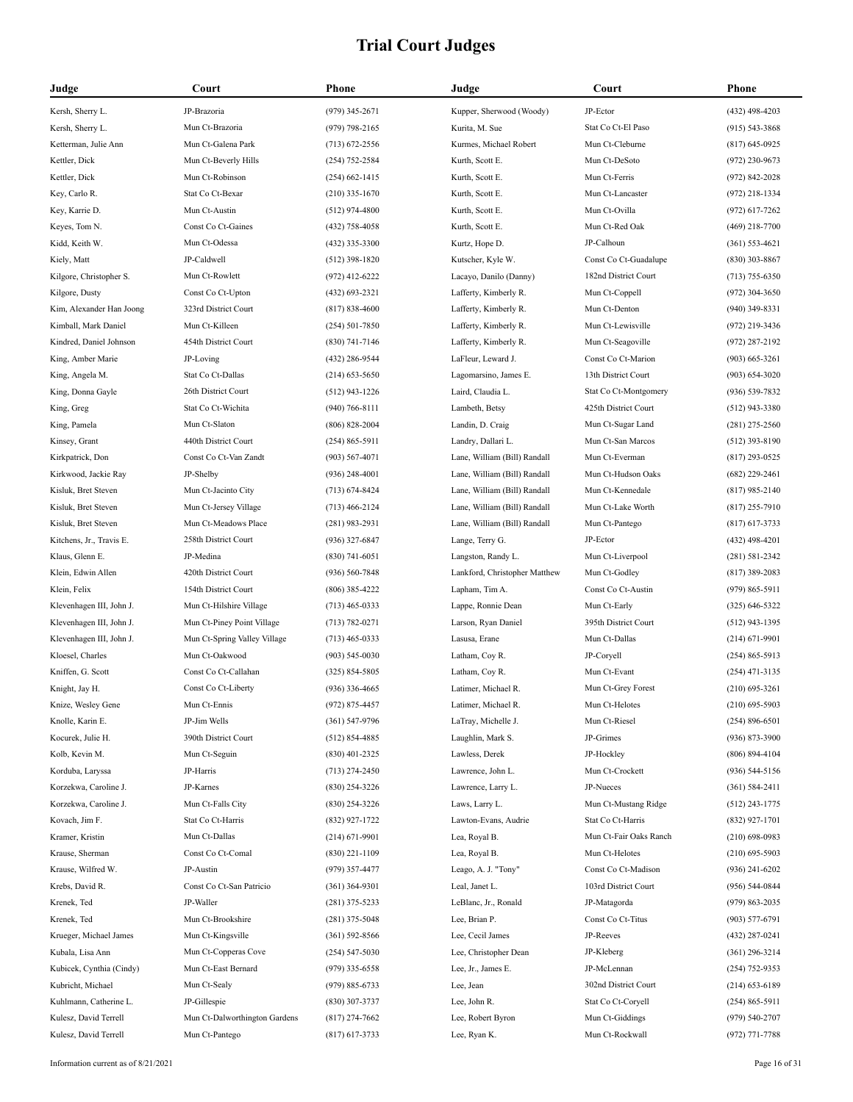| Judge                    | Court                         | Phone              | Judge                         | Court                  | <b>Phone</b>       |
|--------------------------|-------------------------------|--------------------|-------------------------------|------------------------|--------------------|
| Kersh, Sherry L.         | JP-Brazoria                   | $(979)$ 345-2671   | Kupper, Sherwood (Woody)      | JP-Ector               | $(432)$ 498-4203   |
| Kersh, Sherry L.         | Mun Ct-Brazoria               | $(979)$ 798-2165   | Kurita, M. Sue                | Stat Co Ct-El Paso     | $(915) 543 - 3868$ |
| Ketterman, Julie Ann     | Mun Ct-Galena Park            | $(713) 672 - 2556$ | Kurmes, Michael Robert        | Mun Ct-Cleburne        | $(817)$ 645-0925   |
| Kettler, Dick            | Mun Ct-Beverly Hills          | $(254)$ 752-2584   | Kurth, Scott E.               | Mun Ct-DeSoto          | $(972)$ 230-9673   |
| Kettler, Dick            | Mun Ct-Robinson               | $(254)$ 662-1415   | Kurth, Scott E.               | Mun Ct-Ferris          | $(972) 842 - 2028$ |
| Key, Carlo R.            | Stat Co Ct-Bexar              | $(210)$ 335-1670   | Kurth, Scott E.               | Mun Ct-Lancaster       | $(972)$ 218-1334   |
| Key, Karrie D.           | Mun Ct-Austin                 | $(512)$ 974-4800   | Kurth, Scott E.               | Mun Ct-Ovilla          | $(972)$ 617-7262   |
| Keyes, Tom N.            | Const Co Ct-Gaines            | (432) 758-4058     | Kurth, Scott E.               | Mun Ct-Red Oak         | $(469)$ 218-7700   |
| Kidd, Keith W.           | Mun Ct-Odessa                 | $(432)$ 335-3300   | Kurtz, Hope D.                | JP-Calhoun             | $(361) 553 - 4621$ |
| Kiely, Matt              | JP-Caldwell                   | $(512)$ 398-1820   | Kutscher, Kyle W.             | Const Co Ct-Guadalupe  | $(830)$ 303-8867   |
| Kilgore, Christopher S.  | Mun Ct-Rowlett                | $(972)$ 412-6222   | Lacayo, Danilo (Danny)        | 182nd District Court   | $(713)$ 755-6350   |
| Kilgore, Dusty           | Const Co Ct-Upton             | $(432)$ 693-2321   | Lafferty, Kimberly R.         | Mun Ct-Coppell         | $(972)$ 304-3650   |
| Kim, Alexander Han Joong | 323rd District Court          | $(817) 838 - 4600$ | Lafferty, Kimberly R.         | Mun Ct-Denton          | $(940)$ 349-8331   |
| Kimball, Mark Daniel     | Mun Ct-Killeen                | $(254) 501 - 7850$ | Lafferty, Kimberly R.         | Mun Ct-Lewisville      | $(972)$ 219-3436   |
| Kindred, Daniel Johnson  | 454th District Court          | $(830)$ 741-7146   | Lafferty, Kimberly R.         | Mun Ct-Seagoville      | $(972)$ 287-2192   |
| King, Amber Marie        | JP-Loving                     | (432) 286-9544     | LaFleur. Leward J.            | Const Co Ct-Marion     | $(903)$ 665-3261   |
| King, Angela M.          | Stat Co Ct-Dallas             | $(214)$ 653-5650   | Lagomarsino, James E.         | 13th District Court    | $(903) 654 - 3020$ |
| King, Donna Gayle        | 26th District Court           | $(512)$ 943-1226   | Laird, Claudia L.             | Stat Co Ct-Montgomery  | $(936) 539 - 7832$ |
| King, Greg               | Stat Co Ct-Wichita            | $(940)$ 766-8111   | Lambeth, Betsy                | 425th District Court   | $(512)$ 943-3380   |
| King, Pamela             | Mun Ct-Slaton                 | $(806) 828 - 2004$ | Landin, D. Craig              | Mun Ct-Sugar Land      | $(281)$ 275-2560   |
| Kinsey, Grant            | 440th District Court          | $(254) 865 - 5911$ | Landry, Dallari L.            | Mun Ct-San Marcos      | $(512)$ 393-8190   |
| Kirkpatrick, Don         | Const Co Ct-Van Zandt         | $(903) 567 - 4071$ | Lane, William (Bill) Randall  | Mun Ct-Everman         | $(817)$ 293-0525   |
| Kirkwood, Jackie Ray     | JP-Shelby                     | $(936)$ 248-4001   | Lane, William (Bill) Randall  | Mun Ct-Hudson Oaks     | $(682)$ 229-2461   |
| Kisluk, Bret Steven      | Mun Ct-Jacinto City           | $(713) 674 - 8424$ | Lane, William (Bill) Randall  | Mun Ct-Kennedale       | $(817)$ 985-2140   |
| Kisluk, Bret Steven      | Mun Ct-Jersey Village         | $(713)$ 466-2124   | Lane, William (Bill) Randall  | Mun Ct-Lake Worth      | $(817)$ 255-7910   |
| Kisluk, Bret Steven      | Mun Ct-Meadows Place          | $(281)$ 983-2931   | Lane, William (Bill) Randall  | Mun Ct-Pantego         | $(817)$ 617-3733   |
| Kitchens, Jr., Travis E. | 258th District Court          | $(936)$ 327-6847   | Lange, Terry G.               | JP-Ector               | $(432)$ 498-4201   |
| Klaus, Glenn E.          | JP-Medina                     | $(830)$ 741-6051   | Langston, Randy L.            | Mun Ct-Liverpool       | $(281) 581 - 2342$ |
| Klein, Edwin Allen       | 420th District Court          | $(936) 560 - 7848$ | Lankford, Christopher Matthew | Mun Ct-Godley          | $(817)$ 389-2083   |
| Klein, Felix             | 154th District Court          | $(806)$ 385-4222   | Lapham, Tim A.                | Const Co Ct-Austin     | $(979) 865 - 5911$ |
| Klevenhagen III, John J. | Mun Ct-Hilshire Village       | $(713)$ 465-0333   | Lappe, Ronnie Dean            | Mun Ct-Early           | $(325) 646 - 5322$ |
| Klevenhagen III, John J. | Mun Ct-Piney Point Village    | $(713) 782 - 0271$ | Larson, Ryan Daniel           | 395th District Court   | $(512)$ 943-1395   |
| Klevenhagen III, John J. | Mun Ct-Spring Valley Village  | $(713)$ 465-0333   | Lasusa, Erane                 | Mun Ct-Dallas          | $(214) 671 - 9901$ |
| Kloesel, Charles         | Mun Ct-Oakwood                | $(903) 545 - 0030$ | Latham, Coy R.                | JP-Coryell             | $(254) 865 - 5913$ |
| Kniffen, G. Scott        | Const Co Ct-Callahan          | $(325) 854 - 5805$ | Latham, Coy R.                | Mun Ct-Evant           | $(254)$ 471-3135   |
| Knight, Jay H.           | Const Co Ct-Liberty           | $(936)$ 336-4665   | Latimer, Michael R.           | Mun Ct-Grey Forest     | $(210)$ 695-3261   |
| Knize, Wesley Gene       | Mun Ct-Ennis                  | $(972) 875 - 4457$ | Latimer, Michael R.           | Mun Ct-Helotes         | $(210)$ 695-5903   |
| Knolle, Karin E.         | JP-Jim Wells                  | $(361) 547 - 9796$ | LaTray, Michelle J.           | Mun Ct-Riesel          | $(254) 896 - 6501$ |
| Kocurek, Julie H.        | 390th District Court          | $(512) 854 - 4885$ | Laughlin, Mark S.             | JP-Grimes              | $(936) 873 - 3900$ |
| Kolb, Kevin M.           | Mun Ct-Seguin                 | $(830)$ 401-2325   | Lawless, Derek                | JP-Hockley             | $(806) 894 - 4104$ |
| Korduba, Laryssa         | JP-Harris                     | $(713)$ 274-2450   | Lawrence, John L.             | Mun Ct-Crockett        | $(936) 544 - 5156$ |
| Korzekwa, Caroline J.    | JP-Karnes                     | $(830)$ 254-3226   | Lawrence, Larry L.            | JP-Nueces              | $(361) 584 - 2411$ |
| Korzekwa, Caroline J.    | Mun Ct-Falls City             | $(830)$ 254-3226   | Laws, Larry L.                | Mun Ct-Mustang Ridge   | $(512)$ 243-1775   |
| Kovach, Jim F.           | Stat Co Ct-Harris             | (832) 927-1722     | Lawton-Evans, Audrie          | Stat Co Ct-Harris      | $(832)$ 927-1701   |
| Kramer, Kristin          | Mun Ct-Dallas                 | $(214) 671 - 9901$ | Lea, Royal B.                 | Mun Ct-Fair Oaks Ranch | $(210)$ 698-0983   |
| Krause, Sherman          | Const Co Ct-Comal             | $(830)$ 221-1109   | Lea, Royal B.                 | Mun Ct-Helotes         | $(210)$ 695-5903   |
| Krause, Wilfred W.       | JP-Austin                     | $(979)$ 357-4477   | Leago, A. J. "Tony"           | Const Co Ct-Madison    | $(936)$ 241-6202   |
| Krebs, David R.          | Const Co Ct-San Patricio      | $(361)$ 364-9301   | Leal, Janet L.                | 103rd District Court   | $(956) 544-0844$   |
| Krenek, Ted              | JP-Waller                     | $(281)$ 375-5233   | LeBlanc, Jr., Ronald          | JP-Matagorda           | $(979) 863 - 2035$ |
| Krenek, Ted              | Mun Ct-Brookshire             | $(281)$ 375-5048   | Lee, Brian P.                 | Const Co Ct-Titus      | $(903) 577 - 6791$ |
| Krueger, Michael James   | Mun Ct-Kingsville             | $(361) 592 - 8566$ | Lee, Cecil James              | JP-Reeves              | $(432)$ 287-0241   |
| Kubala, Lisa Ann         | Mun Ct-Copperas Cove          | $(254) 547 - 5030$ | Lee, Christopher Dean         | JP-Kleberg             | $(361)$ 296-3214   |
| Kubicek, Cynthia (Cindy) | Mun Ct-East Bernard           | $(979)$ 335-6558   | Lee, Jr., James E.            | JP-McLennan            | $(254)$ 752-9353   |
| Kubricht, Michael        | Mun Ct-Sealy                  | $(979) 885 - 6733$ | Lee, Jean                     | 302nd District Court   | $(214)$ 653-6189   |
| Kuhlmann, Catherine L.   | JP-Gillespie                  | $(830)$ 307-3737   | Lee, John R.                  | Stat Co Ct-Coryell     | $(254) 865 - 5911$ |
| Kulesz, David Terrell    | Mun Ct-Dalworthington Gardens | $(817)$ 274-7662   | Lee, Robert Byron             | Mun Ct-Giddings        | $(979) 540 - 2707$ |
| Kulesz, David Terrell    | Mun Ct-Pantego                | $(817)$ 617-3733   | Lee, Ryan K.                  | Mun Ct-Rockwall        | $(972)$ 771-7788   |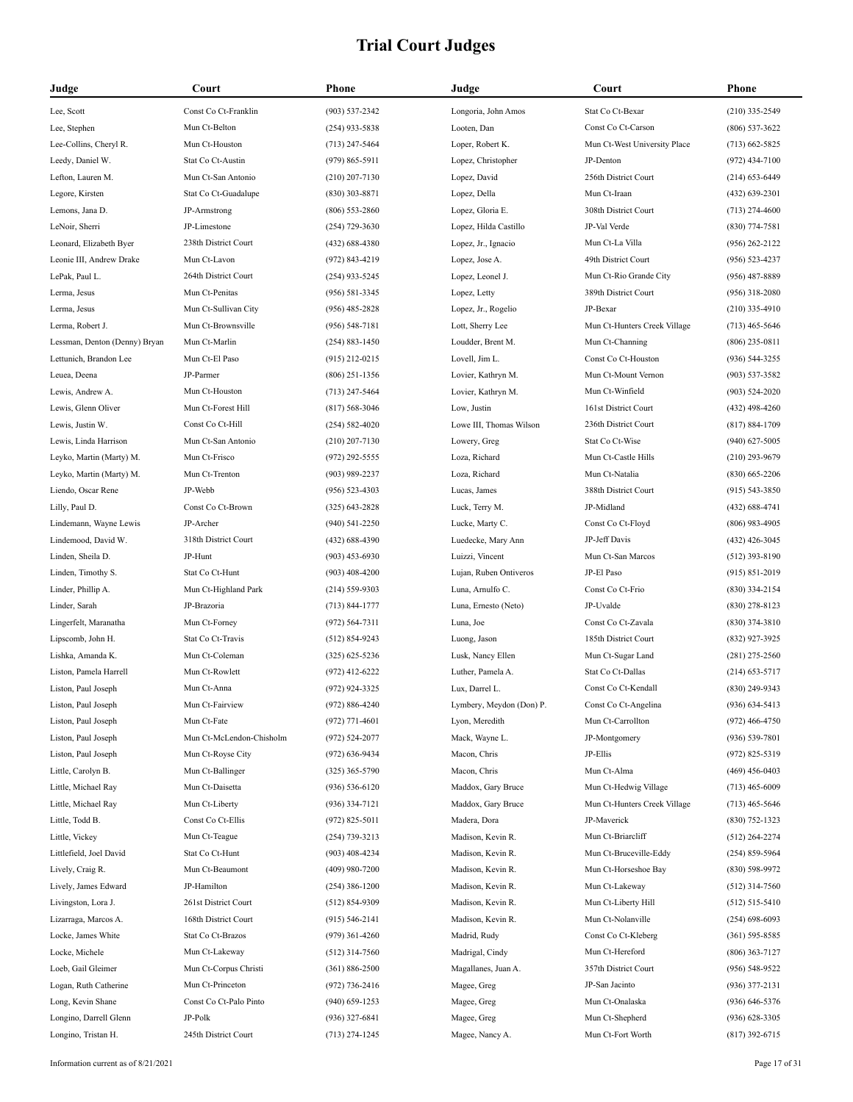| Judge                         | Court                    | Phone              | Judge                    | Court                        | <b>Phone</b>       |
|-------------------------------|--------------------------|--------------------|--------------------------|------------------------------|--------------------|
| Lee, Scott                    | Const Co Ct-Franklin     | $(903) 537 - 2342$ | Longoria, John Amos      | Stat Co Ct-Bexar             | $(210)$ 335-2549   |
| Lee, Stephen                  | Mun Ct-Belton            | $(254)$ 933-5838   | Looten, Dan              | Const Co Ct-Carson           | $(806)$ 537-3622   |
| Lee-Collins, Cheryl R.        | Mun Ct-Houston           | $(713)$ 247-5464   | Loper, Robert K.         | Mun Ct-West University Place | $(713)$ 662-5825   |
| Leedy, Daniel W.              | Stat Co Ct-Austin        | $(979) 865 - 5911$ | Lopez, Christopher       | JP-Denton                    | $(972)$ 434-7100   |
| Lefton, Lauren M.             | Mun Ct-San Antonio       | $(210)$ 207-7130   | Lopez, David             | 256th District Court         | $(214)$ 653-6449   |
| Legore, Kirsten               | Stat Co Ct-Guadalupe     | $(830)$ 303-8871   | Lopez, Della             | Mun Ct-Iraan                 | $(432) 639 - 2301$ |
| Lemons, Jana D.               | JP-Armstrong             | $(806) 553 - 2860$ | Lopez, Gloria E.         | 308th District Court         | $(713)$ 274-4600   |
| LeNoir, Sherri                | JP-Limestone             | $(254)$ 729-3630   | Lopez, Hilda Castillo    | JP-Val Verde                 | $(830)$ 774-7581   |
| Leonard, Elizabeth Byer       | 238th District Court     | $(432)$ 688-4380   | Lopez, Jr., Ignacio      | Mun Ct-La Villa              | $(956)$ 262-2122   |
| Leonie III, Andrew Drake      | Mun Ct-Lavon             | $(972) 843 - 4219$ | Lopez, Jose A.           | 49th District Court          | $(956) 523 - 4237$ |
| LePak, Paul L.                | 264th District Court     | $(254)$ 933-5245   | Lopez, Leonel J.         | Mun Ct-Rio Grande City       | $(956)$ 487-8889   |
| Lerma, Jesus                  | Mun Ct-Penitas           | $(956) 581 - 3345$ | Lopez, Letty             | 389th District Court         | $(956)$ 318-2080   |
| Lerma, Jesus                  | Mun Ct-Sullivan City     | $(956)$ 485-2828   | Lopez, Jr., Rogelio      | JP-Bexar                     | $(210)$ 335-4910   |
| Lerma, Robert J.              | Mun Ct-Brownsville       | $(956) 548 - 7181$ | Lott, Sherry Lee         | Mun Ct-Hunters Creek Village | $(713)$ 465-5646   |
| Lessman, Denton (Denny) Bryan | Mun Ct-Marlin            | $(254) 883 - 1450$ | Loudder, Brent M.        | Mun Ct-Channing              | $(806)$ 235-0811   |
| Lettunich, Brandon Lee        | Mun Ct-El Paso           | $(915)$ 212-0215   | Lovell, Jim L.           | Const Co Ct-Houston          | $(936) 544 - 3255$ |
| Leuea, Deena                  | JP-Parmer                | $(806)$ 251-1356   | Lovier, Kathryn M.       | Mun Ct-Mount Vernon          | $(903) 537 - 3582$ |
| Lewis, Andrew A.              | Mun Ct-Houston           | $(713)$ 247-5464   | Lovier, Kathryn M.       | Mun Ct-Winfield              | $(903) 524 - 2020$ |
| Lewis, Glenn Oliver           | Mun Ct-Forest Hill       | $(817) 568 - 3046$ | Low, Justin              | 161st District Court         | $(432)$ 498-4260   |
| Lewis, Justin W.              | Const Co Ct-Hill         | $(254) 582 - 4020$ | Lowe III, Thomas Wilson  | 236th District Court         | $(817) 884 - 1709$ |
| Lewis, Linda Harrison         | Mun Ct-San Antonio       | $(210)$ 207-7130   | Lowery, Greg             | Stat Co Ct-Wise              | $(940)$ 627-5005   |
| Leyko, Martin (Marty) M.      | Mun Ct-Frisco            | (972) 292-5555     | Loza, Richard            | Mun Ct-Castle Hills          | $(210)$ 293-9679   |
| Leyko, Martin (Marty) M.      | Mun Ct-Trenton           | $(903)$ 989-2237   | Loza, Richard            | Mun Ct-Natalia               | $(830)$ 665-2206   |
| Liendo, Oscar Rene            | JP-Webb                  | $(956) 523 - 4303$ | Lucas, James             | 388th District Court         | $(915) 543 - 3850$ |
| Lilly, Paul D.                | Const Co Ct-Brown        | $(325)$ 643-2828   | Luck, Terry M.           | JP-Midland                   | $(432) 688 - 4741$ |
| Lindemann, Wayne Lewis        | JP-Archer                | $(940)$ 541-2250   | Lucke, Marty C.          | Const Co Ct-Floyd            | $(806)$ 983-4905   |
| Lindemood, David W.           | 318th District Court     | $(432) 688 - 4390$ | Luedecke, Mary Ann       | JP-Jeff Davis                | $(432)$ 426-3045   |
| Linden, Sheila D.             | JP-Hunt                  | $(903)$ 453-6930   | Luizzi, Vincent          | Mun Ct-San Marcos            | $(512)$ 393-8190   |
| Linden, Timothy S.            | Stat Co Ct-Hunt          | $(903)$ 408-4200   | Lujan, Ruben Ontiveros   | JP-El Paso                   | $(915) 851 - 2019$ |
| Linder, Phillip A.            | Mun Ct-Highland Park     | $(214) 559 - 9303$ | Luna, Arnulfo C.         | Const Co Ct-Frio             | $(830)$ 334-2154   |
| Linder, Sarah                 | JP-Brazoria              | $(713) 844 - 1777$ | Luna, Ernesto (Neto)     | JP-Uvalde                    | $(830)$ 278-8123   |
| Lingerfelt, Maranatha         | Mun Ct-Forney            | $(972) 564 - 7311$ | Luna, Joe                | Const Co Ct-Zavala           | $(830)$ 374-3810   |
| Lipscomb, John H.             | Stat Co Ct-Travis        | $(512) 854 - 9243$ | Luong, Jason             | 185th District Court         | (832) 927-3925     |
| Lishka, Amanda K.             | Mun Ct-Coleman           | $(325)$ 625-5236   | Lusk, Nancy Ellen        | Mun Ct-Sugar Land            | $(281)$ 275-2560   |
| Liston, Pamela Harrell        | Mun Ct-Rowlett           | $(972)$ 412-6222   | Luther, Pamela A.        | Stat Co Ct-Dallas            | $(214)$ 653-5717   |
| Liston, Paul Joseph           | Mun Ct-Anna              | $(972)$ 924-3325   | Lux, Darrel L.           | Const Co Ct-Kendall          | (830) 249-9343     |
| Liston, Paul Joseph           | Mun Ct-Fairview          | (972) 886-4240     | Lymbery, Meydon (Don) P. | Const Co Ct-Angelina         | $(936) 634 - 5413$ |
| Liston, Paul Joseph           | Mun Ct-Fate              | $(972)$ 771-4601   | Lyon, Meredith           | Mun Ct-Carrollton            | $(972)$ 466-4750   |
| Liston, Paul Joseph           | Mun Ct-McLendon-Chisholm | (972) 524-2077     | Mack, Wayne L.           | JP-Montgomery                | $(936) 539 - 7801$ |
| Liston, Paul Joseph           | Mun Ct-Royse City        | $(972) 636 - 9434$ | Macon, Chris             | JP-Ellis                     | $(972) 825 - 5319$ |
| Little, Carolyn B.            | Mun Ct-Ballinger         | $(325)$ 365-5790   | Macon, Chris             | Mun Ct-Alma                  | $(469)$ 456-0403   |
| Little, Michael Ray           | Mun Ct-Daisetta          | $(936) 536 - 6120$ | Maddox, Gary Bruce       | Mun Ct-Hedwig Village        | $(713)$ 465-6009   |
| Little, Michael Ray           | Mun Ct-Liberty           | $(936)$ 334-7121   | Maddox, Gary Bruce       | Mun Ct-Hunters Creek Village | $(713)$ 465-5646   |
| Little, Todd B.               | Const Co Ct-Ellis        | $(972) 825 - 5011$ | Madera, Dora             | JP-Maverick                  | $(830)$ 752-1323   |
| Little, Vickey                | Mun Ct-Teague            | $(254)$ 739-3213   | Madison, Kevin R.        | Mun Ct-Briarcliff            | $(512)$ 264-2274   |
| Littlefield, Joel David       | Stat Co Ct-Hunt          | $(903)$ 408-4234   | Madison, Kevin R.        | Mun Ct-Bruceville-Eddy       | $(254) 859 - 5964$ |
| Lively, Craig R.              | Mun Ct-Beaumont          | $(409)$ 980-7200   | Madison, Kevin R.        | Mun Ct-Horseshoe Bay         | $(830)$ 598-9972   |
| Lively, James Edward          | JP-Hamilton              | $(254)$ 386-1200   | Madison, Kevin R.        | Mun Ct-Lakeway               | $(512)$ 314-7560   |
| Livingston, Lora J.           | 261st District Court     | $(512) 854-9309$   | Madison, Kevin R.        | Mun Ct-Liberty Hill          | $(512)$ 515-5410   |
| Lizarraga, Marcos A.          | 168th District Court     | $(915) 546 - 2141$ | Madison, Kevin R.        | Mun Ct-Nolanville            | $(254)$ 698-6093   |
| Locke, James White            | Stat Co Ct-Brazos        | $(979)$ 361-4260   | Madrid, Rudy             | Const Co Ct-Kleberg          | $(361) 595 - 8585$ |
| Locke, Michele                | Mun Ct-Lakeway           | $(512)$ 314-7560   | Madrigal, Cindy          | Mun Ct-Hereford              | $(806)$ 363-7127   |
| Loeb, Gail Gleimer            | Mun Ct-Corpus Christi    | $(361) 886 - 2500$ | Magallanes, Juan A.      | 357th District Court         | $(956) 548 - 9522$ |
| Logan, Ruth Catherine         | Mun Ct-Princeton         | $(972) 736 - 2416$ | Magee, Greg              | JP-San Jacinto               | $(936)$ 377-2131   |
| Long, Kevin Shane             | Const Co Ct-Palo Pinto   | $(940)$ 659-1253   | Magee, Greg              | Mun Ct-Onalaska              | $(936) 646 - 5376$ |
| Longino, Darrell Glenn        | JP-Polk                  | $(936)$ 327-6841   | Magee, Greg              | Mun Ct-Shepherd              | $(936)$ 628-3305   |
| Longino, Tristan H.           | 245th District Court     | $(713)$ 274-1245   | Magee, Nancy A.          | Mun Ct-Fort Worth            | $(817)$ 392-6715   |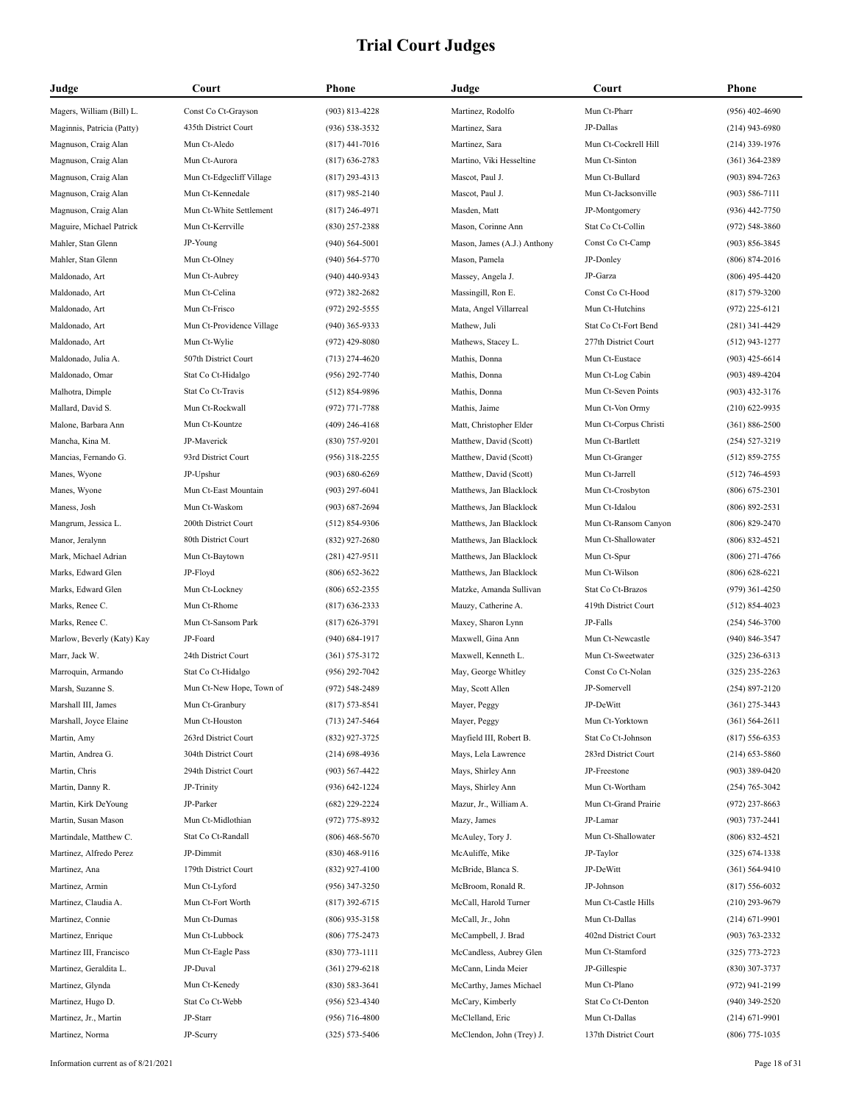| Judge                      | Court                     | Phone              | Judge                       | Court                 | Phone              |
|----------------------------|---------------------------|--------------------|-----------------------------|-----------------------|--------------------|
| Magers, William (Bill) L.  | Const Co Ct-Grayson       | $(903) 813 - 4228$ | Martinez, Rodolfo           | Mun Ct-Pharr          | $(956)$ 402-4690   |
| Maginnis, Patricia (Patty) | 435th District Court      | $(936) 538 - 3532$ | Martinez, Sara              | JP-Dallas             | $(214)$ 943-6980   |
| Magnuson, Craig Alan       | Mun Ct-Aledo              | $(817)$ 441-7016   | Martinez, Sara              | Mun Ct-Cockrell Hill  | $(214)$ 339-1976   |
| Magnuson, Craig Alan       | Mun Ct-Aurora             | $(817)$ 636-2783   | Martino, Viki Hesseltine    | Mun Ct-Sinton         | $(361)$ 364-2389   |
| Magnuson, Craig Alan       | Mun Ct-Edgecliff Village  | $(817)$ 293-4313   | Mascot, Paul J.             | Mun Ct-Bullard        | $(903) 894 - 7263$ |
| Magnuson, Craig Alan       | Mun Ct-Kennedale          | $(817)$ 985-2140   | Mascot, Paul J.             | Mun Ct-Jacksonville   | $(903) 586 - 7111$ |
| Magnuson, Craig Alan       | Mun Ct-White Settlement   | $(817)$ 246-4971   | Masden, Matt                | JP-Montgomery         | $(936)$ 442-7750   |
| Maguire, Michael Patrick   | Mun Ct-Kerrville          | $(830)$ 257-2388   | Mason, Corinne Ann          | Stat Co Ct-Collin     | $(972) 548 - 3860$ |
| Mahler, Stan Glenn         | JP-Young                  | $(940)$ 564-5001   | Mason, James (A.J.) Anthony | Const Co Ct-Camp      | $(903) 856 - 3845$ |
| Mahler, Stan Glenn         | Mun Ct-Olney              | $(940) 564 - 5770$ | Mason, Pamela               | JP-Donley             | $(806) 874 - 2016$ |
| Maldonado, Art             | Mun Ct-Aubrey             | $(940)$ 440-9343   | Massey, Angela J.           | JP-Garza              | $(806)$ 495-4420   |
| Maldonado, Art             | Mun Ct-Celina             | $(972)$ 382-2682   | Massingill, Ron E.          | Const Co Ct-Hood      | $(817) 579 - 3200$ |
| Maldonado, Art             | Mun Ct-Frisco             | $(972)$ 292-5555   | Mata, Angel Villarreal      | Mun Ct-Hutchins       | $(972)$ 225-6121   |
| Maldonado, Art             | Mun Ct-Providence Village | $(940)$ 365-9333   | Mathew, Juli                | Stat Co Ct-Fort Bend  | $(281)$ 341-4429   |
| Maldonado, Art             | Mun Ct-Wylie              | $(972)$ 429-8080   | Mathews, Stacey L.          | 277th District Court  | $(512)$ 943-1277   |
| Maldonado, Julia A.        | 507th District Court      | $(713)$ 274-4620   | Mathis, Donna               | Mun Ct-Eustace        | $(903)$ 425-6614   |
| Maldonado, Omar            | Stat Co Ct-Hidalgo        | (956) 292-7740     | Mathis, Donna               | Mun Ct-Log Cabin      | $(903)$ 489-4204   |
| Malhotra, Dimple           | Stat Co Ct-Travis         | $(512) 854 - 9896$ | Mathis, Donna               | Mun Ct-Seven Points   | $(903)$ 432-3176   |
| Mallard, David S.          | Mun Ct-Rockwall           | $(972)$ 771-7788   | Mathis, Jaime               | Mun Ct-Von Ormy       | $(210)$ 622-9935   |
| Malone, Barbara Ann        | Mun Ct-Kountze            | $(409)$ 246-4168   | Matt, Christopher Elder     | Mun Ct-Corpus Christi | $(361) 886 - 2500$ |
| Mancha, Kina M.            | JP-Maverick               | (830) 757-9201     | Matthew, David (Scott)      | Mun Ct-Bartlett       | $(254) 527 - 3219$ |
| Mancias, Fernando G.       | 93rd District Court       | $(956)$ 318-2255   | Matthew, David (Scott)      | Mun Ct-Granger        | $(512) 859 - 2755$ |
| Manes, Wyone               | JP-Upshur                 | $(903) 680 - 6269$ | Matthew, David (Scott)      | Mun Ct-Jarrell        | $(512) 746 - 4593$ |
| Manes, Wyone               | Mun Ct-East Mountain      | $(903)$ 297-6041   | Matthews, Jan Blacklock     | Mun Ct-Crosbyton      | $(806)$ 675-2301   |
| Maness, Josh               | Mun Ct-Waskom             | $(903) 687 - 2694$ | Matthews, Jan Blacklock     | Mun Ct-Idalou         | $(806) 892 - 2531$ |
| Mangrum, Jessica L.        | 200th District Court      | $(512) 854-9306$   | Matthews, Jan Blacklock     | Mun Ct-Ransom Canyon  | $(806)$ 829-2470   |
| Manor, Jeralynn            | 80th District Court       | $(832)$ 927-2680   | Matthews, Jan Blacklock     | Mun Ct-Shallowater    | $(806) 832 - 4521$ |
| Mark, Michael Adrian       | Mun Ct-Baytown            | $(281)$ 427-9511   | Matthews, Jan Blacklock     | Mun Ct-Spur           | $(806)$ 271-4766   |
| Marks, Edward Glen         | JP-Floyd                  | $(806)$ 652-3622   | Matthews, Jan Blacklock     | Mun Ct-Wilson         | $(806)$ 628-6221   |
| Marks, Edward Glen         | Mun Ct-Lockney            | $(806)$ 652-2355   | Matzke, Amanda Sullivan     | Stat Co Ct-Brazos     | $(979)$ 361-4250   |
| Marks, Renee C.            | Mun Ct-Rhome              | $(817)$ 636-2333   | Mauzy, Catherine A.         | 419th District Court  | $(512) 854 - 4023$ |
| Marks, Renee C.            | Mun Ct-Sansom Park        | $(817) 626 - 3791$ | Maxey, Sharon Lynn          | JP-Falls              | $(254) 546 - 3700$ |
| Marlow, Beverly (Katy) Kay | JP-Foard                  | $(940) 684 - 1917$ | Maxwell, Gina Ann           | Mun Ct-Newcastle      | $(940)$ 846-3547   |
| Marr, Jack W.              | 24th District Court       | $(361) 575 - 3172$ | Maxwell, Kenneth L.         | Mun Ct-Sweetwater     | $(325)$ 236-6313   |
| Marroquin, Armando         | Stat Co Ct-Hidalgo        | $(956)$ 292-7042   | May, George Whitley         | Const Co Ct-Nolan     | $(325)$ 235-2263   |
| Marsh, Suzanne S.          | Mun Ct-New Hope, Town of  | (972) 548-2489     | May, Scott Allen            | JP-Somervell          | $(254) 897 - 2120$ |
| Marshall III, James        | Mun Ct-Granbury           | $(817)$ 573-8541   | Mayer, Peggy                | JP-DeWitt             | $(361)$ 275-3443   |
| Marshall, Joyce Elaine     | Mun Ct-Houston            | $(713)$ 247-5464   | Mayer, Peggy                | Mun Ct-Yorktown       | $(361) 564 - 2611$ |
| Martin, Amy                | 263rd District Court      | (832) 927-3725     | Mayfield III, Robert B.     | Stat Co Ct-Johnson    | $(817) 556 - 6353$ |
| Martin, Andrea G.          | 304th District Court      | $(214)$ 698-4936   | Mays, Lela Lawrence         | 283rd District Court  | $(214)$ 653-5860   |
| Martin, Chris              | 294th District Court      | $(903) 567 - 4422$ | Mays, Shirley Ann           | JP-Freestone          | $(903)$ 389-0420   |
| Martin, Danny R.           | JP-Trinity                | $(936) 642 - 1224$ | Mays, Shirley Ann           | Mun Ct-Wortham        | $(254) 765 - 3042$ |
| Martin, Kirk DeYoung       | JP-Parker                 | $(682)$ 229-2224   | Mazur, Jr., William A.      | Mun Ct-Grand Prairie  | $(972)$ 237-8663   |
| Martin, Susan Mason        | Mun Ct-Midlothian         | (972) 775-8932     | Mazy, James                 | JP-Lamar              | $(903) 737 - 2441$ |
| Martindale, Matthew C.     | Stat Co Ct-Randall        | $(806)$ 468-5670   | McAuley, Tory J.            | Mun Ct-Shallowater    | $(806) 832 - 4521$ |
| Martinez, Alfredo Perez    | JP-Dimmit                 | $(830)$ 468-9116   | McAuliffe, Mike             | JP-Taylor             | $(325) 674 - 1338$ |
| Martinez, Ana              | 179th District Court      | $(832)$ 927-4100   | McBride, Blanca S.          | JP-DeWitt             | $(361) 564 - 9410$ |
| Martinez, Armin            | Mun Ct-Lyford             | $(956)$ 347-3250   | McBroom, Ronald R.          | JP-Johnson            | $(817) 556 - 6032$ |
| Martinez, Claudia A.       | Mun Ct-Fort Worth         | $(817)$ 392-6715   | McCall, Harold Turner       | Mun Ct-Castle Hills   | $(210)$ 293-9679   |
| Martinez, Connie           | Mun Ct-Dumas              | $(806)$ 935-3158   | McCall, Jr., John           | Mun Ct-Dallas         | $(214) 671 - 9901$ |
| Martinez, Enrique          | Mun Ct-Lubbock            | $(806)$ 775-2473   | McCampbell, J. Brad         | 402nd District Court  | $(903) 763 - 2332$ |
| Martinez III, Francisco    | Mun Ct-Eagle Pass         | $(830)$ 773-1111   | McCandless, Aubrey Glen     | Mun Ct-Stamford       | $(325)$ 773-2723   |
| Martinez, Geraldita L.     | JP-Duval                  | $(361)$ 279-6218   | McCann, Linda Meier         | JP-Gillespie          | $(830)$ 307-3737   |
| Martinez, Glynda           | Mun Ct-Kenedy             | $(830) 583 - 3641$ | McCarthy, James Michael     | Mun Ct-Plano          | $(972)$ 941-2199   |
| Martinez, Hugo D.          | Stat Co Ct-Webb           | $(956) 523 - 4340$ | McCary, Kimberly            | Stat Co Ct-Denton     | $(940)$ 349-2520   |
| Martinez, Jr., Martin      | JP-Starr                  | $(956)$ 716-4800   | McClelland, Eric            | Mun Ct-Dallas         | $(214) 671 - 9901$ |
| Martinez, Norma            | JP-Scurry                 | $(325) 573 - 5406$ | McClendon, John (Trey) J.   | 137th District Court  | $(806)$ 775-1035   |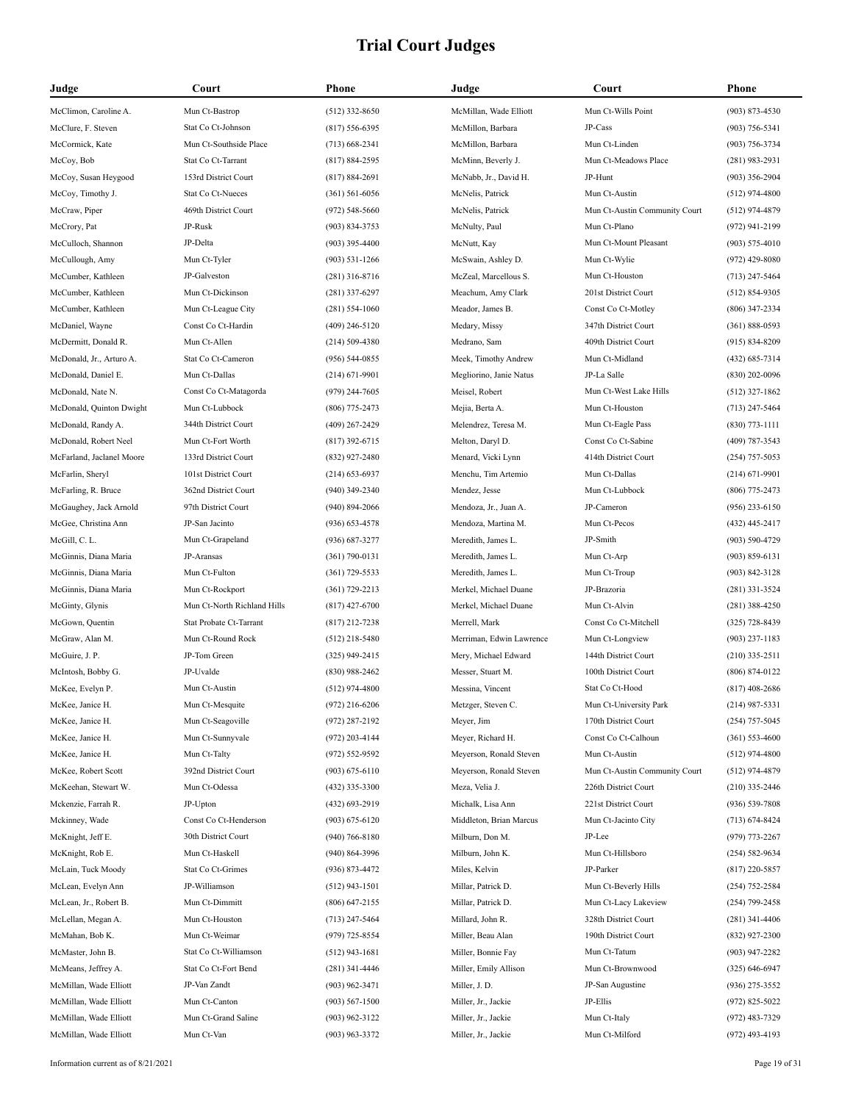| Judge                     | Court                       | Phone              | Judge                    | Court                         | <b>Phone</b>       |
|---------------------------|-----------------------------|--------------------|--------------------------|-------------------------------|--------------------|
| McClimon, Caroline A.     | Mun Ct-Bastrop              | $(512)$ 332-8650   | McMillan, Wade Elliott   | Mun Ct-Wills Point            | $(903) 873 - 4530$ |
| McClure, F. Steven        | Stat Co Ct-Johnson          | $(817) 556 - 6395$ | McMillon, Barbara        | JP-Cass                       | $(903)$ 756-5341   |
| McCormick, Kate           | Mun Ct-Southside Place      | $(713) 668 - 2341$ | McMillon, Barbara        | Mun Ct-Linden                 | $(903) 756 - 3734$ |
| McCoy, Bob                | Stat Co Ct-Tarrant          | $(817) 884 - 2595$ | McMinn, Beverly J.       | Mun Ct-Meadows Place          | $(281)$ 983-2931   |
| McCoy, Susan Heygood      | 153rd District Court        | $(817) 884 - 2691$ | McNabb, Jr., David H.    | JP-Hunt                       | $(903)$ 356-2904   |
| McCoy, Timothy J.         | Stat Co Ct-Nueces           | $(361) 561 - 6056$ | McNelis, Patrick         | Mun Ct-Austin                 | $(512)$ 974-4800   |
| McCraw, Piper             | 469th District Court        | $(972) 548 - 5660$ | McNelis, Patrick         | Mun Ct-Austin Community Court | $(512)$ 974-4879   |
| McCrory, Pat              | JP-Rusk                     | $(903) 834 - 3753$ | McNulty, Paul            | Mun Ct-Plano                  | $(972)$ 941-2199   |
| McCulloch, Shannon        | JP-Delta                    | $(903)$ 395-4400   | McNutt, Kay              | Mun Ct-Mount Pleasant         | $(903) 575 - 4010$ |
| McCullough, Amy           | Mun Ct-Tyler                | $(903) 531 - 1266$ | McSwain, Ashley D.       | Mun Ct-Wylie                  | $(972)$ 429-8080   |
| McCumber, Kathleen        | JP-Galveston                | $(281)$ 316-8716   | McZeal, Marcellous S.    | Mun Ct-Houston                | $(713)$ 247-5464   |
| McCumber, Kathleen        | Mun Ct-Dickinson            | $(281)$ 337-6297   | Meachum, Amy Clark       | 201st District Court          | $(512) 854-9305$   |
| McCumber, Kathleen        | Mun Ct-League City          | $(281) 554 - 1060$ | Meador, James B.         | Const Co Ct-Motley            | $(806)$ 347-2334   |
| McDaniel, Wayne           | Const Co Ct-Hardin          | $(409)$ 246-5120   | Medary, Missy            | 347th District Court          | $(361) 888 - 0593$ |
| McDermitt, Donald R.      | Mun Ct-Allen                | $(214) 509 - 4380$ | Medrano, Sam             | 409th District Court          | $(915) 834 - 8209$ |
| McDonald, Jr., Arturo A.  | Stat Co Ct-Cameron          | $(956) 544 - 0855$ | Meek, Timothy Andrew     | Mun Ct-Midland                | $(432) 685 - 7314$ |
| McDonald, Daniel E.       | Mun Ct-Dallas               | $(214) 671 - 9901$ | Megliorino, Janie Natus  | JP-La Salle                   | $(830)$ 202-0096   |
| McDonald, Nate N.         | Const Co Ct-Matagorda       | $(979)$ 244-7605   | Meisel, Robert           | Mun Ct-West Lake Hills        | $(512)$ 327-1862   |
| McDonald, Quinton Dwight  | Mun Ct-Lubbock              | $(806)$ 775-2473   | Mejia, Berta A.          | Mun Ct-Houston                | $(713)$ 247-5464   |
| McDonald, Randy A.        | 344th District Court        | $(409)$ 267-2429   | Melendrez, Teresa M.     | Mun Ct-Eagle Pass             | $(830)$ 773-1111   |
| McDonald, Robert Neel     | Mun Ct-Fort Worth           | $(817)$ 392-6715   | Melton, Daryl D.         | Const Co Ct-Sabine            | $(409)$ 787-3543   |
| McFarland, Jaclanel Moore | 133rd District Court        | (832) 927-2480     | Menard, Vicki Lynn       | 414th District Court          | $(254)$ 757-5053   |
| McFarlin, Sheryl          | 101st District Court        | $(214) 653 - 6937$ | Menchu, Tim Artemio      | Mun Ct-Dallas                 | $(214) 671 - 9901$ |
| McFarling, R. Bruce       | 362nd District Court        | $(940)$ 349-2340   | Mendez, Jesse            | Mun Ct-Lubbock                | $(806)$ 775-2473   |
| McGaughey, Jack Arnold    | 97th District Court         | $(940) 894 - 2066$ | Mendoza, Jr., Juan A.    | JP-Cameron                    | $(956)$ 233-6150   |
| McGee, Christina Ann      | JP-San Jacinto              | $(936) 653 - 4578$ | Mendoza, Martina M.      | Mun Ct-Pecos                  | $(432)$ 445-2417   |
| McGill, C. L.             | Mun Ct-Grapeland            | $(936) 687 - 3277$ | Meredith, James L.       | JP-Smith                      | $(903) 590 - 4729$ |
| McGinnis, Diana Maria     | JP-Aransas                  | $(361) 790 - 0131$ | Meredith, James L.       | Mun Ct-Arp                    | $(903) 859 - 6131$ |
| McGinnis, Diana Maria     | Mun Ct-Fulton               | $(361)$ 729-5533   | Meredith, James L.       | Mun Ct-Troup                  | $(903) 842 - 3128$ |
| McGinnis, Diana Maria     | Mun Ct-Rockport             | $(361) 729 - 2213$ | Merkel, Michael Duane    | JP-Brazoria                   | $(281)$ 331-3524   |
| McGinty, Glynis           | Mun Ct-North Richland Hills | $(817)$ 427-6700   | Merkel, Michael Duane    | Mun Ct-Alvin                  | $(281)$ 388-4250   |
| McGown, Quentin           | Stat Probate Ct-Tarrant     | (817) 212-7238     | Merrell, Mark            | Const Co Ct-Mitchell          | $(325)$ 728-8439   |
| McGraw, Alan M.           | Mun Ct-Round Rock           | $(512)$ 218-5480   | Merriman, Edwin Lawrence | Mun Ct-Longview               | $(903)$ 237-1183   |
| McGuire, J. P.            | JP-Tom Green                | $(325)$ 949-2415   | Mery, Michael Edward     | 144th District Court          | $(210)$ 335-2511   |
| McIntosh, Bobby G.        | JP-Uvalde                   | $(830)$ 988-2462   | Messer, Stuart M.        | 100th District Court          | $(806) 874 - 0122$ |
| McKee, Evelyn P.          | Mun Ct-Austin               | $(512)$ 974-4800   | Messina, Vincent         | Stat Co Ct-Hood               | $(817)$ 408-2686   |
| McKee, Janice H.          | Mun Ct-Mesquite             | $(972)$ 216-6206   | Metzger, Steven C.       | Mun Ct-University Park        | $(214)$ 987-5331   |
| McKee, Janice H.          | Mun Ct-Seagoville           | (972) 287-2192     | Meyer, Jim               | 170th District Court          | $(254)$ 757-5045   |
| McKee, Janice H.          | Mun Ct-Sunnyvale            | $(972)$ 203-4144   | Meyer, Richard H.        | Const Co Ct-Calhoun           | $(361) 553 - 4600$ |
| McKee, Janice H.          | Mun Ct-Talty                | (972) 552-9592     | Meyerson, Ronald Steven  | Mun Ct-Austin                 | $(512)$ 974-4800   |
| McKee, Robert Scott       | 392nd District Court        | $(903) 675 - 6110$ | Meyerson, Ronald Steven  | Mun Ct-Austin Community Court | $(512)$ 974-4879   |
| McKeehan, Stewart W.      | Mun Ct-Odessa               | (432) 335-3300     | Meza, Velia J.           | 226th District Court          | $(210)$ 335-2446   |
| Mckenzie, Farrah R.       | JP-Upton                    | (432) 693-2919     | Michalk, Lisa Ann        | 221st District Court          | $(936) 539 - 7808$ |
| Mckinney, Wade            | Const Co Ct-Henderson       | $(903) 675 - 6120$ | Middleton, Brian Marcus  | Mun Ct-Jacinto City           | $(713) 674 - 8424$ |
| McKnight, Jeff E.         | 30th District Court         | $(940) 766 - 8180$ | Milburn, Don M.          | JP-Lee                        | $(979)$ 773-2267   |
| McKnight, Rob E.          | Mun Ct-Haskell              | $(940)$ 864-3996   | Milburn, John K.         | Mun Ct-Hillsboro              | $(254) 582 - 9634$ |
| McLain, Tuck Moody        | Stat Co Ct-Grimes           | $(936) 873 - 4472$ | Miles, Kelvin            | JP-Parker                     | $(817)$ 220-5857   |
| McLean, Evelyn Ann        | JP-Williamson               | $(512)$ 943-1501   | Millar, Patrick D.       | Mun Ct-Beverly Hills          | $(254)$ 752-2584   |
| McLean, Jr., Robert B.    | Mun Ct-Dimmitt              | $(806)$ 647-2155   | Millar, Patrick D.       | Mun Ct-Lacy Lakeview          | $(254)$ 799-2458   |
| McLellan, Megan A.        | Mun Ct-Houston              | (713) 247-5464     | Millard, John R.         | 328th District Court          | $(281)$ 341-4406   |
| McMahan, Bob K.           | Mun Ct-Weimar               | (979) 725-8554     | Miller, Beau Alan        | 190th District Court          | $(832)$ 927-2300   |
| McMaster, John B.         | Stat Co Ct-Williamson       | $(512)$ 943-1681   | Miller, Bonnie Fay       | Mun Ct-Tatum                  | $(903)$ 947-2282   |
| McMeans, Jeffrey A.       | Stat Co Ct-Fort Bend        | $(281)$ 341-4446   | Miller, Emily Allison    | Mun Ct-Brownwood              | $(325) 646 - 6947$ |
| McMillan, Wade Elliott    | JP-Van Zandt                | $(903)$ 962-3471   | Miller, J. D.            | JP-San Augustine              | $(936)$ 275-3552   |
| McMillan, Wade Elliott    | Mun Ct-Canton               | $(903) 567 - 1500$ | Miller, Jr., Jackie      | JP-Ellis                      | $(972)$ 825-5022   |
| McMillan, Wade Elliott    | Mun Ct-Grand Saline         | $(903)$ 962-3122   | Miller, Jr., Jackie      | Mun Ct-Italy                  | $(972)$ 483-7329   |
| McMillan, Wade Elliott    | Mun Ct-Van                  | $(903)$ 963-3372   | Miller, Jr., Jackie      | Mun Ct-Milford                | $(972)$ 493-4193   |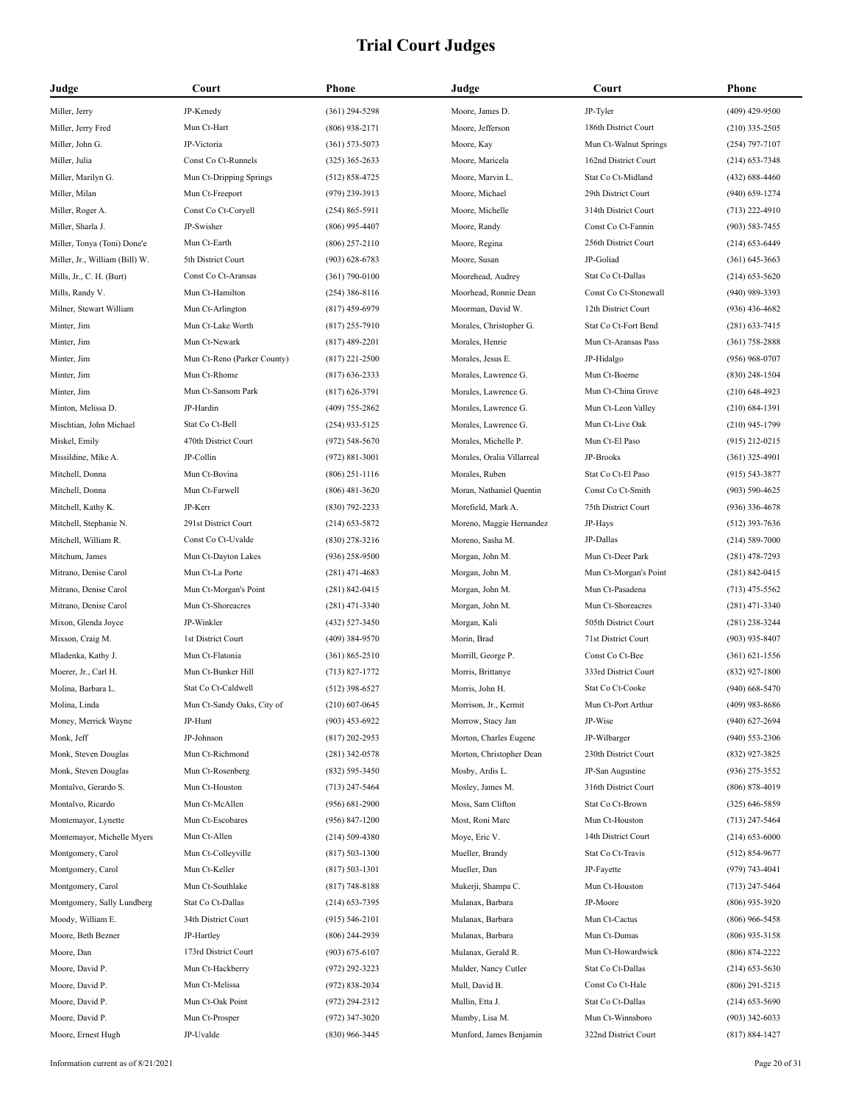| Judge                          | Court                       | <b>Phone</b>       | Judge                      | Court                 | Phone              |
|--------------------------------|-----------------------------|--------------------|----------------------------|-----------------------|--------------------|
| Miller, Jerry                  | JP-Kenedy                   | $(361)$ 294-5298   | Moore, James D.            | JP-Tyler              | $(409)$ 429-9500   |
| Miller, Jerry Fred             | Mun Ct-Hart                 | $(806)$ 938-2171   | Moore, Jefferson           | 186th District Court  | $(210)$ 335-2505   |
| Miller, John G.                | JP-Victoria                 | $(361) 573 - 5073$ | Moore, Kay                 | Mun Ct-Walnut Springs | $(254)$ 797-7107   |
| Miller, Julia                  | Const Co Ct-Runnels         | $(325)$ 365-2633   | Moore, Maricela            | 162nd District Court  | $(214) 653 - 7348$ |
| Miller, Marilyn G.             | Mun Ct-Dripping Springs     | $(512) 858 - 4725$ | Moore, Marvin L.           | Stat Co Ct-Midland    | $(432) 688 - 4460$ |
| Miller, Milan                  | Mun Ct-Freeport             | $(979)$ 239-3913   | Moore, Michael             | 29th District Court   | $(940) 659 - 1274$ |
| Miller, Roger A.               | Const Co Ct-Coryell         | $(254) 865 - 5911$ | Moore, Michelle            | 314th District Court  | $(713)$ 222-4910   |
| Miller, Sharla J.              | JP-Swisher                  | $(806)$ 995-4407   | Moore, Randy               | Const Co Ct-Fannin    | $(903) 583 - 7455$ |
| Miller, Tonya (Toni) Done'e    | Mun Ct-Earth                | $(806)$ 257-2110   | Moore, Regina              | 256th District Court  | $(214)$ 653-6449   |
| Miller, Jr., William (Bill) W. | 5th District Court          | $(903) 628 - 6783$ | Moore, Susan               | JP-Goliad             | $(361) 645 - 3663$ |
| Mills, Jr., C. H. (Burt)       | Const Co Ct-Aransas         | $(361) 790 - 0100$ | Moorehead, Audrey          | Stat Co Ct-Dallas     | $(214)$ 653-5620   |
| Mills, Randy V.                | Mun Ct-Hamilton             | $(254)$ 386-8116   | Moorhead, Ronnie Dean      | Const Co Ct-Stonewall | $(940)$ 989-3393   |
| Milner, Stewart William        | Mun Ct-Arlington            | $(817)$ 459-6979   | Moorman, David W.          | 12th District Court   | $(936)$ 436-4682   |
| Minter, Jim                    | Mun Ct-Lake Worth           | $(817)$ 255-7910   | Morales, Christopher G.    | Stat Co Ct-Fort Bend  | $(281)$ 633-7415   |
| Minter, Jim                    | Mun Ct-Newark               | $(817)$ 489-2201   | Morales, Henrie            | Mun Ct-Aransas Pass   | $(361) 758 - 2888$ |
| Minter, Jim                    | Mun Ct-Reno (Parker County) | $(817)$ 221-2500   | Morales, Jesus E.          | JP-Hidalgo            | $(956)$ 968-0707   |
| Minter, Jim                    | Mun Ct-Rhome                | $(817)$ 636-2333   | Morales, Lawrence G.       | Mun Ct-Boerne         | $(830)$ 248-1504   |
| Minter, Jim                    | Mun Ct-Sansom Park          | $(817) 626 - 3791$ | Morales, Lawrence G.       | Mun Ct-China Grove    | $(210)$ 648-4923   |
| Minton, Melissa D.             | JP-Hardin                   | $(409)$ 755-2862   | Morales, Lawrence G.       | Mun Ct-Leon Valley    | $(210) 684 - 1391$ |
| Mischtian, John Michael        | Stat Co Ct-Bell             | $(254)$ 933-5125   | Morales, Lawrence G.       | Mun Ct-Live Oak       | $(210)$ 945-1799   |
| Miskel, Emily                  | 470th District Court        | $(972) 548 - 5670$ | Morales, Michelle P.       | Mun Ct-El Paso        | $(915)$ 212-0215   |
| Missildine, Mike A.            | JP-Collin                   | $(972) 881 - 3001$ | Morales, Oralia Villarreal | JP-Brooks             | $(361)$ 325-4901   |
| Mitchell, Donna                | Mun Ct-Bovina               | $(806)$ 251-1116   | Morales, Ruben             | Stat Co Ct-El Paso    | $(915) 543 - 3877$ |
| Mitchell, Donna                | Mun Ct-Farwell              | $(806)$ 481-3620   | Moran, Nathaniel Quentin   | Const Co Ct-Smith     | $(903) 590 - 4625$ |
| Mitchell, Kathy K.             | JP-Kerr                     | $(830)$ 792-2233   | Morefield, Mark A.         | 75th District Court   | $(936)$ 336-4678   |
| Mitchell, Stephanie N.         | 291st District Court        | $(214)$ 653-5872   | Moreno, Maggie Hernandez   | JP-Hays               | $(512)$ 393-7636   |
| Mitchell, William R.           | Const Co Ct-Uvalde          | $(830)$ 278-3216   | Moreno, Sasha M.           | JP-Dallas             | $(214) 589 - 7000$ |
| Mitchum, James                 | Mun Ct-Dayton Lakes         | $(936)$ 258-9500   | Morgan, John M.            | Mun Ct-Deer Park      | $(281)$ 478-7293   |
| Mitrano, Denise Carol          | Mun Ct-La Porte             | $(281)$ 471-4683   | Morgan, John M.            | Mun Ct-Morgan's Point | $(281) 842 - 0415$ |
| Mitrano, Denise Carol          | Mun Ct-Morgan's Point       | $(281) 842 - 0415$ | Morgan, John M.            | Mun Ct-Pasadena       | $(713)$ 475-5562   |
| Mitrano, Denise Carol          | Mun Ct-Shoreacres           | $(281)$ 471-3340   | Morgan, John M.            | Mun Ct-Shoreacres     | $(281)$ 471-3340   |
| Mixon, Glenda Joyce            | JP-Winkler                  | (432) 527-3450     | Morgan, Kali               | 505th District Court  | $(281)$ 238-3244   |
| Mixson, Craig M.               | 1st District Court          | $(409)$ 384-9570   | Morin, Brad                | 71st District Court   | $(903)$ 935-8407   |
| Mladenka, Kathy J.             | Mun Ct-Flatonia             | $(361) 865 - 2510$ | Morrill, George P.         | Const Co Ct-Bee       | $(361) 621 - 1556$ |
| Moerer, Jr., Carl H.           | Mun Ct-Bunker Hill          | $(713) 827 - 1772$ | Morris, Brittanye          | 333rd District Court  | $(832)$ 927-1800   |
| Molina, Barbara L.             | Stat Co Ct-Caldwell         | $(512)$ 398-6527   | Morris, John H.            | Stat Co Ct-Cooke      | $(940)$ 668-5470   |
| Molina, Linda                  | Mun Ct-Sandy Oaks, City of  | $(210)$ 607-0645   | Morrison, Jr., Kermit      | Mun Ct-Port Arthur    | $(409)$ 983-8686   |
| Money, Merrick Wayne           | JP-Hunt                     | $(903)$ 453-6922   | Morrow, Stacy Jan          | JP-Wise               | $(940)$ 627-2694   |
| Monk, Jeff                     | JP-Johnson                  | $(817)$ 202-2953   | Morton, Charles Eugene     | JP-Wilbarger          | $(940)$ 553-2306   |
| Monk, Steven Douglas           | Mun Ct-Richmond             | $(281)$ 342-0578   | Morton, Christopher Dean   | 230th District Court  | (832) 927-3825     |
| Monk, Steven Douglas           | Mun Ct-Rosenberg            | $(832) 595 - 3450$ | Mosby, Ardis L.            | JP-San Augustine      | $(936)$ 275-3552   |
| Montalvo, Gerardo S.           | Mun Ct-Houston              | $(713)$ 247-5464   | Mosley, James M.           | 316th District Court  | $(806) 878 - 4019$ |
| Montalvo, Ricardo              | Mun Ct-McAllen              | $(956) 681 - 2900$ | Moss, Sam Clifton          | Stat Co Ct-Brown      | $(325) 646 - 5859$ |
| Montemayor, Lynette            | Mun Ct-Escobares            | $(956) 847 - 1200$ | Most, Roni Marc            | Mun Ct-Houston        | $(713)$ 247-5464   |
| Montemayor, Michelle Myers     | Mun Ct-Allen                | $(214) 509 - 4380$ | Moye, Eric V.              | 14th District Court   | $(214) 653 - 6000$ |
| Montgomery, Carol              | Mun Ct-Colleyville          | $(817) 503 - 1300$ | Mueller, Brandy            | Stat Co Ct-Travis     | $(512) 854-9677$   |
| Montgomery, Carol              | Mun Ct-Keller               | $(817) 503 - 1301$ | Mueller, Dan               | JP-Fayette            | (979) 743-4041     |
| Montgomery, Carol              | Mun Ct-Southlake            | $(817) 748 - 8188$ | Mukerji, Shampa C.         | Mun Ct-Houston        | $(713)$ 247-5464   |
| Montgomery, Sally Lundberg     | Stat Co Ct-Dallas           | $(214)$ 653-7395   | Mulanax, Barbara           | JP-Moore              | $(806)$ 935-3920   |
| Moody, William E.              | 34th District Court         | $(915) 546 - 2101$ | Mulanax, Barbara           | Mun Ct-Cactus         | $(806)$ 966-5458   |
| Moore, Beth Bezner             | JP-Hartley                  | $(806)$ 244-2939   | Mulanax, Barbara           | Mun Ct-Dumas          | $(806)$ 935-3158   |
| Moore, Dan                     | 173rd District Court        | $(903) 675 - 6107$ | Mulanax, Gerald R.         | Mun Ct-Howardwick     | $(806)$ 874-2222   |
| Moore, David P.                | Mun Ct-Hackberry            | $(972)$ 292-3223   | Mulder, Nancy Cutler       | Stat Co Ct-Dallas     | $(214)$ 653-5630   |
| Moore, David P.                | Mun Ct-Melissa              | $(972) 838 - 2034$ | Mull, David B.             | Const Co Ct-Hale      | $(806)$ 291-5215   |
| Moore, David P.                | Mun Ct-Oak Point            | $(972)$ 294-2312   | Mullin, Etta J.            | Stat Co Ct-Dallas     | $(214)$ 653-5690   |
| Moore, David P.                | Mun Ct-Prosper              | $(972)$ 347-3020   | Mumby, Lisa M.             | Mun Ct-Winnsboro      | $(903)$ 342-6033   |
| Moore, Ernest Hugh             | JP-Uvalde                   | $(830)$ 966-3445   | Munford, James Benjamin    | 322nd District Court  | $(817) 884 - 1427$ |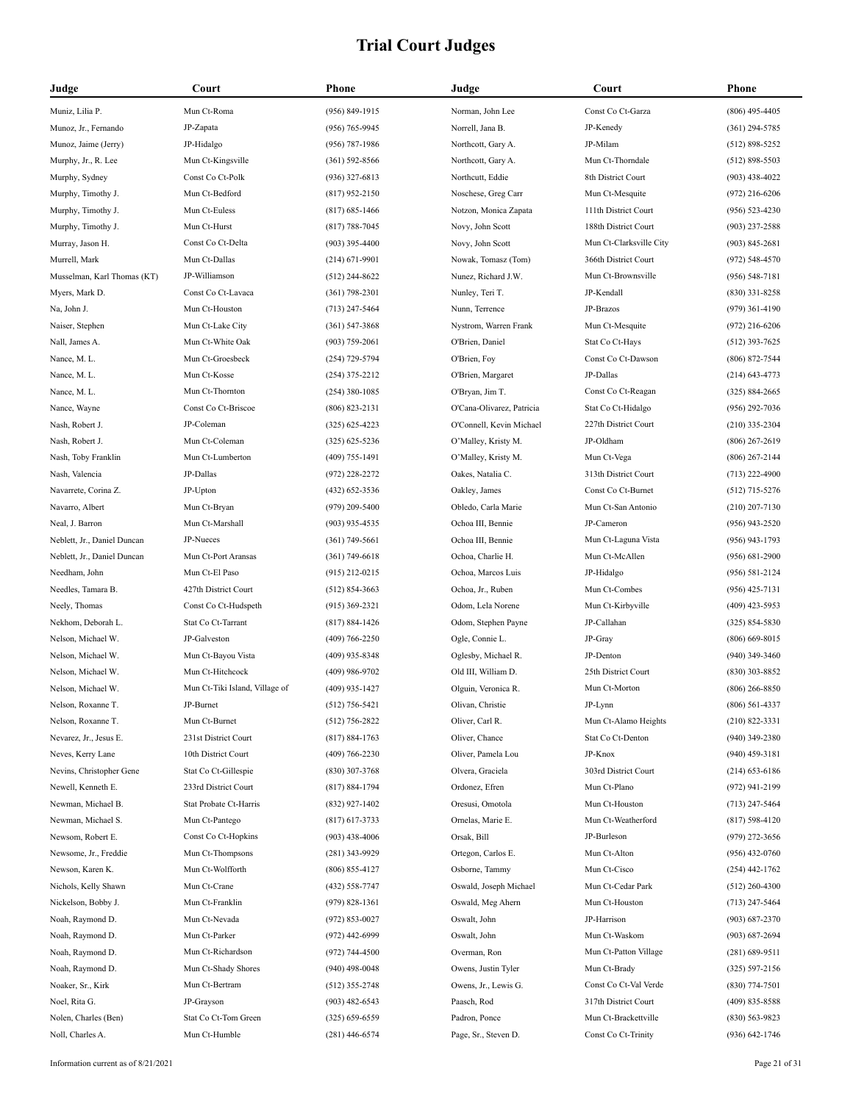| Judge                       | Court                          | Phone              | Judge                     | Court                   | Phone              |
|-----------------------------|--------------------------------|--------------------|---------------------------|-------------------------|--------------------|
| Muniz, Lilia P.             | Mun Ct-Roma                    | $(956) 849 - 1915$ | Norman, John Lee          | Const Co Ct-Garza       | $(806)$ 495-4405   |
| Munoz, Jr., Fernando        | JP-Zapata                      | $(956) 765 - 9945$ | Norrell, Jana B.          | JP-Kenedy               | $(361)$ 294-5785   |
| Munoz, Jaime (Jerry)        | JP-Hidalgo                     | (956) 787-1986     | Northcott, Gary A.        | JP-Milam                | $(512) 898 - 5252$ |
| Murphy, Jr., R. Lee         | Mun Ct-Kingsville              | $(361) 592 - 8566$ | Northcott, Gary A.        | Mun Ct-Thorndale        | $(512) 898 - 5503$ |
| Murphy, Sydney              | Const Co Ct-Polk               | $(936)$ 327-6813   | Northcutt, Eddie          | 8th District Court      | $(903)$ 438-4022   |
| Murphy, Timothy J.          | Mun Ct-Bedford                 | $(817)$ 952-2150   | Noschese, Greg Carr       | Mun Ct-Mesquite         | $(972)$ 216-6206   |
| Murphy, Timothy J.          | Mun Ct-Euless                  | $(817)$ 685-1466   | Notzon, Monica Zapata     | 111th District Court    | $(956) 523 - 4230$ |
| Murphy, Timothy J.          | Mun Ct-Hurst                   | $(817) 788 - 7045$ | Novy, John Scott          | 188th District Court    | $(903)$ 237-2588   |
| Murray, Jason H.            | Const Co Ct-Delta              | $(903)$ 395-4400   | Novy, John Scott          | Mun Ct-Clarksville City | $(903) 845 - 2681$ |
| Murrell, Mark               | Mun Ct-Dallas                  | $(214) 671 - 9901$ | Nowak, Tomasz (Tom)       | 366th District Court    | $(972) 548 - 4570$ |
| Musselman, Karl Thomas (KT) | JP-Williamson                  | $(512)$ 244-8622   | Nunez, Richard J.W.       | Mun Ct-Brownsville      | $(956) 548 - 7181$ |
| Myers, Mark D.              | Const Co Ct-Lavaca             | $(361)$ 798-2301   | Nunley, Teri T.           | JP-Kendall              | $(830)$ 331-8258   |
| Na, John J.                 | Mun Ct-Houston                 | $(713)$ 247-5464   | Nunn, Terrence            | JP-Brazos               | $(979)$ 361-4190   |
| Naiser, Stephen             | Mun Ct-Lake City               | $(361) 547 - 3868$ | Nystrom, Warren Frank     | Mun Ct-Mesquite         | $(972)$ 216-6206   |
| Nall, James A.              | Mun Ct-White Oak               | $(903)$ 759-2061   | O'Brien, Daniel           | Stat Co Ct-Hays         | $(512)$ 393-7625   |
| Nance, M. L.                | Mun Ct-Groesbeck               | (254) 729-5794     | O'Brien, Foy              | Const Co Ct-Dawson      | (806) 872-7544     |
| Nance, M. L.                | Mun Ct-Kosse                   | $(254)$ 375-2212   | O'Brien, Margaret         | JP-Dallas               | $(214) 643 - 4773$ |
| Nance, M. L.                | Mun Ct-Thornton                | $(254)$ 380-1085   | O'Bryan, Jim T.           | Const Co Ct-Reagan      | $(325) 884 - 2665$ |
| Nance, Wayne                | Const Co Ct-Briscoe            | $(806) 823 - 2131$ | O'Cana-Olivarez, Patricia | Stat Co Ct-Hidalgo      | (956) 292-7036     |
| Nash, Robert J.             | JP-Coleman                     | $(325)$ 625-4223   | O'Connell, Kevin Michael  | 227th District Court    | $(210)$ 335-2304   |
| Nash, Robert J.             | Mun Ct-Coleman                 | $(325)$ 625-5236   | O'Malley, Kristy M.       | JP-Oldham               | $(806)$ 267-2619   |
| Nash, Toby Franklin         | Mun Ct-Lumberton               | $(409)$ 755-1491   | O'Malley, Kristy M.       | Mun Ct-Vega             | $(806)$ 267-2144   |
| Nash, Valencia              | JP-Dallas                      | $(972)$ 228-2272   | Oakes, Natalia C.         | 313th District Court    | $(713)$ 222-4900   |
| Navarrete, Corina Z.        | JP-Upton                       | $(432)$ 652-3536   | Oakley, James             | Const Co Ct-Burnet      | $(512)$ 715-5276   |
| Navarro, Albert             | Mun Ct-Bryan                   | $(979)$ 209-5400   | Obledo, Carla Marie       | Mun Ct-San Antonio      | $(210)$ 207-7130   |
| Neal, J. Barron             | Mun Ct-Marshall                | $(903)$ 935-4535   | Ochoa III, Bennie         | JP-Cameron              | $(956)$ 943-2520   |
| Neblett, Jr., Daniel Duncan | JP-Nueces                      | $(361)$ 749-5661   | Ochoa III, Bennie         | Mun Ct-Laguna Vista     | $(956)$ 943-1793   |
| Neblett, Jr., Daniel Duncan | Mun Ct-Port Aransas            | $(361) 749 - 6618$ | Ochoa, Charlie H.         | Mun Ct-McAllen          | $(956) 681 - 2900$ |
| Needham, John               | Mun Ct-El Paso                 | $(915)$ 212-0215   | Ochoa, Marcos Luis        | JP-Hidalgo              | $(956) 581 - 2124$ |
| Needles, Tamara B.          | 427th District Court           | $(512) 854 - 3663$ | Ochoa, Jr., Ruben         | Mun Ct-Combes           | $(956)$ 425-7131   |
| Neely, Thomas               | Const Co Ct-Hudspeth           | $(915)$ 369-2321   | Odom, Lela Norene         | Mun Ct-Kirbyville       | $(409)$ 423-5953   |
| Nekhom, Deborah L.          | Stat Co Ct-Tarrant             | $(817) 884 - 1426$ | Odom, Stephen Payne       | JP-Callahan             | $(325) 854 - 5830$ |
| Nelson, Michael W.          | JP-Galveston                   | $(409) 766 - 2250$ | Ogle, Connie L.           | JP-Gray                 | $(806)$ 669-8015   |
| Nelson, Michael W.          | Mun Ct-Bayou Vista             | $(409)$ 935-8348   | Oglesby, Michael R.       | JP-Denton               | $(940)$ 349-3460   |
| Nelson, Michael W.          | Mun Ct-Hitchcock               | $(409)$ 986-9702   | Old III, William D.       | 25th District Court     | $(830)$ 303-8852   |
| Nelson, Michael W.          | Mun Ct-Tiki Island, Village of | $(409)$ 935-1427   | Olguin, Veronica R.       | Mun Ct-Morton           | $(806)$ 266-8850   |
| Nelson, Roxanne T.          | JP-Burnet                      | $(512) 756 - 5421$ | Olivan, Christie          | JP-Lynn                 | $(806)$ 561-4337   |
| Nelson, Roxanne T.          | Mun Ct-Burnet                  | $(512)$ 756-2822   | Oliver, Carl R.           | Mun Ct-Alamo Heights    | $(210) 822 - 3331$ |
| Nevarez, Jr., Jesus E.      | 231st District Court           | $(817) 884 - 1763$ | Oliver, Chance            | Stat Co Ct-Denton       | (940) 349-2380     |
| Neves, Kerry Lane           | 10th District Court            | $(409) 766 - 2230$ | Oliver, Pamela Lou        | JP-Knox                 | $(940)$ 459-3181   |
| Nevins, Christopher Gene    | Stat Co Ct-Gillespie           | $(830)$ 307-3768   | Olvera, Graciela          | 303rd District Court    | $(214)$ 653-6186   |
| Newell, Kenneth E.          | 233rd District Court           | $(817) 884 - 1794$ | Ordonez, Efren            | Mun Ct-Plano            | (972) 941-2199     |
| Newman, Michael B.          | Stat Probate Ct-Harris         | $(832)$ 927-1402   | Oresusi, Omotola          | Mun Ct-Houston          | $(713)$ 247-5464   |
| Newman, Michael S.          | Mun Ct-Pantego                 | $(817)$ 617-3733   | Ornelas, Marie E.         | Mun Ct-Weatherford      | $(817) 598 - 4120$ |
| Newsom, Robert E.           | Const Co Ct-Hopkins            | $(903)$ 438-4006   | Orsak, Bill               | JP-Burleson             | (979) 272-3656     |
| Newsome, Jr., Freddie       | Mun Ct-Thompsons               | $(281)$ 343-9929   | Ortegon, Carlos E.        | Mun Ct-Alton            | $(956)$ 432-0760   |
| Newson, Karen K.            | Mun Ct-Wolfforth               | $(806) 855 - 4127$ | Osborne, Tammy            | Mun Ct-Cisco            | $(254)$ 442-1762   |
| Nichols, Kelly Shawn        | Mun Ct-Crane                   | (432) 558-7747     | Oswald, Joseph Michael    | Mun Ct-Cedar Park       | $(512)$ 260-4300   |
| Nickelson, Bobby J.         | Mun Ct-Franklin                | $(979)$ 828-1361   | Oswald, Meg Ahern         | Mun Ct-Houston          | $(713)$ 247-5464   |
| Noah, Raymond D.            | Mun Ct-Nevada                  | $(972) 853 - 0027$ | Oswalt, John              | JP-Harrison             | $(903) 687 - 2370$ |
| Noah, Raymond D.            | Mun Ct-Parker                  | $(972)$ 442-6999   | Oswalt, John              | Mun Ct-Waskom           | $(903) 687 - 2694$ |
| Noah, Raymond D.            | Mun Ct-Richardson              | $(972) 744 - 4500$ | Overman, Ron              | Mun Ct-Patton Village   | $(281) 689 - 9511$ |
| Noah, Raymond D.            | Mun Ct-Shady Shores            | $(940)$ 498-0048   | Owens, Justin Tyler       | Mun Ct-Brady            | $(325) 597 - 2156$ |
| Noaker, Sr., Kirk           | Mun Ct-Bertram                 | $(512)$ 355-2748   | Owens, Jr., Lewis G.      | Const Co Ct-Val Verde   | $(830)$ 774-7501   |
| Noel, Rita G.               | JP-Grayson                     | $(903)$ 482-6543   | Paasch, Rod               | 317th District Court    | (409) 835-8588     |
| Nolen, Charles (Ben)        | Stat Co Ct-Tom Green           | $(325) 659 - 6559$ | Padron, Ponce             | Mun Ct-Brackettville    | $(830) 563 - 9823$ |
| Noll, Charles A.            | Mun Ct-Humble                  | $(281)$ 446-6574   | Page, Sr., Steven D.      | Const Co Ct-Trinity     | (936) 642-1746     |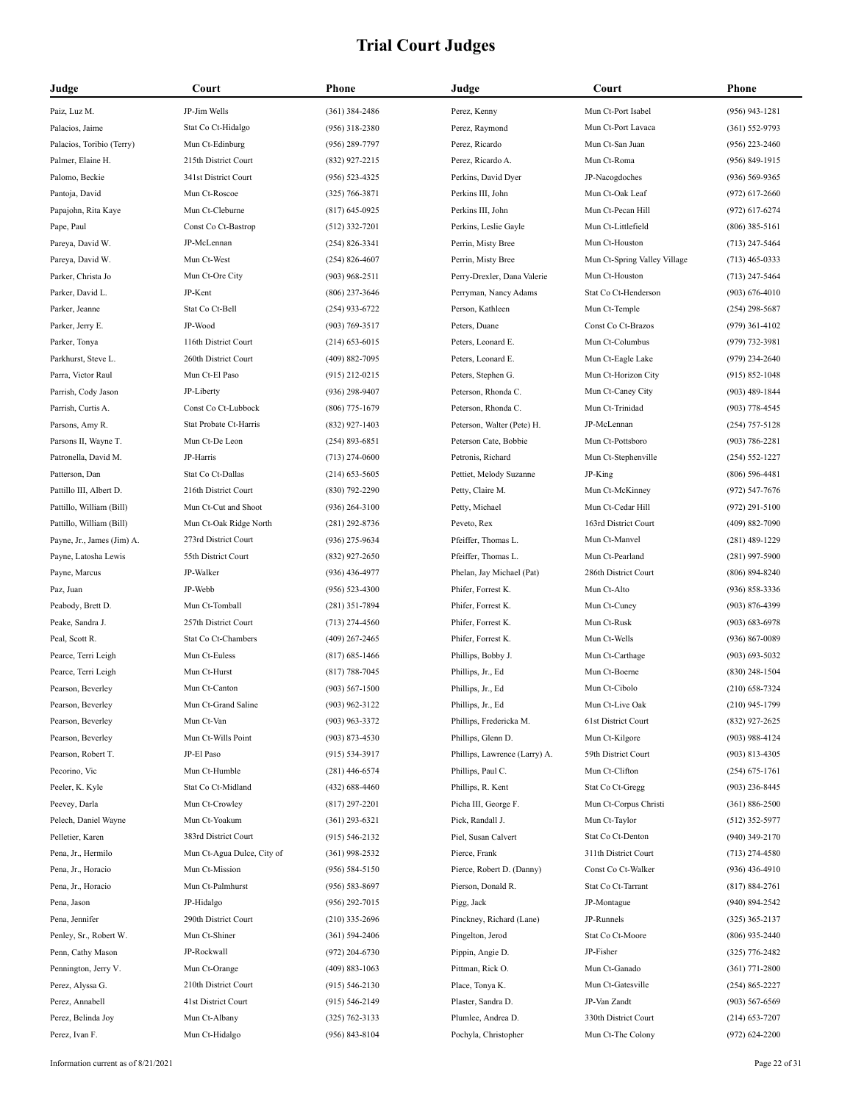| Judge                      | Court                      | Phone              | Judge                         | Court                        | <b>Phone</b>       |
|----------------------------|----------------------------|--------------------|-------------------------------|------------------------------|--------------------|
| Paiz, Luz M.               | JP-Jim Wells               | $(361)$ 384-2486   | Perez, Kenny                  | Mun Ct-Port Isabel           | $(956)$ 943-1281   |
| Palacios, Jaime            | Stat Co Ct-Hidalgo         | $(956)$ 318-2380   | Perez, Raymond                | Mun Ct-Port Lavaca           | $(361) 552 - 9793$ |
| Palacios, Toribio (Terry)  | Mun Ct-Edinburg            | $(956)$ 289-7797   | Perez, Ricardo                | Mun Ct-San Juan              | $(956)$ 223-2460   |
| Palmer, Elaine H.          | 215th District Court       | (832) 927-2215     | Perez, Ricardo A.             | Mun Ct-Roma                  | $(956) 849 - 1915$ |
| Palomo, Beckie             | 341st District Court       | $(956) 523 - 4325$ | Perkins, David Dyer           | JP-Nacogdoches               | $(936) 569 - 9365$ |
| Pantoja, David             | Mun Ct-Roscoe              | $(325) 766 - 3871$ | Perkins III, John             | Mun Ct-Oak Leaf              | $(972)$ 617-2660   |
| Papajohn, Rita Kaye        | Mun Ct-Cleburne            | $(817)$ 645-0925   | Perkins III, John             | Mun Ct-Pecan Hill            | $(972)$ 617-6274   |
| Pape, Paul                 | Const Co Ct-Bastrop        | $(512)$ 332-7201   | Perkins, Leslie Gayle         | Mun Ct-Littlefield           | $(806)$ 385-5161   |
| Pareya, David W.           | JP-McLennan                | $(254) 826 - 3341$ | Perrin, Misty Bree            | Mun Ct-Houston               | $(713)$ 247-5464   |
| Pareya, David W.           | Mun Ct-West                | $(254) 826 - 4607$ | Perrin, Misty Bree            | Mun Ct-Spring Valley Village | $(713)$ 465-0333   |
| Parker, Christa Jo         | Mun Ct-Ore City            | $(903)$ 968-2511   | Perry-Drexler, Dana Valerie   | Mun Ct-Houston               | $(713)$ 247-5464   |
| Parker, David L.           | JP-Kent                    | $(806)$ 237-3646   | Perryman, Nancy Adams         | Stat Co Ct-Henderson         | $(903) 676 - 4010$ |
| Parker, Jeanne             | Stat Co Ct-Bell            | $(254)$ 933-6722   | Person, Kathleen              | Mun Ct-Temple                | $(254)$ 298-5687   |
| Parker, Jerry E.           | JP-Wood                    | $(903) 769 - 3517$ | Peters, Duane                 | Const Co Ct-Brazos           | $(979)$ 361-4102   |
| Parker, Tonya              | 116th District Court       | $(214)$ 653-6015   | Peters, Leonard E.            | Mun Ct-Columbus              | $(979) 732 - 3981$ |
| Parkhurst, Steve L.        | 260th District Court       | (409) 882-7095     | Peters, Leonard E.            | Mun Ct-Eagle Lake            | $(979)$ 234-2640   |
| Parra, Victor Raul         | Mun Ct-El Paso             | $(915)$ 212-0215   | Peters, Stephen G.            | Mun Ct-Horizon City          | $(915) 852 - 1048$ |
| Parrish, Cody Jason        | JP-Liberty                 | $(936)$ 298-9407   | Peterson, Rhonda C.           | Mun Ct-Caney City            | $(903)$ 489-1844   |
| Parrish, Curtis A.         | Const Co Ct-Lubbock        | $(806)$ 775-1679   | Peterson, Rhonda C.           | Mun Ct-Trinidad              | $(903)$ 778-4545   |
| Parsons, Amy R.            | Stat Probate Ct-Harris     | $(832)$ 927-1403   | Peterson, Walter (Pete) H.    | JP-McLennan                  | $(254)$ 757-5128   |
| Parsons II, Wayne T.       | Mun Ct-De Leon             | $(254) 893 - 6851$ | Peterson Cate, Bobbie         | Mun Ct-Pottsboro             | $(903) 786 - 2281$ |
| Patronella, David M.       | JP-Harris                  | $(713)$ 274-0600   | Petronis, Richard             | Mun Ct-Stephenville          | $(254) 552 - 1227$ |
| Patterson, Dan             | Stat Co Ct-Dallas          | $(214)$ 653-5605   | Pettiet, Melody Suzanne       | JP-King                      | $(806)$ 596-4481   |
| Pattillo III, Albert D.    | 216th District Court       | $(830)$ 792-2290   | Petty, Claire M.              | Mun Ct-McKinney              | $(972) 547 - 7676$ |
| Pattillo, William (Bill)   | Mun Ct-Cut and Shoot       | $(936)$ 264-3100   | Petty, Michael                | Mun Ct-Cedar Hill            | $(972)$ 291-5100   |
| Pattillo, William (Bill)   | Mun Ct-Oak Ridge North     | $(281)$ 292-8736   | Peveto, Rex                   | 163rd District Court         | $(409) 882 - 7090$ |
| Payne, Jr., James (Jim) A. | 273rd District Court       | $(936)$ 275-9634   | Pfeiffer, Thomas L.           | Mun Ct-Manvel                | $(281)$ 489-1229   |
| Payne, Latosha Lewis       | 55th District Court        | $(832)$ 927-2650   | Pfeiffer, Thomas L.           | Mun Ct-Pearland              | $(281)$ 997-5900   |
| Payne, Marcus              | JP-Walker                  | $(936)$ 436-4977   | Phelan, Jay Michael (Pat)     | 286th District Court         | $(806) 894 - 8240$ |
| Paz, Juan                  | JP-Webb                    | $(956) 523 - 4300$ | Phifer, Forrest K.            | Mun Ct-Alto                  | $(936) 858 - 3336$ |
| Peabody, Brett D.          | Mun Ct-Tomball             | $(281)$ 351-7894   | Phifer, Forrest K.            | Mun Ct-Cuney                 | $(903) 876 - 4399$ |
| Peake, Sandra J.           | 257th District Court       | $(713)$ 274-4560   | Phifer, Forrest K.            | Mun Ct-Rusk                  | $(903) 683 - 6978$ |
| Peal, Scott R.             | Stat Co Ct-Chambers        | $(409)$ 267-2465   | Phifer, Forrest K.            | Mun Ct-Wells                 | $(936) 867 - 0089$ |
| Pearce, Terri Leigh        | Mun Ct-Euless              | $(817) 685 - 1466$ | Phillips, Bobby J.            | Mun Ct-Carthage              | $(903) 693 - 5032$ |
| Pearce, Terri Leigh        | Mun Ct-Hurst               | $(817) 788 - 7045$ | Phillips, Jr., Ed             | Mun Ct-Boerne                | $(830)$ 248-1504   |
| Pearson, Beverley          | Mun Ct-Canton              | $(903) 567 - 1500$ | Phillips, Jr., Ed             | Mun Ct-Cibolo                | $(210)$ 658-7324   |
| Pearson, Beverley          | Mun Ct-Grand Saline        | $(903)$ 962-3122   | Phillips, Jr., Ed             | Mun Ct-Live Oak              | $(210)$ 945-1799   |
| Pearson, Beverley          | Mun Ct-Van                 | $(903)$ 963-3372   | Phillips, Fredericka M.       | 61st District Court          | $(832)$ 927-2625   |
| Pearson, Beverley          | Mun Ct-Wills Point         | $(903) 873 - 4530$ | Phillips, Glenn D.            | Mun Ct-Kilgore               | $(903)$ 988-4124   |
| Pearson, Robert T.         | JP-El Paso                 | $(915) 534 - 3917$ | Phillips, Lawrence (Larry) A. | 59th District Court          | $(903)$ 813-4305   |
| Pecorino, Vic              | Mun Ct-Humble              | $(281)$ 446-6574   | Phillips, Paul C.             | Mun Ct-Clifton               | $(254)$ 675-1761   |
| Peeler, K. Kyle            | Stat Co Ct-Midland         | $(432) 688 - 4460$ | Phillips, R. Kent             | Stat Co Ct-Gregg             | $(903)$ 236-8445   |
| Peevey, Darla              | Mun Ct-Crowley             | $(817)$ 297-2201   | Picha III, George F.          | Mun Ct-Corpus Christi        | $(361) 886 - 2500$ |
| Pelech, Daniel Wayne       | Mun Ct-Yoakum              | $(361)$ 293-6321   | Pick, Randall J.              | Mun Ct-Taylor                | $(512)$ 352-5977   |
| Pelletier, Karen           | 383rd District Court       | $(915) 546 - 2132$ | Piel, Susan Calvert           | Stat Co Ct-Denton            | $(940)$ 349-2170   |
| Pena, Jr., Hermilo         | Mun Ct-Agua Dulce, City of | $(361)$ 998-2532   | Pierce, Frank                 | 311th District Court         | $(713)$ 274-4580   |
| Pena, Jr., Horacio         | Mun Ct-Mission             | $(956) 584 - 5150$ | Pierce, Robert D. (Danny)     | Const Co Ct-Walker           | $(936)$ 436-4910   |
| Pena, Jr., Horacio         | Mun Ct-Palmhurst           | $(956) 583 - 8697$ | Pierson, Donald R.            | Stat Co Ct-Tarrant           | $(817) 884 - 2761$ |
| Pena, Jason                | JP-Hidalgo                 | $(956)$ 292-7015   | Pigg, Jack                    | JP-Montague                  | $(940)$ 894-2542   |
| Pena, Jennifer             | 290th District Court       | $(210)$ 335-2696   | Pinckney, Richard (Lane)      | JP-Runnels                   | $(325)$ 365-2137   |
| Penley, Sr., Robert W.     | Mun Ct-Shiner              | $(361) 594 - 2406$ | Pingelton, Jerod              | Stat Co Ct-Moore             | $(806)$ 935-2440   |
| Penn, Cathy Mason          | JP-Rockwall                | $(972)$ 204-6730   | Pippin, Angie D.              | JP-Fisher                    | $(325)$ 776-2482   |
| Pennington, Jerry V.       | Mun Ct-Orange              | $(409) 883 - 1063$ | Pittman, Rick O.              | Mun Ct-Ganado                | $(361)$ 771-2800   |
| Perez, Alyssa G.           | 210th District Court       | $(915) 546 - 2130$ | Place, Tonya K.               | Mun Ct-Gatesville            | $(254) 865 - 2227$ |
| Perez, Annabell            | 41st District Court        | $(915) 546 - 2149$ | Plaster, Sandra D.            | JP-Van Zandt                 | $(903) 567 - 6569$ |
| Perez, Belinda Joy         | Mun Ct-Albany              | $(325) 762 - 3133$ | Plumlee, Andrea D.            | 330th District Court         | $(214)$ 653-7207   |
| Perez, Ivan F.             | Mun Ct-Hidalgo             | $(956) 843 - 8104$ | Pochyla, Christopher          | Mun Ct-The Colony            | (972) 624-2200     |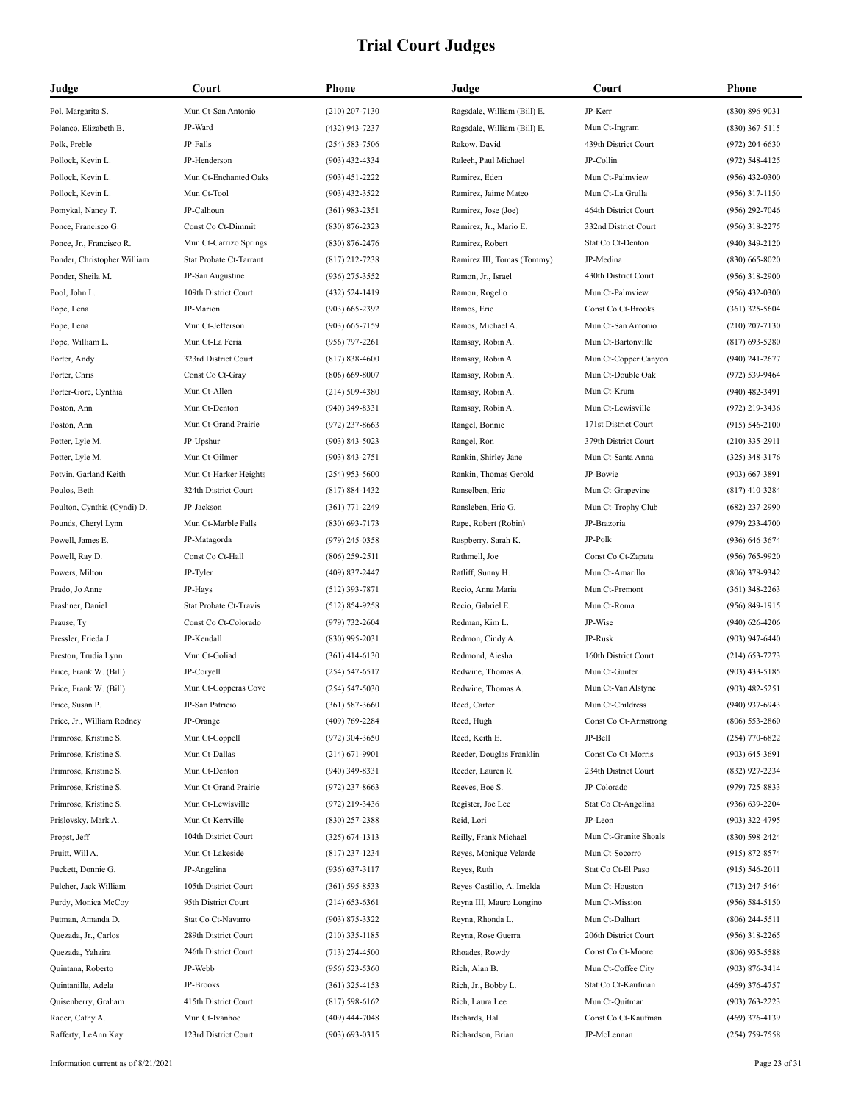| Judge                       | Court                   | Phone              | Judge                       | Court                 | <b>Phone</b>       |
|-----------------------------|-------------------------|--------------------|-----------------------------|-----------------------|--------------------|
| Pol, Margarita S.           | Mun Ct-San Antonio      | $(210)$ 207-7130   | Ragsdale, William (Bill) E. | JP-Kerr               | $(830) 896 - 9031$ |
| Polanco, Elizabeth B.       | JP-Ward                 | (432) 943-7237     | Ragsdale, William (Bill) E. | Mun Ct-Ingram         | $(830)$ 367-5115   |
| Polk, Preble                | JP-Falls                | $(254) 583 - 7506$ | Rakow, David                | 439th District Court  | $(972)$ 204-6630   |
| Pollock, Kevin L.           | JP-Henderson            | (903) 432-4334     | Raleeh, Paul Michael        | JP-Collin             | $(972) 548 - 4125$ |
| Pollock, Kevin L.           | Mun Ct-Enchanted Oaks   | $(903)$ 451-2222   | Ramirez, Eden               | Mun Ct-Palmview       | $(956)$ 432-0300   |
| Pollock, Kevin L.           | Mun Ct-Tool             | $(903)$ 432-3522   | Ramirez, Jaime Mateo        | Mun Ct-La Grulla      | $(956)$ 317-1150   |
| Pomykal, Nancy T.           | JP-Calhoun              | $(361)$ 983-2351   | Ramirez, Jose (Joe)         | 464th District Court  | $(956)$ 292-7046   |
| Ponce, Francisco G.         | Const Co Ct-Dimmit      | $(830) 876 - 2323$ | Ramirez, Jr., Mario E.      | 332nd District Court  | $(956)$ 318-2275   |
| Ponce, Jr., Francisco R.    | Mun Ct-Carrizo Springs  | $(830) 876 - 2476$ | Ramirez, Robert             | Stat Co Ct-Denton     | $(940)$ 349-2120   |
| Ponder, Christopher William | Stat Probate Ct-Tarrant | (817) 212-7238     | Ramirez III, Tomas (Tommy)  | JP-Medina             | $(830)$ 665-8020   |
| Ponder, Sheila M.           | JP-San Augustine        | (936) 275-3552     | Ramon, Jr., Israel          | 430th District Court  | $(956)$ 318-2900   |
| Pool, John L.               | 109th District Court    | (432) 524-1419     | Ramon, Rogelio              | Mun Ct-Palmview       | $(956)$ 432-0300   |
| Pope, Lena                  | JP-Marion               | $(903) 665 - 2392$ | Ramos, Eric                 | Const Co Ct-Brooks    | $(361)$ 325-5604   |
| Pope, Lena                  | Mun Ct-Jefferson        | $(903) 665 - 7159$ | Ramos, Michael A.           | Mun Ct-San Antonio    | $(210)$ 207-7130   |
| Pope, William L.            | Mun Ct-La Feria         | $(956)$ 797-2261   | Ramsay, Robin A.            | Mun Ct-Bartonville    | $(817)$ 693-5280   |
| Porter, Andy                | 323rd District Court    | $(817) 838 - 4600$ | Ramsay, Robin A.            | Mun Ct-Copper Canyon  | $(940)$ 241-2677   |
| Porter, Chris               | Const Co Ct-Gray        | $(806)$ 669-8007   | Ramsay, Robin A.            | Mun Ct-Double Oak     | (972) 539-9464     |
| Porter-Gore, Cynthia        | Mun Ct-Allen            | $(214) 509 - 4380$ | Ramsay, Robin A.            | Mun Ct-Krum           | $(940)$ 482-3491   |
| Poston, Ann                 | Mun Ct-Denton           | $(940)$ 349-8331   | Ramsay, Robin A.            | Mun Ct-Lewisville     | $(972)$ 219-3436   |
| Poston, Ann                 | Mun Ct-Grand Prairie    | $(972)$ 237-8663   | Rangel, Bonnie              | 171st District Court  | $(915) 546 - 2100$ |
| Potter, Lyle M.             | JP-Upshur               | $(903) 843 - 5023$ | Rangel, Ron                 | 379th District Court  | $(210)$ 335-2911   |
| Potter, Lyle M.             | Mun Ct-Gilmer           | $(903) 843 - 2751$ | Rankin, Shirley Jane        | Mun Ct-Santa Anna     | $(325)$ 348-3176   |
| Potvin, Garland Keith       | Mun Ct-Harker Heights   | $(254)$ 953-5600   | Rankin, Thomas Gerold       | JP-Bowie              | $(903)$ 667-3891   |
| Poulos, Beth                | 324th District Court    | $(817) 884 - 1432$ | Ranselben, Eric             | Mun Ct-Grapevine      | $(817)$ 410-3284   |
| Poulton, Cynthia (Cyndi) D. | JP-Jackson              | $(361)$ 771-2249   | Ransleben, Eric G.          | Mun Ct-Trophy Club    | $(682)$ 237-2990   |
| Pounds, Cheryl Lynn         | Mun Ct-Marble Falls     | $(830)$ 693-7173   | Rape, Robert (Robin)        | JP-Brazoria           | $(979)$ 233-4700   |
| Powell, James E.            | JP-Matagorda            | (979) 245-0358     | Raspberry, Sarah K.         | JP-Polk               | $(936) 646 - 3674$ |
| Powell, Ray D.              | Const Co Ct-Hall        | $(806)$ 259-2511   | Rathmell, Joe               | Const Co Ct-Zapata    | $(956) 765 - 9920$ |
| Powers, Milton              | JP-Tyler                | $(409)$ 837-2447   | Ratliff, Sunny H.           | Mun Ct-Amarillo       | $(806)$ 378-9342   |
| Prado, Jo Anne              | JP-Hays                 | $(512)$ 393-7871   | Recio, Anna Maria           | Mun Ct-Premont        | $(361)$ 348-2263   |
| Prashner, Daniel            | Stat Probate Ct-Travis  | $(512) 854 - 9258$ | Recio, Gabriel E.           | Mun Ct-Roma           | $(956) 849 - 1915$ |
| Prause, Ty                  | Const Co Ct-Colorado    | (979) 732-2604     | Redman, Kim L.              | JP-Wise               | $(940)$ 626-4206   |
| Pressler, Frieda J.         | JP-Kendall              | $(830)$ 995-2031   | Redmon, Cindy A.            | JP-Rusk               | $(903)$ 947-6440   |
| Preston, Trudia Lynn        | Mun Ct-Goliad           | $(361)$ 414-6130   | Redmond, Aiesha             | 160th District Court  | $(214)$ 653-7273   |
| Price, Frank W. (Bill)      | JP-Coryell              | $(254) 547 - 6517$ | Redwine, Thomas A.          | Mun Ct-Gunter         | $(903)$ 433-5185   |
| Price, Frank W. (Bill)      | Mun Ct-Copperas Cove    | $(254) 547 - 5030$ | Redwine, Thomas A.          | Mun Ct-Van Alstyne    | $(903)$ 482-5251   |
| Price, Susan P.             | JP-San Patricio         | $(361) 587 - 3660$ | Reed, Carter                | Mun Ct-Childress      | $(940)$ 937-6943   |
| Price, Jr., William Rodney  | JP-Orange               | (409) 769-2284     | Reed, Hugh                  | Const Co Ct-Armstrong | $(806)$ 553-2860   |
| Primrose, Kristine S.       | Mun Ct-Coppell          | $(972)$ 304-3650   | Reed, Keith E.              | JP-Bell               | $(254)$ 770-6822   |
| Primrose, Kristine S.       | Mun Ct-Dallas           | $(214) 671 - 9901$ | Reeder, Douglas Franklin    | Const Co Ct-Morris    | $(903) 645 - 3691$ |
| Primrose, Kristine S.       | Mun Ct-Denton           | $(940)$ 349-8331   | Reeder, Lauren R.           | 234th District Court  | (832) 927-2234     |
| Primrose, Kristine S.       | Mun Ct-Grand Prairie    | $(972)$ 237-8663   | Reeves, Boe S.              | JP-Colorado           | $(979)$ 725-8833   |
| Primrose, Kristine S.       | Mun Ct-Lewisville       | (972) 219-3436     | Register, Joe Lee           | Stat Co Ct-Angelina   | $(936) 639 - 2204$ |
| Prislovsky, Mark A.         | Mun Ct-Kerrville        | $(830)$ 257-2388   | Reid, Lori                  | JP-Leon               | $(903)$ 322-4795   |
| Propst, Jeff                | 104th District Court    | $(325) 674 - 1313$ | Reilly, Frank Michael       | Mun Ct-Granite Shoals | $(830)$ 598-2424   |
| Pruitt, Will A.             | Mun Ct-Lakeside         | $(817)$ 237-1234   | Reyes, Monique Velarde      | Mun Ct-Socorro        | $(915) 872 - 8574$ |
| Puckett, Donnie G.          | JP-Angelina             | $(936)$ 637-3117   | Reyes, Ruth                 | Stat Co Ct-El Paso    | $(915) 546 - 2011$ |
| Pulcher, Jack William       | 105th District Court    | $(361) 595 - 8533$ | Reyes-Castillo, A. Imelda   | Mun Ct-Houston        | $(713)$ 247-5464   |
| Purdy, Monica McCoy         | 95th District Court     | $(214)$ 653-6361   | Reyna III, Mauro Longino    | Mun Ct-Mission        | $(956) 584 - 5150$ |
| Putman, Amanda D.           | Stat Co Ct-Navarro      | $(903) 875 - 3322$ | Reyna, Rhonda L.            | Mun Ct-Dalhart        | $(806)$ 244-5511   |
| Quezada, Jr., Carlos        | 289th District Court    | $(210)$ 335-1185   | Reyna, Rose Guerra          | 206th District Court  | $(956)$ 318-2265   |
| Quezada, Yahaira            | 246th District Court    | $(713)$ 274-4500   | Rhoades, Rowdy              | Const Co Ct-Moore     | $(806)$ 935-5588   |
| Quintana, Roberto           | JP-Webb                 | $(956) 523 - 5360$ | Rich, Alan B.               | Mun Ct-Coffee City    | $(903) 876 - 3414$ |
| Quintanilla, Adela          | JP-Brooks               | $(361)$ 325-4153   | Rich, Jr., Bobby L.         | Stat Co Ct-Kaufman    | $(469)$ 376-4757   |
| Quisenberry, Graham         | 415th District Court    | $(817) 598 - 6162$ | Rich, Laura Lee             | Mun Ct-Quitman        | $(903) 763 - 2223$ |
| Rader, Cathy A.             | Mun Ct-Ivanhoe          | $(409)$ 444-7048   | Richards, Hal               | Const Co Ct-Kaufman   | $(469)$ 376-4139   |
| Rafferty, LeAnn Kay         | 123rd District Court    | $(903) 693 - 0315$ | Richardson, Brian           | JP-McLennan           | $(254)$ 759-7558   |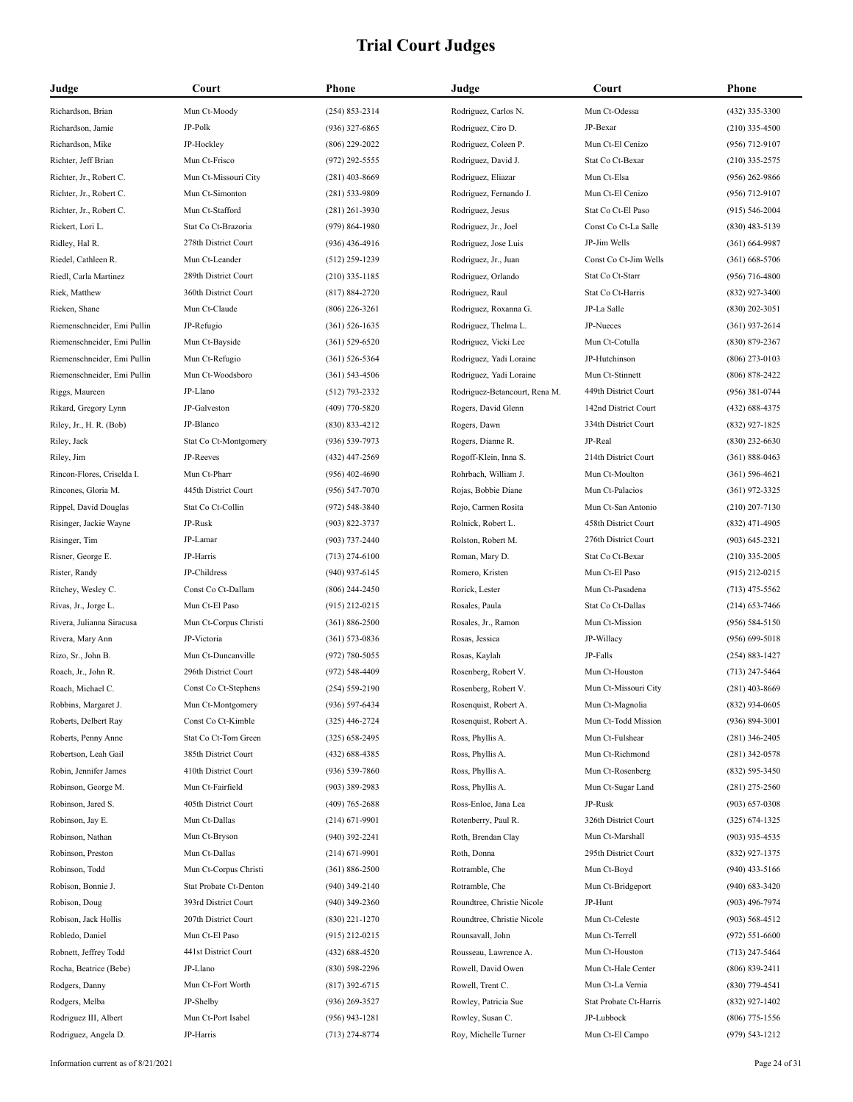| Judge                       | Court                  | Phone              | Judge                         | Court                  | <b>Phone</b>       |
|-----------------------------|------------------------|--------------------|-------------------------------|------------------------|--------------------|
| Richardson, Brian           | Mun Ct-Moody           | $(254) 853 - 2314$ | Rodriguez, Carlos N.          | Mun Ct-Odessa          | (432) 335-3300     |
| Richardson, Jamie           | JP-Polk                | $(936)$ 327-6865   | Rodriguez, Ciro D.            | JP-Bexar               | $(210)$ 335-4500   |
| Richardson, Mike            | JP-Hockley             | $(806)$ 229-2022   | Rodriguez, Coleen P.          | Mun Ct-El Cenizo       | $(956)$ 712-9107   |
| Richter, Jeff Brian         | Mun Ct-Frisco          | $(972)$ 292-5555   | Rodriguez, David J.           | Stat Co Ct-Bexar       | $(210)$ 335-2575   |
| Richter, Jr., Robert C.     | Mun Ct-Missouri City   | $(281)$ 403-8669   | Rodriguez, Eliazar            | Mun Ct-Elsa            | $(956)$ 262-9866   |
| Richter, Jr., Robert C.     | Mun Ct-Simonton        | $(281) 533 - 9809$ | Rodriguez, Fernando J.        | Mun Ct-El Cenizo       | $(956)$ 712-9107   |
| Richter, Jr., Robert C.     | Mun Ct-Stafford        | $(281)$ 261-3930   | Rodriguez, Jesus              | Stat Co Ct-El Paso     | $(915) 546 - 2004$ |
| Rickert, Lori L.            | Stat Co Ct-Brazoria    | $(979) 864 - 1980$ | Rodriguez, Jr., Joel          | Const Co Ct-La Salle   | $(830)$ 483-5139   |
| Ridley, Hal R.              | 278th District Court   | $(936)$ 436-4916   | Rodriguez, Jose Luis          | JP-Jim Wells           | $(361) 664-9987$   |
| Riedel, Cathleen R.         | Mun Ct-Leander         | $(512)$ 259-1239   | Rodriguez, Jr., Juan          | Const Co Ct-Jim Wells  | $(361)$ 668-5706   |
| Riedl, Carla Martinez       | 289th District Court   | $(210)$ 335-1185   | Rodriguez, Orlando            | Stat Co Ct-Starr       | $(956)$ 716-4800   |
| Riek, Matthew               | 360th District Court   | $(817) 884 - 2720$ | Rodriguez, Raul               | Stat Co Ct-Harris      | $(832)$ 927-3400   |
| Rieken, Shane               | Mun Ct-Claude          | $(806)$ 226-3261   | Rodriguez, Roxanna G.         | JP-La Salle            | $(830)$ 202-3051   |
| Riemenschneider, Emi Pullin | JP-Refugio             | $(361) 526 - 1635$ | Rodriguez, Thelma L.          | JP-Nueces              | $(361)$ 937-2614   |
| Riemenschneider, Emi Pullin | Mun Ct-Bayside         | $(361) 529 - 6520$ | Rodriguez, Vicki Lee          | Mun Ct-Cotulla         | $(830) 879 - 2367$ |
| Riemenschneider, Emi Pullin | Mun Ct-Refugio         | $(361) 526 - 5364$ | Rodriguez, Yadi Loraine       | JP-Hutchinson          | $(806)$ 273-0103   |
| Riemenschneider, Emi Pullin | Mun Ct-Woodsboro       | $(361) 543 - 4506$ | Rodriguez, Yadi Loraine       | Mun Ct-Stinnett        | $(806) 878 - 2422$ |
| Riggs, Maureen              | JP-Llano               | $(512)$ 793-2332   | Rodriguez-Betancourt, Rena M. | 449th District Court   | $(956)$ 381-0744   |
| Rikard, Gregory Lynn        | JP-Galveston           | (409) 770-5820     | Rogers, David Glenn           | 142nd District Court   | $(432) 688 - 4375$ |
| Riley, Jr., H. R. (Bob)     | JP-Blanco              | $(830) 833 - 4212$ | Rogers, Dawn                  | 334th District Court   | (832) 927-1825     |
| Riley, Jack                 | Stat Co Ct-Montgomery  | $(936) 539 - 7973$ | Rogers, Dianne R.             | JP-Real                | $(830)$ 232-6630   |
| Riley, Jim                  | JP-Reeves              | (432) 447-2569     | Rogoff-Klein, Inna S.         | 214th District Court   | $(361) 888 - 0463$ |
| Rincon-Flores, Criselda I.  | Mun Ct-Pharr           | $(956)$ 402-4690   | Rohrbach, William J.          | Mun Ct-Moulton         | $(361) 596 - 4621$ |
| Rincones, Gloria M.         | 445th District Court   | $(956) 547 - 7070$ | Rojas, Bobbie Diane           | Mun Ct-Palacios        | $(361)$ 972-3325   |
| Rippel, David Douglas       | Stat Co Ct-Collin      | $(972) 548 - 3840$ | Rojo, Carmen Rosita           | Mun Ct-San Antonio     | $(210)$ 207-7130   |
| Risinger, Jackie Wayne      | JP-Rusk                | (903) 822-3737     | Rolnick, Robert L.            | 458th District Court   | $(832)$ 471-4905   |
| Risinger, Tim               | JP-Lamar               | $(903) 737 - 2440$ | Rolston, Robert M.            | 276th District Court   | $(903) 645 - 2321$ |
| Risner, George E.           | JP-Harris              | $(713)$ 274-6100   | Roman, Mary D.                | Stat Co Ct-Bexar       | $(210)$ 335-2005   |
| Rister, Randy               | JP-Childress           | $(940)$ 937-6145   | Romero, Kristen               | Mun Ct-El Paso         | $(915)$ 212-0215   |
| Ritchey, Wesley C.          | Const Co Ct-Dallam     | $(806)$ 244-2450   | Rorick, Lester                | Mun Ct-Pasadena        | $(713)$ 475-5562   |
| Rivas, Jr., Jorge L.        | Mun Ct-El Paso         | $(915)$ 212-0215   | Rosales, Paula                | Stat Co Ct-Dallas      | $(214)$ 653-7466   |
| Rivera, Julianna Siracusa   | Mun Ct-Corpus Christi  | $(361) 886 - 2500$ | Rosales, Jr., Ramon           | Mun Ct-Mission         | $(956) 584 - 5150$ |
| Rivera, Mary Ann            | JP-Victoria            | $(361) 573 - 0836$ | Rosas, Jessica                | JP-Willacy             | $(956) 699 - 5018$ |
| Rizo, Sr., John B.          | Mun Ct-Duncanville     | (972) 780-5055     | Rosas, Kaylah                 | JP-Falls               | $(254) 883 - 1427$ |
| Roach, Jr., John R.         | 296th District Court   | (972) 548-4409     | Rosenberg, Robert V.          | Mun Ct-Houston         | $(713)$ 247-5464   |
| Roach, Michael C.           | Const Co Ct-Stephens   | $(254) 559 - 2190$ | Rosenberg, Robert V.          | Mun Ct-Missouri City   | $(281)$ 403-8669   |
| Robbins, Margaret J.        | Mun Ct-Montgomery      | (936) 597-6434     | Rosenquist, Robert A.         | Mun Ct-Magnolia        | $(832)$ 934-0605   |
| Roberts, Delbert Ray        | Const Co Ct-Kimble     | $(325)$ 446-2724   | Rosenquist, Robert A.         | Mun Ct-Todd Mission    | $(936) 894 - 3001$ |
| Roberts, Penny Anne         | Stat Co Ct-Tom Green   | $(325) 658 - 2495$ | Ross, Phyllis A.              | Mun Ct-Fulshear        | $(281)$ 346-2405   |
| Robertson, Leah Gail        | 385th District Court   | (432) 688-4385     | Ross, Phyllis A.              | Mun Ct-Richmond        | $(281)$ 342-0578   |
| Robin, Jennifer James       | 410th District Court   | $(936) 539 - 7860$ | Ross, Phyllis A.              | Mun Ct-Rosenberg       | $(832) 595 - 3450$ |
| Robinson, George M.         | Mun Ct-Fairfield       | $(903)$ 389-2983   | Ross, Phyllis A.              | Mun Ct-Sugar Land      | $(281)$ 275-2560   |
| Robinson, Jared S.          | 405th District Court   | $(409)$ 765-2688   | Ross-Enloe, Jana Lea          | JP-Rusk                | $(903) 657 - 0308$ |
| Robinson, Jay E.            | Mun Ct-Dallas          | $(214) 671 - 9901$ | Rotenberry, Paul R.           | 326th District Court   | $(325) 674 - 1325$ |
| Robinson, Nathan            | Mun Ct-Bryson          | $(940)$ 392-2241   | Roth, Brendan Clay            | Mun Ct-Marshall        | $(903)$ 935-4535   |
| Robinson, Preston           | Mun Ct-Dallas          | $(214) 671 - 9901$ | Roth, Donna                   | 295th District Court   | $(832)$ 927-1375   |
| Robinson, Todd              | Mun Ct-Corpus Christi  | $(361) 886 - 2500$ | Rotramble, Che                | Mun Ct-Boyd            | $(940)$ 433-5166   |
| Robison, Bonnie J.          | Stat Probate Ct-Denton | $(940)$ 349-2140   | Rotramble, Che                | Mun Ct-Bridgeport      | $(940)$ 683-3420   |
| Robison, Doug               | 393rd District Court   | $(940)$ 349-2360   | Roundtree, Christie Nicole    | JP-Hunt                | $(903)$ 496-7974   |
| Robison, Jack Hollis        | 207th District Court   | $(830)$ 221-1270   | Roundtree, Christie Nicole    | Mun Ct-Celeste         | $(903) 568 - 4512$ |
| Robledo, Daniel             | Mun Ct-El Paso         | $(915)$ 212-0215   | Rounsavall, John              | Mun Ct-Terrell         | $(972) 551 - 6600$ |
| Robnett, Jeffrey Todd       | 441st District Court   | $(432) 688 - 4520$ | Rousseau, Lawrence A.         | Mun Ct-Houston         | $(713)$ 247-5464   |
| Rocha, Beatrice (Bebe)      | JP-Llano               | $(830)$ 598-2296   | Rowell, David Owen            | Mun Ct-Hale Center     | $(806) 839 - 2411$ |
| Rodgers, Danny              | Mun Ct-Fort Worth      | $(817)$ 392-6715   | Rowell, Trent C.              | Mun Ct-La Vernia       | $(830)$ 779-4541   |
| Rodgers, Melba              | JP-Shelby              | $(936)$ 269-3527   | Rowley, Patricia Sue          | Stat Probate Ct-Harris | $(832)$ 927-1402   |
| Rodriguez III, Albert       | Mun Ct-Port Isabel     | $(956)$ 943-1281   | Rowley, Susan C.              | JP-Lubbock             | $(806)$ 775-1556   |
| Rodriguez, Angela D.        | JP-Harris              | $(713)$ 274-8774   | Roy, Michelle Turner          | Mun Ct-El Campo        | $(979) 543 - 1212$ |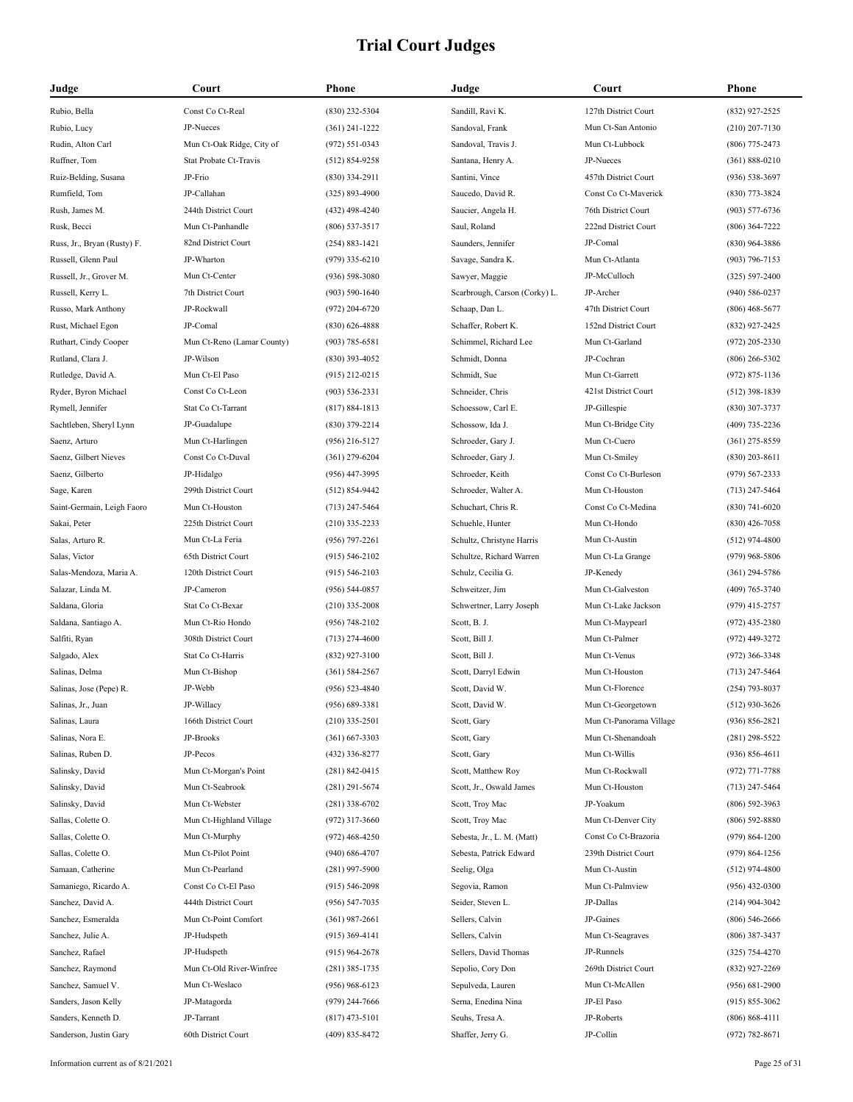| Judge                       | Court                      | Phone              | Judge                         | Court                   | Phone              |
|-----------------------------|----------------------------|--------------------|-------------------------------|-------------------------|--------------------|
| Rubio, Bella                | Const Co Ct-Real           | (830) 232-5304     | Sandill, Ravi K.              | 127th District Court    | (832) 927-2525     |
| Rubio, Lucy                 | JP-Nueces                  | $(361)$ 241-1222   | Sandoval, Frank               | Mun Ct-San Antonio      | $(210)$ 207-7130   |
| Rudin, Alton Carl           | Mun Ct-Oak Ridge, City of  | $(972) 551 - 0343$ | Sandoval, Travis J.           | Mun Ct-Lubbock          | $(806)$ 775-2473   |
| Ruffner, Tom                | Stat Probate Ct-Travis     | $(512) 854 - 9258$ | Santana, Henry A.             | JP-Nueces               | $(361) 888 - 0210$ |
| Ruiz-Belding, Susana        | JP-Frio                    | $(830)$ 334-2911   | Santini, Vince                | 457th District Court    | $(936) 538 - 3697$ |
| Rumfield, Tom               | JP-Callahan                | $(325) 893 - 4900$ | Saucedo, David R.             | Const Co Ct-Maverick    | $(830)$ 773-3824   |
| Rush, James M.              | 244th District Court       | $(432)$ 498-4240   | Saucier, Angela H.            | 76th District Court     | $(903) 577 - 6736$ |
| Rusk, Becci                 | Mun Ct-Panhandle           | $(806)$ 537-3517   | Saul, Roland                  | 222nd District Court    | $(806)$ 364-7222   |
| Russ, Jr., Bryan (Rusty) F. | 82nd District Court        | $(254) 883 - 1421$ | Saunders, Jennifer            | JP-Comal                | (830) 964-3886     |
| Russell, Glenn Paul         | JP-Wharton                 | $(979)$ 335-6210   | Savage, Sandra K.             | Mun Ct-Atlanta          | $(903) 796 - 7153$ |
| Russell, Jr., Grover M.     | Mun Ct-Center              | $(936) 598 - 3080$ | Sawyer, Maggie                | JP-McCulloch            | $(325) 597 - 2400$ |
| Russell, Kerry L.           | 7th District Court         | $(903) 590 - 1640$ | Scarbrough, Carson (Corky) L. | JP-Archer               | $(940) 586 - 0237$ |
| Russo, Mark Anthony         | JP-Rockwall                | $(972)$ 204-6720   | Schaap, Dan L.                | 47th District Court     | $(806)$ 468-5677   |
| Rust, Michael Egon          | JP-Comal                   | $(830)$ 626-4888   | Schaffer, Robert K.           | 152nd District Court    | (832) 927-2425     |
| Ruthart, Cindy Cooper       | Mun Ct-Reno (Lamar County) | $(903) 785 - 6581$ | Schimmel, Richard Lee         | Mun Ct-Garland          | $(972)$ 205-2330   |
| Rutland, Clara J.           | JP-Wilson                  | $(830)$ 393-4052   | Schmidt, Donna                | JP-Cochran              | $(806)$ 266-5302   |
| Rutledge, David A.          | Mun Ct-El Paso             | $(915)$ 212-0215   | Schmidt, Sue                  | Mun Ct-Garrett          | $(972) 875 - 1136$ |
| Ryder, Byron Michael        | Const Co Ct-Leon           | $(903) 536 - 2331$ | Schneider, Chris              | 421st District Court    | $(512)$ 398-1839   |
| Rymell, Jennifer            | Stat Co Ct-Tarrant         | $(817) 884 - 1813$ | Schoessow, Carl E.            | JP-Gillespie            | (830) 307-3737     |
| Sachtleben, Sheryl Lynn     | JP-Guadalupe               | $(830)$ 379-2214   | Schossow, Ida J.              | Mun Ct-Bridge City      | $(409)$ 735-2236   |
| Saenz, Arturo               | Mun Ct-Harlingen           | $(956)$ 216-5127   | Schroeder, Gary J.            | Mun Ct-Cuero            | $(361)$ 275-8559   |
| Saenz, Gilbert Nieves       | Const Co Ct-Duval          | $(361)$ 279-6204   | Schroeder, Gary J.            | Mun Ct-Smiley           | $(830)$ 203-8611   |
| Saenz, Gilberto             | JP-Hidalgo                 | $(956)$ 447-3995   | Schroeder, Keith              | Const Co Ct-Burleson    | $(979) 567 - 2333$ |
| Sage, Karen                 | 299th District Court       | $(512) 854 - 9442$ | Schroeder, Walter A.          | Mun Ct-Houston          | $(713)$ 247-5464   |
| Saint-Germain, Leigh Faoro  | Mun Ct-Houston             | $(713)$ 247-5464   | Schuchart, Chris R.           | Const Co Ct-Medina      | $(830) 741 - 6020$ |
| Sakai, Peter                | 225th District Court       | $(210)$ 335-2233   | Schuehle, Hunter              | Mun Ct-Hondo            | $(830)$ 426-7058   |
| Salas, Arturo R.            | Mun Ct-La Feria            | $(956)$ 797-2261   | Schultz, Christyne Harris     | Mun Ct-Austin           | $(512)$ 974-4800   |
| Salas, Victor               | 65th District Court        | $(915) 546 - 2102$ | Schultze, Richard Warren      | Mun Ct-La Grange        | $(979)$ 968-5806   |
| Salas-Mendoza, Maria A.     | 120th District Court       | $(915) 546 - 2103$ | Schulz, Cecilia G.            | JP-Kenedy               | $(361)$ 294-5786   |
| Salazar, Linda M.           | JP-Cameron                 | $(956) 544 - 0857$ | Schweitzer, Jim               | Mun Ct-Galveston        | $(409) 765 - 3740$ |
| Saldana, Gloria             | Stat Co Ct-Bexar           | $(210)$ 335-2008   | Schwertner, Larry Joseph      | Mun Ct-Lake Jackson     | $(979)$ 415-2757   |
| Saldana, Santiago A.        | Mun Ct-Rio Hondo           | $(956) 748 - 2102$ | Scott, B. J.                  | Mun Ct-Maypearl         | $(972)$ 435-2380   |
| Salfiti, Ryan               | 308th District Court       | $(713)$ 274-4600   | Scott, Bill J.                | Mun Ct-Palmer           | (972) 449-3272     |
| Salgado, Alex               | Stat Co Ct-Harris          | (832) 927-3100     | Scott, Bill J.                | Mun Ct-Venus            | (972) 366-3348     |
| Salinas, Delma              | Mun Ct-Bishop              | $(361) 584 - 2567$ | Scott, Darryl Edwin           | Mun Ct-Houston          | $(713)$ 247-5464   |
| Salinas, Jose (Pepe) R.     | JP-Webb                    | $(956) 523 - 4840$ | Scott, David W.               | Mun Ct-Florence         | $(254)$ 793-8037   |
| Salinas, Jr., Juan          | JP-Willacy                 | $(956)$ 689-3381   | Scott, David W.               | Mun Ct-Georgetown       | $(512)$ 930-3626   |
| Salinas, Laura              | 166th District Court       | $(210)$ 335-2501   | Scott, Gary                   | Mun Ct-Panorama Village | $(936) 856 - 2821$ |
| Salinas, Nora E.            | JP-Brooks                  | $(361)$ 667-3303   | Scott, Gary                   | Mun Ct-Shenandoah       | $(281)$ 298-5522   |
| Salinas, Ruben D.           | JP-Pecos                   | (432) 336-8277     | Scott, Gary                   | Mun Ct-Willis           | $(936) 856 - 4611$ |
| Salinsky, David             | Mun Ct-Morgan's Point      | $(281)$ 842-0415   | Scott, Matthew Roy            | Mun Ct-Rockwall         | (972) 771-7788     |
| Salinsky, David             | Mun Ct-Seabrook            | $(281)$ 291-5674   | Scott, Jr., Oswald James      | Mun Ct-Houston          | $(713)$ 247-5464   |
| Salinsky, David             | Mun Ct-Webster             | $(281)$ 338-6702   | Scott, Troy Mac               | JP-Yoakum               | $(806)$ 592-3963   |
| Sallas, Colette O.          | Mun Ct-Highland Village    | $(972)$ 317-3660   | Scott, Troy Mac               | Mun Ct-Denver City      | $(806) 592 - 8880$ |
| Sallas, Colette O.          | Mun Ct-Murphy              | $(972)$ 468-4250   | Sebesta, Jr., L. M. (Matt)    | Const Co Ct-Brazoria    | $(979) 864 - 1200$ |
| Sallas, Colette O.          | Mun Ct-Pilot Point         | $(940) 686 - 4707$ | Sebesta, Patrick Edward       | 239th District Court    | (979) 864-1256     |
| Samaan, Catherine           | Mun Ct-Pearland            | $(281)$ 997-5900   | Seelig, Olga                  | Mun Ct-Austin           | $(512)$ 974-4800   |
| Samaniego, Ricardo A.       | Const Co Ct-El Paso        | (915) 546-2098     | Segovia, Ramon                | Mun Ct-Palmview         | $(956)$ 432-0300   |
| Sanchez, David A.           | 444th District Court       | $(956) 547 - 7035$ | Seider, Steven L.             | JP-Dallas               | $(214)$ 904-3042   |
| Sanchez, Esmeralda          | Mun Ct-Point Comfort       | $(361)$ 987-2661   | Sellers, Calvin               | JP-Gaines               | $(806)$ 546-2666   |
| Sanchez, Julie A.           | JP-Hudspeth                | $(915)$ 369-4141   | Sellers, Calvin               | Mun Ct-Seagraves        | $(806)$ 387-3437   |
| Sanchez, Rafael             | JP-Hudspeth                | $(915)$ 964-2678   | Sellers, David Thomas         | JP-Runnels              | $(325) 754 - 4270$ |
| Sanchez, Raymond            | Mun Ct-Old River-Winfree   | $(281)$ 385-1735   | Sepolio, Cory Don             | 269th District Court    | (832) 927-2269     |
| Sanchez, Samuel V.          | Mun Ct-Weslaco             | $(956)$ 968-6123   | Sepulveda, Lauren             | Mun Ct-McAllen          | $(956) 681 - 2900$ |
| Sanders, Jason Kelly        | JP-Matagorda               | $(979)$ 244-7666   | Serna, Enedina Nina           | JP-El Paso              | $(915) 855 - 3062$ |
| Sanders, Kenneth D.         | JP-Tarrant                 | $(817)$ 473-5101   | Seuhs, Tresa A.               | JP-Roberts              | $(806) 868 - 4111$ |
| Sanderson, Justin Gary      | 60th District Court        | $(409)$ 835-8472   | Shaffer, Jerry G.             | JP-Collin               | $(972) 782 - 8671$ |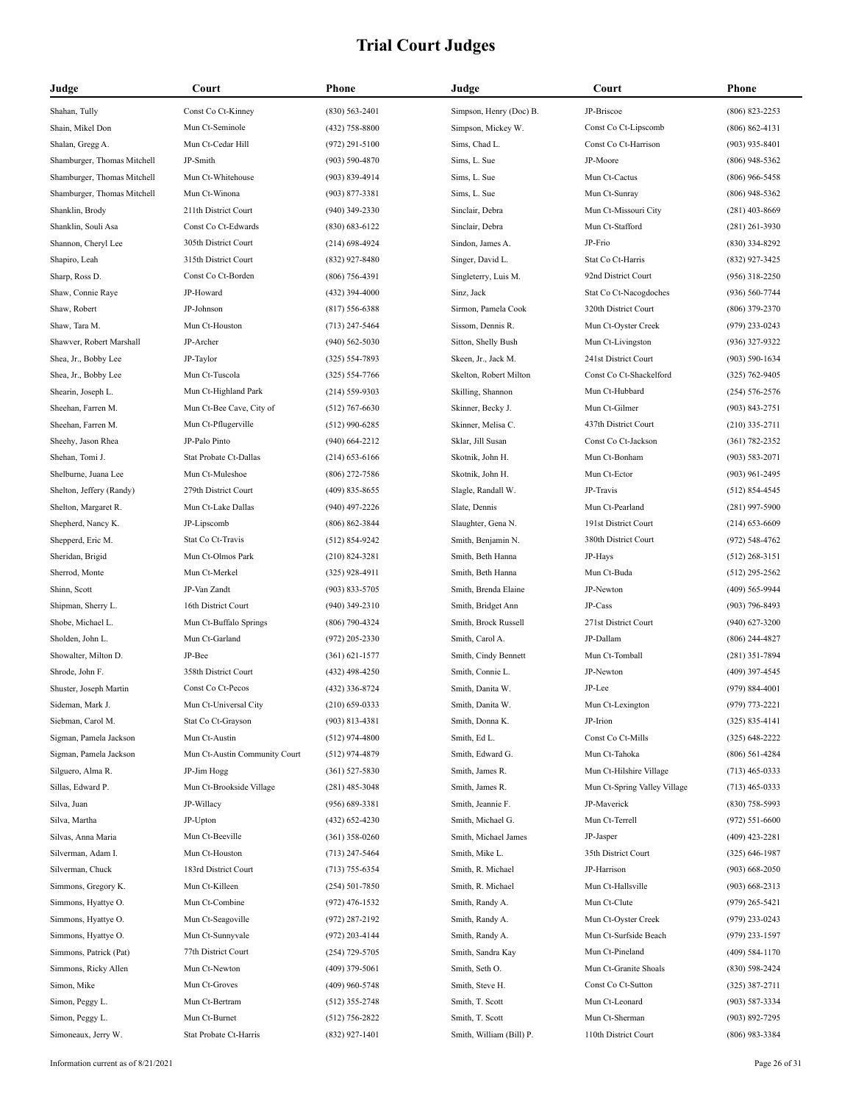| Judge                       | Court                         | Phone              | Judge                                   | Court                        | <b>Phone</b>                         |
|-----------------------------|-------------------------------|--------------------|-----------------------------------------|------------------------------|--------------------------------------|
| Shahan, Tully               | Const Co Ct-Kinney            | $(830) 563 - 2401$ | Simpson, Henry (Doc) B.                 | JP-Briscoe                   | $(806) 823 - 2253$                   |
| Shain, Mikel Don            | Mun Ct-Seminole               | (432) 758-8800     | Simpson, Mickey W.                      | Const Co Ct-Lipscomb         | $(806) 862 - 4131$                   |
| Shalan, Gregg A.            | Mun Ct-Cedar Hill             | $(972)$ 291-5100   | Sims, Chad L.                           | Const Co Ct-Harrison         | $(903)$ 935-8401                     |
| Shamburger, Thomas Mitchell | JP-Smith                      | $(903) 590 - 4870$ | Sims, L. Sue                            | JP-Moore                     | $(806)$ 948-5362                     |
| Shamburger, Thomas Mitchell | Mun Ct-Whitehouse             | (903) 839-4914     | Sims, L. Sue                            | Mun Ct-Cactus                | $(806)$ 966-5458                     |
| Shamburger, Thomas Mitchell | Mun Ct-Winona                 | $(903) 877 - 3381$ | Sims, L. Sue                            | Mun Ct-Sunray                | $(806)$ 948-5362                     |
| Shanklin, Brody             | 211th District Court          | $(940)$ 349-2330   | Sinclair, Debra                         | Mun Ct-Missouri City         | $(281)$ 403-8669                     |
| Shanklin, Souli Asa         | Const Co Ct-Edwards           | $(830) 683 - 6122$ | Sinclair, Debra                         | Mun Ct-Stafford              | $(281)$ 261-3930                     |
| Shannon, Cheryl Lee         | 305th District Court          | $(214)$ 698-4924   | Sindon, James A.                        | JP-Frio                      | $(830)$ 334-8292                     |
| Shapiro, Leah               | 315th District Court          | (832) 927-8480     | Singer, David L.                        | Stat Co Ct-Harris            | (832) 927-3425                       |
| Sharp, Ross D.              | Const Co Ct-Borden            | $(806)$ 756-4391   | Singleterry, Luis M.                    | 92nd District Court          | $(956)$ 318-2250                     |
| Shaw, Connie Raye           | JP-Howard                     | $(432)$ 394-4000   | Sinz, Jack                              | Stat Co Ct-Nacogdoches       | $(936) 560 - 7744$                   |
| Shaw, Robert                | JP-Johnson                    | $(817) 556 - 6388$ | Sirmon, Pamela Cook                     | 320th District Court         | $(806)$ 379-2370                     |
| Shaw, Tara M.               | Mun Ct-Houston                | $(713)$ 247-5464   | Sissom, Dennis R.                       | Mun Ct-Oyster Creek          | $(979)$ 233-0243                     |
| Shawver, Robert Marshall    | JP-Archer                     | $(940) 562 - 5030$ | Sitton, Shelly Bush                     | Mun Ct-Livingston            | $(936)$ 327-9322                     |
| Shea, Jr., Bobby Lee        | JP-Taylor                     | $(325) 554 - 7893$ | Skeen, Jr., Jack M.                     | 241st District Court         | $(903) 590 - 1634$                   |
| Shea, Jr., Bobby Lee        | Mun Ct-Tuscola                | $(325) 554 - 7766$ | Skelton, Robert Milton                  | Const Co Ct-Shackelford      | $(325) 762 - 9405$                   |
| Shearin, Joseph L.          | Mun Ct-Highland Park          | $(214) 559 - 9303$ | Skilling, Shannon                       | Mun Ct-Hubbard               | $(254) 576 - 2576$                   |
| Sheehan, Farren M.          | Mun Ct-Bee Cave, City of      | $(512)$ 767-6630   | Skinner, Becky J.                       | Mun Ct-Gilmer                | $(903) 843 - 2751$                   |
| Sheehan, Farren M.          | Mun Ct-Pflugerville           | $(512)$ 990-6285   | Skinner, Melisa C.                      | 437th District Court         | $(210)$ 335-2711                     |
| Sheehy, Jason Rhea          | JP-Palo Pinto                 | $(940) 664 - 2212$ | Sklar, Jill Susan                       | Const Co Ct-Jackson          | $(361) 782 - 2352$                   |
| Shehan, Tomi J.             | Stat Probate Ct-Dallas        | $(214)$ 653-6166   | Skotnik, John H.                        | Mun Ct-Bonham                | $(903) 583 - 2071$                   |
| Shelburne, Juana Lee        | Mun Ct-Muleshoe               | $(806)$ 272-7586   | Skotnik, John H.                        | Mun Ct-Ector                 | $(903)$ 961-2495                     |
| Shelton, Jeffery (Randy)    | 279th District Court          | $(409)$ 835-8655   | Slagle, Randall W.                      | JP-Travis                    | $(512) 854 - 4545$                   |
| Shelton, Margaret R.        | Mun Ct-Lake Dallas            | $(940)$ 497-2226   | Slate, Dennis                           | Mun Ct-Pearland              | $(281)$ 997-5900                     |
| Shepherd, Nancy K.          | JP-Lipscomb                   | $(806) 862 - 3844$ | Slaughter, Gena N.                      | 191st District Court         | $(214) 653 - 6609$                   |
| Shepperd, Eric M.           | Stat Co Ct-Travis             | $(512) 854-9242$   |                                         | 380th District Court         | $(972) 548 - 4762$                   |
| Sheridan, Brigid            | Mun Ct-Olmos Park             | $(210) 824 - 3281$ | Smith, Benjamin N.<br>Smith, Beth Hanna | JP-Hays                      | $(512)$ 268-3151                     |
| Sherrod, Monte              | Mun Ct-Merkel                 | $(325)$ 928-4911   | Smith, Beth Hanna                       | Mun Ct-Buda                  |                                      |
| Shinn, Scott                | JP-Van Zandt                  | $(903) 833 - 5705$ | Smith, Brenda Elaine                    | JP-Newton                    | $(512)$ 295-2562<br>$(409)$ 565-9944 |
|                             |                               |                    |                                         | JP-Cass                      |                                      |
| Shipman, Sherry L.          | 16th District Court           | $(940)$ 349-2310   | Smith, Bridget Ann                      |                              | $(903)$ 796-8493                     |
| Shobe, Michael L.           | Mun Ct-Buffalo Springs        | $(806)$ 790-4324   | Smith, Brock Russell                    | 271st District Court         | $(940)$ 627-3200                     |
| Sholden, John L.            | Mun Ct-Garland                | $(972)$ 205-2330   | Smith, Carol A.                         | JP-Dallam                    | $(806)$ 244-4827                     |
| Showalter, Milton D.        | JP-Bee                        | $(361) 621 - 1577$ | Smith, Cindy Bennett                    | Mun Ct-Tomball               | $(281)$ 351-7894                     |
| Shrode, John F.             | 358th District Court          | $(432)$ 498-4250   | Smith, Connie L.                        | JP-Newton                    | $(409)$ 397-4545                     |
| Shuster, Joseph Martin      | Const Co Ct-Pecos             | (432) 336-8724     | Smith, Danita W.                        | JP-Lee                       | $(979) 884 - 4001$                   |
| Sideman, Mark J.            | Mun Ct-Universal City         | $(210)$ 659-0333   | Smith, Danita W.                        | Mun Ct-Lexington             | $(979)$ 773-2221                     |
| Siebman, Carol M.           | Stat Co Ct-Grayson            | $(903) 813 - 4381$ | Smith, Donna K.                         | JP-Irion                     | $(325) 835 - 4141$                   |
| Sigman, Pamela Jackson      | Mun Ct-Austin                 | $(512)$ 974-4800   | Smith, Ed L.                            | Const Co Ct-Mills            | $(325) 648 - 2222$                   |
| Sigman, Pamela Jackson      | Mun Ct-Austin Community Court | $(512)$ 974-4879   | Smith, Edward G.                        | Mun Ct-Tahoka                | $(806) 561 - 4284$                   |
| Silguero, Alma R.           | JP-Jim Hogg                   | $(361) 527 - 5830$ | Smith, James R.                         | Mun Ct-Hilshire Village      | $(713)$ 465-0333                     |
| Sillas, Edward P.           | Mun Ct-Brookside Village      | $(281)$ 485-3048   | Smith, James R.                         | Mun Ct-Spring Valley Village | $(713)$ 465-0333                     |
| Silva, Juan                 | JP-Willacy                    | $(956) 689 - 3381$ | Smith, Jeannie F.                       | JP-Maverick                  | $(830)$ 758-5993                     |
| Silva, Martha               | JP-Upton                      | $(432) 652 - 4230$ | Smith, Michael G.                       | Mun Ct-Terrell               | $(972) 551 - 6600$                   |
| Silvas, Anna Maria          | Mun Ct-Beeville               | $(361)$ 358-0260   | Smith, Michael James                    | JP-Jasper                    | $(409)$ 423-2281                     |
| Silverman, Adam I.          | Mun Ct-Houston                | $(713)$ 247-5464   | Smith, Mike L.                          | 35th District Court          | $(325)$ 646-1987                     |
| Silverman, Chuck            | 183rd District Court          | $(713) 755 - 6354$ | Smith, R. Michael                       | JP-Harrison                  | $(903)$ 668-2050                     |
| Simmons, Gregory K.         | Mun Ct-Killeen                | $(254) 501 - 7850$ | Smith, R. Michael                       | Mun Ct-Hallsville            | $(903)$ 668-2313                     |
| Simmons, Hyattye O.         | Mun Ct-Combine                | $(972)$ 476-1532   | Smith, Randy A.                         | Mun Ct-Clute                 | $(979)$ 265-5421                     |
| Simmons, Hyattye O.         | Mun Ct-Seagoville             | $(972)$ 287-2192   | Smith, Randy A.                         | Mun Ct-Oyster Creek          | $(979)$ 233-0243                     |
| Simmons, Hyattye O.         | Mun Ct-Sunnyvale              | $(972)$ 203-4144   | Smith, Randy A.                         | Mun Ct-Surfside Beach        | $(979)$ 233-1597                     |
| Simmons, Patrick (Pat)      | 77th District Court           | $(254)$ 729-5705   | Smith, Sandra Kay                       | Mun Ct-Pineland              | $(409) 584 - 1170$                   |
| Simmons, Ricky Allen        | Mun Ct-Newton                 | $(409)$ 379-5061   | Smith, Seth O.                          | Mun Ct-Granite Shoals        | $(830)$ 598-2424                     |
| Simon, Mike                 | Mun Ct-Groves                 | $(409)$ 960-5748   | Smith, Steve H.                         | Const Co Ct-Sutton           | $(325)$ 387-2711                     |
| Simon, Peggy L.             | Mun Ct-Bertram                | $(512)$ 355-2748   | Smith, T. Scott                         | Mun Ct-Leonard               | $(903) 587 - 3334$                   |
| Simon, Peggy L.             | Mun Ct-Burnet                 | $(512)$ 756-2822   | Smith, T. Scott                         | Mun Ct-Sherman               | $(903) 892 - 7295$                   |
| Simoneaux, Jerry W.         | Stat Probate Ct-Harris        | $(832)$ 927-1401   | Smith, William (Bill) P.                | 110th District Court         | $(806)$ 983-3384                     |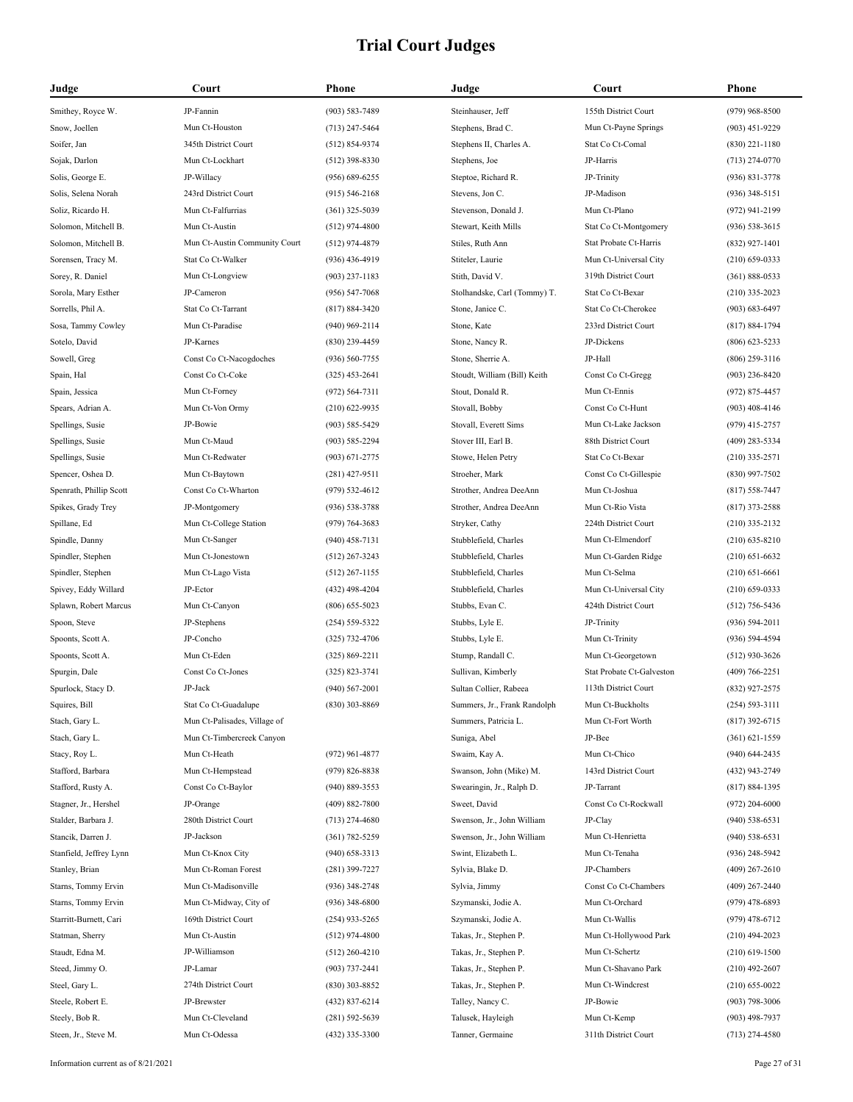| Judge                   | Court                         | Phone              | Judge                        | Court                     | <b>Phone</b>       |
|-------------------------|-------------------------------|--------------------|------------------------------|---------------------------|--------------------|
| Smithey, Royce W.       | JP-Fannin                     | $(903) 583 - 7489$ | Steinhauser, Jeff            | 155th District Court      | $(979)$ 968-8500   |
| Snow, Joellen           | Mun Ct-Houston                | $(713)$ 247-5464   | Stephens, Brad C.            | Mun Ct-Payne Springs      | $(903)$ 451-9229   |
| Soifer, Jan             | 345th District Court          | $(512) 854-9374$   | Stephens II, Charles A.      | Stat Co Ct-Comal          | $(830)$ 221-1180   |
| Sojak, Darlon           | Mun Ct-Lockhart               | $(512)$ 398-8330   | Stephens, Joe                | JP-Harris                 | $(713)$ 274-0770   |
| Solis, George E.        | JP-Willacy                    | $(956) 689 - 6255$ | Steptoe, Richard R.          | JP-Trinity                | $(936) 831 - 3778$ |
| Solis, Selena Norah     | 243rd District Court          | $(915) 546 - 2168$ | Stevens, Jon C.              | JP-Madison                | $(936)$ 348-5151   |
| Soliz, Ricardo H.       | Mun Ct-Falfurrias             | $(361)$ 325-5039   | Stevenson, Donald J.         | Mun Ct-Plano              | $(972)$ 941-2199   |
| Solomon, Mitchell B.    | Mun Ct-Austin                 | $(512)$ 974-4800   | Stewart, Keith Mills         | Stat Co Ct-Montgomery     | $(936) 538 - 3615$ |
| Solomon, Mitchell B.    | Mun Ct-Austin Community Court | $(512)$ 974-4879   | Stiles, Ruth Ann             | Stat Probate Ct-Harris    | $(832)$ 927-1401   |
| Sorensen, Tracy M.      | Stat Co Ct-Walker             | $(936)$ 436-4919   | Stiteler, Laurie             | Mun Ct-Universal City     | $(210)$ 659-0333   |
| Sorey, R. Daniel        | Mun Ct-Longview               | $(903)$ 237-1183   | Stith, David V.              | 319th District Court      | $(361) 888 - 0533$ |
| Sorola, Mary Esther     | JP-Cameron                    | $(956) 547 - 7068$ | Stolhandske, Carl (Tommy) T. | Stat Co Ct-Bexar          | $(210)$ 335-2023   |
| Sorrells, Phil A.       | Stat Co Ct-Tarrant            | $(817) 884 - 3420$ | Stone, Janice C.             | Stat Co Ct-Cherokee       | $(903) 683 - 6497$ |
| Sosa, Tammy Cowley      | Mun Ct-Paradise               | $(940)$ 969-2114   | Stone, Kate                  | 233rd District Court      | $(817) 884 - 1794$ |
| Sotelo, David           | JP-Karnes                     | $(830)$ 239-4459   | Stone, Nancy R.              | JP-Dickens                | $(806)$ 623-5233   |
| Sowell, Greg            | Const Co Ct-Nacogdoches       | $(936) 560 - 7755$ | Stone, Sherrie A.            | JP-Hall                   | $(806)$ 259-3116   |
| Spain, Hal              | Const Co Ct-Coke              | $(325)$ 453-2641   | Stoudt, William (Bill) Keith | Const Co Ct-Gregg         | $(903)$ 236-8420   |
| Spain, Jessica          | Mun Ct-Forney                 | $(972) 564 - 7311$ | Stout, Donald R.             | Mun Ct-Ennis              | $(972) 875 - 4457$ |
| Spears, Adrian A.       | Mun Ct-Von Ormy               | $(210)$ 622-9935   | Stovall, Bobby               | Const Co Ct-Hunt          | $(903)$ 408-4146   |
| Spellings, Susie        | JP-Bowie                      | $(903) 585 - 5429$ | Stovall, Everett Sims        | Mun Ct-Lake Jackson       | $(979)$ 415-2757   |
| Spellings, Susie        | Mun Ct-Maud                   | $(903) 585 - 2294$ | Stover III, Earl B.          | 88th District Court       | $(409)$ 283-5334   |
| Spellings, Susie        | Mun Ct-Redwater               | $(903) 671 - 2775$ | Stowe, Helen Petry           | Stat Co Ct-Bexar          | $(210)$ 335-2571   |
| Spencer, Oshea D.       | Mun Ct-Baytown                | $(281)$ 427-9511   | Stroeher, Mark               | Const Co Ct-Gillespie     | $(830)$ 997-7502   |
| Spenrath, Phillip Scott | Const Co Ct-Wharton           | $(979) 532 - 4612$ | Strother, Andrea DeeAnn      | Mun Ct-Joshua             | $(817) 558 - 7447$ |
| Spikes, Grady Trey      | JP-Montgomery                 | $(936) 538 - 3788$ | Strother, Andrea DeeAnn      | Mun Ct-Rio Vista          | $(817)$ 373-2588   |
| Spillane, Ed            | Mun Ct-College Station        | $(979) 764 - 3683$ | Stryker, Cathy               | 224th District Court      | $(210)$ 335-2132   |
| Spindle, Danny          | Mun Ct-Sanger                 | $(940)$ 458-7131   | Stubblefield, Charles        | Mun Ct-Elmendorf          | $(210)$ 635-8210   |
| Spindler, Stephen       | Mun Ct-Jonestown              | $(512)$ 267-3243   | Stubblefield, Charles        | Mun Ct-Garden Ridge       | $(210)$ 651-6632   |
| Spindler, Stephen       | Mun Ct-Lago Vista             | $(512)$ 267-1155   | Stubblefield, Charles        | Mun Ct-Selma              | $(210) 651 - 6661$ |
| Spivey, Eddy Willard    | JP-Ector                      | $(432)$ 498-4204   | Stubblefield, Charles        | Mun Ct-Universal City     | $(210)$ 659-0333   |
| Splawn, Robert Marcus   | Mun Ct-Canyon                 | $(806)$ 655-5023   | Stubbs, Evan C.              | 424th District Court      | $(512)$ 756-5436   |
| Spoon, Steve            | JP-Stephens                   | $(254) 559 - 5322$ | Stubbs, Lyle E.              | JP-Trinity                | $(936) 594 - 2011$ |
| Spoonts, Scott A.       | JP-Concho                     | $(325)$ 732-4706   | Stubbs, Lyle E.              | Mun Ct-Trinity            | (936) 594-4594     |
| Spoonts, Scott A.       | Mun Ct-Eden                   | $(325) 869 - 2211$ | Stump, Randall C.            | Mun Ct-Georgetown         | $(512)$ 930-3626   |
| Spurgin, Dale           | Const Co Ct-Jones             | $(325) 823 - 3741$ | Sullivan, Kimberly           | Stat Probate Ct-Galveston | $(409) 766 - 2251$ |
| Spurlock, Stacy D.      | JP-Jack                       | $(940) 567 - 2001$ | Sultan Collier, Rabeea       | 113th District Court      | (832) 927-2575     |
| Squires, Bill           | Stat Co Ct-Guadalupe          | $(830)$ 303-8869   | Summers, Jr., Frank Randolph | Mun Ct-Buckholts          | $(254) 593 - 3111$ |
| Stach, Gary L.          | Mun Ct-Palisades, Village of  |                    | Summers, Patricia L.         | Mun Ct-Fort Worth         | $(817)$ 392-6715   |
| Stach, Gary L.          | Mun Ct-Timbercreek Canyon     |                    | Suniga, Abel                 | JP-Bee                    | $(361) 621 - 1559$ |
| Stacy, Roy L.           | Mun Ct-Heath                  | $(972)$ 961-4877   | Swaim, Kay A.                | Mun Ct-Chico              | $(940) 644 - 2435$ |
| Stafford, Barbara       | Mun Ct-Hempstead              | $(979) 826 - 8838$ | Swanson, John (Mike) M.      | 143rd District Court      | (432) 943-2749     |
| Stafford, Rusty A.      | Const Co Ct-Baylor            | $(940) 889 - 3553$ | Swearingin, Jr., Ralph D.    | JP-Tarrant                | $(817) 884 - 1395$ |
| Stagner, Jr., Hershel   | JP-Orange                     | $(409) 882 - 7800$ | Sweet, David                 | Const Co Ct-Rockwall      | $(972)$ 204-6000   |
| Stalder, Barbara J.     | 280th District Court          | $(713)$ 274-4680   | Swenson, Jr., John William   | JP-Clay                   | $(940)$ 538-6531   |
| Stancik, Darren J.      | JP-Jackson                    | $(361) 782 - 5259$ | Swenson, Jr., John William   | Mun Ct-Henrietta          | $(940)$ 538-6531   |
| Stanfield, Jeffrey Lynn | Mun Ct-Knox City              | $(940)$ 658-3313   | Swint, Elizabeth L.          | Mun Ct-Tenaha             | $(936)$ 248-5942   |
| Stanley, Brian          | Mun Ct-Roman Forest           | $(281)$ 399-7227   | Sylvia, Blake D.             | JP-Chambers               | $(409)$ 267-2610   |
| Starns, Tommy Ervin     | Mun Ct-Madisonville           | $(936)$ 348-2748   | Sylvia, Jimmy                | Const Co Ct-Chambers      | $(409)$ 267-2440   |
| Starns, Tommy Ervin     | Mun Ct-Midway, City of        | $(936)$ 348-6800   | Szymanski, Jodie A.          | Mun Ct-Orchard            | $(979)$ 478-6893   |
| Starritt-Burnett, Cari  | 169th District Court          | $(254)$ 933-5265   | Szymanski, Jodie A.          | Mun Ct-Wallis             | $(979)$ 478-6712   |
| Statman, Sherry         | Mun Ct-Austin                 | $(512)$ 974-4800   | Takas, Jr., Stephen P.       | Mun Ct-Hollywood Park     | $(210)$ 494-2023   |
| Staudt, Edna M.         | JP-Williamson                 | $(512)$ 260-4210   | Takas, Jr., Stephen P.       | Mun Ct-Schertz            | $(210)$ 619-1500   |
| Steed, Jimmy O.         | JP-Lamar                      | $(903)$ 737-2441   | Takas, Jr., Stephen P.       | Mun Ct-Shavano Park       | $(210)$ 492-2607   |
| Steel, Gary L.          | 274th District Court          | $(830)$ 303-8852   | Takas, Jr., Stephen P.       | Mun Ct-Windcrest          | $(210)$ 655-0022   |
| Steele, Robert E.       | JP-Brewster                   | $(432) 837 - 6214$ | Talley, Nancy C.             | JP-Bowie                  | $(903)$ 798-3006   |
| Steely, Bob R.          | Mun Ct-Cleveland              | $(281) 592 - 5639$ | Talusek, Hayleigh            | Mun Ct-Kemp               | $(903)$ 498-7937   |
| Steen, Jr., Steve M.    | Mun Ct-Odessa                 | (432) 335-3300     | Tanner, Germaine             | 311th District Court      | $(713)$ 274-4580   |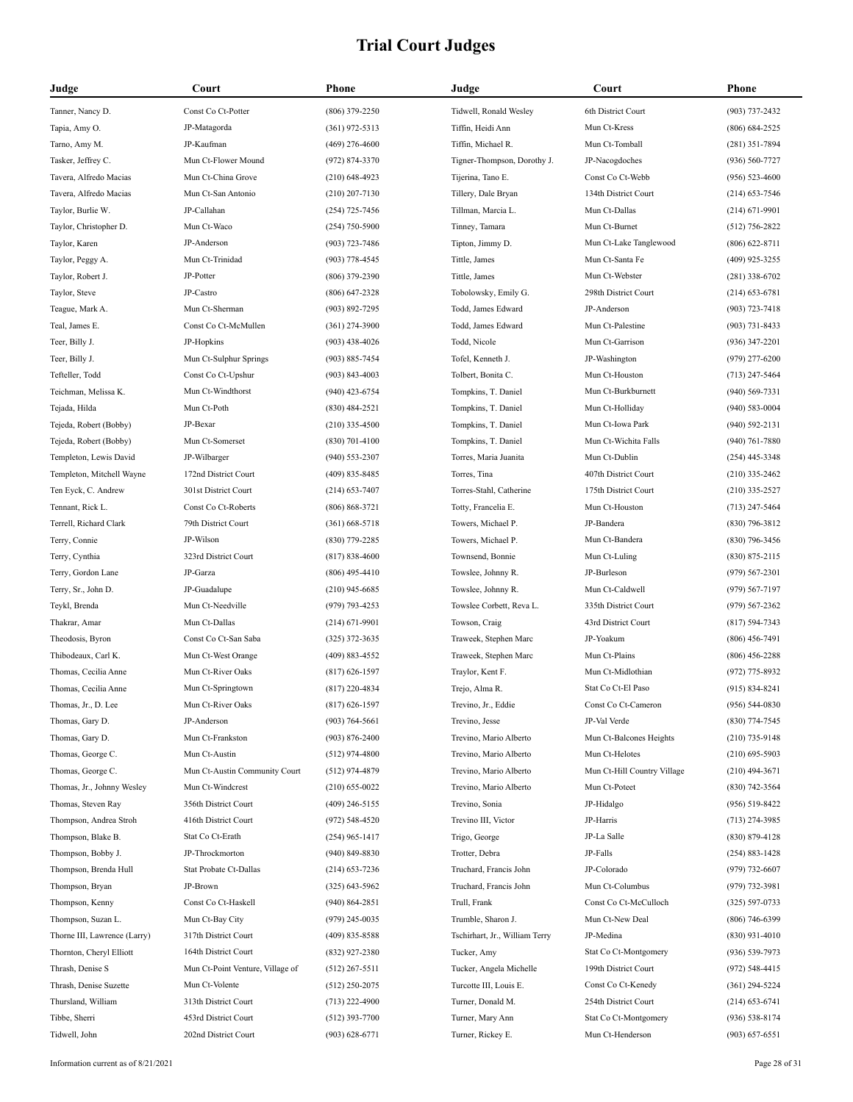| Judge                                 | Court                                        | Phone                                  | Judge                              | Court                                    | <b>Phone</b>                           |
|---------------------------------------|----------------------------------------------|----------------------------------------|------------------------------------|------------------------------------------|----------------------------------------|
| Tanner, Nancy D.                      | Const Co Ct-Potter                           | $(806)$ 379-2250                       | Tidwell, Ronald Wesley             | 6th District Court                       | $(903) 737 - 2432$                     |
| Tapia, Amy O.                         | JP-Matagorda                                 | $(361)$ 972-5313                       | Tiffin, Heidi Ann                  | Mun Ct-Kress                             | $(806) 684 - 2525$                     |
| Tarno, Amy M.                         | JP-Kaufman                                   | $(469)$ 276-4600                       | Tiffin, Michael R.                 | Mun Ct-Tomball                           | $(281)$ 351-7894                       |
| Tasker, Jeffrey C.                    | Mun Ct-Flower Mound                          | (972) 874-3370                         | Tigner-Thompson, Dorothy J.        | JP-Nacogdoches                           | $(936) 560 - 7727$                     |
| Tavera, Alfredo Macias                | Mun Ct-China Grove                           | $(210)$ 648-4923                       | Tijerina, Tano E.                  | Const Co Ct-Webb                         | $(956) 523 - 4600$                     |
| Tavera, Alfredo Macias                | Mun Ct-San Antonio                           | $(210)$ 207-7130                       | Tillery, Dale Bryan                | 134th District Court                     | $(214)$ 653-7546                       |
| Taylor, Burlie W.                     | JP-Callahan                                  | $(254)$ 725-7456                       | Tillman, Marcia L.                 | Mun Ct-Dallas                            | $(214)$ 671-9901                       |
| Taylor, Christopher D.                | Mun Ct-Waco                                  | $(254)$ 750-5900                       | Tinney, Tamara                     | Mun Ct-Burnet                            | $(512)$ 756-2822                       |
| Taylor, Karen                         | JP-Anderson                                  | $(903) 723 - 7486$                     | Tipton, Jimmy D.                   | Mun Ct-Lake Tanglewood                   | $(806)$ 622-8711                       |
| Taylor, Peggy A.                      | Mun Ct-Trinidad                              | $(903)$ 778-4545                       | Tittle, James                      | Mun Ct-Santa Fe                          | $(409)$ 925-3255                       |
| Taylor, Robert J.                     | JP-Potter                                    | $(806)$ 379-2390                       | Tittle, James                      | Mun Ct-Webster                           | $(281)$ 338-6702                       |
| Taylor, Steve                         | JP-Castro                                    | $(806)$ 647-2328                       | Tobolowsky, Emily G.               | 298th District Court                     | $(214)$ 653-6781                       |
| Teague, Mark A.                       | Mun Ct-Sherman                               | $(903) 892 - 7295$                     | Todd, James Edward                 | JP-Anderson                              | $(903) 723 - 7418$                     |
| Teal, James E.                        | Const Co Ct-McMullen                         | $(361)$ 274-3900                       | Todd, James Edward                 | Mun Ct-Palestine                         | $(903) 731 - 8433$                     |
| Teer, Billy J.                        | JP-Hopkins                                   | $(903)$ 438-4026                       | Todd, Nicole                       | Mun Ct-Garrison                          | $(936)$ 347-2201                       |
| Teer, Billy J.                        | Mun Ct-Sulphur Springs                       | $(903) 885 - 7454$                     | Tofel, Kenneth J.                  | JP-Washington                            | $(979)$ 277-6200                       |
| Tefteller, Todd                       | Const Co Ct-Upshur                           | $(903) 843 - 4003$                     | Tolbert, Bonita C.                 | Mun Ct-Houston                           | $(713)$ 247-5464                       |
| Teichman, Melissa K.                  | Mun Ct-Windthorst                            | $(940)$ 423-6754                       | Tompkins, T. Daniel                | Mun Ct-Burkburnett                       | $(940) 569 - 7331$                     |
| Tejada, Hilda                         | Mun Ct-Poth                                  | $(830)$ 484-2521                       | Tompkins, T. Daniel                | Mun Ct-Holliday                          | $(940) 583 - 0004$                     |
| Tejeda, Robert (Bobby)                | JP-Bexar                                     | $(210)$ 335-4500                       | Tompkins, T. Daniel                | Mun Ct-Iowa Park                         | $(940) 592 - 2131$                     |
| Tejeda, Robert (Bobby)                | Mun Ct-Somerset                              | $(830)$ 701-4100                       | Tompkins, T. Daniel                | Mun Ct-Wichita Falls                     | $(940)$ 761-7880                       |
| Templeton, Lewis David                | JP-Wilbarger                                 | $(940)$ 553-2307                       | Torres, Maria Juanita              | Mun Ct-Dublin                            | $(254)$ 445-3348                       |
| Templeton, Mitchell Wayne             | 172nd District Court                         | $(409)$ 835-8485                       | Torres, Tina                       | 407th District Court                     | $(210)$ 335-2462                       |
| Ten Eyck, C. Andrew                   | 301st District Court                         | $(214)$ 653-7407                       | Torres-Stahl, Catherine            | 175th District Court                     | $(210)$ 335-2527                       |
| Tennant, Rick L.                      | Const Co Ct-Roberts                          | $(806) 868 - 3721$                     | Totty, Francelia E.                | Mun Ct-Houston                           | $(713)$ 247-5464                       |
| Terrell, Richard Clark                | 79th District Court                          | $(361)$ 668-5718                       | Towers, Michael P.                 | JP-Bandera                               | $(830)$ 796-3812                       |
| Terry, Connie                         | JP-Wilson                                    | $(830)$ 779-2285                       | Towers, Michael P.                 | Mun Ct-Bandera                           | $(830)$ 796-3456                       |
| Terry, Cynthia                        | 323rd District Court                         | $(817) 838 - 4600$                     | Townsend, Bonnie                   | Mun Ct-Luling                            | $(830) 875 - 2115$                     |
| Terry, Gordon Lane                    | JP-Garza                                     | $(806)$ 495-4410                       | Towslee, Johnny R.                 | JP-Burleson                              | $(979) 567 - 2301$                     |
| Terry, Sr., John D.                   | JP-Guadalupe                                 | $(210)$ 945-6685                       | Towslee, Johnny R.                 | Mun Ct-Caldwell                          | $(979) 567 - 7197$                     |
| Teykl, Brenda                         | Mun Ct-Needville                             | $(979)$ 793-4253                       | Towslee Corbett, Reva L.           | 335th District Court                     | $(979) 567 - 2362$                     |
| Thakrar, Amar                         | Mun Ct-Dallas                                | $(214) 671 - 9901$                     | Towson, Craig                      | 43rd District Court                      | $(817) 594 - 7343$                     |
| Theodosis, Byron                      | Const Co Ct-San Saba                         | $(325)$ 372-3635                       | Traweek, Stephen Marc              | JP-Yoakum                                | $(806)$ 456-7491                       |
| Thibodeaux, Carl K.                   | Mun Ct-West Orange                           | $(409) 883 - 4552$                     | Traweek, Stephen Marc              | Mun Ct-Plains                            | $(806)$ 456-2288                       |
| Thomas, Cecilia Anne                  | Mun Ct-River Oaks                            | $(817) 626 - 1597$                     | Traylor, Kent F.                   | Mun Ct-Midlothian                        | $(972)$ 775-8932                       |
| Thomas, Cecilia Anne                  | Mun Ct-Springtown                            | $(817)$ 220-4834                       | Trejo, Alma R.                     | Stat Co Ct-El Paso                       | $(915) 834 - 8241$                     |
| Thomas, Jr., D. Lee                   | Mun Ct-River Oaks                            | $(817) 626 - 1597$                     | Trevino, Jr., Eddie                | Const Co Ct-Cameron                      | $(956) 544 - 0830$                     |
| Thomas, Gary D.                       | JP-Anderson                                  | $(903) 764 - 5661$                     | Trevino, Jesse                     | JP-Val Verde                             | $(830)$ 774-7545                       |
| Thomas, Gary D.                       | Mun Ct-Frankston                             | $(903) 876 - 2400$                     | Trevino, Mario Alberto             | Mun Ct-Balcones Heights                  | $(210)$ 735-9148                       |
| Thomas, George C.                     | Mun Ct-Austin                                | $(512)$ 974-4800                       | Trevino, Mario Alberto             | Mun Ct-Helotes                           | $(210)$ 695-5903                       |
| Thomas, George C.                     | Mun Ct-Austin Community Court                | $(512)$ 974-4879                       | Trevino, Mario Alberto             | Mun Ct-Hill Country Village              | $(210)$ 494-3671                       |
| Thomas, Jr., Johnny Wesley            | Mun Ct-Windcrest                             | $(210)$ 655-0022                       | Trevino, Mario Alberto             | Mun Ct-Poteet                            | $(830)$ 742-3564                       |
| Thomas, Steven Ray                    | 356th District Court                         | $(409)$ 246-5155                       | Trevino, Sonia                     | JP-Hidalgo                               | $(956) 519 - 8422$                     |
| Thompson, Andrea Stroh                | 416th District Court                         | $(972) 548 - 4520$                     | Trevino III, Victor                | JP-Harris                                | $(713)$ 274-3985                       |
| Thompson, Blake B.                    | Stat Co Ct-Erath                             | $(254)$ 965-1417                       | Trigo, George                      | JP-La Salle                              | $(830) 879 - 4128$                     |
| Thompson, Bobby J.                    | JP-Throckmorton                              | $(940)$ 849-8830                       | Trotter, Debra                     | JP-Falls                                 | $(254) 883 - 1428$                     |
| Thompson, Brenda Hull                 | Stat Probate Ct-Dallas                       | $(214)$ 653-7236                       | Truchard, Francis John             | JP-Colorado                              | $(979)$ 732-6607                       |
| Thompson, Bryan                       | JP-Brown                                     | $(325)$ 643-5962                       | Truchard, Francis John             | Mun Ct-Columbus                          | $(979) 732 - 3981$                     |
|                                       |                                              |                                        |                                    |                                          |                                        |
| Thompson, Kenny<br>Thompson, Suzan L. | Const Co Ct-Haskell<br>Mun Ct-Bay City       | $(940) 864 - 2851$<br>$(979)$ 245-0035 | Trull, Frank<br>Trumble, Sharon J. | Const Co Ct-McCulloch<br>Mun Ct-New Deal | $(325) 597 - 0733$<br>$(806)$ 746-6399 |
|                                       |                                              |                                        |                                    |                                          |                                        |
| Thorne III, Lawrence (Larry)          | 317th District Court                         | $(409)$ 835-8588                       | Tschirhart, Jr., William Terry     | JP-Medina                                | $(830)$ 931-4010                       |
| Thornton, Cheryl Elliott              | 164th District Court                         | $(832)$ 927-2380                       | Tucker, Amy                        | Stat Co Ct-Montgomery                    | $(936) 539 - 7973$                     |
| Thrash, Denise S                      | Mun Ct-Point Venture, Village of             | $(512)$ 267-5511                       | Tucker, Angela Michelle            | 199th District Court                     | $(972)$ 548-4415                       |
| Thrash, Denise Suzette                | Mun Ct-Volente                               | $(512)$ 250-2075                       | Turcotte III, Louis E.             | Const Co Ct-Kenedy                       | $(361)$ 294-5224                       |
| Thursland, William                    | 313th District Court                         | $(713)$ 222-4900                       | Turner, Donald M.                  | 254th District Court                     | $(214)$ 653-6741                       |
| Tibbe, Sherri                         | 453rd District Court<br>202nd District Court | $(512)$ 393-7700                       | Turner, Mary Ann                   | Stat Co Ct-Montgomery                    | $(936) 538 - 8174$                     |
| Tidwell, John                         |                                              | $(903) 628 - 6771$                     | Turner, Rickey E.                  | Mun Ct-Henderson                         | $(903) 657 - 6551$                     |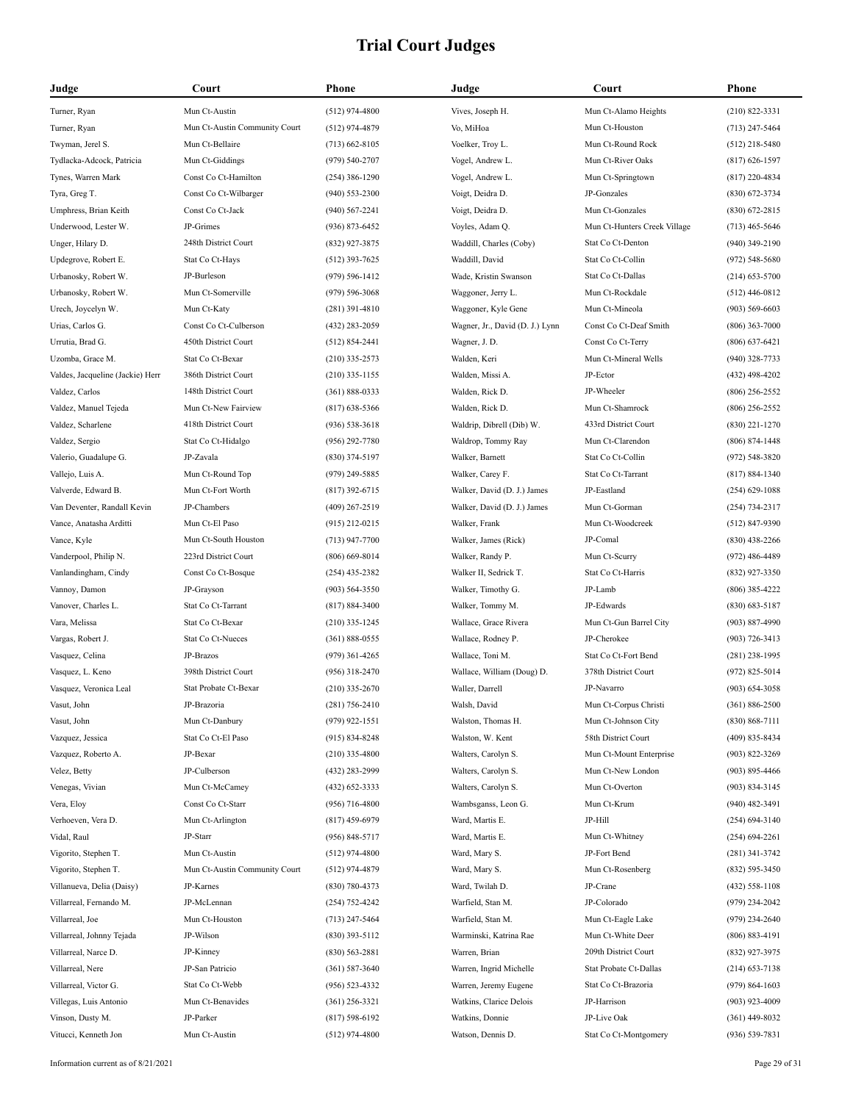| Judge                            | Court                         | <b>Phone</b>       | Judge                           | Court                        | Phone              |
|----------------------------------|-------------------------------|--------------------|---------------------------------|------------------------------|--------------------|
| Turner, Ryan                     | Mun Ct-Austin                 | $(512)$ 974-4800   | Vives, Joseph H.                | Mun Ct-Alamo Heights         | $(210) 822 - 3331$ |
| Turner, Ryan                     | Mun Ct-Austin Community Court | $(512)$ 974-4879   | Vo, MiHoa                       | Mun Ct-Houston               | $(713)$ 247-5464   |
| Twyman, Jerel S.                 | Mun Ct-Bellaire               | $(713)$ 662-8105   | Voelker, Troy L.                | Mun Ct-Round Rock            | $(512)$ 218-5480   |
| Tydlacka-Adcock, Patricia        | Mun Ct-Giddings               | $(979) 540 - 2707$ | Vogel, Andrew L.                | Mun Ct-River Oaks            | $(817) 626 - 1597$ |
| Tynes, Warren Mark               | Const Co Ct-Hamilton          | $(254)$ 386-1290   | Vogel, Andrew L.                | Mun Ct-Springtown            | $(817)$ 220-4834   |
| Tyra, Greg T.                    | Const Co Ct-Wilbarger         | $(940)$ 553-2300   | Voigt, Deidra D.                | JP-Gonzales                  | $(830)$ 672-3734   |
| Umphress, Brian Keith            | Const Co Ct-Jack              | $(940)$ 567-2241   | Voigt, Deidra D.                | Mun Ct-Gonzales              | $(830)$ 672-2815   |
| Underwood, Lester W.             | JP-Grimes                     | $(936) 873 - 6452$ | Voyles, Adam Q.                 | Mun Ct-Hunters Creek Village | $(713)$ 465-5646   |
| Unger, Hilary D.                 | 248th District Court          | (832) 927-3875     | Waddill, Charles (Coby)         | Stat Co Ct-Denton            | $(940)$ 349-2190   |
| Updegrove, Robert E.             | Stat Co Ct-Hays               | $(512)$ 393-7625   | Waddill, David                  | Stat Co Ct-Collin            | $(972) 548 - 5680$ |
| Urbanosky, Robert W.             | JP-Burleson                   | $(979) 596 - 1412$ | Wade, Kristin Swanson           | Stat Co Ct-Dallas            | $(214)$ 653-5700   |
| Urbanosky, Robert W.             | Mun Ct-Somerville             | $(979) 596 - 3068$ | Waggoner, Jerry L.              | Mun Ct-Rockdale              | $(512)$ 446-0812   |
| Urech, Joycelyn W.               | Mun Ct-Katy                   | $(281)$ 391-4810   | Waggoner, Kyle Gene             | Mun Ct-Mineola               | $(903) 569 - 6603$ |
| Urias, Carlos G.                 | Const Co Ct-Culberson         | $(432)$ 283-2059   | Wagner, Jr., David (D. J.) Lynn | Const Co Ct-Deaf Smith       | $(806)$ 363-7000   |
| Urrutia, Brad G.                 | 450th District Court          | $(512) 854 - 2441$ | Wagner, J. D.                   | Const Co Ct-Terry            | $(806)$ 637-6421   |
| Uzomba, Grace M.                 | Stat Co Ct-Bexar              | $(210)$ 335-2573   | Walden, Keri                    | Mun Ct-Mineral Wells         | $(940)$ 328-7733   |
| Valdes, Jacqueline (Jackie) Herr | 386th District Court          | $(210)$ 335-1155   | Walden, Missi A.                | JP-Ector                     | $(432)$ 498-4202   |
| Valdez, Carlos                   | 148th District Court          | $(361) 888 - 0333$ | Walden, Rick D.                 | JP-Wheeler                   | $(806)$ 256-2552   |
| Valdez, Manuel Tejeda            | Mun Ct-New Fairview           | $(817)$ 638-5366   | Walden, Rick D.                 | Mun Ct-Shamrock              | $(806)$ 256-2552   |
| Valdez, Scharlene                | 418th District Court          | $(936) 538 - 3618$ | Waldrip, Dibrell (Dib) W.       | 433rd District Court         | $(830)$ 221-1270   |
| Valdez, Sergio                   | Stat Co Ct-Hidalgo            | $(956)$ 292-7780   | Waldrop, Tommy Ray              | Mun Ct-Clarendon             | $(806) 874 - 1448$ |
| Valerio, Guadalupe G.            | JP-Zavala                     | $(830)$ 374-5197   | Walker, Barnett                 | Stat Co Ct-Collin            | (972) 548-3820     |
| Vallejo, Luis A.                 | Mun Ct-Round Top              | (979) 249-5885     | Walker, Carey F.                | Stat Co Ct-Tarrant           | $(817) 884 - 1340$ |
| Valverde, Edward B.              | Mun Ct-Fort Worth             | $(817)$ 392-6715   | Walker, David (D. J.) James     | JP-Eastland                  | $(254)$ 629-1088   |
| Van Deventer, Randall Kevin      | JP-Chambers                   | $(409)$ 267-2519   | Walker, David (D. J.) James     | Mun Ct-Gorman                | $(254) 734 - 2317$ |
| Vance, Anatasha Arditti          | Mun Ct-El Paso                | $(915)$ 212-0215   | Walker, Frank                   | Mun Ct-Woodcreek             | $(512) 847 - 9390$ |
| Vance, Kyle                      | Mun Ct-South Houston          | $(713)$ 947-7700   | Walker, James (Rick)            | JP-Comal                     | $(830)$ 438-2266   |
| Vanderpool, Philip N.            | 223rd District Court          | $(806)$ 669-8014   | Walker, Randy P.                | Mun Ct-Scurry                | $(972)$ 486-4489   |
| Vanlandingham, Cindy             | Const Co Ct-Bosque            | $(254)$ 435-2382   | Walker II, Sedrick T.           | Stat Co Ct-Harris            | $(832)$ 927-3350   |
| Vannoy, Damon                    | JP-Grayson                    | $(903) 564 - 3550$ | Walker, Timothy G.              | JP-Lamb                      | $(806)$ 385-4222   |
| Vanover, Charles L.              | Stat Co Ct-Tarrant            | $(817) 884 - 3400$ | Walker, Tommy M.                | JP-Edwards                   | $(830)$ 683-5187   |
| Vara, Melissa                    | Stat Co Ct-Bexar              | $(210)$ 335-1245   | Wallace, Grace Rivera           | Mun Ct-Gun Barrel City       | $(903) 887 - 4990$ |
| Vargas, Robert J.                | Stat Co Ct-Nueces             | $(361) 888 - 0555$ | Wallace, Rodney P.              | JP-Cherokee                  | $(903) 726 - 3413$ |
| Vasquez, Celina                  | JP-Brazos                     | $(979)$ 361-4265   | Wallace, Toni M.                | Stat Co Ct-Fort Bend         | $(281)$ 238-1995   |
| Vasquez, L. Keno                 | 398th District Court          | $(956)$ 318-2470   | Wallace, William (Doug) D.      | 378th District Court         | $(972) 825 - 5014$ |
| Vasquez, Veronica Leal           | Stat Probate Ct-Bexar         | $(210)$ 335-2670   | Waller, Darrell                 | JP-Navarro                   | $(903) 654 - 3058$ |
| Vasut, John                      | JP-Brazoria                   | $(281) 756 - 2410$ | Walsh, David                    | Mun Ct-Corpus Christi        | $(361) 886 - 2500$ |
| Vasut, John                      | Mun Ct-Danbury                | $(979)$ 922-1551   | Walston, Thomas H.              | Mun Ct-Johnson City          | $(830) 868 - 7111$ |
| Vazquez, Jessica                 | Stat Co Ct-El Paso            | $(915) 834 - 8248$ | Walston, W. Kent                | 58th District Court          | $(409) 835 - 8434$ |
| Vazquez, Roberto A.              | JP-Bexar                      | $(210)$ 335-4800   | Walters, Carolyn S.             | Mun Ct-Mount Enterprise      | $(903) 822 - 3269$ |
| Velez, Betty                     | JP-Culberson                  | (432) 283-2999     | Walters, Carolyn S.             | Mun Ct-New London            | $(903) 895 - 4466$ |
| Venegas, Vivian                  | Mun Ct-McCamey                | $(432) 652 - 3333$ | Walters, Carolyn S.             | Mun Ct-Overton               | $(903) 834 - 3145$ |
| Vera, Eloy                       | Const Co Ct-Starr             | $(956)$ 716-4800   | Wambsganss, Leon G.             | Mun Ct-Krum                  | $(940)$ 482-3491   |
| Verhoeven, Vera D.               | Mun Ct-Arlington              | $(817)$ 459-6979   | Ward, Martis E.                 | JP-Hill                      | $(254) 694 - 3140$ |
| Vidal, Raul                      | JP-Starr                      | $(956) 848 - 5717$ | Ward, Martis E.                 | Mun Ct-Whitney               | $(254) 694 - 2261$ |
| Vigorito, Stephen T.             | Mun Ct-Austin                 | $(512)$ 974-4800   | Ward, Mary S.                   | JP-Fort Bend                 | $(281)$ 341-3742   |
| Vigorito, Stephen T.             | Mun Ct-Austin Community Court | $(512)$ 974-4879   | Ward, Mary S.                   | Mun Ct-Rosenberg             | $(832) 595 - 3450$ |
| Villanueva, Delia (Daisy)        | JP-Karnes                     | $(830) 780 - 4373$ | Ward, Twilah D.                 | JP-Crane                     | $(432)$ 558-1108   |
| Villarreal, Fernando M.          | JP-McLennan                   | $(254) 752 - 4242$ | Warfield, Stan M.               | JP-Colorado                  | $(979)$ 234-2042   |
| Villarreal, Joe                  | Mun Ct-Houston                | $(713)$ 247-5464   | Warfield, Stan M.               | Mun Ct-Eagle Lake            | $(979)$ 234-2640   |
| Villarreal, Johnny Tejada        | JP-Wilson                     | $(830)$ 393-5112   | Warminski, Katrina Rae          | Mun Ct-White Deer            | $(806) 883 - 4191$ |
| Villarreal, Narce D.             | JP-Kinney                     | $(830) 563 - 2881$ | Warren, Brian                   | 209th District Court         | (832) 927-3975     |
| Villarreal, Nere                 | JP-San Patricio               | $(361) 587 - 3640$ | Warren, Ingrid Michelle         | Stat Probate Ct-Dallas       | $(214)$ 653-7138   |
| Villarreal, Victor G.            | Stat Co Ct-Webb               | $(956) 523 - 4332$ | Warren, Jeremy Eugene           | Stat Co Ct-Brazoria          | $(979) 864 - 1603$ |
| Villegas, Luis Antonio           | Mun Ct-Benavides              | $(361)$ 256-3321   | Watkins, Clarice Delois         | JP-Harrison                  | $(903)$ 923-4009   |
| Vinson, Dusty M.                 | JP-Parker                     | $(817) 598 - 6192$ | Watkins, Donnie                 | JP-Live Oak                  | $(361)$ 449-8032   |
| Vitucci, Kenneth Jon             | Mun Ct-Austin                 | $(512)$ 974-4800   | Watson, Dennis D.               | Stat Co Ct-Montgomery        | (936) 539-7831     |
|                                  |                               |                    |                                 |                              |                    |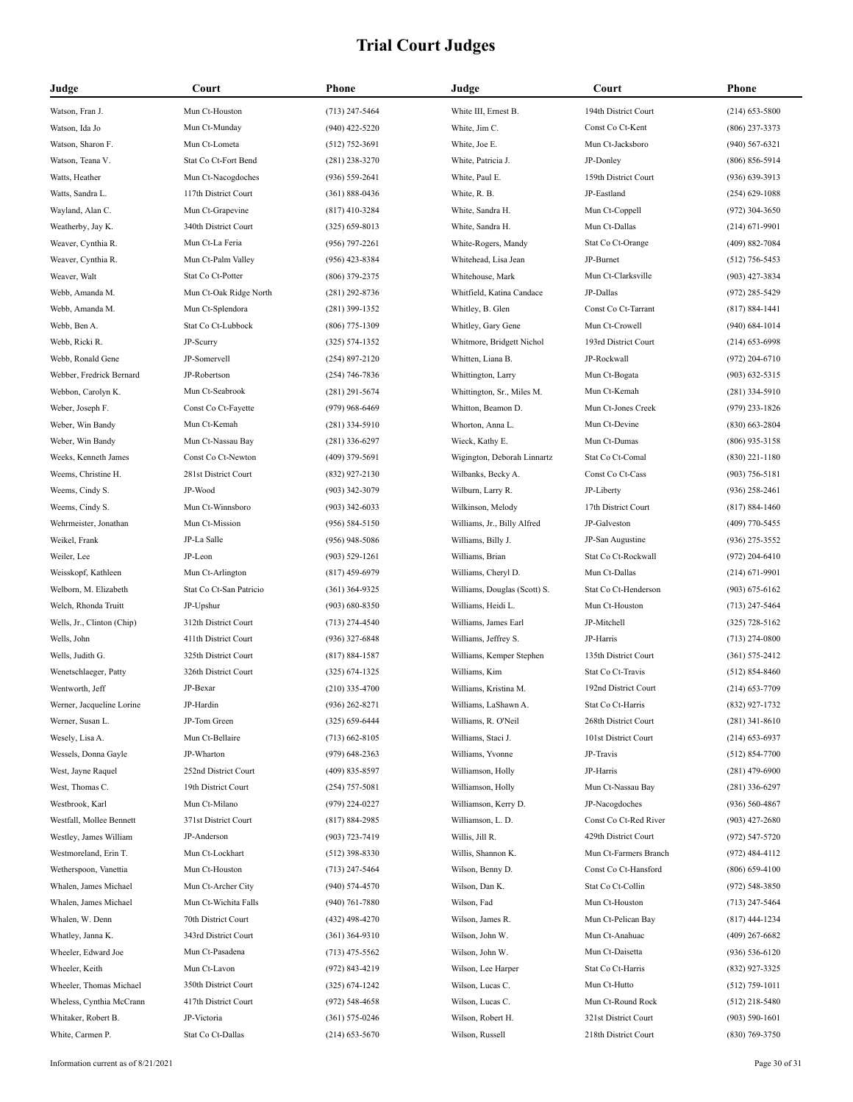| Judge                      | Court                   | Phone              | Judge                        | Court                 | Phone              |
|----------------------------|-------------------------|--------------------|------------------------------|-----------------------|--------------------|
| Watson, Fran J.            | Mun Ct-Houston          | $(713)$ 247-5464   | White III, Ernest B.         | 194th District Court  | $(214)$ 653-5800   |
| Watson, Ida Jo             | Mun Ct-Munday           | $(940)$ 422-5220   | White, Jim C.                | Const Co Ct-Kent      | $(806)$ 237-3373   |
| Watson, Sharon F.          | Mun Ct-Lometa           | $(512)$ 752-3691   | White, Joe E.                | Mun Ct-Jacksboro      | $(940) 567 - 6321$ |
| Watson, Teana V.           | Stat Co Ct-Fort Bend    | $(281)$ 238-3270   | White, Patricia J.           | JP-Donley             | $(806) 856 - 5914$ |
| Watts, Heather             | Mun Ct-Nacogdoches      | $(936) 559 - 2641$ | White, Paul E.               | 159th District Court  | $(936)$ 639-3913   |
| Watts, Sandra L.           | 117th District Court    | $(361) 888 - 0436$ | White, R. B.                 | JP-Eastland           | $(254)$ 629-1088   |
| Wayland, Alan C.           | Mun Ct-Grapevine        | $(817)$ 410-3284   | White, Sandra H.             | Mun Ct-Coppell        | $(972)$ 304-3650   |
| Weatherby, Jay K.          | 340th District Court    | $(325) 659 - 8013$ | White, Sandra H.             | Mun Ct-Dallas         | $(214) 671 - 9901$ |
| Weaver, Cynthia R.         | Mun Ct-La Feria         | $(956)$ 797-2261   | White-Rogers, Mandy          | Stat Co Ct-Orange     | (409) 882-7084     |
| Weaver, Cynthia R.         | Mun Ct-Palm Valley      | $(956)$ 423-8384   | Whitehead, Lisa Jean         | JP-Burnet             | $(512)$ 756-5453   |
| Weaver, Walt               | Stat Co Ct-Potter       | $(806)$ 379-2375   | Whitehouse, Mark             | Mun Ct-Clarksville    | $(903)$ 427-3834   |
| Webb, Amanda M.            | Mun Ct-Oak Ridge North  | $(281)$ 292-8736   | Whitfield, Katina Candace    | JP-Dallas             | $(972)$ 285-5429   |
| Webb, Amanda M.            | Mun Ct-Splendora        | $(281)$ 399-1352   | Whitley, B. Glen             | Const Co Ct-Tarrant   | $(817) 884 - 1441$ |
| Webb, Ben A.               | Stat Co Ct-Lubbock      | $(806)$ 775-1309   | Whitley, Gary Gene           | Mun Ct-Crowell        | $(940) 684 - 1014$ |
| Webb, Ricki R.             | JP-Scurry               | $(325) 574 - 1352$ | Whitmore, Bridgett Nichol    | 193rd District Court  | $(214)$ 653-6998   |
| Webb, Ronald Gene          | JP-Somervell            | $(254) 897 - 2120$ | Whitten, Liana B.            | JP-Rockwall           | $(972)$ 204-6710   |
| Webber, Fredrick Bernard   | JP-Robertson            | $(254)$ 746-7836   | Whittington, Larry           | Mun Ct-Bogata         | $(903)$ 632-5315   |
| Webbon, Carolyn K.         | Mun Ct-Seabrook         | $(281)$ 291-5674   | Whittington, Sr., Miles M.   | Mun Ct-Kemah          | $(281)$ 334-5910   |
| Weber, Joseph F.           | Const Co Ct-Fayette     | $(979)$ 968-6469   | Whitton, Beamon D.           | Mun Ct-Jones Creek    | $(979)$ 233-1826   |
| Weber, Win Bandy           | Mun Ct-Kemah            | $(281)$ 334-5910   | Whorton, Anna L.             | Mun Ct-Devine         | $(830)$ 663-2804   |
| Weber, Win Bandy           | Mun Ct-Nassau Bay       | $(281)$ 336-6297   | Wieck, Kathy E.              | Mun Ct-Dumas          | $(806)$ 935-3158   |
| Weeks, Kenneth James       | Const Co Ct-Newton      | $(409)$ 379-5691   | Wigington, Deborah Linnartz  | Stat Co Ct-Comal      | $(830)$ 221-1180   |
| Weems, Christine H.        | 281st District Court    | (832) 927-2130     | Wilbanks, Becky A.           | Const Co Ct-Cass      | $(903) 756 - 5181$ |
| Weems, Cindy S.            | JP-Wood                 | $(903)$ 342-3079   | Wilburn, Larry R.            | JP-Liberty            | $(936)$ 258-2461   |
| Weems, Cindy S.            | Mun Ct-Winnsboro        | $(903)$ 342-6033   | Wilkinson, Melody            | 17th District Court   | $(817) 884 - 1460$ |
| Wehrmeister, Jonathan      | Mun Ct-Mission          | $(956) 584 - 5150$ | Williams, Jr., Billy Alfred  | JP-Galveston          | $(409)$ 770-5455   |
| Weikel, Frank              | JP-La Salle             | $(956)$ 948-5086   | Williams, Billy J.           | JP-San Augustine      | $(936)$ 275-3552   |
| Weiler, Lee                | JP-Leon                 | $(903) 529 - 1261$ | Williams, Brian              | Stat Co Ct-Rockwall   | $(972)$ 204-6410   |
| Weisskopf, Kathleen        | Mun Ct-Arlington        | $(817)$ 459-6979   | Williams, Cheryl D.          | Mun Ct-Dallas         | $(214) 671 - 9901$ |
| Welborn, M. Elizabeth      | Stat Co Ct-San Patricio | $(361)$ 364-9325   | Williams, Douglas (Scott) S. | Stat Co Ct-Henderson  | $(903) 675 - 6162$ |
| Welch, Rhonda Truitt       | JP-Upshur               | $(903) 680 - 8350$ | Williams, Heidi L.           | Mun Ct-Houston        | $(713)$ 247-5464   |
| Wells, Jr., Clinton (Chip) | 312th District Court    | $(713)$ 274-4540   | Williams, James Earl         | JP-Mitchell           | $(325)$ 728-5162   |
| Wells, John                | 411th District Court    | $(936)$ 327-6848   | Williams, Jeffrey S.         | JP-Harris             | $(713)$ 274-0800   |
| Wells, Judith G.           | 325th District Court    | $(817) 884 - 1587$ | Williams, Kemper Stephen     | 135th District Court  | $(361) 575 - 2412$ |
| Wenetschlaeger, Patty      | 326th District Court    | $(325) 674 - 1325$ | Williams, Kim                | Stat Co Ct-Travis     | $(512) 854 - 8460$ |
| Wentworth, Jeff            | JP-Bexar                | $(210)$ 335-4700   | Williams, Kristina M.        | 192nd District Court  | $(214) 653 - 7709$ |
| Werner, Jacqueline Lorine  | JP-Hardin               | $(936)$ 262-8271   | Williams, LaShawn A.         | Stat Co Ct-Harris     | (832) 927-1732     |
| Werner, Susan L.           | JP-Tom Green            | $(325) 659 - 6444$ | Williams, R. O'Neil          | 268th District Court  | $(281)$ 341-8610   |
| Wesely, Lisa A.            | Mun Ct-Bellaire         | $(713) 662 - 8105$ | Williams, Staci J.           | 101st District Court  | $(214) 653 - 6937$ |
| Wessels, Donna Gayle       | JP-Wharton              | $(979)$ 648-2363   | Williams, Yvonne             | JP-Travis             | $(512) 854 - 7700$ |
| West, Jayne Raquel         | 252nd District Court    | $(409)$ 835-8597   | Williamson, Holly            | JP-Harris             | $(281)$ 479-6900   |
| West, Thomas C.            | 19th District Court     | $(254)$ 757-5081   | Williamson, Holly            | Mun Ct-Nassau Bay     | $(281)$ 336-6297   |
| Westbrook, Karl            | Mun Ct-Milano           | (979) 224-0227     | Williamson, Kerry D.         | JP-Nacogdoches        | $(936) 560 - 4867$ |
| Westfall, Mollee Bennett   | 371st District Court    | (817) 884-2985     | Williamson, L. D.            | Const Co Ct-Red River | $(903)$ 427-2680   |
| Westley, James William     | JP-Anderson             | (903) 723-7419     | Willis, Jill R.              | 429th District Court  | $(972) 547 - 5720$ |
| Westmoreland, Erin T.      | Mun Ct-Lockhart         | $(512)$ 398-8330   | Willis, Shannon K.           | Mun Ct-Farmers Branch | $(972)$ 484-4112   |
| Wetherspoon, Vanettia      | Mun Ct-Houston          | $(713)$ 247-5464   | Wilson, Benny D.             | Const Co Ct-Hansford  | $(806)$ 659-4100   |
| Whalen, James Michael      | Mun Ct-Archer City      | $(940) 574 - 4570$ | Wilson, Dan K.               | Stat Co Ct-Collin     | $(972) 548 - 3850$ |
| Whalen, James Michael      | Mun Ct-Wichita Falls    | $(940)$ 761-7880   | Wilson, Fad                  | Mun Ct-Houston        | $(713)$ 247-5464   |
| Whalen, W. Denn            | 70th District Court     | $(432)$ 498-4270   | Wilson, James R.             | Mun Ct-Pelican Bay    | $(817)$ 444-1234   |
| Whatley, Janna K.          | 343rd District Court    | $(361)$ 364-9310   | Wilson, John W.              | Mun Ct-Anahuac        | $(409)$ 267-6682   |
| Wheeler, Edward Joe        | Mun Ct-Pasadena         | $(713)$ 475-5562   | Wilson, John W.              | Mun Ct-Daisetta       | $(936) 536 - 6120$ |
| Wheeler, Keith             | Mun Ct-Lavon            | (972) 843-4219     | Wilson, Lee Harper           | Stat Co Ct-Harris     | (832) 927-3325     |
| Wheeler, Thomas Michael    | 350th District Court    | $(325) 674 - 1242$ | Wilson, Lucas C.             | Mun Ct-Hutto          | $(512)$ 759-1011   |
| Wheless, Cynthia McCrann   | 417th District Court    | $(972) 548 - 4658$ | Wilson, Lucas C.             | Mun Ct-Round Rock     | $(512)$ 218-5480   |
| Whitaker, Robert B.        | JP-Victoria             | $(361) 575 - 0246$ | Wilson, Robert H.            | 321st District Court  | $(903) 590 - 1601$ |
| White, Carmen P.           | Stat Co Ct-Dallas       | $(214)$ 653-5670   | Wilson, Russell              | 218th District Court  | (830) 769-3750     |